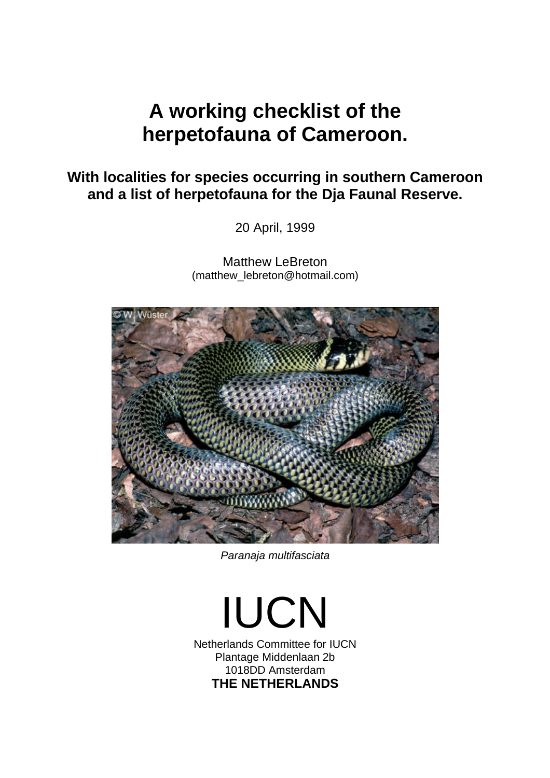## **With localities for species occurring in southern Cameroon and a list of herpetofauna for the Dja Faunal Reserve.**

20 April, 1999

Matthew LeBreton (matthew\_lebreton@hotmail.com)



*Paranaja multifasciata*

IUCN Netherlands Committee for IUCN Plantage Middenlaan 2b 1018DD Amsterdam **THE NETHERLANDS**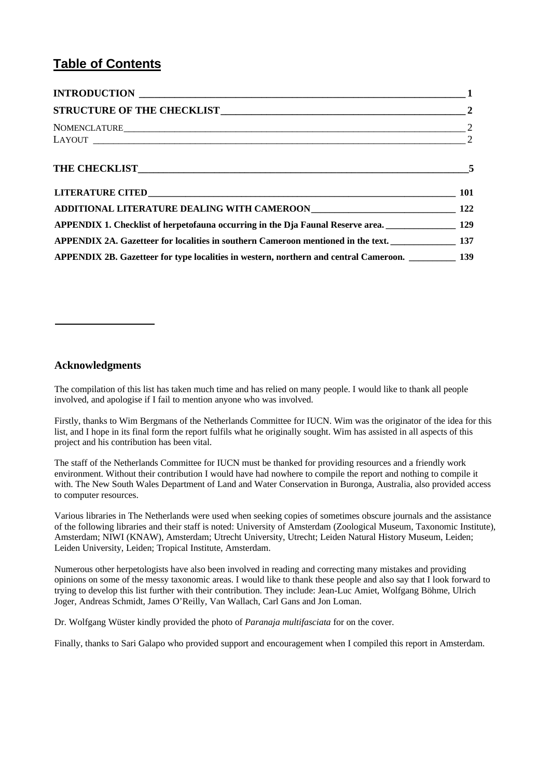## **Table of Contents**

| $NOMENCLATURE \qquad \qquad 2$                                                                       |  |
|------------------------------------------------------------------------------------------------------|--|
|                                                                                                      |  |
|                                                                                                      |  |
|                                                                                                      |  |
|                                                                                                      |  |
| APPENDIX 1. Checklist of herpetofauna occurring in the Dja Faunal Reserve area. ________________ 129 |  |
| APPENDIX 2A. Gazetteer for localities in southern Cameroon mentioned in the text. 137                |  |
| APPENDIX 2B. Gazetteer for type localities in western, northern and central Cameroon. __________ 139 |  |

## **Acknowledgments**

The compilation of this list has taken much time and has relied on many people. I would like to thank all people involved, and apologise if I fail to mention anyone who was involved.

Firstly, thanks to Wim Bergmans of the Netherlands Committee for IUCN. Wim was the originator of the idea for this list, and I hope in its final form the report fulfils what he originally sought. Wim has assisted in all aspects of this project and his contribution has been vital.

The staff of the Netherlands Committee for IUCN must be thanked for providing resources and a friendly work environment. Without their contribution I would have had nowhere to compile the report and nothing to compile it with. The New South Wales Department of Land and Water Conservation in Buronga, Australia, also provided access to computer resources.

Various libraries in The Netherlands were used when seeking copies of sometimes obscure journals and the assistance of the following libraries and their staff is noted: University of Amsterdam (Zoological Museum, Taxonomic Institute), Amsterdam; NIWI (KNAW), Amsterdam; Utrecht University, Utrecht; Leiden Natural History Museum, Leiden; Leiden University, Leiden; Tropical Institute, Amsterdam.

Numerous other herpetologists have also been involved in reading and correcting many mistakes and providing opinions on some of the messy taxonomic areas. I would like to thank these people and also say that I look forward to trying to develop this list further with their contribution. They include: Jean-Luc Amiet, Wolfgang Böhme, Ulrich Joger, Andreas Schmidt, James O'Reilly, Van Wallach, Carl Gans and Jon Loman.

Dr. Wolfgang Wüster kindly provided the photo of *Paranaja multifasciata* for on the cover.

Finally, thanks to Sari Galapo who provided support and encouragement when I compiled this report in Amsterdam.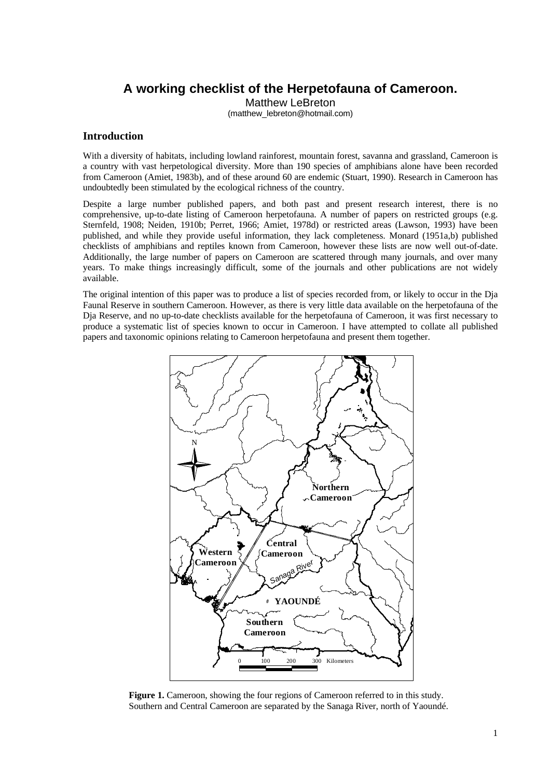Matthew LeBreton

(matthew\_lebreton@hotmail.com)

## **Introduction**

With a diversity of habitats, including lowland rainforest, mountain forest, savanna and grassland, Cameroon is a country with vast herpetological diversity. More than 190 species of amphibians alone have been recorded from Cameroon (Amiet, 1983b), and of these around 60 are endemic (Stuart, 1990). Research in Cameroon has undoubtedly been stimulated by the ecological richness of the country.

Despite a large number published papers, and both past and present research interest, there is no comprehensive, up-to-date listing of Cameroon herpetofauna. A number of papers on restricted groups (e.g. Sternfeld, 1908; Neiden, 1910b; Perret, 1966; Amiet, 1978d) or restricted areas (Lawson, 1993) have been published, and while they provide useful information, they lack completeness. Monard (1951a,b) published checklists of amphibians and reptiles known from Cameroon, however these lists are now well out-of-date. Additionally, the large number of papers on Cameroon are scattered through many journals, and over many years. To make things increasingly difficult, some of the journals and other publications are not widely available.

The original intention of this paper was to produce a list of species recorded from, or likely to occur in the Dja Faunal Reserve in southern Cameroon. However, as there is very little data available on the herpetofauna of the Dja Reserve, and no up-to-date checklists available for the herpetofauna of Cameroon, it was first necessary to produce a systematic list of species known to occur in Cameroon. I have attempted to collate all published papers and taxonomic opinions relating to Cameroon herpetofauna and present them together.



**Figure 1.** Cameroon, showing the four regions of Cameroon referred to in this study. Southern and Central Cameroon are separated by the Sanaga River, north of Yaoundé.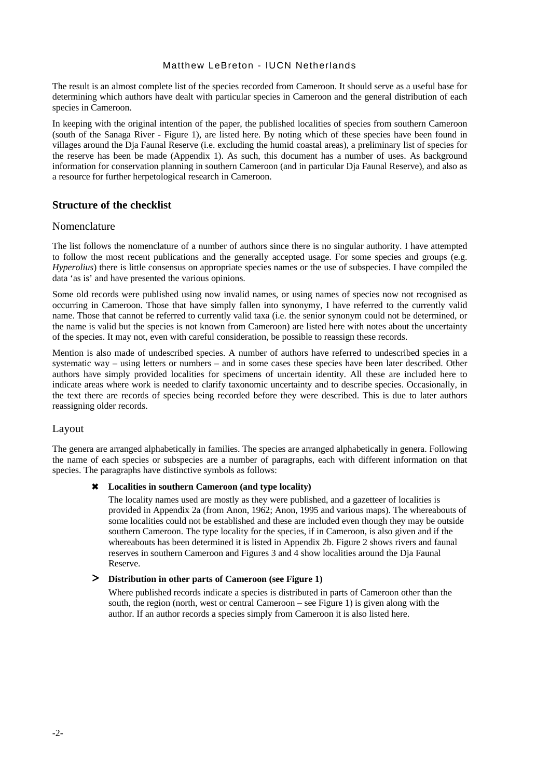The result is an almost complete list of the species recorded from Cameroon. It should serve as a useful base for determining which authors have dealt with particular species in Cameroon and the general distribution of each species in Cameroon.

In keeping with the original intention of the paper, the published localities of species from southern Cameroon (south of the Sanaga River - Figure 1), are listed here. By noting which of these species have been found in villages around the Dja Faunal Reserve (i.e. excluding the humid coastal areas), a preliminary list of species for the reserve has been be made (Appendix 1). As such, this document has a number of uses. As background information for conservation planning in southern Cameroon (and in particular Dja Faunal Reserve), and also as a resource for further herpetological research in Cameroon.

## **Structure of the checklist**

## Nomenclature

The list follows the nomenclature of a number of authors since there is no singular authority. I have attempted to follow the most recent publications and the generally accepted usage. For some species and groups (e.g. *Hyperolius*) there is little consensus on appropriate species names or the use of subspecies. I have compiled the data 'as is' and have presented the various opinions.

Some old records were published using now invalid names, or using names of species now not recognised as occurring in Cameroon. Those that have simply fallen into synonymy, I have referred to the currently valid name. Those that cannot be referred to currently valid taxa (i.e. the senior synonym could not be determined, or the name is valid but the species is not known from Cameroon) are listed here with notes about the uncertainty of the species. It may not, even with careful consideration, be possible to reassign these records.

Mention is also made of undescribed species. A number of authors have referred to undescribed species in a systematic way – using letters or numbers – and in some cases these species have been later described. Other authors have simply provided localities for specimens of uncertain identity. All these are included here to indicate areas where work is needed to clarify taxonomic uncertainty and to describe species. Occasionally, in the text there are records of species being recorded before they were described. This is due to later authors reassigning older records.

## Layout

The genera are arranged alphabetically in families. The species are arranged alphabetically in genera. Following the name of each species or subspecies are a number of paragraphs, each with different information on that species. The paragraphs have distinctive symbols as follows:

## 6 **Localities in southern Cameroon (and type locality)**

The locality names used are mostly as they were published, and a gazetteer of localities is provided in Appendix 2a (from Anon, 1962; Anon, 1995 and various maps). The whereabouts of some localities could not be established and these are included even though they may be outside southern Cameroon. The type locality for the species, if in Cameroon, is also given and if the whereabouts has been determined it is listed in Appendix 2b. Figure 2 shows rivers and faunal reserves in southern Cameroon and Figures 3 and 4 show localities around the Dja Faunal Reserve.

## > **Distribution in other parts of Cameroon (see Figure 1)**

Where published records indicate a species is distributed in parts of Cameroon other than the south, the region (north, west or central Cameroon – see Figure 1) is given along with the author. If an author records a species simply from Cameroon it is also listed here.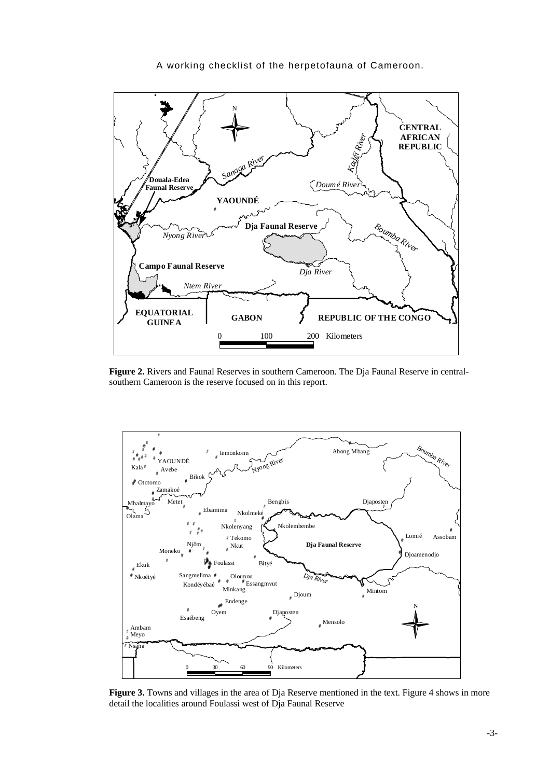

**Figure 2.** Rivers and Faunal Reserves in southern Cameroon. The Dja Faunal Reserve in centralsouthern Cameroon is the reserve focused on in this report.



Figure 3. Towns and villages in the area of Dja Reserve mentioned in the text. Figure 4 shows in more detail the localities around Foulassi west of Dja Faunal Reserve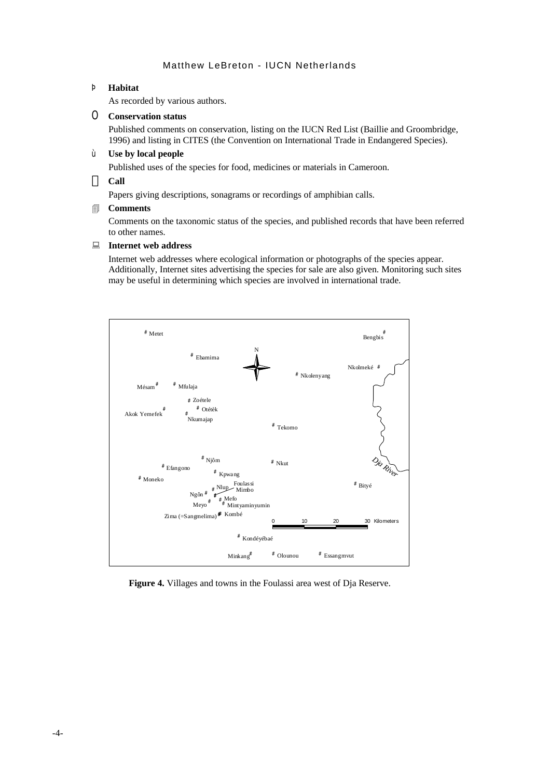## Þ **Habitat**

As recorded by various authors.

## O **Conservation status**

Published comments on conservation, listing on the IUCN Red List (Baillie and Groombridge, 1996) and listing in CITES (the Convention on International Trade in Endangered Species).

#### ù **Use by local people**

Published uses of the species for food, medicines or materials in Cameroon.

**Call**

Papers giving descriptions, sonagrams or recordings of amphibian calls.

#### 4 **Comments**

Comments on the taxonomic status of the species, and published records that have been referred to other names.

#### **E** Internet web address

Internet web addresses where ecological information or photographs of the species appear. Additionally, Internet sites advertising the species for sale are also given. Monitoring such sites may be useful in determining which species are involved in international trade.



**Figure 4.** Villages and towns in the Foulassi area west of Dja Reserve.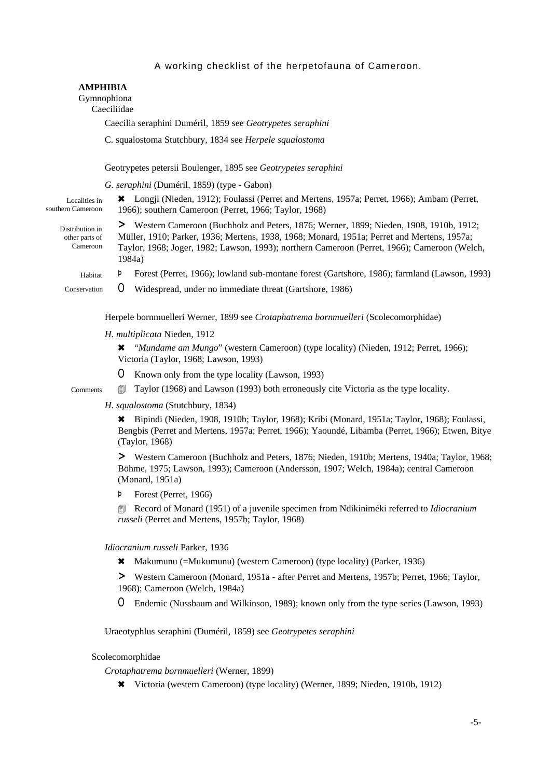|                                                            | <b>AMPHIBIA</b><br>Gymnophiona<br>Caeciliidae           |                                                                                                                                                                                                                                                                                                 |  |  |
|------------------------------------------------------------|---------------------------------------------------------|-------------------------------------------------------------------------------------------------------------------------------------------------------------------------------------------------------------------------------------------------------------------------------------------------|--|--|
| Caecilia seraphini Duméril, 1859 see Geotrypetes seraphini |                                                         |                                                                                                                                                                                                                                                                                                 |  |  |
|                                                            | C. squalostoma Stutchbury, 1834 see Herpele squalostoma |                                                                                                                                                                                                                                                                                                 |  |  |
|                                                            |                                                         | Geotrypetes petersii Boulenger, 1895 see Geotrypetes seraphini                                                                                                                                                                                                                                  |  |  |
| G. seraphini (Duméril, 1859) (type - Gabon)                |                                                         |                                                                                                                                                                                                                                                                                                 |  |  |
| Localities in<br>southern Cameroon                         |                                                         | Longji (Nieden, 1912); Foulassi (Perret and Mertens, 1957a; Perret, 1966); Ambam (Perret,<br>1966); southern Cameroon (Perret, 1966; Taylor, 1968)                                                                                                                                              |  |  |
| Distribution in<br>other parts of<br>Cameroon              |                                                         | > Western Cameroon (Buchholz and Peters, 1876; Werner, 1899; Nieden, 1908, 1910b, 1912;<br>Müller, 1910; Parker, 1936; Mertens, 1938, 1968; Monard, 1951a; Perret and Mertens, 1957a;<br>Taylor, 1968; Joger, 1982; Lawson, 1993); northern Cameroon (Perret, 1966); Cameroon (Welch,<br>1984a) |  |  |
| Habitat                                                    | Þ                                                       | Forest (Perret, 1966); lowland sub-montane forest (Gartshore, 1986); farmland (Lawson, 1993)                                                                                                                                                                                                    |  |  |
| Conservation                                               | O                                                       | Widespread, under no immediate threat (Gartshore, 1986)                                                                                                                                                                                                                                         |  |  |
|                                                            |                                                         | Herpele bornmuelleri Werner, 1899 see Crotaphatrema bornmuelleri (Scolecomorphidae)                                                                                                                                                                                                             |  |  |
| H. multiplicata Nieden, 1912                               |                                                         |                                                                                                                                                                                                                                                                                                 |  |  |

6 "*Mundame am Mungo*" (western Cameroon) (type locality) (Nieden, 1912; Perret, 1966); Victoria (Taylor, 1968; Lawson, 1993)

O Known only from the type locality (Lawson, 1993)

 $\Box$  Taylor (1968) and Lawson (1993) both erroneously cite Victoria as the type locality.

*H. squalostoma* (Stutchbury, 1834)

Comments

6 Bipindi (Nieden, 1908, 1910b; Taylor, 1968); Kribi (Monard, 1951a; Taylor, 1968); Foulassi, Bengbis (Perret and Mertens, 1957a; Perret, 1966); Yaoundé, Libamba (Perret, 1966); Etwen, Bitye (Taylor, 1968)

> Western Cameroon (Buchholz and Peters, 1876; Nieden, 1910b; Mertens, 1940a; Taylor, 1968; Böhme, 1975; Lawson, 1993); Cameroon (Andersson, 1907; Welch, 1984a); central Cameroon (Monard, 1951a)

Þ Forest (Perret, 1966)

**EXECORD EXECORD EXECORDER IN RECORD EXECUTE:** Record of Monard (1951) of a juvenile specimen from Ndikiniméki referred to *Idiocranium russeli* (Perret and Mertens, 1957b; Taylor, 1968)

#### *Idiocranium russeli* Parker, 1936

6 Makumunu (=Mukumunu) (western Cameroon) (type locality) (Parker, 1936)

> Western Cameroon (Monard, 1951a - after Perret and Mertens, 1957b; Perret, 1966; Taylor, 1968); Cameroon (Welch, 1984a)

O Endemic (Nussbaum and Wilkinson, 1989); known only from the type series (Lawson, 1993)

Uraeotyphlus seraphini (Duméril, 1859) see *Geotrypetes seraphini*

#### Scolecomorphidae

*Crotaphatrema bornmuelleri* (Werner, 1899)

6 Victoria (western Cameroon) (type locality) (Werner, 1899; Nieden, 1910b, 1912)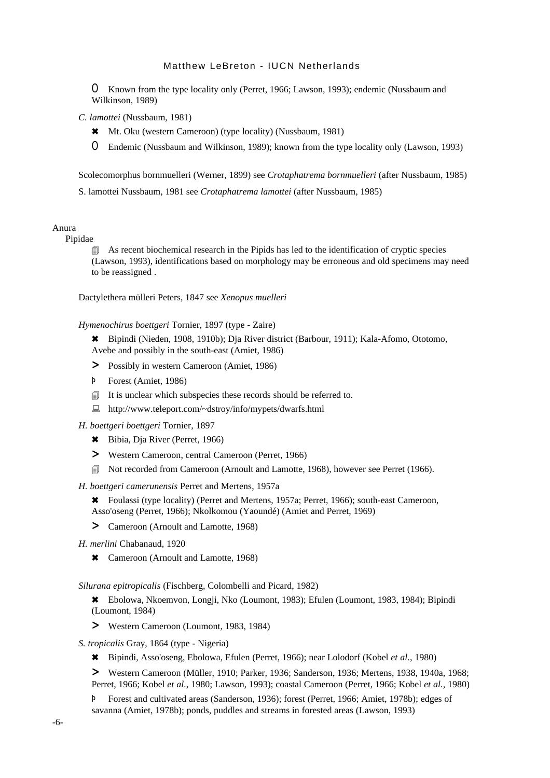O Known from the type locality only (Perret, 1966; Lawson, 1993); endemic (Nussbaum and Wilkinson, 1989)

*C. lamottei* (Nussbaum, 1981)

6 Mt. Oku (western Cameroon) (type locality) (Nussbaum, 1981)

O Endemic (Nussbaum and Wilkinson, 1989); known from the type locality only (Lawson, 1993)

Scolecomorphus bornmuelleri (Werner, 1899) see *Crotaphatrema bornmuelleri* (after Nussbaum, 1985)

S. lamottei Nussbaum, 1981 see *Crotaphatrema lamottei* (after Nussbaum, 1985)

## Anura

Pipidae

 $\Box$  As recent biochemical research in the Pipids has led to the identification of cryptic species (Lawson, 1993), identifications based on morphology may be erroneous and old specimens may need to be reassigned .

Dactylethera mülleri Peters, 1847 see *Xenopus muelleri*

#### *Hymenochirus boettgeri* Tornier, 1897 (type - Zaire)

6 Bipindi (Nieden, 1908, 1910b); Dja River district (Barbour, 1911); Kala-Afomo, Ototomo, Avebe and possibly in the south-east (Amiet, 1986)

- > Possibly in western Cameroon (Amiet, 1986)
- Þ Forest (Amiet, 1986)
- It is unclear which subspecies these records should be referred to.
- : http://www.teleport.com/~dstroy/info/mypets/dwarfs.html

*H. boettgeri boettgeri* Tornier, 1897

- 6 Bibia, Dja River (Perret, 1966)
- > Western Cameroon, central Cameroon (Perret, 1966)
- **I** Not recorded from Cameroon (Arnoult and Lamotte, 1968), however see Perret (1966).
- *H. boettgeri camerunensis* Perret and Mertens, 1957a

6 Foulassi (type locality) (Perret and Mertens, 1957a; Perret, 1966); south-east Cameroon, Asso'oseng (Perret, 1966); Nkolkomou (Yaoundé) (Amiet and Perret, 1969)

> Cameroon (Arnoult and Lamotte, 1968)

*H. merlini* Chabanaud, 1920

\* Cameroon (Arnoult and Lamotte, 1968)

*Silurana epitropicalis* (Fischberg, Colombelli and Picard, 1982)

6 Ebolowa, Nkoemvon, Longji, Nko (Loumont, 1983); Efulen (Loumont, 1983, 1984); Bipindi (Loumont, 1984)

- > Western Cameroon (Loumont, 1983, 1984)
- *S. tropicalis* Gray, 1864 (type Nigeria)
	- 6 Bipindi, Asso'oseng, Ebolowa, Efulen (Perret, 1966); near Lolodorf (Kobel *et al.*, 1980)

> Western Cameroon (Müller, 1910; Parker, 1936; Sanderson, 1936; Mertens, 1938, 1940a, 1968; Perret, 1966; Kobel *et al.,* 1980; Lawson, 1993); coastal Cameroon (Perret, 1966; Kobel *et al.,* 1980)

Þ Forest and cultivated areas (Sanderson, 1936); forest (Perret, 1966; Amiet, 1978b); edges of savanna (Amiet, 1978b); ponds, puddles and streams in forested areas (Lawson, 1993)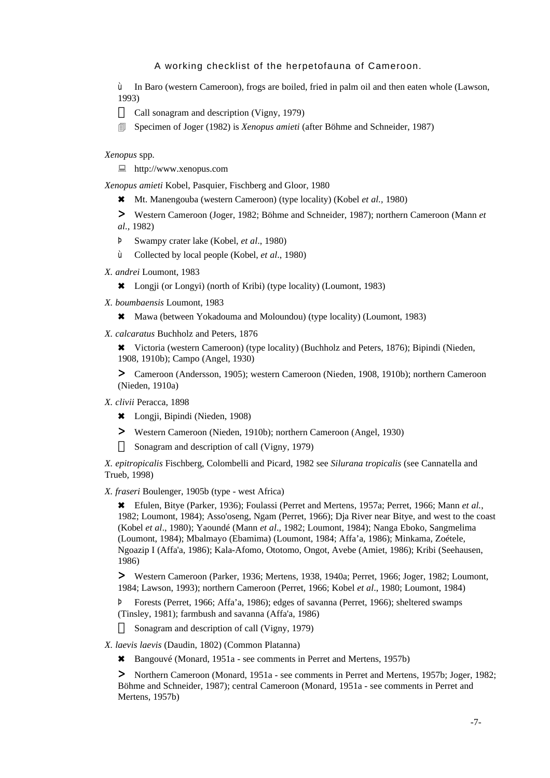ù In Baro (western Cameroon), frogs are boiled, fried in palm oil and then eaten whole (Lawson, 1993)

Call sonagram and description (Vigny, 1979)

4 Specimen of Joger (1982) is *Xenopus amieti* (after Böhme and Schneider, 1987)

*Xenopus* spp.

 $\Box$  http://www.xenopus.com

*Xenopus amieti* Kobel, Pasquier, Fischberg and Gloor, 1980

6 Mt. Manengouba (western Cameroon) (type locality) (Kobel *et al.,* 1980)

> Western Cameroon (Joger, 1982; Böhme and Schneider, 1987); northern Cameroon (Mann *et al.,* 1982)

- Þ Swampy crater lake (Kobel, *et al*., 1980)
- ù Collected by local people (Kobel, *et al*., 1980)
- *X. andrei* Loumont, 1983

6 Longji (or Longyi) (north of Kribi) (type locality) (Loumont, 1983)

*X. boumbaensis* Loumont, 1983

\* Mawa (between Yokadouma and Moloundou) (type locality) (Loumont, 1983)

*X. calcaratus* Buchholz and Peters, 1876

6 Victoria (western Cameroon) (type locality) (Buchholz and Peters, 1876); Bipindi (Nieden, 1908, 1910b); Campo (Angel, 1930)

> Cameroon (Andersson, 1905); western Cameroon (Nieden, 1908, 1910b); northern Cameroon (Nieden, 1910a)

#### *X. clivii* Peracca, 1898

- 6 Longji, Bipindi (Nieden, 1908)
- > Western Cameroon (Nieden, 1910b); northern Cameroon (Angel, 1930)

Sonagram and description of call (Vigny, 1979)

*X. epitropicalis* Fischberg, Colombelli and Picard, 1982 see *Silurana tropicalis* (see Cannatella and Trueb, 1998)

*X. fraseri* Boulenger, 1905b (type - west Africa)

6 Efulen, Bitye (Parker, 1936); Foulassi (Perret and Mertens, 1957a; Perret, 1966; Mann *et al.*, 1982; Loumont, 1984); Asso'oseng, Ngam (Perret, 1966); Dja River near Bitye, and west to the coast (Kobel *et al*., 1980); Yaoundé (Mann *et al*., 1982; Loumont, 1984); Nanga Eboko, Sangmelima (Loumont, 1984); Mbalmayo (Ebamima) (Loumont, 1984; Affa'a, 1986); Minkama, Zoétele, Ngoazip I (Affa'a, 1986); Kala-Afomo, Ototomo, Ongot, Avebe (Amiet, 1986); Kribi (Seehausen, 1986)

> Western Cameroon (Parker, 1936; Mertens, 1938, 1940a; Perret, 1966; Joger, 1982; Loumont, 1984; Lawson, 1993); northern Cameroon (Perret, 1966; Kobel *et al*., 1980; Loumont, 1984)

Þ Forests (Perret, 1966; Affa'a, 1986); edges of savanna (Perret, 1966); sheltered swamps (Tinsley, 1981); farmbush and savanna (Affa'a, 1986)

Sonagram and description of call (Vigny, 1979)

#### *X. laevis laevis* (Daudin, 1802) (Common Platanna)

\* Bangouvé (Monard, 1951a - see comments in Perret and Mertens, 1957b)

> Northern Cameroon (Monard, 1951a - see comments in Perret and Mertens, 1957b; Joger, 1982; Böhme and Schneider, 1987); central Cameroon (Monard, 1951a - see comments in Perret and Mertens, 1957b)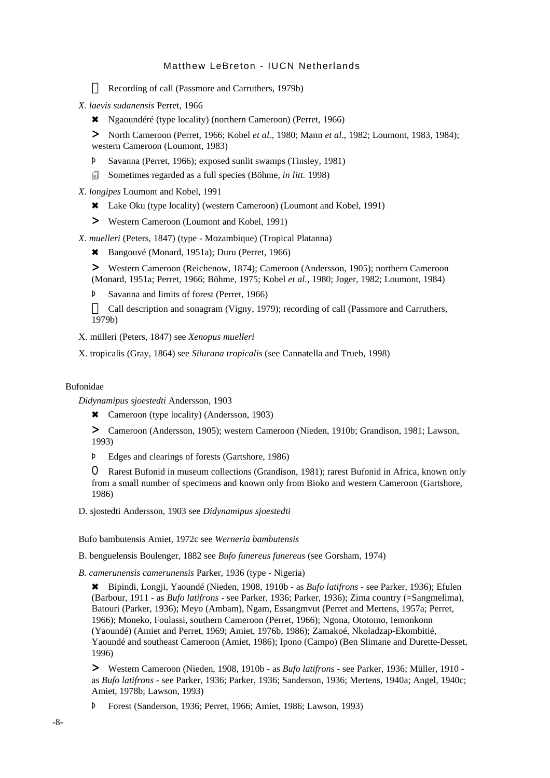Recording of call (Passmore and Carruthers, 1979b)

- *X. laevis sudanensis* Perret, 1966
	- 6 Ngaoundéré (type locality) (northern Cameroon) (Perret, 1966)

> North Cameroon (Perret, 1966; Kobel *et al.,* 1980; Mann *et al*., 1982; Loumont, 1983, 1984); western Cameroon (Loumont, 1983)

- Þ Savanna (Perret, 1966); exposed sunlit swamps (Tinsley, 1981)
- 4 Sometimes regarded as a full species (Böhme, *in litt.* 1998)

*X. longipes* Loumont and Kobel, 1991

- \* Lake Oku (type locality) (western Cameroon) (Loumont and Kobel, 1991)
- > Western Cameroon (Loumont and Kobel, 1991)

*X. muelleri* (Peters, 1847) (type - Mozambique) (Tropical Platanna)

- 6 Bangouvé (Monard, 1951a); Duru (Perret, 1966)
- > Western Cameroon (Reichenow, 1874); Cameroon (Andersson, 1905); northern Cameroon (Monard, 1951a; Perret, 1966; Böhme, 1975; Kobel *et al.,* 1980; Joger, 1982; Loumont, 1984)
- Þ Savanna and limits of forest (Perret, 1966)

Call description and sonagram (Vigny, 1979); recording of call (Passmore and Carruthers, 1979b)

X. mülleri (Peters, 1847) see *Xenopus muelleri*

X. tropicalis (Gray, 1864) see *Silurana tropicalis* (see Cannatella and Trueb, 1998)

#### Bufonidae

*Didynamipus sjoestedti* Andersson, 1903

\* Cameroon (type locality) (Andersson, 1903)

> Cameroon (Andersson, 1905); western Cameroon (Nieden, 1910b; Grandison, 1981; Lawson, 1993)

Þ Edges and clearings of forests (Gartshore, 1986)

O Rarest Bufonid in museum collections (Grandison, 1981); rarest Bufonid in Africa, known only from a small number of specimens and known only from Bioko and western Cameroon (Gartshore, 1986)

D. sjostedti Andersson, 1903 see *Didynamipus sjoestedti*

Bufo bambutensis Amiet, 1972c see *Werneria bambutensis*

B. benguelensis Boulenger, 1882 see *Bufo funereus funereus* (see Gorsham, 1974)

*B. camerunensis camerunensis* Parker, 1936 (type - Nigeria)

6 Bipindi, Longji, Yaoundé (Nieden, 1908, 1910b - as *Bufo latifrons* - see Parker, 1936); Efulen (Barbour, 1911 - as *Bufo latifrons* - see Parker, 1936; Parker, 1936); Zima country (=Sangmelima), Batouri (Parker, 1936); Meyo (Ambam), Ngam, Essangmvut (Perret and Mertens, 1957a; Perret, 1966); Moneko, Foulassi, southern Cameroon (Perret, 1966); Ngona, Ototomo, Iemonkonn (Yaoundé) (Amiet and Perret, 1969; Amiet, 1976b, 1986); Zamakoé, Nkoladzap-Ekombitié, Yaoundé and southeast Cameroon (Amiet, 1986); Ipono (Campo) (Ben Slimane and Durette-Desset, 1996)

> Western Cameroon (Nieden, 1908, 1910b - as *Bufo latifrons* - see Parker, 1936; Müller, 1910 as *Bufo latifrons* - see Parker, 1936; Parker, 1936; Sanderson, 1936; Mertens, 1940a; Angel, 1940c; Amiet, 1978b; Lawson, 1993)

Þ Forest (Sanderson, 1936; Perret, 1966; Amiet, 1986; Lawson, 1993)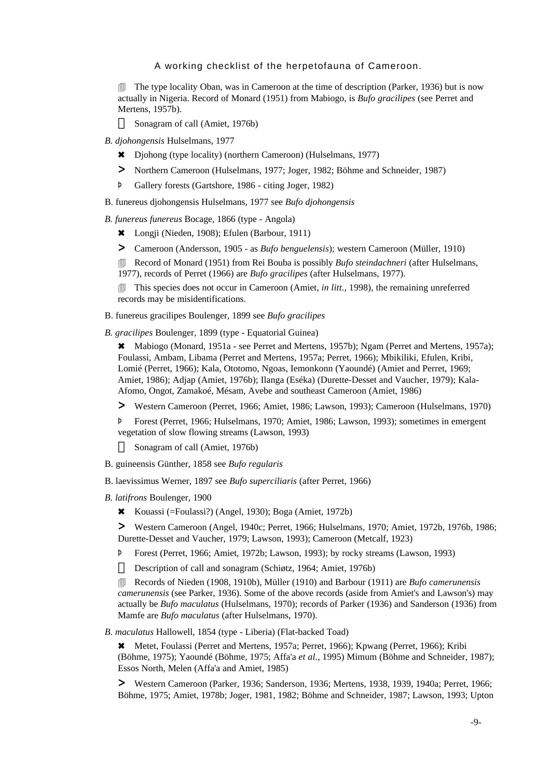**The type locality Oban, was in Cameroon at the time of description (Parker, 1936) but is now** actually in Nigeria. Record of Monard (1951) from Mabiogo, is *Bufo gracilipes* (see Perret and Mertens, 1957b).

Sonagram of call (Amiet, 1976b)

- *B. djohongensis* Hulselmans, 1977
	- 6 Djohong (type locality) (northern Cameroon) (Hulselmans, 1977)
	- > Northern Cameroon (Hulselmans, 1977; Joger, 1982; Böhme and Schneider, 1987)
	- Þ Gallery forests (Gartshore, 1986 citing Joger, 1982)
- B. funereus djohongensis Hulselmans, 1977 see *Bufo djohongensis*
- *B. funereus funereus* Bocage, 1866 (type Angola)
	- 6 Longji (Nieden, 1908); Efulen (Barbour, 1911)
	- > Cameroon (Andersson, 1905 as *Bufo benguelensis*); western Cameroon (Müller, 1910)

*A* Record of Monard (1951) from Rei Bouba is possibly *Bufo steindachneri* (after Hulselmans, 1977), records of Perret (1966) are *Bufo gracilipes* (after Hulselmans, 1977).

**This species does not occur in Cameroon (Amiet,** *in litt.***, 1998), the remaining unreferred** records may be misidentifications.

B. funereus gracilipes Boulenger, 1899 see *Bufo gracilipes*

*B. gracilipes* Boulenger, 1899 (type - Equatorial Guinea)

\* Mabiogo (Monard, 1951a - see Perret and Mertens, 1957b); Ngam (Perret and Mertens, 1957a); Foulassi, Ambam, Libama (Perret and Mertens, 1957a; Perret, 1966); Mbikiliki, Efulen, Kribi, Lomié (Perret, 1966); Kala, Ototomo, Ngoas, Iemonkonn (Yaoundé) (Amiet and Perret, 1969; Amiet, 1986); Adjap (Amiet, 1976b); Ilanga (Eséka) (Durette-Desset and Vaucher, 1979); Kala-Afomo, Ongot, Zamakoé, Mésam, Avebe and southeast Cameroon (Amiet, 1986)

> Western Cameroon (Perret, 1966; Amiet, 1986; Lawson, 1993); Cameroon (Hulselmans, 1970)

Þ Forest (Perret, 1966; Hulselmans, 1970; Amiet, 1986; Lawson, 1993); sometimes in emergent vegetation of slow flowing streams (Lawson, 1993)

Sonagram of call (Amiet, 1976b)

- B. guineensis Günther, 1858 see *Bufo regularis*
- B. laevissimus Werner, 1897 see *Bufo superciliaris* (after Perret, 1966)
- *B. latifrons* Boulenger, 1900
	- 6 Kouassi (=Foulassi?) (Angel, 1930); Boga (Amiet, 1972b)

> Western Cameroon (Angel, 1940c; Perret, 1966; Hulselmans, 1970; Amiet, 1972b, 1976b, 1986; Durette-Desset and Vaucher, 1979; Lawson, 1993); Cameroon (Metcalf, 1923)

Þ Forest (Perret, 1966; Amiet, 1972b; Lawson, 1993); by rocky streams (Lawson, 1993)

Description of call and sonagram (Schiøtz, 1964; Amiet, 1976b)

4 Records of Nieden (1908, 1910b), Müller (1910) and Barbour (1911) are *Bufo camerunensis camerunensis* (see Parker, 1936). Some of the above records (aside from Amiet's and Lawson's) may actually be *Bufo maculatus* (Hulselmans, 1970); records of Parker (1936) and Sanderson (1936) from Mamfe are *Bufo maculatus* (after Hulselmans, 1970).

*B. maculatus* Hallowell, 1854 (type - Liberia) (Flat-backed Toad)

6 Metet, Foulassi (Perret and Mertens, 1957a; Perret, 1966); Kpwang (Perret, 1966); Kribi (Böhme, 1975); Yaoundé (Böhme, 1975; Affa'a *et al.*, 1995) Mimum (Böhme and Schneider, 1987); Essos North, Melen (Affa'a and Amiet, 1985)

> Western Cameroon (Parker, 1936; Sanderson, 1936; Mertens, 1938, 1939, 1940a; Perret, 1966; Böhme, 1975; Amiet, 1978b; Joger, 1981, 1982; Böhme and Schneider, 1987; Lawson, 1993; Upton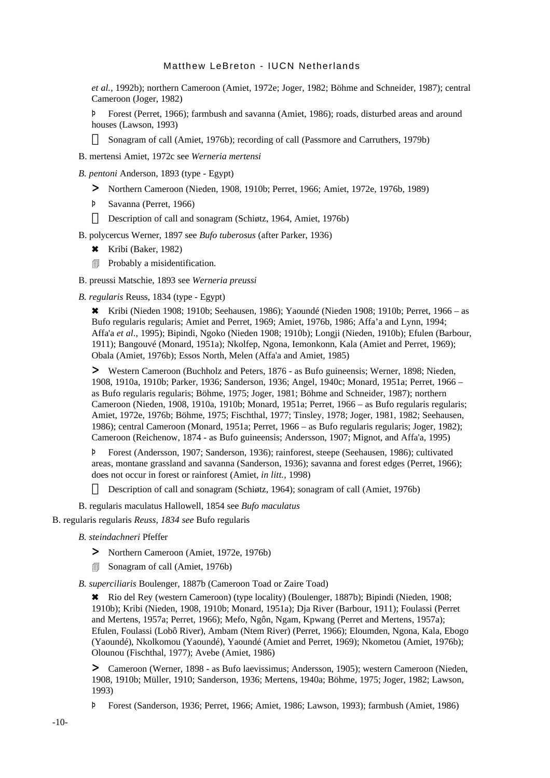*et al.*, 1992b); northern Cameroon (Amiet, 1972e; Joger, 1982; Böhme and Schneider, 1987); central Cameroon (Joger, 1982)

Þ Forest (Perret, 1966); farmbush and savanna (Amiet, 1986); roads, disturbed areas and around houses (Lawson, 1993)

Sonagram of call (Amiet, 1976b); recording of call (Passmore and Carruthers, 1979b)

- B. mertensi Amiet, 1972c see *Werneria mertensi*
- *B. pentoni* Anderson, 1893 (type Egypt)
	- > Northern Cameroon (Nieden, 1908, 1910b; Perret, 1966; Amiet, 1972e, 1976b, 1989)
	- Þ Savanna (Perret, 1966)

Description of call and sonagram (Schiøtz, 1964, Amiet, 1976b)

B. polycercus Werner, 1897 see *Bufo tuberosus* (after Parker, 1936)

- 6 Kribi (Baker, 1982)
- **■** Probably a misidentification.
- B. preussi Matschie, 1893 see *Werneria preussi*

*B. regularis* Reuss, 1834 (type - Egypt)

**\*** Kribi (Nieden 1908; 1910b; Seehausen, 1986); Yaoundé (Nieden 1908; 1910b; Perret, 1966 – as Bufo regularis regularis; Amiet and Perret, 1969; Amiet, 1976b, 1986; Affa'a and Lynn, 1994; Affa'a *et al*., 1995); Bipindi, Ngoko (Nieden 1908; 1910b); Longji (Nieden, 1910b); Efulen (Barbour, 1911); Bangouvé (Monard, 1951a); Nkolfep, Ngona, Iemonkonn, Kala (Amiet and Perret, 1969); Obala (Amiet, 1976b); Essos North, Melen (Affa'a and Amiet, 1985)

> Western Cameroon (Buchholz and Peters, 1876 - as Bufo guineensis; Werner, 1898; Nieden, 1908, 1910a, 1910b; Parker, 1936; Sanderson, 1936; Angel, 1940c; Monard, 1951a; Perret, 1966 – as Bufo regularis regularis; Böhme, 1975; Joger, 1981; Böhme and Schneider, 1987); northern Cameroon (Nieden, 1908, 1910a, 1910b; Monard, 1951a; Perret, 1966 – as Bufo regularis regularis; Amiet, 1972e, 1976b; Böhme, 1975; Fischthal, 1977; Tinsley, 1978; Joger, 1981, 1982; Seehausen, 1986); central Cameroon (Monard, 1951a; Perret, 1966 – as Bufo regularis regularis; Joger, 1982); Cameroon (Reichenow, 1874 - as Bufo guineensis; Andersson, 1907; Mignot, and Affa'a, 1995)

Þ Forest (Andersson, 1907; Sanderson, 1936); rainforest, steepe (Seehausen, 1986); cultivated areas, montane grassland and savanna (Sanderson, 1936); savanna and forest edges (Perret, 1966); does not occur in forest or rainforest (Amiet, *in litt.,* 1998)

Description of call and sonagram (Schiøtz, 1964); sonagram of call (Amiet, 1976b)

B. regularis maculatus Hallowell, 1854 see *Bufo maculatus*

B. regularis regularis *Reuss, 1834 see* Bufo regularis

- *B. steindachneri* Pfeffer
	- > Northern Cameroon (Amiet, 1972e, 1976b)
	- **5** Sonagram of call (Amiet, 1976b)

*B. superciliaris* Boulenger, 1887b (Cameroon Toad or Zaire Toad)

6 Rio del Rey (western Cameroon) (type locality) (Boulenger, 1887b); Bipindi (Nieden, 1908; 1910b); Kribi (Nieden, 1908, 1910b; Monard, 1951a); Dja River (Barbour, 1911); Foulassi (Perret and Mertens, 1957a; Perret, 1966); Mefo, Ngôn, Ngam, Kpwang (Perret and Mertens, 1957a); Efulen, Foulassi (Lobô River), Ambam (Ntem River) (Perret, 1966); Eloumden, Ngona, Kala, Ebogo (Yaoundé), Nkolkomou (Yaoundé), Yaoundé (Amiet and Perret, 1969); Nkometou (Amiet, 1976b); Olounou (Fischthal, 1977); Avebe (Amiet, 1986)

> Cameroon (Werner, 1898 - as Bufo laevissimus; Andersson, 1905); western Cameroon (Nieden, 1908, 1910b; Müller, 1910; Sanderson, 1936; Mertens, 1940a; Böhme, 1975; Joger, 1982; Lawson, 1993)

Þ Forest (Sanderson, 1936; Perret, 1966; Amiet, 1986; Lawson, 1993); farmbush (Amiet, 1986)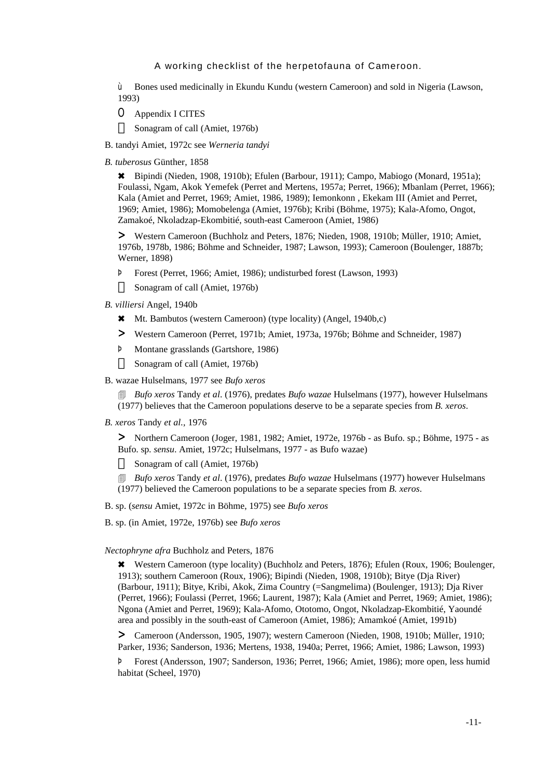ù Bones used medicinally in Ekundu Kundu (western Cameroon) and sold in Nigeria (Lawson, 1993)

O Appendix I CITES

Sonagram of call (Amiet, 1976b)

- B. tandyi Amiet, 1972c see *Werneria tandyi*
- *B. tuberosus* Günther, 1858

6 Bipindi (Nieden, 1908, 1910b); Efulen (Barbour, 1911); Campo, Mabiogo (Monard, 1951a); Foulassi, Ngam, Akok Yemefek (Perret and Mertens, 1957a; Perret, 1966); Mbanlam (Perret, 1966); Kala (Amiet and Perret, 1969; Amiet, 1986, 1989); Iemonkonn , Ekekam III (Amiet and Perret, 1969; Amiet, 1986); Momobelenga (Amiet, 1976b); Kribi (Böhme, 1975); Kala-Afomo, Ongot, Zamakoé, Nkoladzap-Ekombitié, south-east Cameroon (Amiet, 1986)

> Western Cameroon (Buchholz and Peters, 1876; Nieden, 1908, 1910b; Müller, 1910; Amiet, 1976b, 1978b, 1986; Böhme and Schneider, 1987; Lawson, 1993); Cameroon (Boulenger, 1887b; Werner, 1898)

- Þ Forest (Perret, 1966; Amiet, 1986); undisturbed forest (Lawson, 1993) Sonagram of call (Amiet, 1976b)
- *B. villiersi* Angel, 1940b
	- 6 Mt. Bambutos (western Cameroon) (type locality) (Angel, 1940b,c)
	- > Western Cameroon (Perret, 1971b; Amiet, 1973a, 1976b; Böhme and Schneider, 1987)
	- Þ Montane grasslands (Gartshore, 1986)

Sonagram of call (Amiet, 1976b)

#### B. wazae Hulselmans, 1977 see *Bufo xeros*

4 *Bufo xeros* Tandy *et al*. (1976), predates *Bufo wazae* Hulselmans (1977), however Hulselmans (1977) believes that the Cameroon populations deserve to be a separate species from *B. xeros*.

*B. xeros* Tandy *et al.,* 1976

> Northern Cameroon (Joger, 1981, 1982; Amiet, 1972e, 1976b - as Bufo. sp.; Böhme, 1975 - as Bufo. sp. *sensu*. Amiet, 1972c; Hulselmans, 1977 - as Bufo wazae)

Sonagram of call (Amiet, 1976b)

4 *Bufo xeros* Tandy *et al*. (1976), predates *Bufo wazae* Hulselmans (1977) however Hulselmans (1977) believed the Cameroon populations to be a separate species from *B. xeros*.

B. sp. (*sensu* Amiet, 1972c in Böhme, 1975) see *Bufo xeros*

B. sp. (in Amiet, 1972e, 1976b) see *Bufo xeros*

*Nectophryne afra* Buchholz and Peters, 1876

6 Western Cameroon (type locality) (Buchholz and Peters, 1876); Efulen (Roux, 1906; Boulenger, 1913); southern Cameroon (Roux, 1906); Bipindi (Nieden, 1908, 1910b); Bitye (Dja River) (Barbour, 1911); Bitye, Kribi, Akok, Zima Country (=Sangmelima) (Boulenger, 1913); Dja River (Perret, 1966); Foulassi (Perret, 1966; Laurent, 1987); Kala (Amiet and Perret, 1969; Amiet, 1986); Ngona (Amiet and Perret, 1969); Kala-Afomo, Ototomo, Ongot, Nkoladzap-Ekombitié, Yaoundé area and possibly in the south-east of Cameroon (Amiet, 1986); Amamkoé (Amiet, 1991b)

> Cameroon (Andersson, 1905, 1907); western Cameroon (Nieden, 1908, 1910b; Müller, 1910; Parker, 1936; Sanderson, 1936; Mertens, 1938, 1940a; Perret, 1966; Amiet, 1986; Lawson, 1993)

Þ Forest (Andersson, 1907; Sanderson, 1936; Perret, 1966; Amiet, 1986); more open, less humid habitat (Scheel, 1970)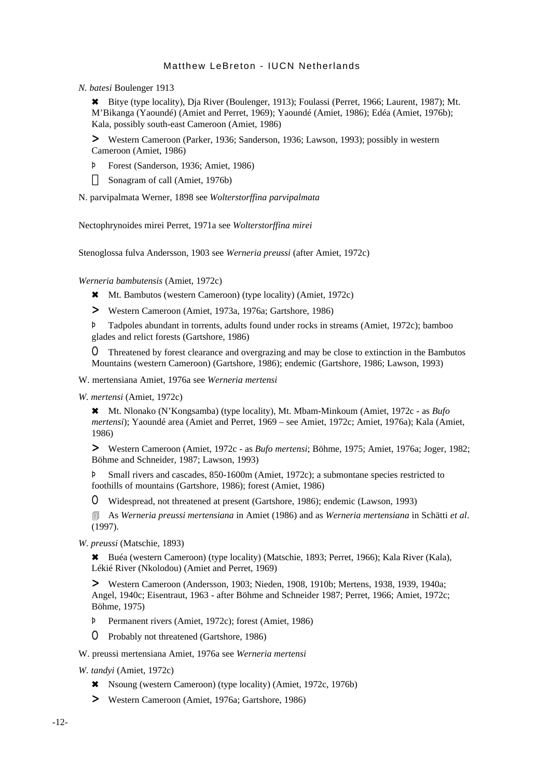*N. batesi* Boulenger 1913

6 Bitye (type locality), Dja River (Boulenger, 1913); Foulassi (Perret, 1966; Laurent, 1987); Mt. M'Bikanga (Yaoundé) (Amiet and Perret, 1969); Yaoundé (Amiet, 1986); Edéa (Amiet, 1976b); Kala, possibly south-east Cameroon (Amiet, 1986)

> Western Cameroon (Parker, 1936; Sanderson, 1936; Lawson, 1993); possibly in western Cameroon (Amiet, 1986)

Þ Forest (Sanderson, 1936; Amiet, 1986)

Sonagram of call (Amiet, 1976b)

N. parvipalmata Werner, 1898 see *Wolterstorffina parvipalmata*

Nectophrynoides mirei Perret, 1971a see *Wolterstorffina mirei*

Stenoglossa fulva Andersson, 1903 see *Werneria preussi* (after Amiet, 1972c)

*Werneria bambutensis* (Amiet, 1972c)

6 Mt. Bambutos (western Cameroon) (type locality) (Amiet, 1972c)

> Western Cameroon (Amiet, 1973a, 1976a; Gartshore, 1986)

Þ Tadpoles abundant in torrents, adults found under rocks in streams (Amiet, 1972c); bamboo glades and relict forests (Gartshore, 1986)

O Threatened by forest clearance and overgrazing and may be close to extinction in the Bambutos Mountains (western Cameroon) (Gartshore, 1986); endemic (Gartshore, 1986; Lawson, 1993)

W. mertensiana Amiet, 1976a see *Werneria mertensi*

*W. mertensi* (Amiet, 1972c)

6 Mt. Nlonako (N'Kongsamba) (type locality), Mt. Mbam-Minkoum (Amiet, 1972c - as *Bufo mertensi*); Yaoundé area (Amiet and Perret, 1969 – see Amiet, 1972c; Amiet, 1976a); Kala (Amiet, 1986)

> Western Cameroon (Amiet, 1972c - as *Bufo mertensi*; Böhme, 1975; Amiet, 1976a; Joger, 1982; Böhme and Schneider, 1987; Lawson, 1993)

Þ Small rivers and cascades, 850-1600m (Amiet, 1972c); a submontane species restricted to foothills of mountains (Gartshore, 1986); forest (Amiet, 1986)

O Widespread, not threatened at present (Gartshore, 1986); endemic (Lawson, 1993)

4 As *Werneria preussi mertensiana* in Amiet (1986) and as *Werneria mertensiana* in Schätti *et al*. (1997).

*W. preussi* (Matschie, 1893)

6 Buéa (western Cameroon) (type locality) (Matschie, 1893; Perret, 1966); Kala River (Kala), Lékié River (Nkolodou) (Amiet and Perret, 1969)

> Western Cameroon (Andersson, 1903; Nieden, 1908, 1910b; Mertens, 1938, 1939, 1940a; Angel, 1940c; Eisentraut, 1963 - after Böhme and Schneider 1987; Perret, 1966; Amiet, 1972c; Böhme, 1975)

Þ Permanent rivers (Amiet, 1972c); forest (Amiet, 1986)

O Probably not threatened (Gartshore, 1986)

W. preussi mertensiana Amiet, 1976a see *Werneria mertensi*

*W. tandyi* (Amiet, 1972c)

- 6 Nsoung (western Cameroon) (type locality) (Amiet, 1972c, 1976b)
- > Western Cameroon (Amiet, 1976a; Gartshore, 1986)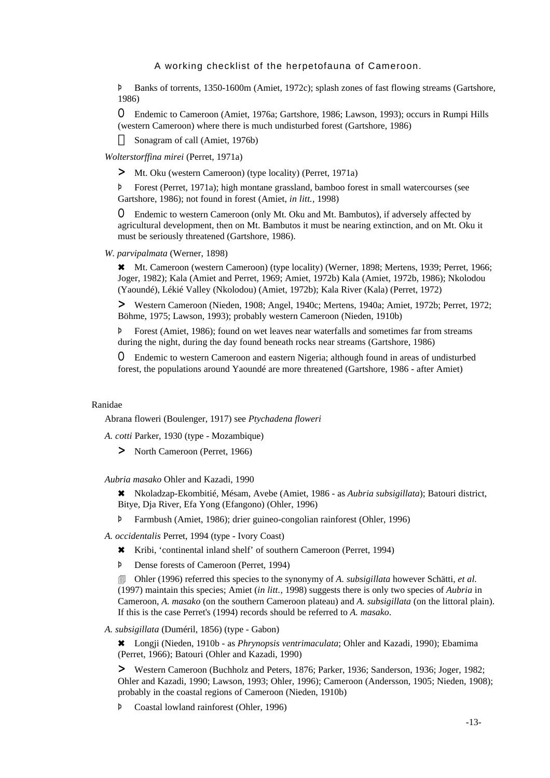Þ Banks of torrents, 1350-1600m (Amiet, 1972c); splash zones of fast flowing streams (Gartshore, 1986)

O Endemic to Cameroon (Amiet, 1976a; Gartshore, 1986; Lawson, 1993); occurs in Rumpi Hills (western Cameroon) where there is much undisturbed forest (Gartshore, 1986)

Sonagram of call (Amiet, 1976b)

*Wolterstorffina mirei* (Perret, 1971a)

> Mt. Oku (western Cameroon) (type locality) (Perret, 1971a)

Þ Forest (Perret, 1971a); high montane grassland, bamboo forest in small watercourses (see Gartshore, 1986); not found in forest (Amiet, *in litt.,* 1998)

O Endemic to western Cameroon (only Mt. Oku and Mt. Bambutos), if adversely affected by agricultural development, then on Mt. Bambutos it must be nearing extinction, and on Mt. Oku it must be seriously threatened (Gartshore, 1986).

*W. parvipalmata* (Werner, 1898)

\* Mt. Cameroon (western Cameroon) (type locality) (Werner, 1898; Mertens, 1939; Perret, 1966; Joger, 1982); Kala (Amiet and Perret, 1969; Amiet, 1972b) Kala (Amiet, 1972b, 1986); Nkolodou (Yaoundé), Lékié Valley (Nkolodou) (Amiet, 1972b); Kala River (Kala) (Perret, 1972)

> Western Cameroon (Nieden, 1908; Angel, 1940c; Mertens, 1940a; Amiet, 1972b; Perret, 1972; Böhme, 1975; Lawson, 1993); probably western Cameroon (Nieden, 1910b)

Þ Forest (Amiet, 1986); found on wet leaves near waterfalls and sometimes far from streams during the night, during the day found beneath rocks near streams (Gartshore, 1986)

O Endemic to western Cameroon and eastern Nigeria; although found in areas of undisturbed forest, the populations around Yaoundé are more threatened (Gartshore, 1986 - after Amiet)

#### Ranidae

Abrana floweri (Boulenger, 1917) see *Ptychadena floweri*

*A. cotti* Parker, 1930 (type - Mozambique)

> North Cameroon (Perret, 1966)

*Aubria masako* Ohler and Kazadi, 1990

6 Nkoladzap-Ekombitié, Mésam, Avebe (Amiet, 1986 - as *Aubria subsigillata*); Batouri district, Bitye, Dja River, Efa Yong (Efangono) (Ohler, 1996)

Þ Farmbush (Amiet, 1986); drier guineo-congolian rainforest (Ohler, 1996)

*A. occidentalis* Perret, 1994 (type - Ivory Coast)

6 Kribi, 'continental inland shelf' of southern Cameroon (Perret, 1994)

Þ Dense forests of Cameroon (Perret, 1994)

4 Ohler (1996) referred this species to the synonymy of *A. subsigillata* however Schätti, *et al.* (1997) maintain this species; Amiet (*in litt.,* 1998) suggests there is only two species of *Aubria* in Cameroon, *A. masako* (on the southern Cameroon plateau) and *A. subsigillata* (on the littoral plain). If this is the case Perret's (1994) records should be referred to *A. masako*.

*A. subsigillata* (Duméril, 1856) (type - Gabon)

6 Longji (Nieden, 1910b - as *Phrynopsis ventrimaculata*; Ohler and Kazadi, 1990); Ebamima (Perret, 1966); Batouri (Ohler and Kazadi, 1990)

> Western Cameroon (Buchholz and Peters, 1876; Parker, 1936; Sanderson, 1936; Joger, 1982; Ohler and Kazadi, 1990; Lawson, 1993; Ohler, 1996); Cameroon (Andersson, 1905; Nieden, 1908); probably in the coastal regions of Cameroon (Nieden, 1910b)

Þ Coastal lowland rainforest (Ohler, 1996)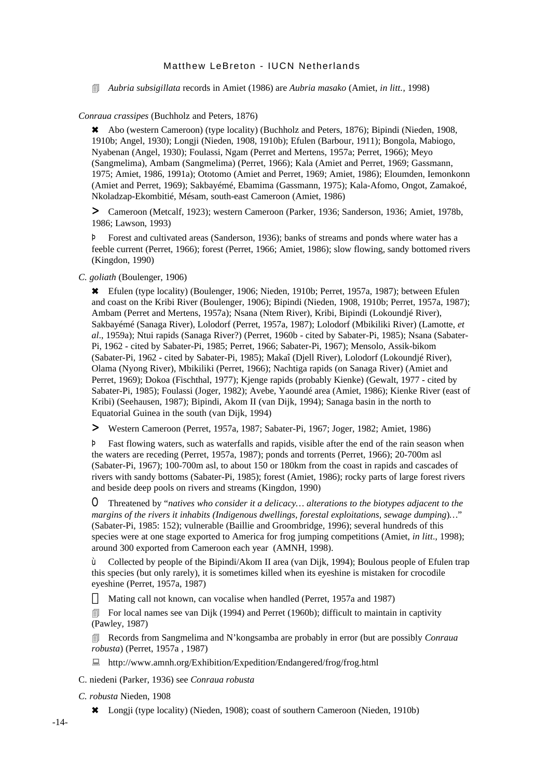4 *Aubria subsigillata* records in Amiet (1986) are *Aubria masako* (Amiet, *in litt.,* 1998)

## *Conraua crassipes* (Buchholz and Peters, 1876)

\* Abo (western Cameroon) (type locality) (Buchholz and Peters, 1876); Bipindi (Nieden, 1908, 1910b; Angel, 1930); Longji (Nieden, 1908, 1910b); Efulen (Barbour, 1911); Bongola, Mabiogo, Nyabenan (Angel, 1930); Foulassi, Ngam (Perret and Mertens, 1957a; Perret, 1966); Meyo (Sangmelima), Ambam (Sangmelima) (Perret, 1966); Kala (Amiet and Perret, 1969; Gassmann, 1975; Amiet, 1986, 1991a); Ototomo (Amiet and Perret, 1969; Amiet, 1986); Eloumden, Iemonkonn (Amiet and Perret, 1969); Sakbayémé, Ebamima (Gassmann, 1975); Kala-Afomo, Ongot, Zamakoé, Nkoladzap-Ekombitié, Mésam, south-east Cameroon (Amiet, 1986)

> Cameroon (Metcalf, 1923); western Cameroon (Parker, 1936; Sanderson, 1936; Amiet, 1978b, 1986; Lawson, 1993)

Þ Forest and cultivated areas (Sanderson, 1936); banks of streams and ponds where water has a feeble current (Perret, 1966); forest (Perret, 1966; Amiet, 1986); slow flowing, sandy bottomed rivers (Kingdon, 1990)

*C. goliath* (Boulenger, 1906)

6 Efulen (type locality) (Boulenger, 1906; Nieden, 1910b; Perret, 1957a, 1987); between Efulen and coast on the Kribi River (Boulenger, 1906); Bipindi (Nieden, 1908, 1910b; Perret, 1957a, 1987); Ambam (Perret and Mertens, 1957a); Nsana (Ntem River), Kribi, Bipindi (Lokoundjé River), Sakbayémé (Sanaga River), Lolodorf (Perret, 1957a, 1987); Lolodorf (Mbikiliki River) (Lamotte, *et al*., 1959a); Ntui rapids (Sanaga River?) (Perret, 1960b - cited by Sabater-Pi, 1985); Nsana (Sabater-Pi, 1962 - cited by Sabater-Pi, 1985; Perret, 1966; Sabater-Pi, 1967); Mensolo, Assik-bikom (Sabater-Pi, 1962 - cited by Sabater-Pi, 1985); Makaî (Djell River), Lolodorf (Lokoundjé River), Olama (Nyong River), Mbikiliki (Perret, 1966); Nachtiga rapids (on Sanaga River) (Amiet and Perret, 1969); Dokoa (Fischthal, 1977); Kjenge rapids (probably Kienke) (Gewalt, 1977 - cited by Sabater-Pi, 1985); Foulassi (Joger, 1982); Avebe, Yaoundé area (Amiet, 1986); Kienke River (east of Kribi) (Seehausen, 1987); Bipindi, Akom II (van Dijk, 1994); Sanaga basin in the north to Equatorial Guinea in the south (van Dijk, 1994)

> Western Cameroon (Perret, 1957a, 1987; Sabater-Pi, 1967; Joger, 1982; Amiet, 1986)

Þ Fast flowing waters, such as waterfalls and rapids, visible after the end of the rain season when the waters are receding (Perret, 1957a, 1987); ponds and torrents (Perret, 1966); 20-700m asl (Sabater-Pi, 1967); 100-700m asl, to about 150 or 180km from the coast in rapids and cascades of rivers with sandy bottoms (Sabater-Pi, 1985); forest (Amiet, 1986); rocky parts of large forest rivers and beside deep pools on rivers and streams (Kingdon, 1990)

O Threatened by "*natives who consider it a delicacy… alterations to the biotypes adjacent to the margins of the rivers it inhabits (Indigenous dwellings, forestal exploitations, sewage dumping*)*…*" (Sabater-Pi, 1985: 152); vulnerable (Baillie and Groombridge, 1996); several hundreds of this species were at one stage exported to America for frog jumping competitions (Amiet, *in litt*., 1998); around 300 exported from Cameroon each year (AMNH, 1998).

ù Collected by people of the Bipindi/Akom II area (van Dijk, 1994); Boulous people of Efulen trap this species (but only rarely), it is sometimes killed when its eyeshine is mistaken for crocodile eyeshine (Perret, 1957a, 1987)

Mating call not known, can vocalise when handled (Perret, 1957a and 1987)

 $\Box$  For local names see van Dijk (1994) and Perret (1960b); difficult to maintain in captivity (Pawley, 1987)

**Execords from Sangmelima and N'kongsamba are probably in error (but are possibly** *Conraua***)** *robusta*) (Perret, 1957a , 1987)

: http://www.amnh.org/Exhibition/Expedition/Endangered/frog/frog.html

C. niedeni (Parker, 1936) see *Conraua robusta*

*C. robusta* Nieden, 1908

6 Longji (type locality) (Nieden, 1908); coast of southern Cameroon (Nieden, 1910b)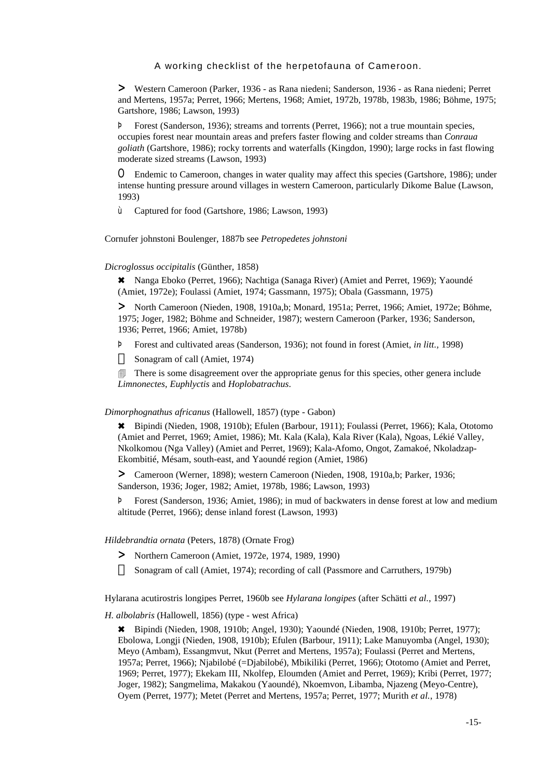> Western Cameroon (Parker, 1936 - as Rana niedeni; Sanderson, 1936 - as Rana niedeni; Perret and Mertens, 1957a; Perret, 1966; Mertens, 1968; Amiet, 1972b, 1978b, 1983b, 1986; Böhme, 1975; Gartshore, 1986; Lawson, 1993)

Þ Forest (Sanderson, 1936); streams and torrents (Perret, 1966); not a true mountain species, occupies forest near mountain areas and prefers faster flowing and colder streams than *Conraua goliath* (Gartshore, 1986); rocky torrents and waterfalls (Kingdon, 1990); large rocks in fast flowing moderate sized streams (Lawson, 1993)

O Endemic to Cameroon, changes in water quality may affect this species (Gartshore, 1986); under intense hunting pressure around villages in western Cameroon, particularly Dikome Balue (Lawson, 1993)

ù Captured for food (Gartshore, 1986; Lawson, 1993)

Cornufer johnstoni Boulenger, 1887b see *Petropedetes johnstoni*

*Dicroglossus occipitalis* (Günther, 1858)

6 Nanga Eboko (Perret, 1966); Nachtiga (Sanaga River) (Amiet and Perret, 1969); Yaoundé (Amiet, 1972e); Foulassi (Amiet, 1974; Gassmann, 1975); Obala (Gassmann, 1975)

> North Cameroon (Nieden, 1908, 1910a,b; Monard, 1951a; Perret, 1966; Amiet, 1972e; Böhme, 1975; Joger, 1982; Böhme and Schneider, 1987); western Cameroon (Parker, 1936; Sanderson, 1936; Perret, 1966; Amiet, 1978b)

Þ Forest and cultivated areas (Sanderson, 1936); not found in forest (Amiet, *in litt.,* 1998) Sonagram of call (Amiet, 1974)

**There is some disagreement over the appropriate genus for this species, other genera include** *Limnonectes*, *Euphlyctis* and *Hoplobatrachus*.

#### *Dimorphognathus africanus* (Hallowell, 1857) (type - Gabon)

6 Bipindi (Nieden, 1908, 1910b); Efulen (Barbour, 1911); Foulassi (Perret, 1966); Kala, Ototomo (Amiet and Perret, 1969; Amiet, 1986); Mt. Kala (Kala), Kala River (Kala), Ngoas, Lékié Valley, Nkolkomou (Nga Valley) (Amiet and Perret, 1969); Kala-Afomo, Ongot, Zamakoé, Nkoladzap-Ekombitié, Mésam, south-east, and Yaoundé region (Amiet, 1986)

> Cameroon (Werner, 1898); western Cameroon (Nieden, 1908, 1910a,b; Parker, 1936; Sanderson, 1936; Joger, 1982; Amiet, 1978b, 1986; Lawson, 1993)

Þ Forest (Sanderson, 1936; Amiet, 1986); in mud of backwaters in dense forest at low and medium altitude (Perret, 1966); dense inland forest (Lawson, 1993)

#### *Hildebrandtia ornata* (Peters, 1878) (Ornate Frog)

> Northern Cameroon (Amiet, 1972e, 1974, 1989, 1990)

Sonagram of call (Amiet, 1974); recording of call (Passmore and Carruthers, 1979b)

Hylarana acutirostris longipes Perret, 1960b see *Hylarana longipes* (after Schätti *et al.*, 1997)

*H. albolabris* (Hallowell, 1856) (type - west Africa)

6 Bipindi (Nieden, 1908, 1910b; Angel, 1930); Yaoundé (Nieden, 1908, 1910b; Perret, 1977); Ebolowa, Longji (Nieden, 1908, 1910b); Efulen (Barbour, 1911); Lake Manuyomba (Angel, 1930); Meyo (Ambam), Essangmvut, Nkut (Perret and Mertens, 1957a); Foulassi (Perret and Mertens, 1957a; Perret, 1966); Njabilobé (=Djabilobé), Mbikiliki (Perret, 1966); Ototomo (Amiet and Perret, 1969; Perret, 1977); Ekekam III, Nkolfep, Eloumden (Amiet and Perret, 1969); Kribi (Perret, 1977; Joger, 1982); Sangmelima, Makakou (Yaoundé), Nkoemvon, Libamba, Njazeng (Meyo-Centre), Oyem (Perret, 1977); Metet (Perret and Mertens, 1957a; Perret, 1977; Murith *et al.*, 1978)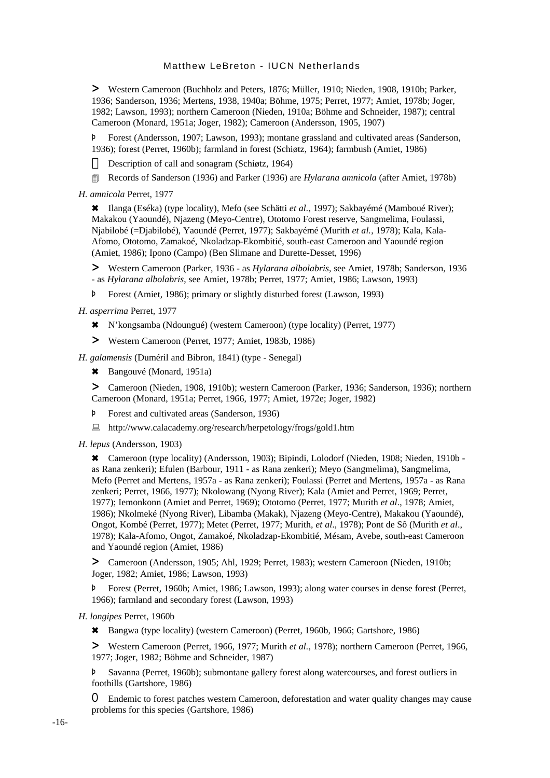> Western Cameroon (Buchholz and Peters, 1876; Müller, 1910; Nieden, 1908, 1910b; Parker, 1936; Sanderson, 1936; Mertens, 1938, 1940a; Böhme, 1975; Perret, 1977; Amiet, 1978b; Joger, 1982; Lawson, 1993); northern Cameroon (Nieden, 1910a; Böhme and Schneider, 1987); central Cameroon (Monard, 1951a; Joger, 1982); Cameroon (Andersson, 1905, 1907)

Þ Forest (Andersson, 1907; Lawson, 1993); montane grassland and cultivated areas (Sanderson, 1936); forest (Perret, 1960b); farmland in forest (Schiøtz, 1964); farmbush (Amiet, 1986)

Description of call and sonagram (Schiøtz, 1964)

- 4 Records of Sanderson (1936) and Parker (1936) are *Hylarana amnicola* (after Amiet, 1978b)
- *H. amnicola* Perret, 1977

6 Ilanga (Eséka) (type locality), Mefo (see Schätti *et al.*, 1997); Sakbayémé (Mamboué River); Makakou (Yaoundé), Njazeng (Meyo-Centre), Ototomo Forest reserve, Sangmelima, Foulassi, Njabilobé (=Djabilobé), Yaoundé (Perret, 1977); Sakbayémé (Murith *et al.*, 1978); Kala, Kala-Afomo, Ototomo, Zamakoé, Nkoladzap-Ekombitié, south-east Cameroon and Yaoundé region (Amiet, 1986); Ipono (Campo) (Ben Slimane and Durette-Desset, 1996)

> Western Cameroon (Parker, 1936 - as *Hylarana albolabris*, see Amiet, 1978b; Sanderson, 1936 - as *Hylarana albolabris*, see Amiet, 1978b; Perret, 1977; Amiet, 1986; Lawson, 1993)

Þ Forest (Amiet, 1986); primary or slightly disturbed forest (Lawson, 1993)

*H. asperrima* Perret, 1977

- 6 N'kongsamba (Ndoungué) (western Cameroon) (type locality) (Perret, 1977)
- > Western Cameroon (Perret, 1977; Amiet, 1983b, 1986)

*H. galamensis* (Duméril and Bibron, 1841) (type - Senegal)

\* Bangouvé (Monard, 1951a)

> Cameroon (Nieden, 1908, 1910b); western Cameroon (Parker, 1936; Sanderson, 1936); northern Cameroon (Monard, 1951a; Perret, 1966, 1977; Amiet, 1972e; Joger, 1982)

- Þ Forest and cultivated areas (Sanderson, 1936)
- : http://www.calacademy.org/research/herpetology/frogs/gold1.htm
- *H. lepus* (Andersson, 1903)

6 Cameroon (type locality) (Andersson, 1903); Bipindi, Lolodorf (Nieden, 1908; Nieden, 1910b as Rana zenkeri); Efulen (Barbour, 1911 - as Rana zenkeri); Meyo (Sangmelima), Sangmelima, Mefo (Perret and Mertens, 1957a - as Rana zenkeri); Foulassi (Perret and Mertens, 1957a - as Rana zenkeri; Perret, 1966, 1977); Nkolowang (Nyong River); Kala (Amiet and Perret, 1969; Perret, 1977); Iemonkonn (Amiet and Perret, 1969); Ototomo (Perret, 1977; Murith *et al*., 1978; Amiet, 1986); Nkolmeké (Nyong River), Libamba (Makak), Njazeng (Meyo-Centre), Makakou (Yaoundé), Ongot, Kombé (Perret, 1977); Metet (Perret, 1977; Murith, *et al*., 1978); Pont de Sô (Murith *et al*., 1978); Kala-Afomo, Ongot, Zamakoé, Nkoladzap-Ekombitié, Mésam, Avebe, south-east Cameroon and Yaoundé region (Amiet, 1986)

> Cameroon (Andersson, 1905; Ahl, 1929; Perret, 1983); western Cameroon (Nieden, 1910b; Joger, 1982; Amiet, 1986; Lawson, 1993)

Þ Forest (Perret, 1960b; Amiet, 1986; Lawson, 1993); along water courses in dense forest (Perret, 1966); farmland and secondary forest (Lawson, 1993)

- *H. longipes* Perret, 1960b
	- 6 Bangwa (type locality) (western Cameroon) (Perret, 1960b, 1966; Gartshore, 1986)

> Western Cameroon (Perret, 1966, 1977; Murith *et al.*, 1978); northern Cameroon (Perret, 1966, 1977; Joger, 1982; Böhme and Schneider, 1987)

Þ Savanna (Perret, 1960b); submontane gallery forest along watercourses, and forest outliers in foothills (Gartshore, 1986)

O Endemic to forest patches western Cameroon, deforestation and water quality changes may cause problems for this species (Gartshore, 1986)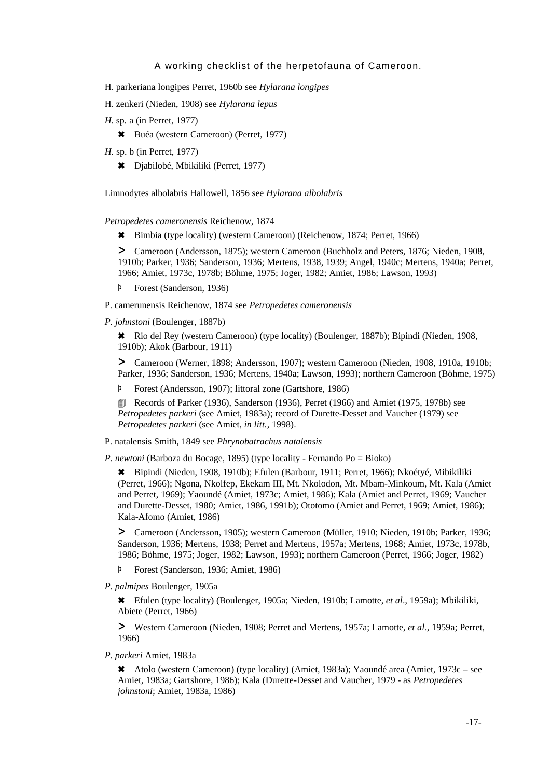- H. parkeriana longipes Perret, 1960b see *Hylarana longipes*
- H. zenkeri (Nieden, 1908) see *Hylarana lepus*
- *H*. sp*.* a (in Perret, 1977)
	- 6 Buéa (western Cameroon) (Perret, 1977)
- *H.* sp. b (in Perret, 1977)
	- 6 Djabilobé, Mbikiliki (Perret, 1977)

Limnodytes albolabris Hallowell, 1856 see *Hylarana albolabris*

*Petropedetes cameronensis* Reichenow, 1874

6 Bimbia (type locality) (western Cameroon) (Reichenow, 1874; Perret, 1966)

> Cameroon (Andersson, 1875); western Cameroon (Buchholz and Peters, 1876; Nieden, 1908, 1910b; Parker, 1936; Sanderson, 1936; Mertens, 1938, 1939; Angel, 1940c; Mertens, 1940a; Perret, 1966; Amiet, 1973c, 1978b; Böhme, 1975; Joger, 1982; Amiet, 1986; Lawson, 1993)

- Þ Forest (Sanderson, 1936)
- P. camerunensis Reichenow, 1874 see *Petropedetes cameronensis*

*P. johnstoni* (Boulenger, 1887b)

6 Rio del Rey (western Cameroon) (type locality) (Boulenger, 1887b); Bipindi (Nieden, 1908, 1910b); Akok (Barbour, 1911)

> Cameroon (Werner, 1898; Andersson, 1907); western Cameroon (Nieden, 1908, 1910a, 1910b; Parker, 1936; Sanderson, 1936; Mertens, 1940a; Lawson, 1993); northern Cameroon (Böhme, 1975)

Þ Forest (Andersson, 1907); littoral zone (Gartshore, 1986)

**EXECORDER Records of Parker (1936), Sanderson (1936), Perret (1966) and Amiet (1975, 1978b) see** *Petropedetes parkeri* (see Amiet, 1983a); record of Durette-Desset and Vaucher (1979) see *Petropedetes parkeri* (see Amiet, *in litt.,* 1998).

P. natalensis Smith, 1849 see *Phrynobatrachus natalensis*

*P. newtoni* (Barboza du Bocage, 1895) (type locality - Fernando Po = Bioko)

6 Bipindi (Nieden, 1908, 1910b); Efulen (Barbour, 1911; Perret, 1966); Nkoétyé, Mibikiliki (Perret, 1966); Ngona, Nkolfep, Ekekam III, Mt. Nkolodon, Mt. Mbam-Minkoum, Mt. Kala (Amiet and Perret, 1969); Yaoundé (Amiet, 1973c; Amiet, 1986); Kala (Amiet and Perret, 1969; Vaucher and Durette-Desset, 1980; Amiet, 1986, 1991b); Ototomo (Amiet and Perret, 1969; Amiet, 1986); Kala-Afomo (Amiet, 1986)

> Cameroon (Andersson, 1905); western Cameroon (Müller, 1910; Nieden, 1910b; Parker, 1936; Sanderson, 1936; Mertens, 1938; Perret and Mertens, 1957a; Mertens, 1968; Amiet, 1973c, 1978b, 1986; Böhme, 1975; Joger, 1982; Lawson, 1993); northern Cameroon (Perret, 1966; Joger, 1982)

Þ Forest (Sanderson, 1936; Amiet, 1986)

*P. palmipes* Boulenger, 1905a

6 Efulen (type locality) (Boulenger, 1905a; Nieden, 1910b; Lamotte, *et al*., 1959a); Mbikiliki, Abiete (Perret, 1966)

> Western Cameroon (Nieden, 1908; Perret and Mertens, 1957a; Lamotte, *et al.*, 1959a; Perret, 1966)

*P. parkeri* Amiet, 1983a

6 Atolo (western Cameroon) (type locality) (Amiet, 1983a); Yaoundé area (Amiet, 1973c – see Amiet, 1983a; Gartshore, 1986); Kala (Durette-Desset and Vaucher, 1979 - as *Petropedetes johnstoni*; Amiet, 1983a, 1986)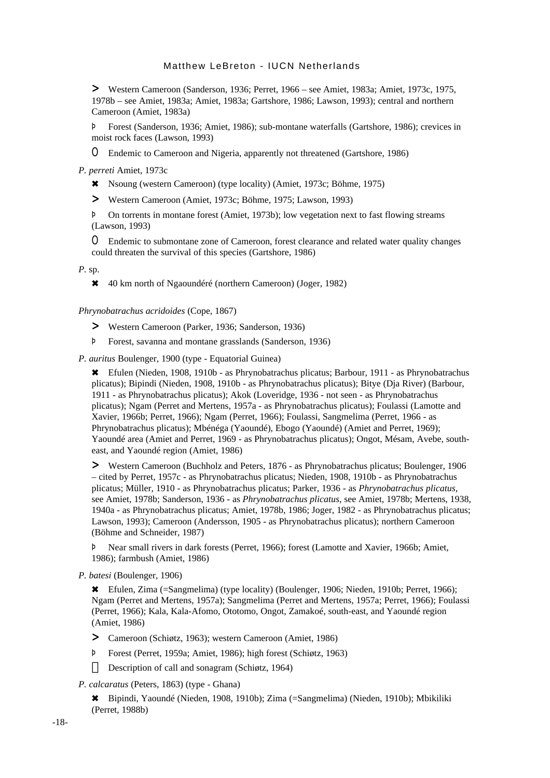> Western Cameroon (Sanderson, 1936; Perret, 1966 – see Amiet, 1983a; Amiet, 1973c, 1975, 1978b – see Amiet, 1983a; Amiet, 1983a; Gartshore, 1986; Lawson, 1993); central and northern Cameroon (Amiet, 1983a)

Þ Forest (Sanderson, 1936; Amiet, 1986); sub-montane waterfalls (Gartshore, 1986); crevices in moist rock faces (Lawson, 1993)

O Endemic to Cameroon and Nigeria, apparently not threatened (Gartshore, 1986)

*P. perreti* Amiet, 1973c

6 Nsoung (western Cameroon) (type locality) (Amiet, 1973c; Böhme, 1975)

> Western Cameroon (Amiet, 1973c; Böhme, 1975; Lawson, 1993)

Þ On torrents in montane forest (Amiet, 1973b); low vegetation next to fast flowing streams (Lawson, 1993)

O Endemic to submontane zone of Cameroon, forest clearance and related water quality changes could threaten the survival of this species (Gartshore, 1986)

*P.* sp.

6 40 km north of Ngaoundéré (northern Cameroon) (Joger, 1982)

*Phrynobatrachus acridoides* (Cope, 1867)

> Western Cameroon (Parker, 1936; Sanderson, 1936)

Þ Forest, savanna and montane grasslands (Sanderson, 1936)

*P. auritus* Boulenger, 1900 (type - Equatorial Guinea)

6 Efulen (Nieden, 1908, 1910b - as Phrynobatrachus plicatus; Barbour, 1911 - as Phrynobatrachus plicatus); Bipindi (Nieden, 1908, 1910b - as Phrynobatrachus plicatus); Bitye (Dja River) (Barbour, 1911 - as Phrynobatrachus plicatus); Akok (Loveridge, 1936 - not seen - as Phrynobatrachus plicatus); Ngam (Perret and Mertens, 1957a - as Phrynobatrachus plicatus); Foulassi (Lamotte and Xavier, 1966b; Perret, 1966); Ngam (Perret, 1966); Foulassi, Sangmelima (Perret, 1966 - as Phrynobatrachus plicatus); Mbénéga (Yaoundé), Ebogo (Yaoundé) (Amiet and Perret, 1969); Yaoundé area (Amiet and Perret, 1969 - as Phrynobatrachus plicatus); Ongot, Mésam, Avebe, southeast, and Yaoundé region (Amiet, 1986)

> Western Cameroon (Buchholz and Peters, 1876 - as Phrynobatrachus plicatus; Boulenger, 1906 – cited by Perret, 1957c - as Phrynobatrachus plicatus; Nieden, 1908, 1910b - as Phrynobatrachus plicatus; Müller, 1910 - as Phrynobatrachus plicatus; Parker, 1936 - as *Phrynobatrachus plicatus*, see Amiet, 1978b; Sanderson, 1936 - as *Phrynobatrachus plicatus*, see Amiet, 1978b; Mertens, 1938, 1940a - as Phrynobatrachus plicatus; Amiet, 1978b, 1986; Joger, 1982 - as Phrynobatrachus plicatus; Lawson, 1993); Cameroon (Andersson, 1905 - as Phrynobatrachus plicatus); northern Cameroon (Böhme and Schneider, 1987)

Þ Near small rivers in dark forests (Perret, 1966); forest (Lamotte and Xavier, 1966b; Amiet, 1986); farmbush (Amiet, 1986)

*P. batesi* (Boulenger, 1906)

6 Efulen, Zima (=Sangmelima) (type locality) (Boulenger, 1906; Nieden, 1910b; Perret, 1966); Ngam (Perret and Mertens, 1957a); Sangmelima (Perret and Mertens, 1957a; Perret, 1966); Foulassi (Perret, 1966); Kala, Kala-Afomo, Ototomo, Ongot, Zamakoé, south-east, and Yaoundé region (Amiet, 1986)

> Cameroon (Schiøtz, 1963); western Cameroon (Amiet, 1986)

Þ Forest (Perret, 1959a; Amiet, 1986); high forest (Schiøtz, 1963)

Description of call and sonagram (Schiøtz, 1964)

*P. calcaratus* (Peters, 1863) (type - Ghana)

6 Bipindi, Yaoundé (Nieden, 1908, 1910b); Zima (=Sangmelima) (Nieden, 1910b); Mbikiliki (Perret, 1988b)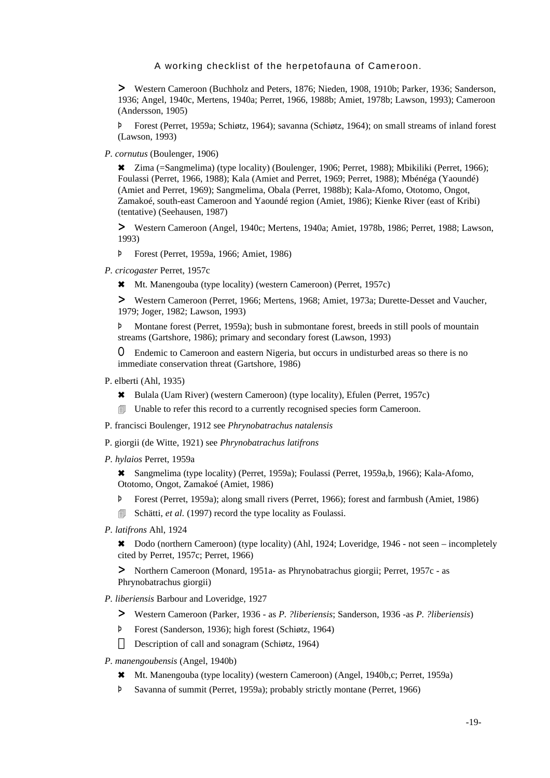> Western Cameroon (Buchholz and Peters, 1876; Nieden, 1908, 1910b; Parker, 1936; Sanderson, 1936; Angel, 1940c, Mertens, 1940a; Perret, 1966, 1988b; Amiet, 1978b; Lawson, 1993); Cameroon (Andersson, 1905)

Þ Forest (Perret, 1959a; Schiøtz, 1964); savanna (Schiøtz, 1964); on small streams of inland forest (Lawson, 1993)

*P. cornutus* (Boulenger, 1906)

6 Zima (=Sangmelima) (type locality) (Boulenger, 1906; Perret, 1988); Mbikiliki (Perret, 1966); Foulassi (Perret, 1966, 1988); Kala (Amiet and Perret, 1969; Perret, 1988); Mbénéga (Yaoundé) (Amiet and Perret, 1969); Sangmelima, Obala (Perret, 1988b); Kala-Afomo, Ototomo, Ongot, Zamakoé, south-east Cameroon and Yaoundé region (Amiet, 1986); Kienke River (east of Kribi) (tentative) (Seehausen, 1987)

> Western Cameroon (Angel, 1940c; Mertens, 1940a; Amiet, 1978b, 1986; Perret, 1988; Lawson, 1993)

- Þ Forest (Perret, 1959a, 1966; Amiet, 1986)
- *P. cricogaster* Perret, 1957c
	- 6 Mt. Manengouba (type locality) (western Cameroon) (Perret, 1957c)

> Western Cameroon (Perret, 1966; Mertens, 1968; Amiet, 1973a; Durette-Desset and Vaucher, 1979; Joger, 1982; Lawson, 1993)

Þ Montane forest (Perret, 1959a); bush in submontane forest, breeds in still pools of mountain streams (Gartshore, 1986); primary and secondary forest (Lawson, 1993)

O Endemic to Cameroon and eastern Nigeria, but occurs in undisturbed areas so there is no immediate conservation threat (Gartshore, 1986)

- P. elberti (Ahl, 1935)
	- 6 Bulala (Uam River) (western Cameroon) (type locality), Efulen (Perret, 1957c)
	- **I** Unable to refer this record to a currently recognised species form Cameroon.
- P. francisci Boulenger, 1912 see *Phrynobatrachus natalensis*
- P. giorgii (de Witte, 1921) see *Phrynobatrachus latifrons*
- *P. hylaios* Perret, 1959a

6 Sangmelima (type locality) (Perret, 1959a); Foulassi (Perret, 1959a,b, 1966); Kala-Afomo, Ototomo, Ongot, Zamakoé (Amiet, 1986)

- Þ Forest (Perret, 1959a); along small rivers (Perret, 1966); forest and farmbush (Amiet, 1986)
- **Exercise:** Schätti, *et al.* (1997) record the type locality as Foulassi.
- *P. latifrons* Ahl, 1924

6 Dodo (northern Cameroon) (type locality) (Ahl, 1924; Loveridge, 1946 - not seen – incompletely cited by Perret, 1957c; Perret, 1966)

> Northern Cameroon (Monard, 1951a- as Phrynobatrachus giorgii; Perret, 1957c - as Phrynobatrachus giorgii)

- *P. liberiensis* Barbour and Loveridge, 1927
	- > Western Cameroon (Parker, 1936 as *P. ?liberiensis*; Sanderson, 1936 -as *P. ?liberiensis*)
	- Þ Forest (Sanderson, 1936); high forest (Schiøtz, 1964) Description of call and sonagram (Schiøtz, 1964)
- *P. manengoubensis* (Angel, 1940b)
	- 6 Mt. Manengouba (type locality) (western Cameroon) (Angel, 1940b,c; Perret, 1959a)
	- Þ Savanna of summit (Perret, 1959a); probably strictly montane (Perret, 1966)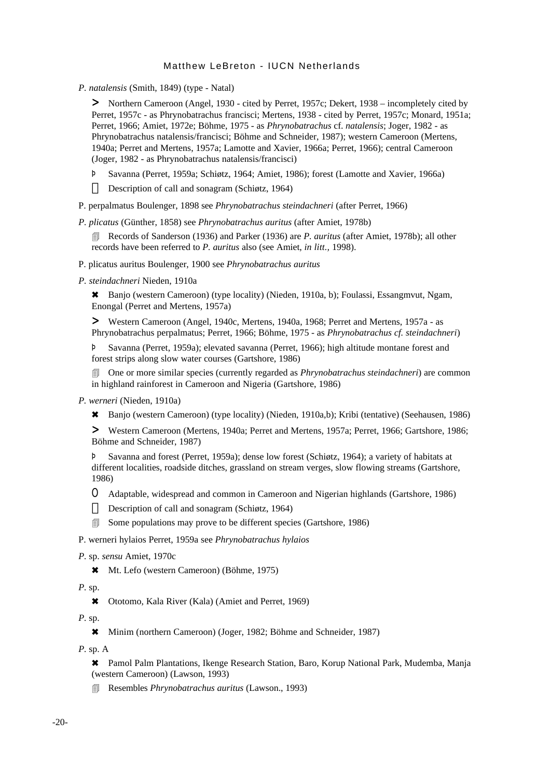*P. natalensis* (Smith, 1849) (type - Natal)

> Northern Cameroon (Angel, 1930 - cited by Perret, 1957c; Dekert, 1938 – incompletely cited by Perret, 1957c - as Phrynobatrachus francisci; Mertens, 1938 - cited by Perret, 1957c; Monard, 1951a; Perret, 1966; Amiet, 1972e; Böhme, 1975 - as *Phrynobatrachus* cf. *natalensis*; Joger, 1982 - as Phrynobatrachus natalensis/francisci; Böhme and Schneider, 1987); western Cameroon (Mertens, 1940a; Perret and Mertens, 1957a; Lamotte and Xavier, 1966a; Perret, 1966); central Cameroon (Joger, 1982 - as Phrynobatrachus natalensis/francisci)

- Þ Savanna (Perret, 1959a; Schiøtz, 1964; Amiet, 1986); forest (Lamotte and Xavier, 1966a) Description of call and sonagram (Schiøtz, 1964)
- P. perpalmatus Boulenger, 1898 see *Phrynobatrachus steindachneri* (after Perret, 1966)

*P. plicatus* (Günther, 1858) see *Phrynobatrachus auritus* (after Amiet, 1978b)

4 Records of Sanderson (1936) and Parker (1936) are *P. auritus* (after Amiet, 1978b); all other records have been referred to *P. auritus* also (see Amiet, *in litt.,* 1998).

P. plicatus auritus Boulenger, 1900 see *Phrynobatrachus auritus*

*P. steindachneri* Nieden, 1910a

6 Banjo (western Cameroon) (type locality) (Nieden, 1910a, b); Foulassi, Essangmvut, Ngam, Enongal (Perret and Mertens, 1957a)

> Western Cameroon (Angel, 1940c, Mertens, 1940a, 1968; Perret and Mertens, 1957a - as Phrynobatrachus perpalmatus; Perret, 1966; Böhme, 1975 - as *Phrynobatrachus cf. steindachneri*)

Þ Savanna (Perret, 1959a); elevated savanna (Perret, 1966); high altitude montane forest and forest strips along slow water courses (Gartshore, 1986)

4 One or more similar species (currently regarded as *Phrynobatrachus steindachneri*) are common in highland rainforest in Cameroon and Nigeria (Gartshore, 1986)

*P. werneri* (Nieden, 1910a)

6 Banjo (western Cameroon) (type locality) (Nieden, 1910a,b); Kribi (tentative) (Seehausen, 1986)

> Western Cameroon (Mertens, 1940a; Perret and Mertens, 1957a; Perret, 1966; Gartshore, 1986; Böhme and Schneider, 1987)

Þ Savanna and forest (Perret, 1959a); dense low forest (Schiøtz, 1964); a variety of habitats at different localities, roadside ditches, grassland on stream verges, slow flowing streams (Gartshore, 1986)

O Adaptable, widespread and common in Cameroon and Nigerian highlands (Gartshore, 1986) Description of call and sonagram (Schiøtz, 1964)

**Example 3** Some populations may prove to be different species (Gartshore, 1986)

P. werneri hylaios Perret, 1959a see *Phrynobatrachus hylaios*

```
P. sp. sensu Amiet, 1970c
```

```
6 Mt. Lefo (western Cameroon) (Böhme, 1975)
```
*P.* sp.

\* Ototomo, Kala River (Kala) (Amiet and Perret, 1969)

*P.* sp.

6 Minim (northern Cameroon) (Joger, 1982; Böhme and Schneider, 1987)

*P.* sp. A

6 Pamol Palm Plantations, Ikenge Research Station, Baro, Korup National Park, Mudemba, Manja (western Cameroon) (Lawson, 1993)

4 Resembles *Phrynobatrachus auritus* (Lawson., 1993)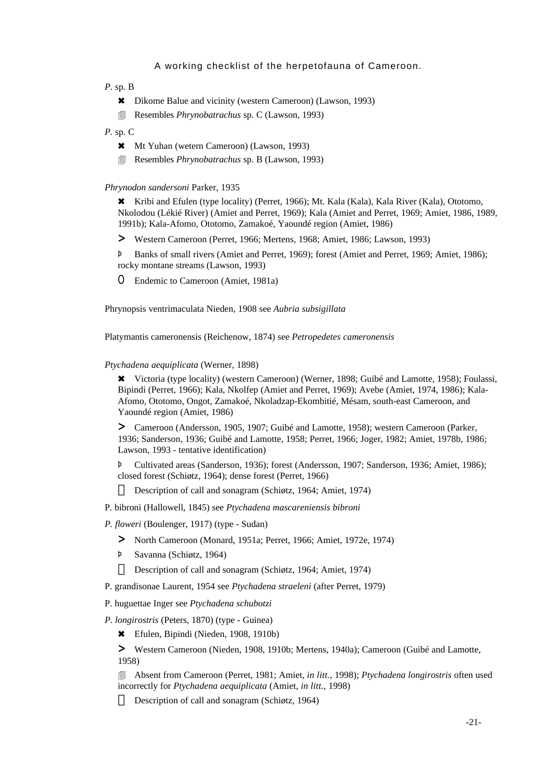*P.* sp. B

- 6 Dikome Balue and vicinity (western Cameroon) (Lawson, 1993)
- 4 Resembles *Phrynobatrachus* sp. C (Lawson, 1993)
- *P.* sp. C
	- 6 Mt Yuhan (wetern Cameroon) (Lawson, 1993)
	- 4 Resembles *Phrynobatrachus* sp. B (Lawson, 1993)

#### *Phrynodon sandersoni* Parker, 1935

6 Kribi and Efulen (type locality) (Perret, 1966); Mt. Kala (Kala), Kala River (Kala), Ototomo, Nkolodou (Lékié River) (Amiet and Perret, 1969); Kala (Amiet and Perret, 1969; Amiet, 1986, 1989, 1991b); Kala-Afomo, Ototomo, Zamakoé, Yaoundé region (Amiet, 1986)

> Western Cameroon (Perret, 1966; Mertens, 1968; Amiet, 1986; Lawson, 1993)

Þ Banks of small rivers (Amiet and Perret, 1969); forest (Amiet and Perret, 1969; Amiet, 1986); rocky montane streams (Lawson, 1993)

O Endemic to Cameroon (Amiet, 1981a)

Phrynopsis ventrimaculata Nieden, 1908 see *Aubria subsigillata*

Platymantis cameronensis (Reichenow, 1874) see *Petropedetes cameronensis*

#### *Ptychadena aequiplicata* (Werner, 1898)

6 Victoria (type locality) (western Cameroon) (Werner, 1898; Guibé and Lamotte, 1958); Foulassi, Bipindi (Perret, 1966); Kala, Nkolfep (Amiet and Perret, 1969); Avebe (Amiet, 1974, 1986); Kala-Afomo, Ototomo, Ongot, Zamakoé, Nkoladzap-Ekombitié, Mésam, south-east Cameroon, and Yaoundé region (Amiet, 1986)

> Cameroon (Andersson, 1905, 1907; Guibé and Lamotte, 1958); western Cameroon (Parker, 1936; Sanderson, 1936; Guibé and Lamotte, 1958; Perret, 1966; Joger, 1982; Amiet, 1978b, 1986; Lawson, 1993 - tentative identification)

Þ Cultivated areas (Sanderson, 1936); forest (Andersson, 1907; Sanderson, 1936; Amiet, 1986); closed forest (Schiøtz, 1964); dense forest (Perret, 1966)

Description of call and sonagram (Schiøtz, 1964; Amiet, 1974)

P. bibroni (Hallowell, 1845) see *Ptychadena mascareniensis bibroni*

*P. floweri* (Boulenger, 1917) (type - Sudan)

- > North Cameroon (Monard, 1951a; Perret, 1966; Amiet, 1972e, 1974)
- Þ Savanna (Schiøtz, 1964)

Description of call and sonagram (Schiøtz, 1964; Amiet, 1974)

P. grandisonae Laurent, 1954 see *Ptychadena straeleni* (after Perret, 1979)

P. huguettae Inger see *Ptychadena schubotzi*

*P. longirostris* (Peters, 1870) (type - Guinea)

6 Efulen, Bipindi (Nieden, 1908, 1910b)

> Western Cameroon (Nieden, 1908, 1910b; Mertens, 1940a); Cameroon (Guibé and Lamotte, 1958)

4 Absent from Cameroon (Perret, 1981; Amiet, *in litt.,* 1998); *Ptychadena longirostris* often used incorrectly for *Ptychadena aequiplicata* (Amiet, *in litt.,* 1998)

Description of call and sonagram (Schiøtz, 1964)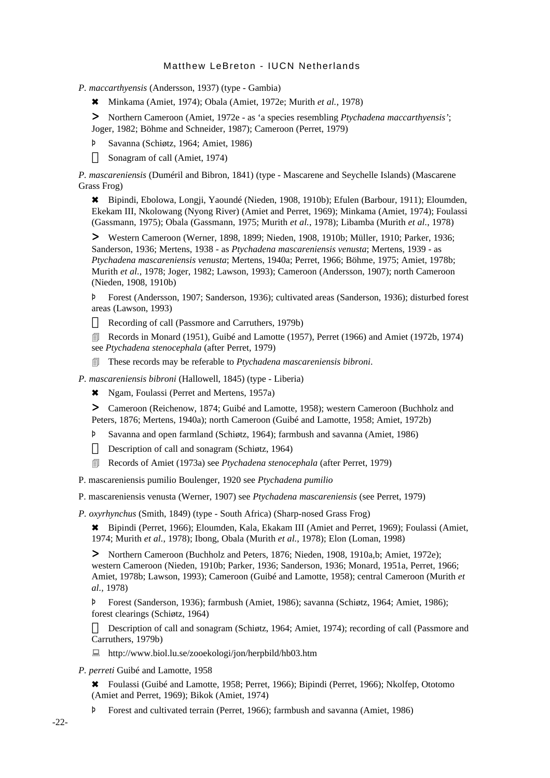*P. maccarthyensis* (Andersson, 1937) (type - Gambia)

6 Minkama (Amiet, 1974); Obala (Amiet, 1972e; Murith *et al.*, 1978)

> Northern Cameroon (Amiet, 1972e - as 'a species resembling *Ptychadena maccarthyensis'*; Joger, 1982; Böhme and Schneider, 1987); Cameroon (Perret, 1979)

Þ Savanna (Schiøtz, 1964; Amiet, 1986)

Sonagram of call (Amiet, 1974)

*P. mascareniensis* (Duméril and Bibron, 1841) (type - Mascarene and Seychelle Islands) (Mascarene Grass Frog)

6 Bipindi, Ebolowa, Longji, Yaoundé (Nieden, 1908, 1910b); Efulen (Barbour, 1911); Eloumden, Ekekam III, Nkolowang (Nyong River) (Amiet and Perret, 1969); Minkama (Amiet, 1974); Foulassi (Gassmann, 1975); Obala (Gassmann, 1975; Murith *et al.*, 1978); Libamba (Murith *et al.*, 1978)

> Western Cameroon (Werner, 1898, 1899; Nieden, 1908, 1910b; Müller, 1910; Parker, 1936; Sanderson, 1936; Mertens, 1938 - as *Ptychadena mascareniensis venusta*; Mertens, 1939 - as *Ptychadena mascareniensis venusta*; Mertens, 1940a; Perret, 1966; Böhme, 1975; Amiet, 1978b; Murith *et al.*, 1978; Joger, 1982; Lawson, 1993); Cameroon (Andersson, 1907); north Cameroon (Nieden, 1908, 1910b)

Þ Forest (Andersson, 1907; Sanderson, 1936); cultivated areas (Sanderson, 1936); disturbed forest areas (Lawson, 1993)

Recording of call (Passmore and Carruthers, 1979b)

**Execords in Monard (1951), Guibé and Lamotte (1957), Perret (1966) and Amiet (1972b, 1974)** see *Ptychadena stenocephala* (after Perret, 1979)

4 These records may be referable to *Ptychadena mascareniensis bibroni*.

*P. mascareniensis bibroni* (Hallowell, 1845) (type - Liberia)

6 Ngam, Foulassi (Perret and Mertens, 1957a)

> Cameroon (Reichenow, 1874; Guibé and Lamotte, 1958); western Cameroon (Buchholz and Peters, 1876; Mertens, 1940a); north Cameroon (Guibé and Lamotte, 1958; Amiet, 1972b)

- Þ Savanna and open farmland (Schiøtz, 1964); farmbush and savanna (Amiet, 1986) Description of call and sonagram (Schiøtz, 1964)
- 4 Records of Amiet (1973a) see *Ptychadena stenocephala* (after Perret, 1979)

P. mascareniensis pumilio Boulenger, 1920 see *Ptychadena pumilio*

P. mascareniensis venusta (Werner, 1907) see *Ptychadena mascareniensis* (see Perret, 1979)

*P. oxyrhynchus* (Smith, 1849) (type - South Africa) (Sharp-nosed Grass Frog)

6 Bipindi (Perret, 1966); Eloumden, Kala, Ekakam III (Amiet and Perret, 1969); Foulassi (Amiet, 1974; Murith *et al.*, 1978); Ibong, Obala (Murith *et al.*, 1978); Elon (Loman, 1998)

> Northern Cameroon (Buchholz and Peters, 1876; Nieden, 1908, 1910a,b; Amiet, 1972e); western Cameroon (Nieden, 1910b; Parker, 1936; Sanderson, 1936; Monard, 1951a, Perret, 1966; Amiet, 1978b; Lawson, 1993); Cameroon (Guibé and Lamotte, 1958); central Cameroon (Murith *et al.,* 1978)

Þ Forest (Sanderson, 1936); farmbush (Amiet, 1986); savanna (Schiøtz, 1964; Amiet, 1986); forest clearings (Schiøtz, 1964)

Description of call and sonagram (Schiøtz, 1964; Amiet, 1974); recording of call (Passmore and Carruthers, 1979b)

: http://www.biol.lu.se/zooekologi/jon/herpbild/hb03.htm

*P. perreti* Guibé and Lamotte, 1958

6 Foulassi (Guibé and Lamotte, 1958; Perret, 1966); Bipindi (Perret, 1966); Nkolfep, Ototomo (Amiet and Perret, 1969); Bikok (Amiet, 1974)

Þ Forest and cultivated terrain (Perret, 1966); farmbush and savanna (Amiet, 1986)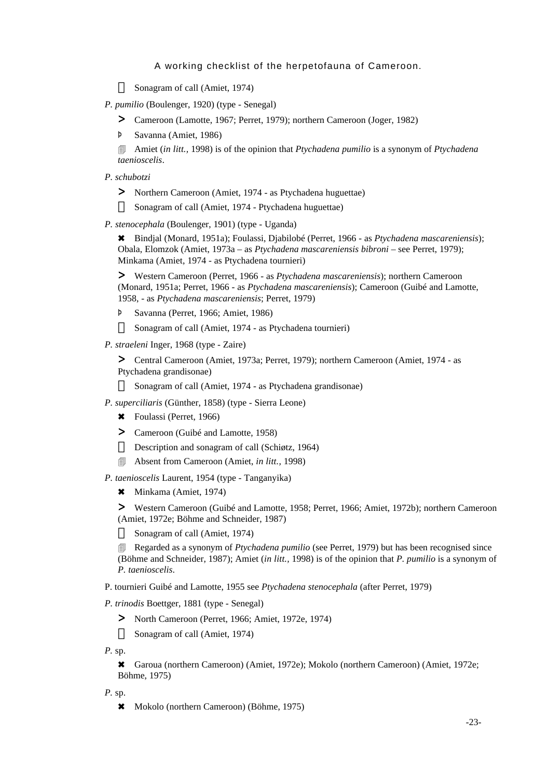Sonagram of call (Amiet, 1974)

*P. pumilio* (Boulenger, 1920) (type - Senegal)

> Cameroon (Lamotte, 1967; Perret, 1979); northern Cameroon (Joger, 1982)

Þ Savanna (Amiet, 1986)

4 Amiet (*in litt.,* 1998) is of the opinion that *Ptychadena pumilio* is a synonym of *Ptychadena taenioscelis*.

*P. schubotzi*

> Northern Cameroon (Amiet, 1974 - as Ptychadena huguettae) Sonagram of call (Amiet, 1974 - Ptychadena huguettae)

*P. stenocephala* (Boulenger, 1901) (type - Uganda)

6 Bindjal (Monard, 1951a); Foulassi, Djabilobé (Perret, 1966 - as *Ptychadena mascareniensis*); Obala, Elomzok (Amiet, 1973a – as *Ptychadena mascareniensis bibroni* – see Perret, 1979); Minkama (Amiet, 1974 - as Ptychadena tournieri)

> Western Cameroon (Perret, 1966 - as *Ptychadena mascareniensis*); northern Cameroon (Monard, 1951a; Perret, 1966 - as *Ptychadena mascareniensis*); Cameroon (Guibé and Lamotte, 1958, - as *Ptychadena mascareniensis*; Perret, 1979)

Þ Savanna (Perret, 1966; Amiet, 1986)

Sonagram of call (Amiet, 1974 - as Ptychadena tournieri)

*P. straeleni* Inger, 1968 (type - Zaire)

> Central Cameroon (Amiet, 1973a; Perret, 1979); northern Cameroon (Amiet, 1974 - as Ptychadena grandisonae)

Sonagram of call (Amiet, 1974 - as Ptychadena grandisonae)

*P. superciliaris* (Günther, 1858) (type - Sierra Leone)

- 6 Foulassi (Perret, 1966)
- > Cameroon (Guibé and Lamotte, 1958)

Description and sonagram of call (Schiøtz, 1964)

4 Absent from Cameroon (Amiet, *in litt.,* 1998)

*P. taenioscelis* Laurent, 1954 (type - Tanganyika)

\* Minkama (Amiet, 1974)

> Western Cameroon (Guibé and Lamotte, 1958; Perret, 1966; Amiet, 1972b); northern Cameroon (Amiet, 1972e; Böhme and Schneider, 1987)

Sonagram of call (Amiet, 1974)

**EXECUTE:** Regarded as a synonym of *Ptychadena pumilio* (see Perret, 1979) but has been recognised since (Böhme and Schneider, 1987); Amiet (*in litt.,* 1998) is of the opinion that *P. pumilio* is a synonym of *P. taenioscelis*.

P. tournieri Guibé and Lamotte, 1955 see *Ptychadena stenocephala* (after Perret, 1979)

*P. trinodis* Boettger, 1881 (type - Senegal)

> North Cameroon (Perret, 1966; Amiet, 1972e, 1974) Sonagram of call (Amiet, 1974)

*P.* sp.

6 Garoua (northern Cameroon) (Amiet, 1972e); Mokolo (northern Cameroon) (Amiet, 1972e; Böhme, 1975)

*P.* sp.

6 Mokolo (northern Cameroon) (Böhme, 1975)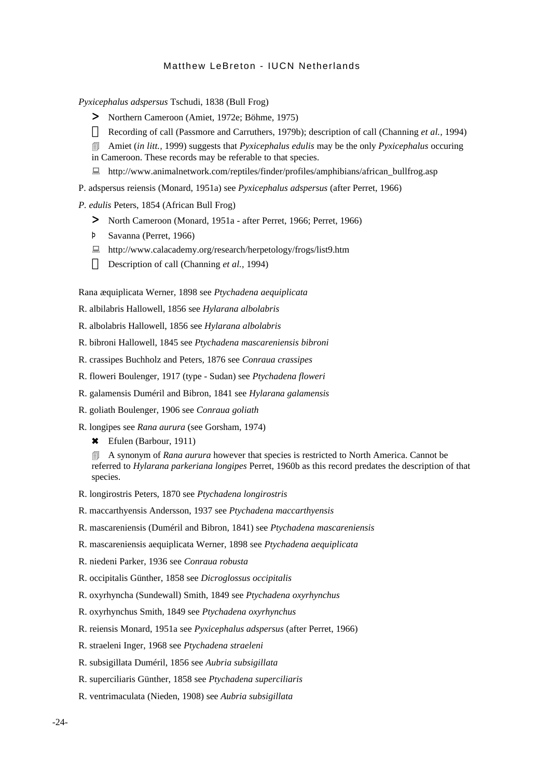*Pyxicephalus adspersus* Tschudi, 1838 (Bull Frog)

> Northern Cameroon (Amiet, 1972e; Böhme, 1975)

Recording of call (Passmore and Carruthers, 1979b); description of call (Channing *et al.,* 1994)

4 Amiet (*in litt.,* 1999) suggests that *Pyxicephalus edulis* may be the only *Pyxicephalus* occuring

- in Cameroon. These records may be referable to that species.
- : http://www.animalnetwork.com/reptiles/finder/profiles/amphibians/african\_bullfrog.asp

P. adspersus reiensis (Monard, 1951a) see *Pyxicephalus adspersus* (after Perret, 1966)

*P. edulis* Peters, 1854 (African Bull Frog)

- > North Cameroon (Monard, 1951a after Perret, 1966; Perret, 1966)
- Þ Savanna (Perret, 1966)
- : http://www.calacademy.org/research/herpetology/frogs/list9.htm Description of call (Channing *et al.,* 1994)

Rana æquiplicata Werner, 1898 see *Ptychadena aequiplicata*

R. albilabris Hallowell, 1856 see *Hylarana albolabris*

R. albolabris Hallowell, 1856 see *Hylarana albolabris*

R. bibroni Hallowell, 1845 see *Ptychadena mascareniensis bibroni*

R. crassipes Buchholz and Peters, 1876 see *Conraua crassipes*

R. floweri Boulenger, 1917 (type - Sudan) see *Ptychadena floweri*

- R. galamensis Duméril and Bibron, 1841 see *Hylarana galamensis*
- R. goliath Boulenger, 1906 see *Conraua goliath*
- R. longipes see *Rana aurura* (see Gorsham, 1974)

6 Efulen (Barbour, 1911)

4 A synonym of *Rana aurura* however that species is restricted to North America. Cannot be referred to *Hylarana parkeriana longipes* Perret, 1960b as this record predates the description of that species.

- R. longirostris Peters, 1870 see *Ptychadena longirostris*
- R. maccarthyensis Andersson, 1937 see *Ptychadena maccarthyensis*
- R. mascareniensis (Duméril and Bibron, 1841) see *Ptychadena mascareniensis*
- R. mascareniensis aequiplicata Werner, 1898 see *Ptychadena aequiplicata*
- R. niedeni Parker, 1936 see *Conraua robusta*
- R. occipitalis Günther, 1858 see *Dicroglossus occipitalis*
- R. oxyrhyncha (Sundewall) Smith, 1849 see *Ptychadena oxyrhynchus*
- R. oxyrhynchus Smith, 1849 see *Ptychadena oxyrhynchus*
- R. reiensis Monard, 1951a see *Pyxicephalus adspersus* (after Perret, 1966)
- R. straeleni Inger, 1968 see *Ptychadena straeleni*
- R. subsigillata Duméril, 1856 see *Aubria subsigillata*
- R. superciliaris Günther, 1858 see *Ptychadena superciliaris*
- R. ventrimaculata (Nieden, 1908) see *Aubria subsigillata*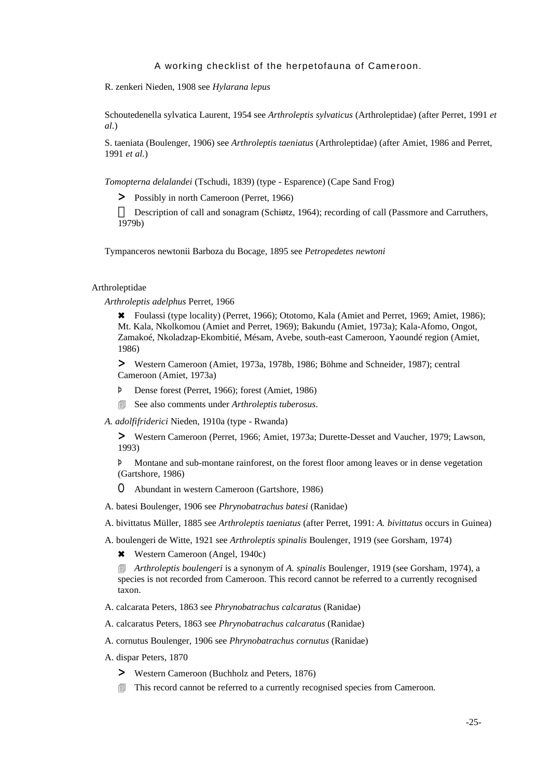R. zenkeri Nieden, 1908 see *Hylarana lepus*

Schoutedenella sylvatica Laurent, 1954 see *Arthroleptis sylvaticus* (Arthroleptidae) (after Perret, 1991 *et al*.)

S. taeniata (Boulenger, 1906) see *Arthroleptis taeniatus* (Arthroleptidae) (after Amiet, 1986 and Perret, 1991 *et al.*)

*Tomopterna delalandei* (Tschudi, 1839) (type - Esparence) (Cape Sand Frog)

> Possibly in north Cameroon (Perret, 1966)

Description of call and sonagram (Schiøtz, 1964); recording of call (Passmore and Carruthers, 1979b)

Tympanceros newtonii Barboza du Bocage, 1895 see *Petropedetes newtoni*

#### Arthroleptidae

*Arthroleptis adelphus* Perret, 1966

6 Foulassi (type locality) (Perret, 1966); Ototomo, Kala (Amiet and Perret, 1969; Amiet, 1986); Mt. Kala, Nkolkomou (Amiet and Perret, 1969); Bakundu (Amiet, 1973a); Kala-Afomo, Ongot, Zamakoé, Nkoladzap-Ekombitié, Mésam, Avebe, south-east Cameroon, Yaoundé region (Amiet, 1986)

> Western Cameroon (Amiet, 1973a, 1978b, 1986; Böhme and Schneider, 1987); central Cameroon (Amiet, 1973a)

- Þ Dense forest (Perret, 1966); forest (Amiet, 1986)
- 4 See also comments under *Arthroleptis tuberosus*.
- *A. adolfifriderici* Nieden, 1910a (type Rwanda)

> Western Cameroon (Perret, 1966; Amiet, 1973a; Durette-Desset and Vaucher, 1979; Lawson, 1993)

Þ Montane and sub-montane rainforest, on the forest floor among leaves or in dense vegetation (Gartshore, 1986)

O Abundant in western Cameroon (Gartshore, 1986)

A. batesi Boulenger, 1906 see *Phrynobatrachus batesi* (Ranidae)

A. bivittatus Müller, 1885 see *Arthroleptis taeniatus* (after Perret, 1991: *A. bivittatus* occurs in Guinea)

A. boulengeri de Witte, 1921 see *Arthroleptis spinalis* Boulenger, 1919 (see Gorsham, 1974)

\* Western Cameroon (Angel, 1940c)

4 *Arthroleptis boulengeri* is a synonym of *A. spinalis* Boulenger, 1919 (see Gorsham, 1974), a species is not recorded from Cameroon. This record cannot be referred to a currently recognised taxon.

A. calcarata Peters, 1863 see *Phrynobatrachus calcaratus* (Ranidae)

A. calcaratus Peters, 1863 see *Phrynobatrachus calcaratus* (Ranidae)

A. cornutus Boulenger, 1906 see *Phrynobatrachus cornutus* (Ranidae)

- A. dispar Peters, 1870
	- > Western Cameroon (Buchholz and Peters, 1876)
	- **If This record cannot be referred to a currently recognised species from Cameroon.**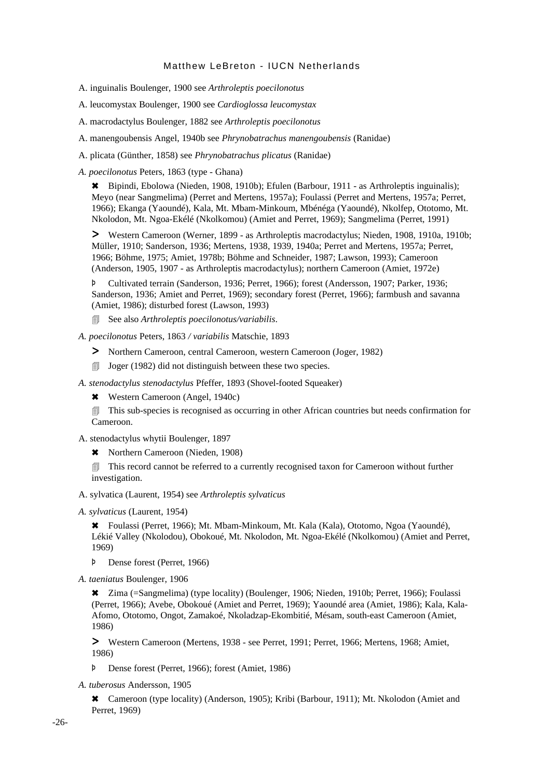- A. inguinalis Boulenger, 1900 see *Arthroleptis poecilonotus*
- A. leucomystax Boulenger, 1900 see *Cardioglossa leucomystax*
- A. macrodactylus Boulenger, 1882 see *Arthroleptis poecilonotus*
- A. manengoubensis Angel, 1940b see *Phrynobatrachus manengoubensis* (Ranidae)
- A. plicata (Günther, 1858) see *Phrynobatrachus plicatus* (Ranidae)
- *A. poecilonotus* Peters, 1863 (type Ghana)

6 Bipindi, Ebolowa (Nieden, 1908, 1910b); Efulen (Barbour, 1911 - as Arthroleptis inguinalis); Meyo (near Sangmelima) (Perret and Mertens, 1957a); Foulassi (Perret and Mertens, 1957a; Perret, 1966); Ekanga (Yaoundé), Kala, Mt. Mbam-Minkoum, Mbénéga (Yaoundé), Nkolfep, Ototomo, Mt. Nkolodon, Mt. Ngoa-Ekélé (Nkolkomou) (Amiet and Perret, 1969); Sangmelima (Perret, 1991)

> Western Cameroon (Werner, 1899 - as Arthroleptis macrodactylus; Nieden, 1908, 1910a, 1910b; Müller, 1910; Sanderson, 1936; Mertens, 1938, 1939, 1940a; Perret and Mertens, 1957a; Perret, 1966; Böhme, 1975; Amiet, 1978b; Böhme and Schneider, 1987; Lawson, 1993); Cameroon (Anderson, 1905, 1907 - as Arthroleptis macrodactylus); northern Cameroon (Amiet, 1972e)

Þ Cultivated terrain (Sanderson, 1936; Perret, 1966); forest (Andersson, 1907; Parker, 1936; Sanderson, 1936; Amiet and Perret, 1969); secondary forest (Perret, 1966); farmbush and savanna (Amiet, 1986); disturbed forest (Lawson, 1993)

- 4 See also *Arthroleptis poecilonotus/variabilis*.
- *A. poecilonotus* Peters, 1863 */ variabilis* Matschie, 1893
	- > Northern Cameroon, central Cameroon, western Cameroon (Joger, 1982)
	- $\Box$  Joger (1982) did not distinguish between these two species.
- *A. stenodactylus stenodactylus* Pfeffer, 1893 (Shovel-footed Squeaker)
	- \* Western Cameroon (Angel, 1940c)
	- 4 This sub-species is recognised as occurring in other African countries but needs confirmation for Cameroon.
- A. stenodactylus whytii Boulenger, 1897
	- \* Northern Cameroon (Nieden, 1908)

 $\Box$  This record cannot be referred to a currently recognised taxon for Cameroon without further investigation.

- A. sylvatica (Laurent, 1954) see *Arthroleptis sylvaticus*
- *A. sylvaticus* (Laurent, 1954)

6 Foulassi (Perret, 1966); Mt. Mbam-Minkoum, Mt. Kala (Kala), Ototomo, Ngoa (Yaoundé), Lékié Valley (Nkolodou), Obokoué, Mt. Nkolodon, Mt. Ngoa-Ekélé (Nkolkomou) (Amiet and Perret, 1969)

- Þ Dense forest (Perret, 1966)
- *A. taeniatus* Boulenger, 1906

<sup>\*</sup> Zima (=Sangmelima) (type locality) (Boulenger, 1906; Nieden, 1910b; Perret, 1966); Foulassi (Perret, 1966); Avebe, Obokoué (Amiet and Perret, 1969); Yaoundé area (Amiet, 1986); Kala, Kala-Afomo, Ototomo, Ongot, Zamakoé, Nkoladzap-Ekombitié, Mésam, south-east Cameroon (Amiet, 1986)

> Western Cameroon (Mertens, 1938 - see Perret, 1991; Perret, 1966; Mertens, 1968; Amiet, 1986)

Þ Dense forest (Perret, 1966); forest (Amiet, 1986)

*A. tuberosus* Andersson, 1905

6 Cameroon (type locality) (Anderson, 1905); Kribi (Barbour, 1911); Mt. Nkolodon (Amiet and Perret, 1969)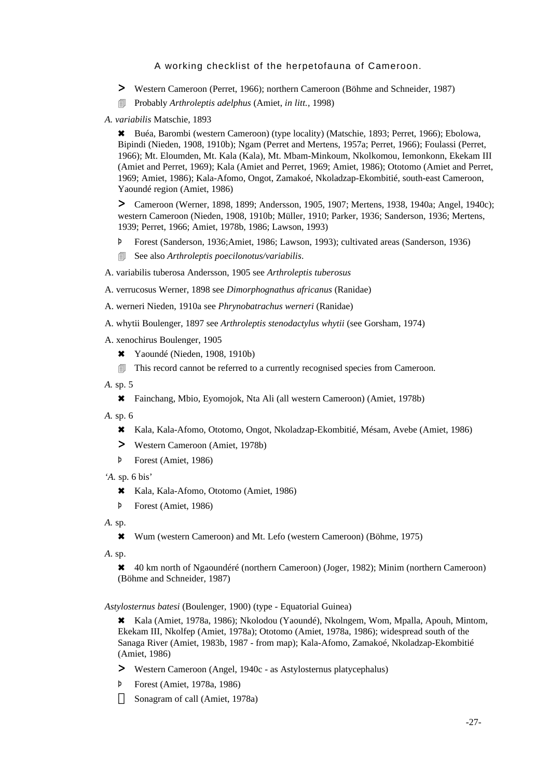- > Western Cameroon (Perret, 1966); northern Cameroon (Böhme and Schneider, 1987)
- 4 Probably *Arthroleptis adelphus* (Amiet, *in litt.,* 1998)
- *A. variabilis* Matschie, 1893

6 Buéa, Barombi (western Cameroon) (type locality) (Matschie, 1893; Perret, 1966); Ebolowa, Bipindi (Nieden, 1908, 1910b); Ngam (Perret and Mertens, 1957a; Perret, 1966); Foulassi (Perret, 1966); Mt. Eloumden, Mt. Kala (Kala), Mt. Mbam-Minkoum, Nkolkomou, Iemonkonn, Ekekam III (Amiet and Perret, 1969); Kala (Amiet and Perret, 1969; Amiet, 1986); Ototomo (Amiet and Perret, 1969; Amiet, 1986); Kala-Afomo, Ongot, Zamakoé, Nkoladzap-Ekombitié, south-east Cameroon, Yaoundé region (Amiet, 1986)

> Cameroon (Werner, 1898, 1899; Andersson, 1905, 1907; Mertens, 1938, 1940a; Angel, 1940c); western Cameroon (Nieden, 1908, 1910b; Müller, 1910; Parker, 1936; Sanderson, 1936; Mertens, 1939; Perret, 1966; Amiet, 1978b, 1986; Lawson, 1993)

- Þ Forest (Sanderson, 1936;Amiet, 1986; Lawson, 1993); cultivated areas (Sanderson, 1936)
- 4 See also *Arthroleptis poecilonotus/variabilis*.
- A. variabilis tuberosa Andersson, 1905 see *Arthroleptis tuberosus*

A. verrucosus Werner, 1898 see *Dimorphognathus africanus* (Ranidae)

- A. werneri Nieden, 1910a see *Phrynobatrachus werneri* (Ranidae)
- A. whytii Boulenger, 1897 see *Arthroleptis stenodactylus whytii* (see Gorsham, 1974)
- A. xenochirus Boulenger, 1905
	- \* Yaoundé (Nieden, 1908, 1910b)
	- $\Box$  This record cannot be referred to a currently recognised species from Cameroon.
- *A.* sp. 5
	- 6 Fainchang, Mbio, Eyomojok, Nta Ali (all western Cameroon) (Amiet, 1978b)
- *A.* sp. 6
	- 6 Kala, Kala-Afomo, Ototomo, Ongot, Nkoladzap-Ekombitié, Mésam, Avebe (Amiet, 1986)
	- > Western Cameroon (Amiet, 1978b)
	- Þ Forest (Amiet, 1986)
- *'A.* sp. 6 bis'
	- 6 Kala, Kala-Afomo, Ototomo (Amiet, 1986)
	- Þ Forest (Amiet, 1986)
- *A.* sp.
	- 6 Wum (western Cameroon) and Mt. Lefo (western Cameroon) (Böhme, 1975)
- *A*. sp.

6 40 km north of Ngaoundéré (northern Cameroon) (Joger, 1982); Minim (northern Cameroon) (Böhme and Schneider, 1987)

*Astylosternus batesi* (Boulenger, 1900) (type - Equatorial Guinea)

6 Kala (Amiet, 1978a, 1986); Nkolodou (Yaoundé), Nkolngem, Wom, Mpalla, Apouh, Mintom, Ekekam III, Nkolfep (Amiet, 1978a); Ototomo (Amiet, 1978a, 1986); widespread south of the Sanaga River (Amiet, 1983b, 1987 - from map); Kala-Afomo, Zamakoé, Nkoladzap-Ekombitié (Amiet, 1986)

- > Western Cameroon (Angel, 1940c as Astylosternus platycephalus)
- Þ Forest (Amiet, 1978a, 1986)

Sonagram of call (Amiet, 1978a)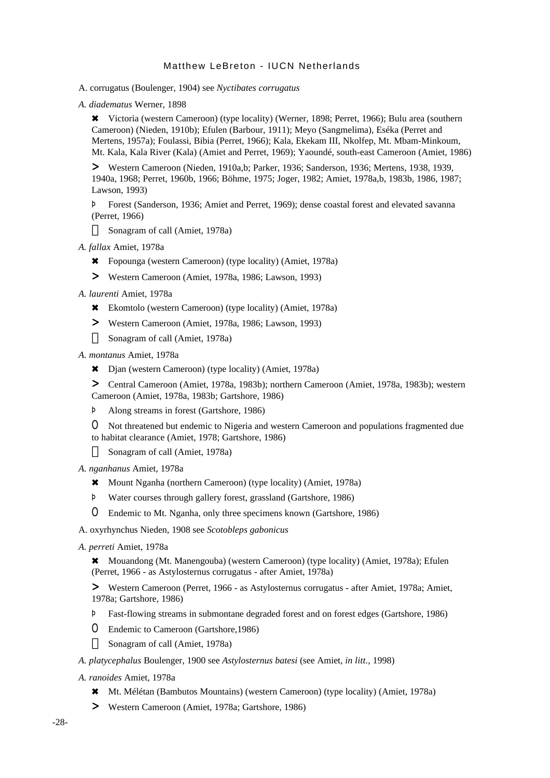A. corrugatus (Boulenger, 1904) see *Nyctibates corrugatus*

*A. diadematus* Werner, 1898

6 Victoria (western Cameroon) (type locality) (Werner, 1898; Perret, 1966); Bulu area (southern Cameroon) (Nieden, 1910b); Efulen (Barbour, 1911); Meyo (Sangmelima), Eséka (Perret and Mertens, 1957a); Foulassi, Bibia (Perret, 1966); Kala, Ekekam III, Nkolfep, Mt. Mbam-Minkoum, Mt. Kala, Kala River (Kala) (Amiet and Perret, 1969); Yaoundé, south-east Cameroon (Amiet, 1986)

> Western Cameroon (Nieden, 1910a,b; Parker, 1936; Sanderson, 1936; Mertens, 1938, 1939, 1940a, 1968; Perret, 1960b, 1966; Böhme, 1975; Joger, 1982; Amiet, 1978a,b, 1983b, 1986, 1987; Lawson, 1993)

Þ Forest (Sanderson, 1936; Amiet and Perret, 1969); dense coastal forest and elevated savanna (Perret, 1966)

Sonagram of call (Amiet, 1978a)

*A. fallax* Amiet, 1978a

- 6 Fopounga (western Cameroon) (type locality) (Amiet, 1978a)
- > Western Cameroon (Amiet, 1978a, 1986; Lawson, 1993)
- *A. laurenti* Amiet, 1978a
	- 6 Ekomtolo (western Cameroon) (type locality) (Amiet, 1978a)
	- > Western Cameroon (Amiet, 1978a, 1986; Lawson, 1993) Sonagram of call (Amiet, 1978a)

*A. montanus* Amiet, 1978a

6 Djan (western Cameroon) (type locality) (Amiet, 1978a)

> Central Cameroon (Amiet, 1978a, 1983b); northern Cameroon (Amiet, 1978a, 1983b); western Cameroon (Amiet, 1978a, 1983b; Gartshore, 1986)

Þ Along streams in forest (Gartshore, 1986)

O Not threatened but endemic to Nigeria and western Cameroon and populations fragmented due to habitat clearance (Amiet, 1978; Gartshore, 1986)

Sonagram of call (Amiet, 1978a)

*A. nganhanus* Amiet, 1978a

- 6 Mount Nganha (northern Cameroon) (type locality) (Amiet, 1978a)
- Þ Water courses through gallery forest, grassland (Gartshore, 1986)
- O Endemic to Mt. Nganha, only three specimens known (Gartshore, 1986)

A. oxyrhynchus Nieden, 1908 see *Scotobleps gabonicus*

*A. perreti* Amiet, 1978a

6 Mouandong (Mt. Manengouba) (western Cameroon) (type locality) (Amiet, 1978a); Efulen (Perret, 1966 - as Astylosternus corrugatus - after Amiet, 1978a)

> Western Cameroon (Perret, 1966 - as Astylosternus corrugatus - after Amiet, 1978a; Amiet, 1978a; Gartshore, 1986)

- Þ Fast-flowing streams in submontane degraded forest and on forest edges (Gartshore, 1986)
- O Endemic to Cameroon (Gartshore,1986)

Sonagram of call (Amiet, 1978a)

*A. platycephalus* Boulenger, 1900 see *Astylosternus batesi* (see Amiet, *in litt.,* 1998)

*A. ranoides* Amiet, 1978a

- 6 Mt. Mélétan (Bambutos Mountains) (western Cameroon) (type locality) (Amiet, 1978a)
- > Western Cameroon (Amiet, 1978a; Gartshore, 1986)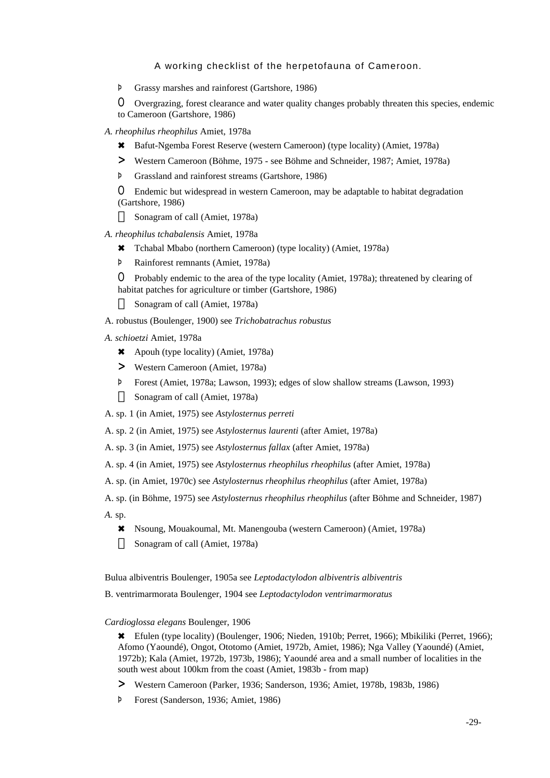Þ Grassy marshes and rainforest (Gartshore, 1986)

O Overgrazing, forest clearance and water quality changes probably threaten this species, endemic to Cameroon (Gartshore, 1986)

- *A. rheophilus rheophilus* Amiet, 1978a
	- 6 Bafut-Ngemba Forest Reserve (western Cameroon) (type locality) (Amiet, 1978a)
	- > Western Cameroon (Böhme, 1975 see Böhme and Schneider, 1987; Amiet, 1978a)
	- Þ Grassland and rainforest streams (Gartshore, 1986)

O Endemic but widespread in western Cameroon, may be adaptable to habitat degradation (Gartshore, 1986)

Sonagram of call (Amiet, 1978a)

- *A. rheophilus tchabalensis* Amiet, 1978a
	- 6 Tchabal Mbabo (northern Cameroon) (type locality) (Amiet, 1978a)
	- Þ Rainforest remnants (Amiet, 1978a)

O Probably endemic to the area of the type locality (Amiet, 1978a); threatened by clearing of habitat patches for agriculture or timber (Gartshore, 1986)

Sonagram of call (Amiet, 1978a)

- A. robustus (Boulenger, 1900) see *Trichobatrachus robustus*
- *A. schioetzi* Amiet, 1978a
	- 6 Apouh (type locality) (Amiet, 1978a)
	- > Western Cameroon (Amiet, 1978a)
	- Þ Forest (Amiet, 1978a; Lawson, 1993); edges of slow shallow streams (Lawson, 1993) Sonagram of call (Amiet, 1978a)
- A. sp. 1 (in Amiet, 1975) see *Astylosternus perreti*
- A. sp. 2 (in Amiet, 1975) see *Astylosternus laurenti* (after Amiet, 1978a)
- A. sp. 3 (in Amiet, 1975) see *Astylosternus fallax* (after Amiet, 1978a)
- A. sp. 4 (in Amiet, 1975) see *Astylosternus rheophilus rheophilus* (after Amiet, 1978a)
- A. sp. (in Amiet, 1970c) see *Astylosternus rheophilus rheophilus* (after Amiet, 1978a)
- A. sp. (in Böhme, 1975) see *Astylosternus rheophilus rheophilus* (after Böhme and Schneider, 1987)
- *A.* sp.
	- 6 Nsoung, Mouakoumal, Mt. Manengouba (western Cameroon) (Amiet, 1978a) Sonagram of call (Amiet, 1978a)

Bulua albiventris Boulenger, 1905a see *Leptodactylodon albiventris albiventris*

B. ventrimarmorata Boulenger, 1904 see *Leptodactylodon ventrimarmoratus*

#### *Cardioglossa elegans* Boulenger, 1906

6 Efulen (type locality) (Boulenger, 1906; Nieden, 1910b; Perret, 1966); Mbikiliki (Perret, 1966); Afomo (Yaoundé), Ongot, Ototomo (Amiet, 1972b, Amiet, 1986); Nga Valley (Yaoundé) (Amiet, 1972b); Kala (Amiet, 1972b, 1973b, 1986); Yaoundé area and a small number of localities in the south west about 100km from the coast (Amiet, 1983b - from map)

- > Western Cameroon (Parker, 1936; Sanderson, 1936; Amiet, 1978b, 1983b, 1986)
- Þ Forest (Sanderson, 1936; Amiet, 1986)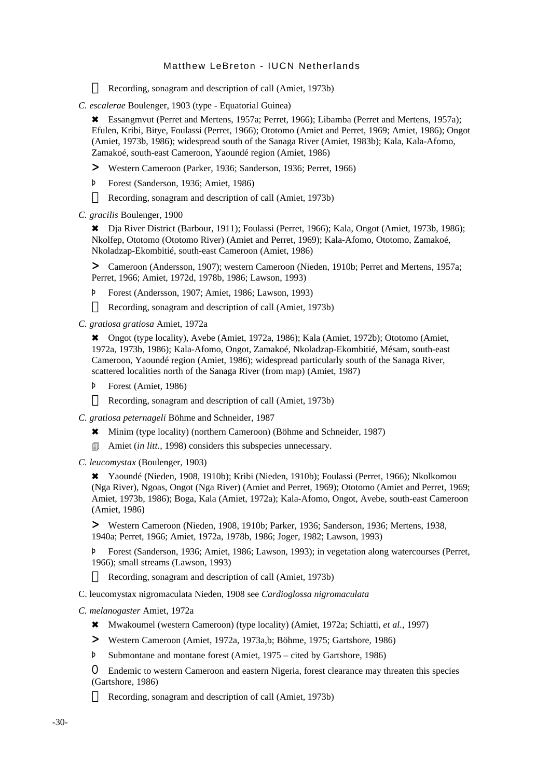Recording, sonagram and description of call (Amiet, 1973b)

*C. escalerae* Boulenger, 1903 (type - Equatorial Guinea)

6 Essangmvut (Perret and Mertens, 1957a; Perret, 1966); Libamba (Perret and Mertens, 1957a); Efulen, Kribi, Bitye, Foulassi (Perret, 1966); Ototomo (Amiet and Perret, 1969; Amiet, 1986); Ongot (Amiet, 1973b, 1986); widespread south of the Sanaga River (Amiet, 1983b); Kala, Kala-Afomo, Zamakoé, south-east Cameroon, Yaoundé region (Amiet, 1986)

- > Western Cameroon (Parker, 1936; Sanderson, 1936; Perret, 1966)
- Þ Forest (Sanderson, 1936; Amiet, 1986)

Recording, sonagram and description of call (Amiet, 1973b)

*C. gracilis* Boulenger, 1900

6 Dja River District (Barbour, 1911); Foulassi (Perret, 1966); Kala, Ongot (Amiet, 1973b, 1986); Nkolfep, Ototomo (Ototomo River) (Amiet and Perret, 1969); Kala-Afomo, Ototomo, Zamakoé, Nkoladzap-Ekombitié, south-east Cameroon (Amiet, 1986)

> Cameroon (Andersson, 1907); western Cameroon (Nieden, 1910b; Perret and Mertens, 1957a; Perret, 1966; Amiet, 1972d, 1978b, 1986; Lawson, 1993)

Þ Forest (Andersson, 1907; Amiet, 1986; Lawson, 1993)

Recording, sonagram and description of call (Amiet, 1973b)

*C. gratiosa gratiosa* Amiet, 1972a

6 Ongot (type locality), Avebe (Amiet, 1972a, 1986); Kala (Amiet, 1972b); Ototomo (Amiet, 1972a, 1973b, 1986); Kala-Afomo, Ongot, Zamakoé, Nkoladzap-Ekombitié, Mésam, south-east Cameroon, Yaoundé region (Amiet, 1986); widespread particularly south of the Sanaga River, scattered localities north of the Sanaga River (from map) (Amiet, 1987)

Þ Forest (Amiet, 1986)

Recording, sonagram and description of call (Amiet, 1973b)

*C. gratiosa peternageli* Böhme and Schneider, 1987

- 6 Minim (type locality) (northern Cameroon) (Böhme and Schneider, 1987)
- 4 Amiet (*in litt.,* 1998) considers this subspecies unnecessary.
- *C. leucomystax* (Boulenger, 1903)

6 Yaoundé (Nieden, 1908, 1910b); Kribi (Nieden, 1910b); Foulassi (Perret, 1966); Nkolkomou (Nga River), Ngoas, Ongot (Nga River) (Amiet and Perret, 1969); Ototomo (Amiet and Perret, 1969; Amiet, 1973b, 1986); Boga, Kala (Amiet, 1972a); Kala-Afomo, Ongot, Avebe, south-east Cameroon (Amiet, 1986)

> Western Cameroon (Nieden, 1908, 1910b; Parker, 1936; Sanderson, 1936; Mertens, 1938, 1940a; Perret, 1966; Amiet, 1972a, 1978b, 1986; Joger, 1982; Lawson, 1993)

Þ Forest (Sanderson, 1936; Amiet, 1986; Lawson, 1993); in vegetation along watercourses (Perret, 1966); small streams (Lawson, 1993)

Recording, sonagram and description of call (Amiet, 1973b)

C. leucomystax nigromaculata Nieden, 1908 see *Cardioglossa nigromaculata*

*C. melanogaster* Amiet, 1972a

- 6 Mwakoumel (western Cameroon) (type locality) (Amiet, 1972a; Schiatti, *et al.,* 1997)
- > Western Cameroon (Amiet, 1972a, 1973a,b; Böhme, 1975; Gartshore, 1986)
- Þ Submontane and montane forest (Amiet, 1975 cited by Gartshore, 1986)

O Endemic to western Cameroon and eastern Nigeria, forest clearance may threaten this species (Gartshore, 1986)

Recording, sonagram and description of call (Amiet, 1973b)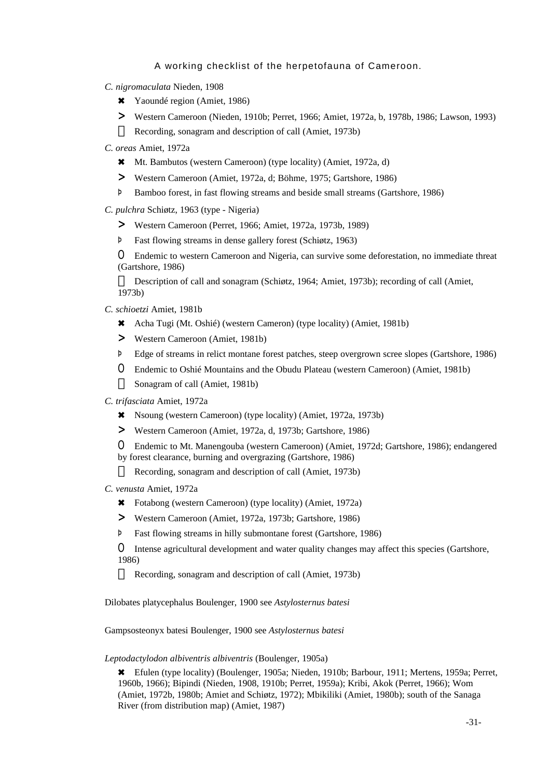- *C. nigromaculata* Nieden, 1908
	- \* Yaoundé region (Amiet, 1986)
	- > Western Cameroon (Nieden, 1910b; Perret, 1966; Amiet, 1972a, b, 1978b, 1986; Lawson, 1993) Recording, sonagram and description of call (Amiet, 1973b)
- *C. oreas* Amiet, 1972a
	- 6 Mt. Bambutos (western Cameroon) (type locality) (Amiet, 1972a, d)
	- > Western Cameroon (Amiet, 1972a, d; Böhme, 1975; Gartshore, 1986)
	- Þ Bamboo forest, in fast flowing streams and beside small streams (Gartshore, 1986)
- *C. pulchra* Schiøtz, 1963 (type Nigeria)
	- > Western Cameroon (Perret, 1966; Amiet, 1972a, 1973b, 1989)
	- Þ Fast flowing streams in dense gallery forest (Schiøtz, 1963)

O Endemic to western Cameroon and Nigeria, can survive some deforestation, no immediate threat (Gartshore, 1986)

Description of call and sonagram (Schiøtz, 1964; Amiet, 1973b); recording of call (Amiet, 1973b)

- *C. schioetzi* Amiet, 1981b
	- 6 Acha Tugi (Mt. Oshié) (western Cameron) (type locality) (Amiet, 1981b)
	- > Western Cameroon (Amiet, 1981b)
	- Þ Edge of streams in relict montane forest patches, steep overgrown scree slopes (Gartshore, 1986)
	- O Endemic to Oshié Mountains and the Obudu Plateau (western Cameroon) (Amiet, 1981b) Sonagram of call (Amiet, 1981b)
- *C. trifasciata* Amiet, 1972a
	- 6 Nsoung (western Cameroon) (type locality) (Amiet, 1972a, 1973b)
	- > Western Cameroon (Amiet, 1972a, d, 1973b; Gartshore, 1986)
	- O Endemic to Mt. Manengouba (western Cameroon) (Amiet, 1972d; Gartshore, 1986); endangered by forest clearance, burning and overgrazing (Gartshore, 1986)

Recording, sonagram and description of call (Amiet, 1973b)

- *C. venusta* Amiet, 1972a
	- 6 Fotabong (western Cameroon) (type locality) (Amiet, 1972a)
	- > Western Cameroon (Amiet, 1972a, 1973b; Gartshore, 1986)
	- Þ Fast flowing streams in hilly submontane forest (Gartshore, 1986)

O Intense agricultural development and water quality changes may affect this species (Gartshore, 1986)

Recording, sonagram and description of call (Amiet, 1973b)

Dilobates platycephalus Boulenger, 1900 see *Astylosternus batesi*

Gampsosteonyx batesi Boulenger, 1900 see *Astylosternus batesi*

#### *Leptodactylodon albiventris albiventris* (Boulenger, 1905a)

6 Efulen (type locality) (Boulenger, 1905a; Nieden, 1910b; Barbour, 1911; Mertens, 1959a; Perret, 1960b, 1966); Bipindi (Nieden, 1908, 1910b; Perret, 1959a); Kribi, Akok (Perret, 1966); Wom (Amiet, 1972b, 1980b; Amiet and Schiøtz, 1972); Mbikiliki (Amiet, 1980b); south of the Sanaga River (from distribution map) (Amiet, 1987)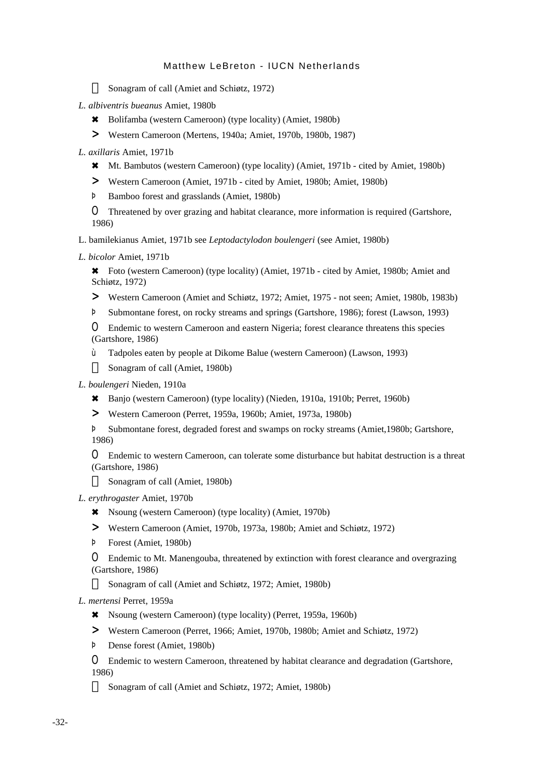Sonagram of call (Amiet and Schiøtz, 1972)

- *L. albiventris bueanus* Amiet, 1980b
	- 6 Bolifamba (western Cameroon) (type locality) (Amiet, 1980b)
	- > Western Cameroon (Mertens, 1940a; Amiet, 1970b, 1980b, 1987)
- *L. axillaris* Amiet, 1971b
	- 6 Mt. Bambutos (western Cameroon) (type locality) (Amiet, 1971b cited by Amiet, 1980b)
	- > Western Cameroon (Amiet, 1971b cited by Amiet, 1980b; Amiet, 1980b)
	- Þ Bamboo forest and grasslands (Amiet, 1980b)

O Threatened by over grazing and habitat clearance, more information is required (Gartshore, 1986)

L. bamilekianus Amiet, 1971b see *Leptodactylodon boulengeri* (see Amiet, 1980b)

*L. bicolor* Amiet, 1971b

\* Foto (western Cameroon) (type locality) (Amiet, 1971b - cited by Amiet, 1980b; Amiet and Schiøtz, 1972)

- > Western Cameroon (Amiet and Schiøtz, 1972; Amiet, 1975 not seen; Amiet, 1980b, 1983b)
- Þ Submontane forest, on rocky streams and springs (Gartshore, 1986); forest (Lawson, 1993)

O Endemic to western Cameroon and eastern Nigeria; forest clearance threatens this species (Gartshore, 1986)

ù Tadpoles eaten by people at Dikome Balue (western Cameroon) (Lawson, 1993) Sonagram of call (Amiet, 1980b)

*L. boulengeri* Nieden, 1910a

- 6 Banjo (western Cameroon) (type locality) (Nieden, 1910a, 1910b; Perret, 1960b)
- > Western Cameroon (Perret, 1959a, 1960b; Amiet, 1973a, 1980b)

Þ Submontane forest, degraded forest and swamps on rocky streams (Amiet,1980b; Gartshore, 1986)

O Endemic to western Cameroon, can tolerate some disturbance but habitat destruction is a threat (Gartshore, 1986)

Sonagram of call (Amiet, 1980b)

*L. erythrogaster* Amiet, 1970b

- 6 Nsoung (western Cameroon) (type locality) (Amiet, 1970b)
- > Western Cameroon (Amiet, 1970b, 1973a, 1980b; Amiet and Schiøtz, 1972)
- Þ Forest (Amiet, 1980b)

O Endemic to Mt. Manengouba, threatened by extinction with forest clearance and overgrazing (Gartshore, 1986)

Sonagram of call (Amiet and Schiøtz, 1972; Amiet, 1980b)

*L. mertensi* Perret, 1959a

- 6 Nsoung (western Cameroon) (type locality) (Perret, 1959a, 1960b)
- > Western Cameroon (Perret, 1966; Amiet, 1970b, 1980b; Amiet and Schiøtz, 1972)
- Þ Dense forest (Amiet, 1980b)

O Endemic to western Cameroon, threatened by habitat clearance and degradation (Gartshore, 1986)

Sonagram of call (Amiet and Schiøtz, 1972; Amiet, 1980b)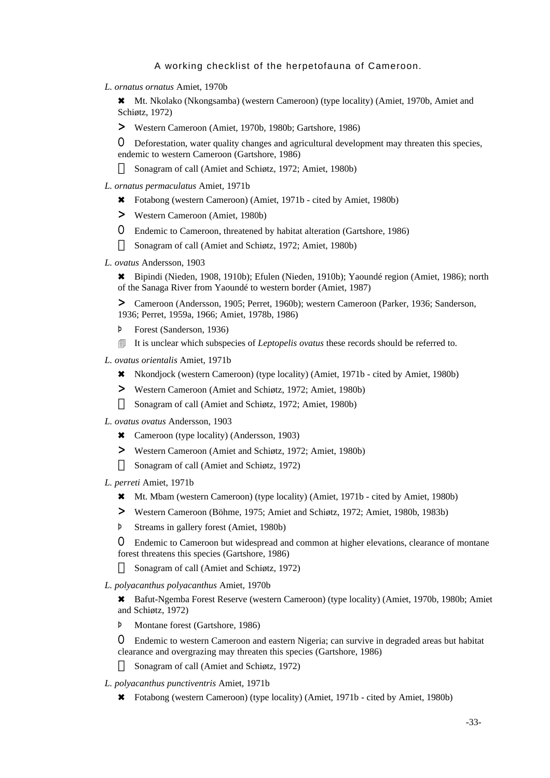*L. ornatus ornatus* Amiet, 1970b

6 Mt. Nkolako (Nkongsamba) (western Cameroon) (type locality) (Amiet, 1970b, Amiet and Schiøtz, 1972)

> Western Cameroon (Amiet, 1970b, 1980b; Gartshore, 1986)

O Deforestation, water quality changes and agricultural development may threaten this species, endemic to western Cameroon (Gartshore, 1986)

Sonagram of call (Amiet and Schiøtz, 1972; Amiet, 1980b)

- *L. ornatus permaculatus* Amiet, 1971b
	- 6 Fotabong (western Cameroon) (Amiet, 1971b cited by Amiet, 1980b)
	- > Western Cameroon (Amiet, 1980b)
	- O Endemic to Cameroon, threatened by habitat alteration (Gartshore, 1986) Sonagram of call (Amiet and Schiøtz, 1972; Amiet, 1980b)
- *L. ovatus* Andersson, 1903

6 Bipindi (Nieden, 1908, 1910b); Efulen (Nieden, 1910b); Yaoundé region (Amiet, 1986); north of the Sanaga River from Yaoundé to western border (Amiet, 1987)

> Cameroon (Andersson, 1905; Perret, 1960b); western Cameroon (Parker, 1936; Sanderson, 1936; Perret, 1959a, 1966; Amiet, 1978b, 1986)

- Þ Forest (Sanderson, 1936)
- **If it is unclear which subspecies of** *Leptopelis ovatus* **these records should be referred to.**
- *L. ovatus orientalis* Amiet, 1971b
	- 6 Nkondjock (western Cameroon) (type locality) (Amiet, 1971b cited by Amiet, 1980b)
	- > Western Cameroon (Amiet and Schiøtz, 1972; Amiet, 1980b) Sonagram of call (Amiet and Schiøtz, 1972; Amiet, 1980b)
- *L. ovatus ovatus* Andersson, 1903
	- \* Cameroon (type locality) (Andersson, 1903)
	- > Western Cameroon (Amiet and Schiøtz, 1972; Amiet, 1980b) Sonagram of call (Amiet and Schiøtz, 1972)
- *L. perreti* Amiet, 1971b
	- 6 Mt. Mbam (western Cameroon) (type locality) (Amiet, 1971b cited by Amiet, 1980b)
	- > Western Cameroon (Böhme, 1975; Amiet and Schiøtz, 1972; Amiet, 1980b, 1983b)
	- Þ Streams in gallery forest (Amiet, 1980b)

O Endemic to Cameroon but widespread and common at higher elevations, clearance of montane forest threatens this species (Gartshore, 1986)

Sonagram of call (Amiet and Schiøtz, 1972)

*L. polyacanthus polyacanthus* Amiet, 1970b

6 Bafut-Ngemba Forest Reserve (western Cameroon) (type locality) (Amiet, 1970b, 1980b; Amiet and Schiøtz, 1972)

Þ Montane forest (Gartshore, 1986)

O Endemic to western Cameroon and eastern Nigeria; can survive in degraded areas but habitat clearance and overgrazing may threaten this species (Gartshore, 1986)

Sonagram of call (Amiet and Schiøtz, 1972)

- *L. polyacanthus punctiventris* Amiet, 1971b
	- 6 Fotabong (western Cameroon) (type locality) (Amiet, 1971b cited by Amiet, 1980b)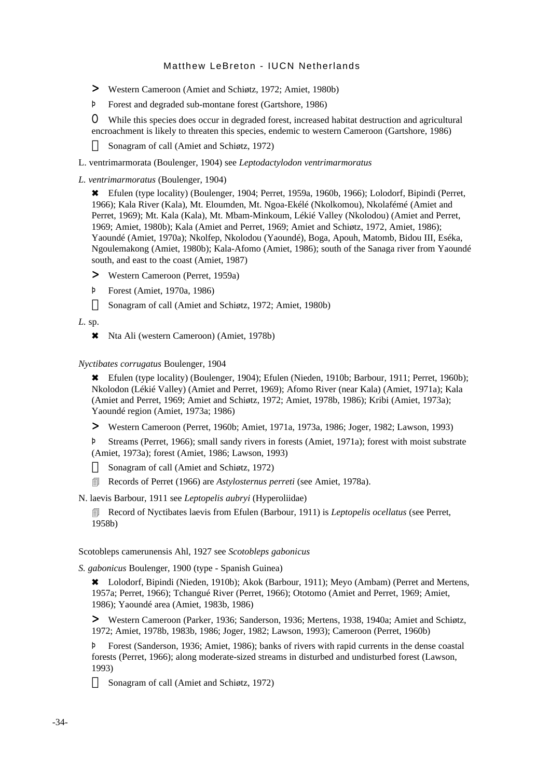- > Western Cameroon (Amiet and Schiøtz, 1972; Amiet, 1980b)
- Þ Forest and degraded sub-montane forest (Gartshore, 1986)

O While this species does occur in degraded forest, increased habitat destruction and agricultural encroachment is likely to threaten this species, endemic to western Cameroon (Gartshore, 1986)

Sonagram of call (Amiet and Schiøtz, 1972)

L. ventrimarmorata (Boulenger, 1904) see *Leptodactylodon ventrimarmoratus*

#### *L. ventrimarmoratus* (Boulenger, 1904)

6 Efulen (type locality) (Boulenger, 1904; Perret, 1959a, 1960b, 1966); Lolodorf, Bipindi (Perret, 1966); Kala River (Kala), Mt. Eloumden, Mt. Ngoa-Ekélé (Nkolkomou), Nkolafémé (Amiet and Perret, 1969); Mt. Kala (Kala), Mt. Mbam-Minkoum, Lékié Valley (Nkolodou) (Amiet and Perret, 1969; Amiet, 1980b); Kala (Amiet and Perret, 1969; Amiet and Schiøtz, 1972, Amiet, 1986); Yaoundé (Amiet, 1970a); Nkolfep, Nkolodou (Yaoundé), Boga, Apouh, Matomb, Bidou III, Eséka, Ngoulemakong (Amiet, 1980b); Kala-Afomo (Amiet, 1986); south of the Sanaga river from Yaoundé south, and east to the coast (Amiet, 1987)

- > Western Cameroon (Perret, 1959a)
- Þ Forest (Amiet, 1970a, 1986)

Sonagram of call (Amiet and Schiøtz, 1972; Amiet, 1980b)

*L.* sp.

6 Nta Ali (western Cameroon) (Amiet, 1978b)

#### *Nyctibates corrugatus* Boulenger, 1904

6 Efulen (type locality) (Boulenger, 1904); Efulen (Nieden, 1910b; Barbour, 1911; Perret, 1960b); Nkolodon (Lékié Valley) (Amiet and Perret, 1969); Afomo River (near Kala) (Amiet, 1971a); Kala (Amiet and Perret, 1969; Amiet and Schiøtz, 1972; Amiet, 1978b, 1986); Kribi (Amiet, 1973a); Yaoundé region (Amiet, 1973a; 1986)

> Western Cameroon (Perret, 1960b; Amiet, 1971a, 1973a, 1986; Joger, 1982; Lawson, 1993)

Þ Streams (Perret, 1966); small sandy rivers in forests (Amiet, 1971a); forest with moist substrate (Amiet, 1973a); forest (Amiet, 1986; Lawson, 1993)

Sonagram of call (Amiet and Schiøtz, 1972)

4 Records of Perret (1966) are *Astylosternus perreti* (see Amiet, 1978a).

N. laevis Barbour, 1911 see *Leptopelis aubryi* (Hyperoliidae)

4 Record of Nyctibates laevis from Efulen (Barbour, 1911) is *Leptopelis ocellatus* (see Perret, 1958b)

Scotobleps camerunensis Ahl, 1927 see *Scotobleps gabonicus*

*S. gabonicus* Boulenger, 1900 (type - Spanish Guinea)

\* Lolodorf, Bipindi (Nieden, 1910b); Akok (Barbour, 1911); Meyo (Ambam) (Perret and Mertens, 1957a; Perret, 1966); Tchangué River (Perret, 1966); Ototomo (Amiet and Perret, 1969; Amiet, 1986); Yaoundé area (Amiet, 1983b, 1986)

> Western Cameroon (Parker, 1936; Sanderson, 1936; Mertens, 1938, 1940a; Amiet and Schiøtz, 1972; Amiet, 1978b, 1983b, 1986; Joger, 1982; Lawson, 1993); Cameroon (Perret, 1960b)

Þ Forest (Sanderson, 1936; Amiet, 1986); banks of rivers with rapid currents in the dense coastal forests (Perret, 1966); along moderate-sized streams in disturbed and undisturbed forest (Lawson, 1993)

Sonagram of call (Amiet and Schiøtz, 1972)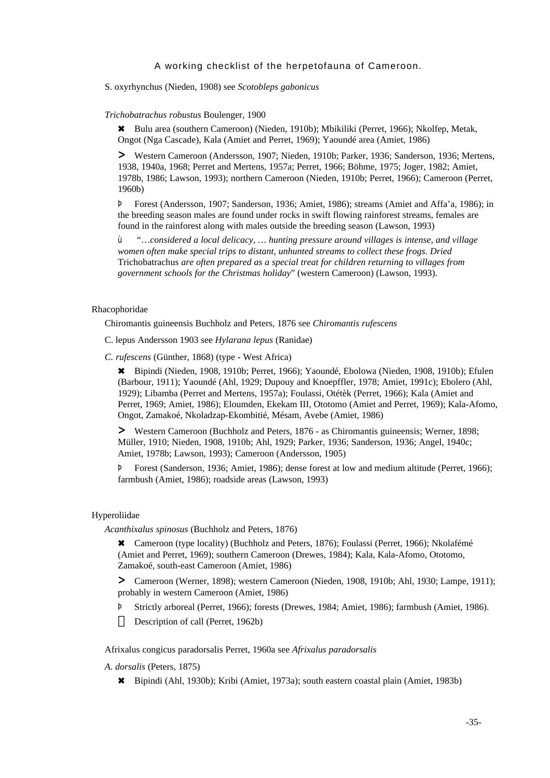S. oxyrhynchus (Nieden, 1908) see *Scotobleps gabonicus*

#### *Trichobatrachus robustus* Boulenger, 1900

6 Bulu area (southern Cameroon) (Nieden, 1910b); Mbikiliki (Perret, 1966); Nkolfep, Metak, Ongot (Nga Cascade), Kala (Amiet and Perret, 1969); Yaoundé area (Amiet, 1986)

> Western Cameroon (Andersson, 1907; Nieden, 1910b; Parker, 1936; Sanderson, 1936; Mertens, 1938, 1940a, 1968; Perret and Mertens, 1957a; Perret, 1966; Böhme, 1975; Joger, 1982; Amiet, 1978b, 1986; Lawson, 1993); northern Cameroon (Nieden, 1910b; Perret, 1966); Cameroon (Perret, 1960b)

Þ Forest (Andersson, 1907; Sanderson, 1936; Amiet, 1986); streams (Amiet and Affa'a, 1986); in the breeding season males are found under rocks in swift flowing rainforest streams, females are found in the rainforest along with males outside the breeding season (Lawson, 1993)

ù "…*considered a local delicacy, … hunting pressure around villages is intense, and village women often make special trips to distant, unhunted streams to collect these frogs. Dried* Trichobatrachus *are often prepared as a special treat for children returning to villages from government schools for the Christmas holiday*" (western Cameroon) (Lawson, 1993).

#### Rhacophoridae

Chiromantis guineensis Buchholz and Peters, 1876 see *Chiromantis rufescens*

- C. lepus Andersson 1903 see *Hylarana lepus* (Ranidae)
- *C. rufescens* (Günther, 1868) (type West Africa)

6 Bipindi (Nieden, 1908, 1910b; Perret, 1966); Yaoundé, Ebolowa (Nieden, 1908, 1910b); Efulen (Barbour, 1911); Yaoundé (Ahl, 1929; Dupouy and Knoepffler, 1978; Amiet, 1991c); Ebolero (Ahl, 1929); Libamba (Perret and Mertens, 1957a); Foulassi, Otétèk (Perret, 1966); Kala (Amiet and Perret, 1969; Amiet, 1986); Eloumden, Ekekam III, Ototomo (Amiet and Perret, 1969); Kala-Afomo, Ongot, Zamakoé, Nkoladzap-Ekombitié, Mésam, Avebe (Amiet, 1986)

> Western Cameroon (Buchholz and Peters, 1876 - as Chiromantis guineensis; Werner, 1898; Müller, 1910; Nieden, 1908, 1910b; Ahl, 1929; Parker, 1936; Sanderson, 1936; Angel, 1940c; Amiet, 1978b; Lawson, 1993); Cameroon (Andersson, 1905)

Þ Forest (Sanderson, 1936; Amiet, 1986); dense forest at low and medium altitude (Perret, 1966); farmbush (Amiet, 1986); roadside areas (Lawson, 1993)

#### Hyperoliidae

*Acanthixalus spinosus* (Buchholz and Peters, 1876)

\* Cameroon (type locality) (Buchholz and Peters, 1876); Foulassi (Perret, 1966); Nkolafémé (Amiet and Perret, 1969); southern Cameroon (Drewes, 1984); Kala, Kala-Afomo, Ototomo, Zamakoé, south-east Cameroon (Amiet, 1986)

> Cameroon (Werner, 1898); western Cameroon (Nieden, 1908, 1910b; Ahl, 1930; Lampe, 1911); probably in western Cameroon (Amiet, 1986)

Þ Strictly arboreal (Perret, 1966); forests (Drewes, 1984; Amiet, 1986); farmbush (Amiet, 1986). Description of call (Perret, 1962b)

Afrixalus congicus paradorsalis Perret, 1960a see *Afrixalus paradorsalis*

*A. dorsalis* (Peters, 1875)

6 Bipindi (Ahl, 1930b); Kribi (Amiet, 1973a); south eastern coastal plain (Amiet, 1983b)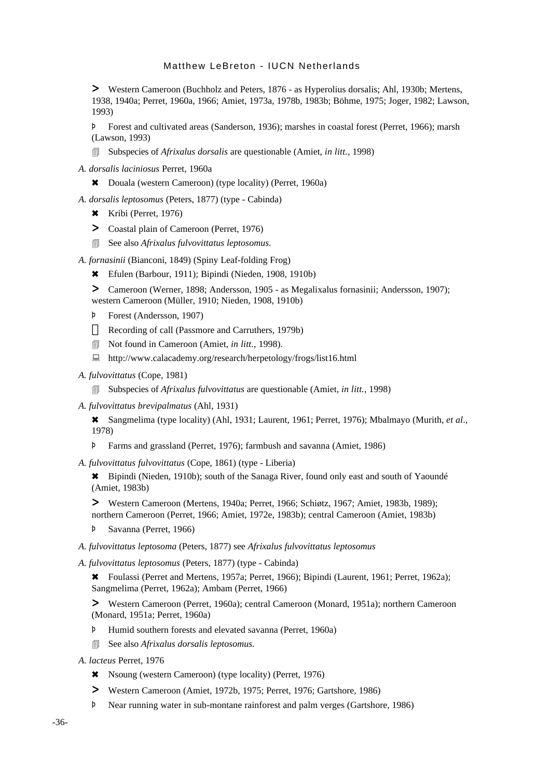> Western Cameroon (Buchholz and Peters, 1876 - as Hyperolius dorsalis; Ahl, 1930b; Mertens, 1938, 1940a; Perret, 1960a, 1966; Amiet, 1973a, 1978b, 1983b; Böhme, 1975; Joger, 1982; Lawson, 1993)

Þ Forest and cultivated areas (Sanderson, 1936); marshes in coastal forest (Perret, 1966); marsh (Lawson, 1993)

- 4 Subspecies of *Afrixalus dorsalis* are questionable (Amiet, *in litt.,* 1998)
- *A. dorsalis laciniosus* Perret, 1960a
	- 6 Douala (western Cameroon) (type locality) (Perret, 1960a)
- *A. dorsalis leptosomus* (Peters, 1877) (type Cabinda)
	- 6 Kribi (Perret, 1976)
	- > Coastal plain of Cameroon (Perret, 1976)
	- 4 See also *Afrixalus fulvovittatus leptosomus.*

*A. fornasinii* (Bianconi, 1849) (Spiny Leaf-folding Frog)

- 6 Efulen (Barbour, 1911); Bipindi (Nieden, 1908, 1910b)
- > Cameroon (Werner, 1898; Andersson, 1905 as Megalixalus fornasinii; Andersson, 1907); western Cameroon (Müller, 1910; Nieden, 1908, 1910b)
- Þ Forest (Andersson, 1907)

Recording of call (Passmore and Carruthers, 1979b)

- 4 Not found in Cameroon (Amiet, *in litt.,* 1998).
- : http://www.calacademy.org/research/herpetology/frogs/list16.html
- *A. fulvovittatus* (Cope, 1981)
	- 4 Subspecies of *Afrixalus fulvovittatus* are questionable (Amiet, *in litt.,* 1998)
- *A. fulvovittatus brevipalmatus* (Ahl, 1931)

6 Sangmelima (type locality) (Ahl, 1931; Laurent, 1961; Perret, 1976); Mbalmayo (Murith, *et al*., 1978)

- Þ Farms and grassland (Perret, 1976); farmbush and savanna (Amiet, 1986)
- *A. fulvovittatus fulvovittatus* (Cope, 1861) (type Liberia)

\* Bipindi (Nieden, 1910b); south of the Sanaga River, found only east and south of Yaoundé (Amiet, 1983b)

> Western Cameroon (Mertens, 1940a; Perret, 1966; Schiøtz, 1967; Amiet, 1983b, 1989); northern Cameroon (Perret, 1966; Amiet, 1972e, 1983b); central Cameroon (Amiet, 1983b)

- Þ Savanna (Perret, 1966)
- *A. fulvovittatus leptosoma* (Peters, 1877) see *Afrixalus fulvovittatus leptosomus*
- *A. fulvovittatus leptosomus* (Peters, 1877) (type Cabinda)

6 Foulassi (Perret and Mertens, 1957a; Perret, 1966); Bipindi (Laurent, 1961; Perret, 1962a); Sangmelima (Perret, 1962a); Ambam (Perret, 1966)

> Western Cameroon (Perret, 1960a); central Cameroon (Monard, 1951a); northern Cameroon (Monard, 1951a; Perret, 1960a)

- Þ Humid southern forests and elevated savanna (Perret, 1960a)
- 4 See also *Afrixalus dorsalis leptosomus.*
- *A. lacteus* Perret, 1976
	- 6 Nsoung (western Cameroon) (type locality) (Perret, 1976)
	- > Western Cameroon (Amiet, 1972b, 1975; Perret, 1976; Gartshore, 1986)
	- Þ Near running water in sub-montane rainforest and palm verges (Gartshore, 1986)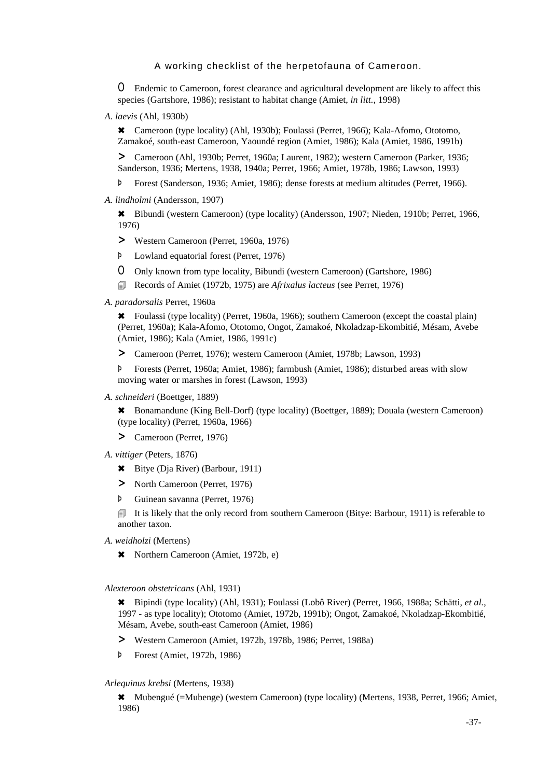O Endemic to Cameroon, forest clearance and agricultural development are likely to affect this species (Gartshore, 1986); resistant to habitat change (Amiet, *in litt.,* 1998)

*A. laevis* (Ahl, 1930b)

6 Cameroon (type locality) (Ahl, 1930b); Foulassi (Perret, 1966); Kala-Afomo, Ototomo, Zamakoé, south-east Cameroon, Yaoundé region (Amiet, 1986); Kala (Amiet, 1986, 1991b)

> Cameroon (Ahl, 1930b; Perret, 1960a; Laurent, 1982); western Cameroon (Parker, 1936; Sanderson, 1936; Mertens, 1938, 1940a; Perret, 1966; Amiet, 1978b, 1986; Lawson, 1993)

Þ Forest (Sanderson, 1936; Amiet, 1986); dense forests at medium altitudes (Perret, 1966).

*A. lindholmi* (Andersson, 1907)

6 Bibundi (western Cameroon) (type locality) (Andersson, 1907; Nieden, 1910b; Perret, 1966, 1976)

- > Western Cameroon (Perret, 1960a, 1976)
- Þ Lowland equatorial forest (Perret, 1976)
- O Only known from type locality, Bibundi (western Cameroon) (Gartshore, 1986)
- 4 Records of Amiet (1972b, 1975) are *Afrixalus lacteus* (see Perret, 1976)

#### *A. paradorsalis* Perret, 1960a

6 Foulassi (type locality) (Perret, 1960a, 1966); southern Cameroon (except the coastal plain) (Perret, 1960a); Kala-Afomo, Ototomo, Ongot, Zamakoé, Nkoladzap-Ekombitié, Mésam, Avebe (Amiet, 1986); Kala (Amiet, 1986, 1991c)

> Cameroon (Perret, 1976); western Cameroon (Amiet, 1978b; Lawson, 1993)

Þ Forests (Perret, 1960a; Amiet, 1986); farmbush (Amiet, 1986); disturbed areas with slow moving water or marshes in forest (Lawson, 1993)

*A. schneideri* (Boettger, 1889)

6 Bonamandune (King Bell-Dorf) (type locality) (Boettger, 1889); Douala (western Cameroon) (type locality) (Perret, 1960a, 1966)

- > Cameroon (Perret, 1976)
- *A. vittiger* (Peters, 1876)
	- 6 Bitye (Dja River) (Barbour, 1911)
	- > North Cameroon (Perret, 1976)
	- Þ Guinean savanna (Perret, 1976)

**If it is likely that the only record from southern Cameroon (Bitye: Barbour, 1911) is referable to** another taxon.

- *A. weidholzi* (Mertens)
	- 6 Northern Cameroon (Amiet, 1972b, e)

*Alexteroon obstetricans* (Ahl, 1931)

6 Bipindi (type locality) (Ahl, 1931); Foulassi (Lobô River) (Perret, 1966, 1988a; Schätti, *et al.*, 1997 - as type locality); Ototomo (Amiet, 1972b, 1991b); Ongot, Zamakoé, Nkoladzap-Ekombitié, Mésam, Avebe, south-east Cameroon (Amiet, 1986)

- > Western Cameroon (Amiet, 1972b, 1978b, 1986; Perret, 1988a)
- Þ Forest (Amiet, 1972b, 1986)

#### *Arlequinus krebsi* (Mertens, 1938)

6 Mubengué (=Mubenge) (western Cameroon) (type locality) (Mertens, 1938, Perret, 1966; Amiet, 1986)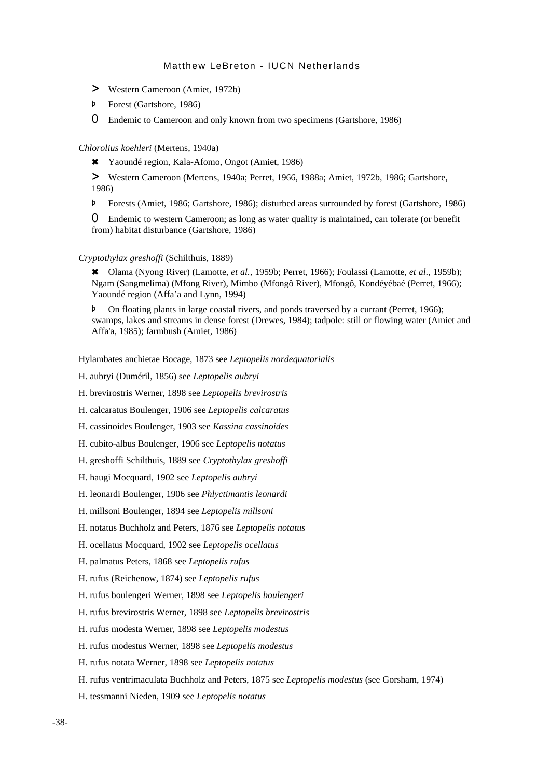- > Western Cameroon (Amiet, 1972b)
- Þ Forest (Gartshore, 1986)

O Endemic to Cameroon and only known from two specimens (Gartshore, 1986)

### *Chlorolius koehleri* (Mertens, 1940a)

6 Yaoundé region, Kala-Afomo, Ongot (Amiet, 1986)

> Western Cameroon (Mertens, 1940a; Perret, 1966, 1988a; Amiet, 1972b, 1986; Gartshore, 1986)

Þ Forests (Amiet, 1986; Gartshore, 1986); disturbed areas surrounded by forest (Gartshore, 1986)

O Endemic to western Cameroon; as long as water quality is maintained, can tolerate (or benefit from) habitat disturbance (Gartshore, 1986)

### *Cryptothylax greshoffi* (Schilthuis, 1889)

6 Olama (Nyong River) (Lamotte, *et al.,* 1959b; Perret, 1966); Foulassi (Lamotte, *et al.,* 1959b); Ngam (Sangmelima) (Mfong River), Mimbo (Mfongô River), Mfongô, Kondéyébaé (Perret, 1966); Yaoundé region (Affa'a and Lynn, 1994)

Þ On floating plants in large coastal rivers, and ponds traversed by a currant (Perret, 1966); swamps, lakes and streams in dense forest (Drewes, 1984); tadpole: still or flowing water (Amiet and Affa'a, 1985); farmbush (Amiet, 1986)

Hylambates anchietae Bocage, 1873 see *Leptopelis nordequatorialis*

H. aubryi (Duméril, 1856) see *Leptopelis aubryi*

H. brevirostris Werner, 1898 see *Leptopelis brevirostris*

H. calcaratus Boulenger, 1906 see *Leptopelis calcaratus*

H. cassinoides Boulenger, 1903 see *Kassina cassinoides*

H. cubito-albus Boulenger, 1906 see *Leptopelis notatus*

- H. greshoffi Schilthuis, 1889 see *Cryptothylax greshoffi*
- H. haugi Mocquard, 1902 see *Leptopelis aubryi*
- H. leonardi Boulenger, 1906 see *Phlyctimantis leonardi*
- H. millsoni Boulenger, 1894 see *Leptopelis millsoni*
- H. notatus Buchholz and Peters, 1876 see *Leptopelis notatus*
- H. ocellatus Mocquard, 1902 see *Leptopelis ocellatus*
- H. palmatus Peters, 1868 see *Leptopelis rufus*
- H. rufus (Reichenow, 1874) see *Leptopelis rufus*
- H. rufus boulengeri Werner, 1898 see *Leptopelis boulengeri*
- H. rufus brevirostris Werner, 1898 see *Leptopelis brevirostris*
- H. rufus modesta Werner, 1898 see *Leptopelis modestus*
- H. rufus modestus Werner, 1898 see *Leptopelis modestus*
- H. rufus notata Werner, 1898 see *Leptopelis notatus*
- H. rufus ventrimaculata Buchholz and Peters, 1875 see *Leptopelis modestus* (see Gorsham, 1974)
- H. tessmanni Nieden, 1909 see *Leptopelis notatus*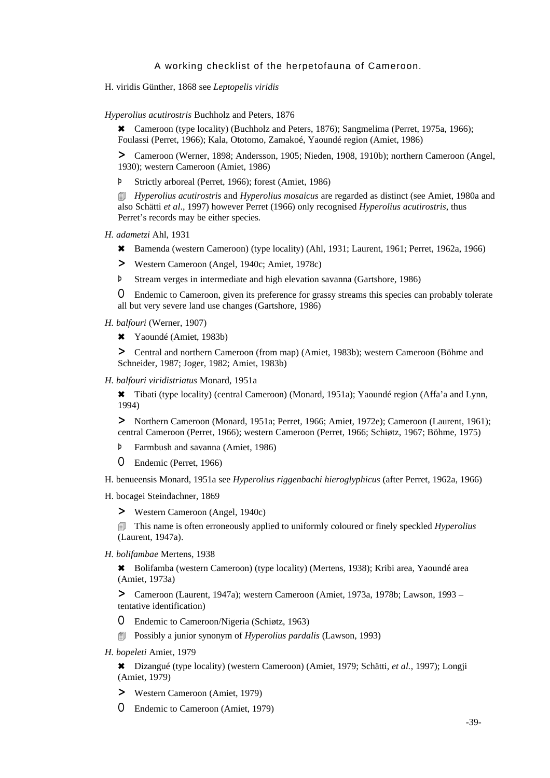H. viridis Günther, 1868 see *Leptopelis viridis*

*Hyperolius acutirostris* Buchholz and Peters, 1876

\* Cameroon (type locality) (Buchholz and Peters, 1876); Sangmelima (Perret, 1975a, 1966); Foulassi (Perret, 1966); Kala, Ototomo, Zamakoé, Yaoundé region (Amiet, 1986)

> Cameroon (Werner, 1898; Andersson, 1905; Nieden, 1908, 1910b); northern Cameroon (Angel, 1930); western Cameroon (Amiet, 1986)

Þ Strictly arboreal (Perret, 1966); forest (Amiet, 1986)

4 *Hyperolius acutirostris* and *Hyperolius mosaicus* are regarded as distinct (see Amiet, 1980a and also Schätti *et al*., 1997) however Perret (1966) only recognised *Hyperolius acutirostris*, thus Perret's records may be either species*.*

*H. adametzi* Ahl, 1931

- 6 Bamenda (western Cameroon) (type locality) (Ahl, 1931; Laurent, 1961; Perret, 1962a, 1966)
- > Western Cameroon (Angel, 1940c; Amiet, 1978c)
- Þ Stream verges in intermediate and high elevation savanna (Gartshore, 1986)

O Endemic to Cameroon, given its preference for grassy streams this species can probably tolerate all but very severe land use changes (Gartshore, 1986)

*H. balfouri* (Werner, 1907)

6 Yaoundé (Amiet, 1983b)

> Central and northern Cameroon (from map) (Amiet, 1983b); western Cameroon (Böhme and Schneider, 1987; Joger, 1982; Amiet, 1983b)

*H. balfouri viridistriatus* Monard, 1951a

6 Tibati (type locality) (central Cameroon) (Monard, 1951a); Yaoundé region (Affa'a and Lynn, 1994)

> Northern Cameroon (Monard, 1951a; Perret, 1966; Amiet, 1972e); Cameroon (Laurent, 1961); central Cameroon (Perret, 1966); western Cameroon (Perret, 1966; Schiøtz, 1967; Böhme, 1975)

Þ Farmbush and savanna (Amiet, 1986)

O Endemic (Perret, 1966)

H. benueensis Monard, 1951a see *Hyperolius riggenbachi hieroglyphicus* (after Perret, 1962a, 1966)

H. bocagei Steindachner, 1869

> Western Cameroon (Angel, 1940c)

4 This name is often erroneously applied to uniformly coloured or finely speckled *Hyperolius* (Laurent, 1947a).

*H. bolifambae* Mertens, 1938

6 Bolifamba (western Cameroon) (type locality) (Mertens, 1938); Kribi area, Yaoundé area (Amiet, 1973a)

> Cameroon (Laurent, 1947a); western Cameroon (Amiet, 1973a, 1978b; Lawson, 1993 – tentative identification)

- O Endemic to Cameroon/Nigeria (Schiøtz, 1963)
- 4 Possibly a junior synonym of *Hyperolius pardalis* (Lawson, 1993)
- *H. bopeleti* Amiet, 1979

6 Dizangué (type locality) (western Cameroon) (Amiet, 1979; Schätti, *et al.*, 1997); Longji (Amiet, 1979)

- > Western Cameroon (Amiet, 1979)
- O Endemic to Cameroon (Amiet, 1979)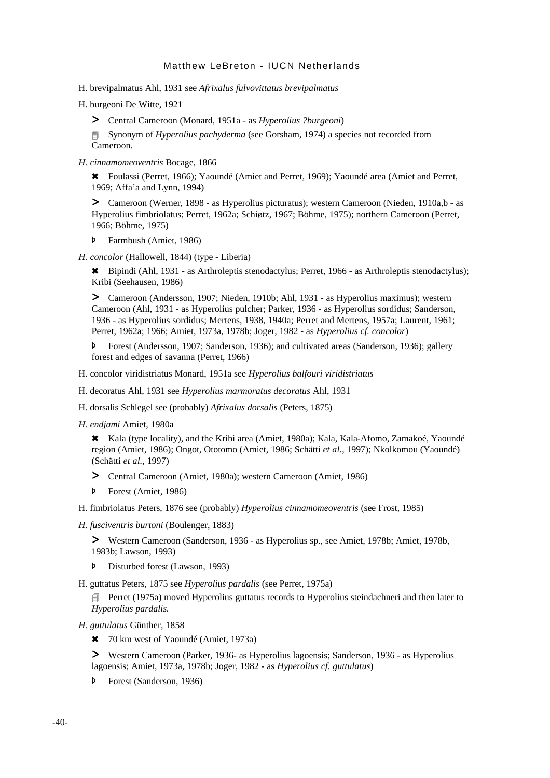H. brevipalmatus Ahl, 1931 see *Afrixalus fulvovittatus brevipalmatus*

H. burgeoni De Witte, 1921

> Central Cameroon (Monard, 1951a - as *Hyperolius ?burgeoni*)

**Exercise 3 Synonym of** *Hyperolius pachyderma* (see Gorsham, 1974) a species not recorded from Cameroon.

*H. cinnamomeoventris* Bocage, 1866

6 Foulassi (Perret, 1966); Yaoundé (Amiet and Perret, 1969); Yaoundé area (Amiet and Perret, 1969; Affa'a and Lynn, 1994)

> Cameroon (Werner, 1898 - as Hyperolius picturatus); western Cameroon (Nieden, 1910a,b - as Hyperolius fimbriolatus; Perret, 1962a; Schiøtz, 1967; Böhme, 1975); northern Cameroon (Perret, 1966; Böhme, 1975)

- Þ Farmbush (Amiet, 1986)
- *H. concolor* (Hallowell, 1844) (type Liberia)

6 Bipindi (Ahl, 1931 - as Arthroleptis stenodactylus; Perret, 1966 - as Arthroleptis stenodactylus); Kribi (Seehausen, 1986)

> Cameroon (Andersson, 1907; Nieden, 1910b; Ahl, 1931 - as Hyperolius maximus); western Cameroon (Ahl, 1931 - as Hyperolius pulcher; Parker, 1936 - as Hyperolius sordidus; Sanderson, 1936 - as Hyperolius sordidus; Mertens, 1938, 1940a; Perret and Mertens, 1957a; Laurent, 1961; Perret, 1962a; 1966; Amiet, 1973a, 1978b; Joger, 1982 - as *Hyperolius cf. concolor*)

Þ Forest (Andersson, 1907; Sanderson, 1936); and cultivated areas (Sanderson, 1936); gallery forest and edges of savanna (Perret, 1966)

H. concolor viridistriatus Monard, 1951a see *Hyperolius balfouri viridistriatus*

H. decoratus Ahl, 1931 see *Hyperolius marmoratus decoratus* Ahl, 1931

H. dorsalis Schlegel see (probably) *Afrixalus dorsalis* (Peters, 1875)

*H. endjami* Amiet, 1980a

6 Kala (type locality), and the Kribi area (Amiet, 1980a); Kala, Kala-Afomo, Zamakoé, Yaoundé region (Amiet, 1986); Ongot, Ototomo (Amiet, 1986; Schätti *et al.*, 1997); Nkolkomou (Yaoundé) (Schätti *et al.*, 1997)

- > Central Cameroon (Amiet, 1980a); western Cameroon (Amiet, 1986)
- Þ Forest (Amiet, 1986)

H. fimbriolatus Peters, 1876 see (probably) *Hyperolius cinnamomeoventris* (see Frost, 1985)

*H. fusciventris burtoni* (Boulenger, 1883)

> Western Cameroon (Sanderson, 1936 - as Hyperolius sp., see Amiet, 1978b; Amiet, 1978b, 1983b; Lawson, 1993)

Þ Disturbed forest (Lawson, 1993)

H. guttatus Peters, 1875 see *Hyperolius pardalis* (see Perret, 1975a)

**EXECUTE:** Perret (1975a) moved Hyperolius guttatus records to Hyperolius steindachneri and then later to *Hyperolius pardalis.*

*H. guttulatus* Günther, 1858

\* 70 km west of Yaoundé (Amiet, 1973a)

> Western Cameroon (Parker, 1936- as Hyperolius lagoensis; Sanderson, 1936 - as Hyperolius lagoensis; Amiet, 1973a, 1978b; Joger, 1982 - as *Hyperolius cf. guttulatus*)

Þ Forest (Sanderson, 1936)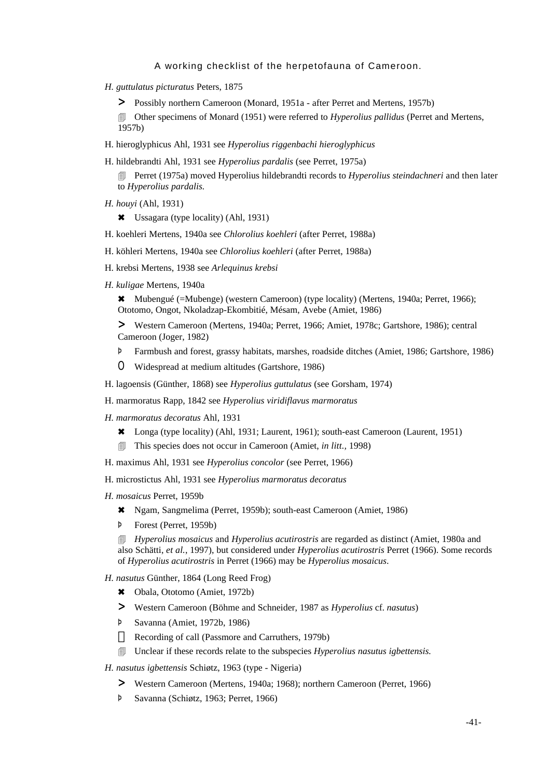- *H. guttulatus picturatus* Peters, 1875
	- > Possibly northern Cameroon (Monard, 1951a after Perret and Mertens, 1957b)

4 Other specimens of Monard (1951) were referred to *Hyperolius pallidus* (Perret and Mertens, 1957b)

H. hieroglyphicus Ahl, 1931 see *Hyperolius riggenbachi hieroglyphicus*

H. hildebrandti Ahl, 1931 see *Hyperolius pardalis* (see Perret, 1975a)

4 Perret (1975a) moved Hyperolius hildebrandti records to *Hyperolius steindachneri* and then later to *Hyperolius pardalis.*

*H. houyi* (Ahl, 1931)

6 Ussagara (type locality) (Ahl, 1931)

- H. koehleri Mertens, 1940a see *Chlorolius koehleri* (after Perret, 1988a)
- H. köhleri Mertens, 1940a see *Chlorolius koehleri* (after Perret, 1988a)
- H. krebsi Mertens, 1938 see *Arlequinus krebsi*
- *H. kuligae* Mertens, 1940a

6 Mubengué (=Mubenge) (western Cameroon) (type locality) (Mertens, 1940a; Perret, 1966); Ototomo, Ongot, Nkoladzap-Ekombitié, Mésam, Avebe (Amiet, 1986)

> Western Cameroon (Mertens, 1940a; Perret, 1966; Amiet, 1978c; Gartshore, 1986); central Cameroon (Joger, 1982)

- Þ Farmbush and forest, grassy habitats, marshes, roadside ditches (Amiet, 1986; Gartshore, 1986)
- O Widespread at medium altitudes (Gartshore, 1986)
- H. lagoensis (Günther, 1868) see *Hyperolius guttulatus* (see Gorsham, 1974)
- H. marmoratus Rapp, 1842 see *Hyperolius viridiflavus marmoratus*
- *H. marmoratus decoratus* Ahl, 1931
	- 6 Longa (type locality) (Ahl, 1931; Laurent, 1961); south-east Cameroon (Laurent, 1951)
	- 4 This species does not occur in Cameroon (Amiet, *in litt.,* 1998)
- H. maximus Ahl, 1931 see *Hyperolius concolor* (see Perret, 1966)
- H. microstictus Ahl, 1931 see *Hyperolius marmoratus decoratus*
- *H. mosaicus* Perret, 1959b
	- 6 Ngam, Sangmelima (Perret, 1959b); south-east Cameroon (Amiet, 1986)
	- Þ Forest (Perret, 1959b)

4 *Hyperolius mosaicus* and *Hyperolius acutirostris* are regarded as distinct (Amiet, 1980a and also Schätti, *et al.*, 1997), but considered under *Hyperolius acutirostris* Perret (1966). Some records of *Hyperolius acutirostris* in Perret (1966) may be *Hyperolius mosaicus*.

- *H. nasutus* Günther, 1864 (Long Reed Frog)
	- 6 Obala, Ototomo (Amiet, 1972b)
	- > Western Cameroon (Böhme and Schneider, 1987 as *Hyperolius* cf. *nasutus*)
	- Þ Savanna (Amiet, 1972b, 1986)
		- Recording of call (Passmore and Carruthers, 1979b)
	- 4 Unclear if these records relate to the subspecies *Hyperolius nasutus igbettensis.*

*H. nasutus igbettensis* Schiøtz, 1963 (type - Nigeria)

- > Western Cameroon (Mertens, 1940a; 1968); northern Cameroon (Perret, 1966)
- Þ Savanna (Schiøtz, 1963; Perret, 1966)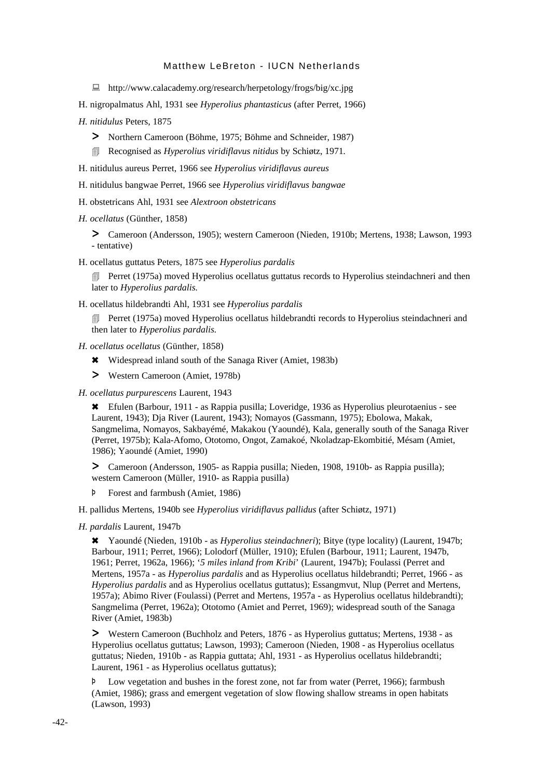- : http://www.calacademy.org/research/herpetology/frogs/big/xc.jpg
- H. nigropalmatus Ahl, 1931 see *Hyperolius phantasticus* (after Perret, 1966)
- *H. nitidulus* Peters, 1875
	- > Northern Cameroon (Böhme, 1975; Böhme and Schneider, 1987)
	- 4 Recognised as *Hyperolius viridiflavus nitidus* by Schiøtz, 1971*.*
- H. nitidulus aureus Perret, 1966 see *Hyperolius viridiflavus aureus*
- H. nitidulus bangwae Perret, 1966 see *Hyperolius viridiflavus bangwae*
- H. obstetricans Ahl, 1931 see *Alextroon obstetricans*
- *H. ocellatus* (Günther, 1858)

> Cameroon (Andersson, 1905); western Cameroon (Nieden, 1910b; Mertens, 1938; Lawson, 1993 - tentative)

H. ocellatus guttatus Peters, 1875 see *Hyperolius pardalis*

**EXECUTE:** Perret (1975a) moved Hyperolius ocellatus guttatus records to Hyperolius steindachneri and then later to *Hyperolius pardalis.*

H. ocellatus hildebrandti Ahl, 1931 see *Hyperolius pardalis*

**EXECUTE:** Perret (1975a) moved Hyperolius ocellatus hildebrandti records to Hyperolius steindachneri and then later to *Hyperolius pardalis.*

- *H. ocellatus ocellatus* (Günther, 1858)
	- \* Widespread inland south of the Sanaga River (Amiet, 1983b)
	- > Western Cameroon (Amiet, 1978b)
- *H. ocellatus purpurescens* Laurent, 1943

6 Efulen (Barbour, 1911 - as Rappia pusilla; Loveridge, 1936 as Hyperolius pleurotaenius - see Laurent, 1943); Dja River (Laurent, 1943); Nomayos (Gassmann, 1975); Ebolowa, Makak, Sangmelima, Nomayos, Sakbayémé, Makakou (Yaoundé), Kala, generally south of the Sanaga River (Perret, 1975b); Kala-Afomo, Ototomo, Ongot, Zamakoé, Nkoladzap-Ekombitié, Mésam (Amiet, 1986); Yaoundé (Amiet, 1990)

> Cameroon (Andersson, 1905- as Rappia pusilla; Nieden, 1908, 1910b- as Rappia pusilla); western Cameroon (Müller, 1910- as Rappia pusilla)

Þ Forest and farmbush (Amiet, 1986)

H. pallidus Mertens, 1940b see *Hyperolius viridiflavus pallidus* (after Schiøtz, 1971)

*H. pardalis* Laurent, 1947b

6 Yaoundé (Nieden, 1910b - as *Hyperolius steindachneri*); Bitye (type locality) (Laurent, 1947b; Barbour, 1911; Perret, 1966); Lolodorf (Müller, 1910); Efulen (Barbour, 1911; Laurent, 1947b, 1961; Perret, 1962a, 1966); '*5 miles inland from Kribi*' (Laurent, 1947b); Foulassi (Perret and Mertens, 1957a - as *Hyperolius pardalis* and as Hyperolius ocellatus hildebrandti; Perret, 1966 - as *Hyperolius pardalis* and as Hyperolius ocellatus guttatus); Essangmvut, Nlup (Perret and Mertens, 1957a); Abimo River (Foulassi) (Perret and Mertens, 1957a - as Hyperolius ocellatus hildebrandti); Sangmelima (Perret, 1962a); Ototomo (Amiet and Perret, 1969); widespread south of the Sanaga River (Amiet, 1983b)

> Western Cameroon (Buchholz and Peters, 1876 - as Hyperolius guttatus; Mertens, 1938 - as Hyperolius ocellatus guttatus; Lawson, 1993); Cameroon (Nieden, 1908 - as Hyperolius ocellatus guttatus; Nieden, 1910b - as Rappia guttata; Ahl, 1931 - as Hyperolius ocellatus hildebrandti; Laurent, 1961 - as Hyperolius ocellatus guttatus);

Þ Low vegetation and bushes in the forest zone, not far from water (Perret, 1966); farmbush (Amiet, 1986); grass and emergent vegetation of slow flowing shallow streams in open habitats (Lawson, 1993)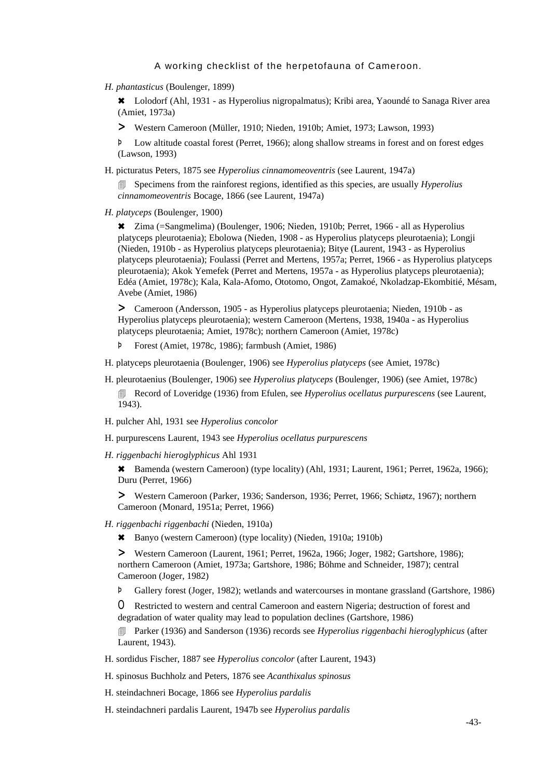*H. phantasticus* (Boulenger, 1899)

6 Lolodorf (Ahl, 1931 - as Hyperolius nigropalmatus); Kribi area, Yaoundé to Sanaga River area (Amiet, 1973a)

> Western Cameroon (Müller, 1910; Nieden, 1910b; Amiet, 1973; Lawson, 1993)

Þ Low altitude coastal forest (Perret, 1966); along shallow streams in forest and on forest edges (Lawson, 1993)

H. picturatus Peters, 1875 see *Hyperolius cinnamomeoventris* (see Laurent, 1947a)

4 Specimens from the rainforest regions, identified as this species, are usually *Hyperolius cinnamomeoventris* Bocage, 1866 (see Laurent, 1947a)

*H. platyceps* (Boulenger, 1900)

6 Zima (=Sangmelima) (Boulenger, 1906; Nieden, 1910b; Perret, 1966 - all as Hyperolius platyceps pleurotaenia); Ebolowa (Nieden, 1908 - as Hyperolius platyceps pleurotaenia); Longji (Nieden, 1910b - as Hyperolius platyceps pleurotaenia); Bitye (Laurent, 1943 - as Hyperolius platyceps pleurotaenia); Foulassi (Perret and Mertens, 1957a; Perret, 1966 - as Hyperolius platyceps pleurotaenia); Akok Yemefek (Perret and Mertens, 1957a - as Hyperolius platyceps pleurotaenia); Edéa (Amiet, 1978c); Kala, Kala-Afomo, Ototomo, Ongot, Zamakoé, Nkoladzap-Ekombitié, Mésam, Avebe (Amiet, 1986)

> Cameroon (Andersson, 1905 - as Hyperolius platyceps pleurotaenia; Nieden, 1910b - as Hyperolius platyceps pleurotaenia); western Cameroon (Mertens, 1938, 1940a - as Hyperolius platyceps pleurotaenia; Amiet, 1978c); northern Cameroon (Amiet, 1978c)

- Þ Forest (Amiet, 1978c, 1986); farmbush (Amiet, 1986)
- H. platyceps pleurotaenia (Boulenger, 1906) see *Hyperolius platyceps* (see Amiet, 1978c)
- H. pleurotaenius (Boulenger, 1906) see *Hyperolius platyceps* (Boulenger, 1906) (see Amiet, 1978c) 4 Record of Loveridge (1936) from Efulen, see *Hyperolius ocellatus purpurescens* (see Laurent, 1943).
- H. pulcher Ahl, 1931 see *Hyperolius concolor*
- H. purpurescens Laurent, 1943 see *Hyperolius ocellatus purpurescens*
- *H. riggenbachi hieroglyphicus* Ahl 1931

\* Bamenda (western Cameroon) (type locality) (Ahl, 1931; Laurent, 1961; Perret, 1962a, 1966); Duru (Perret, 1966)

> Western Cameroon (Parker, 1936; Sanderson, 1936; Perret, 1966; Schiøtz, 1967); northern Cameroon (Monard, 1951a; Perret, 1966)

- *H. riggenbachi riggenbachi* (Nieden, 1910a)
	- 6 Banyo (western Cameroon) (type locality) (Nieden, 1910a; 1910b)

> Western Cameroon (Laurent, 1961; Perret, 1962a, 1966; Joger, 1982; Gartshore, 1986); northern Cameroon (Amiet, 1973a; Gartshore, 1986; Böhme and Schneider, 1987); central Cameroon (Joger, 1982)

Þ Gallery forest (Joger, 1982); wetlands and watercourses in montane grassland (Gartshore, 1986)

O Restricted to western and central Cameroon and eastern Nigeria; destruction of forest and degradation of water quality may lead to population declines (Gartshore, 1986)

4 Parker (1936) and Sanderson (1936) records see *Hyperolius riggenbachi hieroglyphicus* (after Laurent, 1943)*.*

H. sordidus Fischer, 1887 see *Hyperolius concolor* (after Laurent, 1943)

H. spinosus Buchholz and Peters, 1876 see *Acanthixalus spinosus*

H. steindachneri Bocage, 1866 see *Hyperolius pardalis*

H. steindachneri pardalis Laurent, 1947b see *Hyperolius pardalis*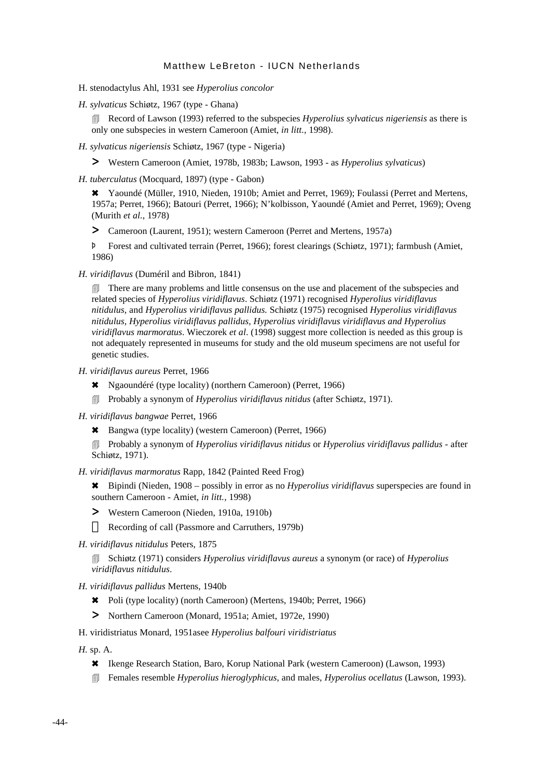- H. stenodactylus Ahl, 1931 see *Hyperolius concolor*
- *H. sylvaticus* Schiøtz, 1967 (type Ghana)

4 Record of Lawson (1993) referred to the subspecies *Hyperolius sylvaticus nigeriensis* as there is only one subspecies in western Cameroon (Amiet, *in litt.,* 1998).

- *H. sylvaticus nigeriensis* Schiøtz, 1967 (type Nigeria)
	- > Western Cameroon (Amiet, 1978b, 1983b; Lawson, 1993 as *Hyperolius sylvaticus*)
- *H. tuberculatus* (Mocquard, 1897) (type Gabon)

\* Yaoundé (Müller, 1910, Nieden, 1910b; Amiet and Perret, 1969); Foulassi (Perret and Mertens, 1957a; Perret, 1966); Batouri (Perret, 1966); N'kolbisson, Yaoundé (Amiet and Perret, 1969); Oveng (Murith *et al.*, 1978)

> Cameroon (Laurent, 1951); western Cameroon (Perret and Mertens, 1957a)

Þ Forest and cultivated terrain (Perret, 1966); forest clearings (Schiøtz, 1971); farmbush (Amiet, 1986)

*H. viridiflavus* (Duméril and Bibron, 1841)

**There are many problems and little consensus on the use and placement of the subspecies and** related species of *Hyperolius viridiflavus*. Schiøtz (1971) recognised *Hyperolius viridiflavus nitidulus*, and *Hyperolius viridiflavus pallidus.* Schiøtz (1975) recognised *Hyperolius viridiflavus nitidulus, Hyperolius viridiflavus pallidus, Hyperolius viridiflavus viridiflavus and Hyperolius viridiflavus marmoratus*. Wieczorek *et al*. (1998) suggest more collection is needed as this group is not adequately represented in museums for study and the old museum specimens are not useful for genetic studies.

- *H. viridiflavus aureus* Perret, 1966
	- 6 Ngaoundéré (type locality) (northern Cameroon) (Perret, 1966)
	- 4 Probably a synonym of *Hyperolius viridiflavus nitidus* (after Schiøtz, 1971).
- *H. viridiflavus bangwae* Perret, 1966
	- 6 Bangwa (type locality) (western Cameroon) (Perret, 1966)

4 Probably a synonym of *Hyperolius viridiflavus nitidus* or *Hyperolius viridiflavus pallidus* - after Schiøtz, 1971).

*H. viridiflavus marmoratus* Rapp, 1842 (Painted Reed Frog)

6 Bipindi (Nieden, 1908 – possibly in error as no *Hyperolius viridiflavus* superspecies are found in southern Cameroon - Amiet, *in litt.,* 1998)

> Western Cameroon (Nieden, 1910a, 1910b)

Recording of call (Passmore and Carruthers, 1979b)

*H. viridiflavus nitidulus* Peters, 1875

4 Schiøtz (1971) considers *Hyperolius viridiflavus aureus* a synonym (or race) of *Hyperolius viridiflavus nitidulus*.

- *H. viridiflavus pallidus* Mertens, 1940b
	- 6 Poli (type locality) (north Cameroon) (Mertens, 1940b; Perret, 1966)
	- > Northern Cameroon (Monard, 1951a; Amiet, 1972e, 1990)

H. viridistriatus Monard, 1951asee *Hyperolius balfouri viridistriatus*

*H.* sp. A.

- 6 Ikenge Research Station, Baro, Korup National Park (western Cameroon) (Lawson, 1993)
- 4 Females resemble *Hyperolius hieroglyphicus*, and males, *Hyperolius ocellatus* (Lawson, 1993).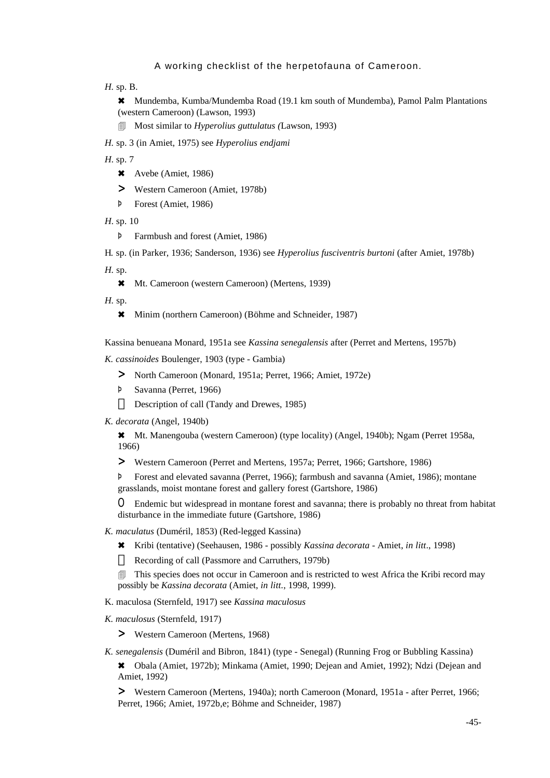*H.* sp. B.

6 Mundemba, Kumba/Mundemba Road (19.1 km south of Mundemba), Pamol Palm Plantations (western Cameroon) (Lawson, 1993)

4 Most similar to *Hyperolius guttulatus (*Lawson, 1993)

*H.* sp. 3 (in Amiet, 1975) see *Hyperolius endjami*

*H*. sp. 7

- $\star$  Avebe (Amiet, 1986)
- > Western Cameroon (Amiet, 1978b)
- Þ Forest (Amiet, 1986)
- *H*. sp. 10
	- Þ Farmbush and forest (Amiet, 1986)

H*.* sp. (in Parker, 1936; Sanderson, 1936) see *Hyperolius fusciventris burtoni* (after Amiet, 1978b)

*H.* sp.

6 Mt. Cameroon (western Cameroon) (Mertens, 1939)

*H.* sp.

\* Minim (northern Cameroon) (Böhme and Schneider, 1987)

Kassina benueana Monard, 1951a see *Kassina senegalensis* after (Perret and Mertens, 1957b)

*K. cassinoides* Boulenger, 1903 (type - Gambia)

- > North Cameroon (Monard, 1951a; Perret, 1966; Amiet, 1972e)
- Þ Savanna (Perret, 1966) Description of call (Tandy and Drewes, 1985)
- *K. decorata* (Angel, 1940b)

6 Mt. Manengouba (western Cameroon) (type locality) (Angel, 1940b); Ngam (Perret 1958a, 1966)

> Western Cameroon (Perret and Mertens, 1957a; Perret, 1966; Gartshore, 1986)

Þ Forest and elevated savanna (Perret, 1966); farmbush and savanna (Amiet, 1986); montane grasslands, moist montane forest and gallery forest (Gartshore, 1986)

O Endemic but widespread in montane forest and savanna; there is probably no threat from habitat disturbance in the immediate future (Gartshore, 1986)

- *K. maculatus* (Duméril, 1853) (Red-legged Kassina)
	- 6 Kribi (tentative) (Seehausen, 1986 possibly *Kassina decorata* Amiet, *in litt*., 1998) Recording of call (Passmore and Carruthers, 1979b)
	- 4 This species does not occur in Cameroon and is restricted to west Africa the Kribi record may possibly be *Kassina decorata* (Amiet, *in litt.*, 1998, 1999).
- K. maculosa (Sternfeld, 1917) see *Kassina maculosus*
- *K. maculosus* (Sternfeld, 1917)

> Western Cameroon (Mertens, 1968)

*K. senegalensis* (Duméril and Bibron, 1841) (type - Senegal) (Running Frog or Bubbling Kassina)

6 Obala (Amiet, 1972b); Minkama (Amiet, 1990; Dejean and Amiet, 1992); Ndzi (Dejean and Amiet, 1992)

> Western Cameroon (Mertens, 1940a); north Cameroon (Monard, 1951a - after Perret, 1966; Perret, 1966; Amiet, 1972b,e; Böhme and Schneider, 1987)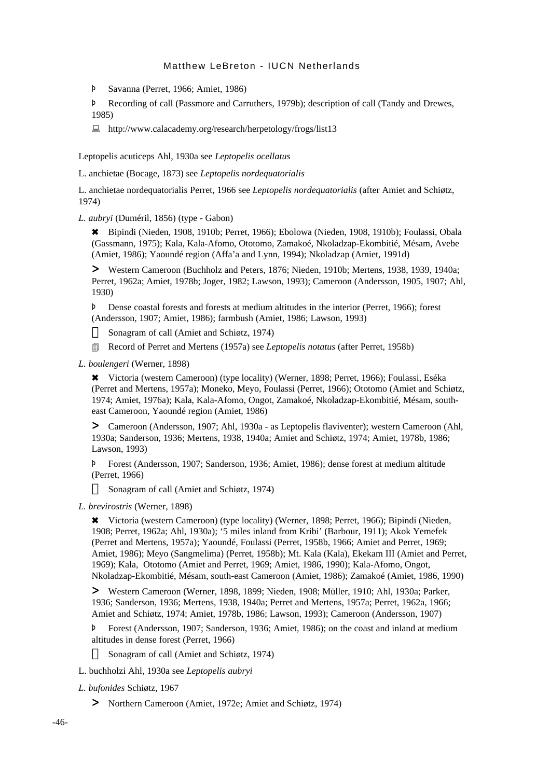Þ Savanna (Perret, 1966; Amiet, 1986)

Þ Recording of call (Passmore and Carruthers, 1979b); description of call (Tandy and Drewes, 1985)

 $\Box$  http://www.calacademy.org/research/herpetology/frogs/list13

Leptopelis acuticeps Ahl, 1930a see *Leptopelis ocellatus*

L. anchietae (Bocage, 1873) see *Leptopelis nordequatorialis*

L. anchietae nordequatorialis Perret, 1966 see *Leptopelis nordequatorialis* (after Amiet and Schiøtz, 1974)

### *L. aubryi* (Duméril, 1856) (type - Gabon)

6 Bipindi (Nieden, 1908, 1910b; Perret, 1966); Ebolowa (Nieden, 1908, 1910b); Foulassi, Obala (Gassmann, 1975); Kala, Kala-Afomo, Ototomo, Zamakoé, Nkoladzap-Ekombitié, Mésam, Avebe (Amiet, 1986); Yaoundé region (Affa'a and Lynn, 1994); Nkoladzap (Amiet, 1991d)

> Western Cameroon (Buchholz and Peters, 1876; Nieden, 1910b; Mertens, 1938, 1939, 1940a; Perret, 1962a; Amiet, 1978b; Joger, 1982; Lawson, 1993); Cameroon (Andersson, 1905, 1907; Ahl, 1930)

Þ Dense coastal forests and forests at medium altitudes in the interior (Perret, 1966); forest (Andersson, 1907; Amiet, 1986); farmbush (Amiet, 1986; Lawson, 1993)

Sonagram of call (Amiet and Schiøtz, 1974)

4 Record of Perret and Mertens (1957a) see *Leptopelis notatus* (after Perret, 1958b)

*L. boulengeri* (Werner, 1898)

6 Victoria (western Cameroon) (type locality) (Werner, 1898; Perret, 1966); Foulassi, Eséka (Perret and Mertens, 1957a); Moneko, Meyo, Foulassi (Perret, 1966); Ototomo (Amiet and Schiøtz, 1974; Amiet, 1976a); Kala, Kala-Afomo, Ongot, Zamakoé, Nkoladzap-Ekombitié, Mésam, southeast Cameroon, Yaoundé region (Amiet, 1986)

> Cameroon (Andersson, 1907; Ahl, 1930a - as Leptopelis flaviventer); western Cameroon (Ahl, 1930a; Sanderson, 1936; Mertens, 1938, 1940a; Amiet and Schiøtz, 1974; Amiet, 1978b, 1986; Lawson, 1993)

Þ Forest (Andersson, 1907; Sanderson, 1936; Amiet, 1986); dense forest at medium altitude (Perret, 1966)

Sonagram of call (Amiet and Schiøtz, 1974)

#### *L. brevirostris* (Werner, 1898)

6 Victoria (western Cameroon) (type locality) (Werner, 1898; Perret, 1966); Bipindi (Nieden, 1908; Perret, 1962a; Ahl, 1930a); '5 miles inland from Kribi' (Barbour, 1911); Akok Yemefek (Perret and Mertens, 1957a); Yaoundé, Foulassi (Perret, 1958b, 1966; Amiet and Perret, 1969; Amiet, 1986); Meyo (Sangmelima) (Perret, 1958b); Mt. Kala (Kala), Ekekam III (Amiet and Perret, 1969); Kala, Ototomo (Amiet and Perret, 1969; Amiet, 1986, 1990); Kala-Afomo, Ongot, Nkoladzap-Ekombitié, Mésam, south-east Cameroon (Amiet, 1986); Zamakoé (Amiet, 1986, 1990)

> Western Cameroon (Werner, 1898, 1899; Nieden, 1908; Müller, 1910; Ahl, 1930a; Parker, 1936; Sanderson, 1936; Mertens, 1938, 1940a; Perret and Mertens, 1957a; Perret, 1962a, 1966; Amiet and Schiøtz, 1974; Amiet, 1978b, 1986; Lawson, 1993); Cameroon (Andersson, 1907)

Þ Forest (Andersson, 1907; Sanderson, 1936; Amiet, 1986); on the coast and inland at medium altitudes in dense forest (Perret, 1966)

Sonagram of call (Amiet and Schiøtz, 1974)

L. buchholzi Ahl, 1930a see *Leptopelis aubryi*

*L. bufonides* Schiøtz, 1967

> Northern Cameroon (Amiet, 1972e; Amiet and Schiøtz, 1974)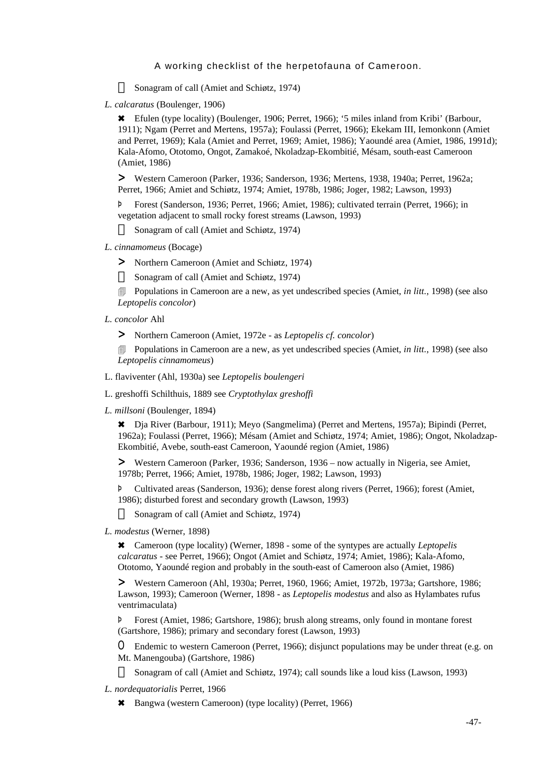Sonagram of call (Amiet and Schiøtz, 1974)

*L. calcaratus* (Boulenger, 1906)

6 Efulen (type locality) (Boulenger, 1906; Perret, 1966); '5 miles inland from Kribi' (Barbour, 1911); Ngam (Perret and Mertens, 1957a); Foulassi (Perret, 1966); Ekekam III, Iemonkonn (Amiet and Perret, 1969); Kala (Amiet and Perret, 1969; Amiet, 1986); Yaoundé area (Amiet, 1986, 1991d); Kala-Afomo, Ototomo, Ongot, Zamakoé, Nkoladzap-Ekombitié, Mésam, south-east Cameroon (Amiet, 1986)

> Western Cameroon (Parker, 1936; Sanderson, 1936; Mertens, 1938, 1940a; Perret, 1962a; Perret, 1966; Amiet and Schiøtz, 1974; Amiet, 1978b, 1986; Joger, 1982; Lawson, 1993)

Þ Forest (Sanderson, 1936; Perret, 1966; Amiet, 1986); cultivated terrain (Perret, 1966); in vegetation adjacent to small rocky forest streams (Lawson, 1993)

Sonagram of call (Amiet and Schiøtz, 1974)

- *L. cinnamomeus* (Bocage)
	- > Northern Cameroon (Amiet and Schiøtz, 1974)

Sonagram of call (Amiet and Schiøtz, 1974)

**EXECUTE:** Populations in Cameroon are a new, as yet undescribed species (Amiet, *in litt.*, 1998) (see also *Leptopelis concolor*)

- *L. concolor* Ahl
	- > Northern Cameroon (Amiet, 1972e as *Leptopelis cf. concolor*)

4 Populations in Cameroon are a new, as yet undescribed species (Amiet, *in litt.*, 1998) (see also *Leptopelis cinnamomeus*)

L. flaviventer (Ahl, 1930a) see *Leptopelis boulengeri*

L. greshoffi Schilthuis, 1889 see *Cryptothylax greshoffi*

*L. millsoni* (Boulenger, 1894)

6 Dja River (Barbour, 1911); Meyo (Sangmelima) (Perret and Mertens, 1957a); Bipindi (Perret, 1962a); Foulassi (Perret, 1966); Mésam (Amiet and Schiøtz, 1974; Amiet, 1986); Ongot, Nkoladzap-Ekombitié, Avebe, south-east Cameroon, Yaoundé region (Amiet, 1986)

> Western Cameroon (Parker, 1936; Sanderson, 1936 – now actually in Nigeria, see Amiet, 1978b; Perret, 1966; Amiet, 1978b, 1986; Joger, 1982; Lawson, 1993)

Þ Cultivated areas (Sanderson, 1936); dense forest along rivers (Perret, 1966); forest (Amiet, 1986); disturbed forest and secondary growth (Lawson, 1993)

Sonagram of call (Amiet and Schiøtz, 1974)

*L. modestus* (Werner, 1898)

6 Cameroon (type locality) (Werner, 1898 - some of the syntypes are actually *Leptopelis calcaratus* - see Perret, 1966); Ongot (Amiet and Schiøtz, 1974; Amiet, 1986); Kala-Afomo, Ototomo, Yaoundé region and probably in the south-east of Cameroon also (Amiet, 1986)

> Western Cameroon (Ahl, 1930a; Perret, 1960, 1966; Amiet, 1972b, 1973a; Gartshore, 1986; Lawson, 1993); Cameroon (Werner, 1898 - as *Leptopelis modestus* and also as Hylambates rufus ventrimaculata)

Þ Forest (Amiet, 1986; Gartshore, 1986); brush along streams, only found in montane forest (Gartshore, 1986); primary and secondary forest (Lawson, 1993)

O Endemic to western Cameroon (Perret, 1966); disjunct populations may be under threat (e.g. on Mt. Manengouba) (Gartshore, 1986)

Sonagram of call (Amiet and Schiøtz, 1974); call sounds like a loud kiss (Lawson, 1993)

- *L. nordequatorialis* Perret, 1966
	- 6 Bangwa (western Cameroon) (type locality) (Perret, 1966)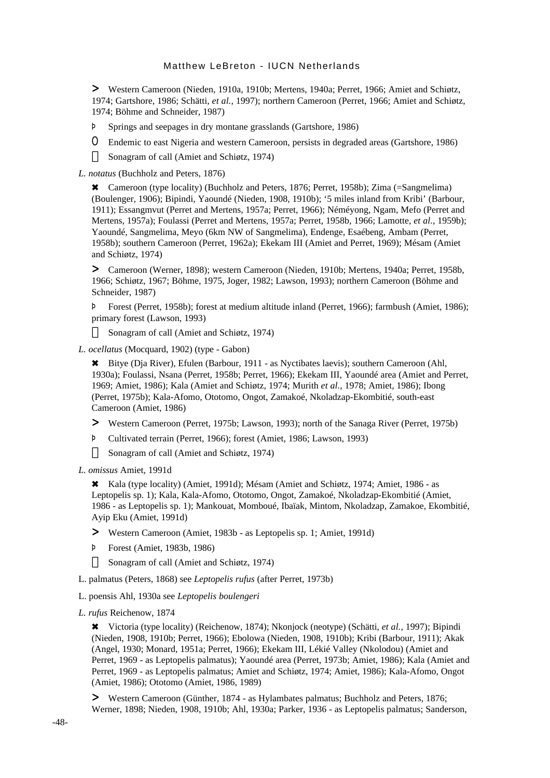> Western Cameroon (Nieden, 1910a, 1910b; Mertens, 1940a; Perret, 1966; Amiet and Schiøtz, 1974; Gartshore, 1986; Schätti, *et al.*, 1997); northern Cameroon (Perret, 1966; Amiet and Schiøtz, 1974; Böhme and Schneider, 1987)

- Þ Springs and seepages in dry montane grasslands (Gartshore, 1986)
- O Endemic to east Nigeria and western Cameroon, persists in degraded areas (Gartshore, 1986) Sonagram of call (Amiet and Schiøtz, 1974)

*L. notatus* (Buchholz and Peters, 1876)

6 Cameroon (type locality) (Buchholz and Peters, 1876; Perret, 1958b); Zima (=Sangmelima) (Boulenger, 1906); Bipindi, Yaoundé (Nieden, 1908, 1910b); '5 miles inland from Kribi' (Barbour, 1911); Essangmvut (Perret and Mertens, 1957a; Perret, 1966); Néméyong, Ngam, Mefo (Perret and Mertens, 1957a); Foulassi (Perret and Mertens, 1957a; Perret, 1958b, 1966; Lamotte, *et al.*, 1959b); Yaoundé, Sangmelima, Meyo (6km NW of Sangmelima), Endenge, Esaébeng, Ambam (Perret, 1958b); southern Cameroon (Perret, 1962a); Ekekam III (Amiet and Perret, 1969); Mésam (Amiet and Schiøtz, 1974)

> Cameroon (Werner, 1898); western Cameroon (Nieden, 1910b; Mertens, 1940a; Perret, 1958b, 1966; Schiøtz, 1967; Böhme, 1975, Joger, 1982; Lawson, 1993); northern Cameroon (Böhme and Schneider, 1987)

Þ Forest (Perret, 1958b); forest at medium altitude inland (Perret, 1966); farmbush (Amiet, 1986); primary forest (Lawson, 1993)

Sonagram of call (Amiet and Schiøtz, 1974)

*L. ocellatus* (Mocquard, 1902) (type - Gabon)

6 Bitye (Dja River), Efulen (Barbour, 1911 - as Nyctibates laevis); southern Cameroon (Ahl, 1930a); Foulassi, Nsana (Perret, 1958b; Perret, 1966); Ekekam III, Yaoundé area (Amiet and Perret, 1969; Amiet, 1986); Kala (Amiet and Schiøtz, 1974; Murith *et al.*, 1978; Amiet, 1986); Ibong (Perret, 1975b); Kala-Afomo, Ototomo, Ongot, Zamakoé, Nkoladzap-Ekombitié, south-east Cameroon (Amiet, 1986)

- > Western Cameroon (Perret, 1975b; Lawson, 1993); north of the Sanaga River (Perret, 1975b)
- Þ Cultivated terrain (Perret, 1966); forest (Amiet, 1986; Lawson, 1993)

Sonagram of call (Amiet and Schiøtz, 1974)

*L. omissus* Amiet, 1991d

6 Kala (type locality) (Amiet, 1991d); Mésam (Amiet and Schiøtz, 1974; Amiet, 1986 - as Leptopelis sp. 1); Kala, Kala-Afomo, Ototomo, Ongot, Zamakoé, Nkoladzap-Ekombitié (Amiet, 1986 - as Leptopelis sp. 1); Mankouat, Momboué, Ibaïak, Mintom, Nkoladzap, Zamakoe, Ekombitié, Ayip Eku (Amiet, 1991d)

- > Western Cameroon (Amiet, 1983b as Leptopelis sp. 1; Amiet, 1991d)
- Þ Forest (Amiet, 1983b, 1986)

Sonagram of call (Amiet and Schiøtz, 1974)

- L. palmatus (Peters, 1868) see *Leptopelis rufus* (after Perret, 1973b)
- L. poensis Ahl, 1930a see *Leptopelis boulengeri*
- *L. rufus* Reichenow, 1874

6 Victoria (type locality) (Reichenow, 1874); Nkonjock (neotype) (Schätti, *et al.*, 1997); Bipindi (Nieden, 1908, 1910b; Perret, 1966); Ebolowa (Nieden, 1908, 1910b); Kribi (Barbour, 1911); Akak (Angel, 1930; Monard, 1951a; Perret, 1966); Ekekam III, Lékié Valley (Nkolodou) (Amiet and Perret, 1969 - as Leptopelis palmatus); Yaoundé area (Perret, 1973b; Amiet, 1986); Kala (Amiet and Perret, 1969 - as Leptopelis palmatus; Amiet and Schiøtz, 1974; Amiet, 1986); Kala-Afomo, Ongot (Amiet, 1986); Ototomo (Amiet, 1986, 1989)

> Western Cameroon (Günther, 1874 - as Hylambates palmatus; Buchholz and Peters, 1876; Werner, 1898; Nieden, 1908, 1910b; Ahl, 1930a; Parker, 1936 - as Leptopelis palmatus; Sanderson,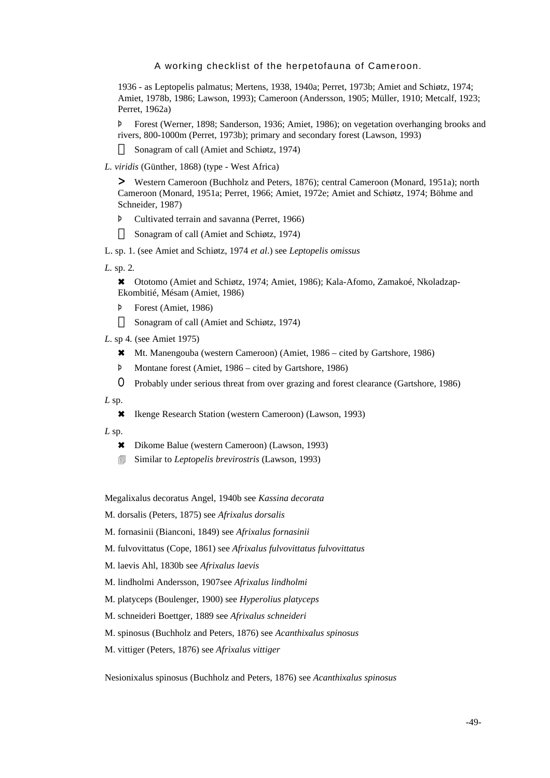1936 - as Leptopelis palmatus; Mertens, 1938, 1940a; Perret, 1973b; Amiet and Schiøtz, 1974; Amiet, 1978b, 1986; Lawson, 1993); Cameroon (Andersson, 1905; Müller, 1910; Metcalf, 1923; Perret, 1962a)

Þ Forest (Werner, 1898; Sanderson, 1936; Amiet, 1986); on vegetation overhanging brooks and rivers, 800-1000m (Perret, 1973b); primary and secondary forest (Lawson, 1993)

Sonagram of call (Amiet and Schiøtz, 1974)

*L. viridis* (Günther, 1868) (type - West Africa)

> Western Cameroon (Buchholz and Peters, 1876); central Cameroon (Monard, 1951a); north Cameroon (Monard, 1951a; Perret, 1966; Amiet, 1972e; Amiet and Schiøtz, 1974; Böhme and Schneider, 1987)

Þ Cultivated terrain and savanna (Perret, 1966)

Sonagram of call (Amiet and Schiøtz, 1974)

L. sp. 1. (see Amiet and Schiøtz, 1974 *et al*.) see *Leptopelis omissus*

*L.* sp. 2*.*

6 Ototomo (Amiet and Schiøtz, 1974; Amiet, 1986); Kala-Afomo, Zamakoé, Nkoladzap-Ekombitié, Mésam (Amiet, 1986)

Þ Forest (Amiet, 1986)

Sonagram of call (Amiet and Schiøtz, 1974)

- *L*. sp 4*.* (see Amiet 1975)
	- 6 Mt. Manengouba (western Cameroon) (Amiet, 1986 cited by Gartshore, 1986)
	- Þ Montane forest (Amiet, 1986 cited by Gartshore, 1986)
	- O Probably under serious threat from over grazing and forest clearance (Gartshore, 1986)

 $L$  sp.

6 Ikenge Research Station (western Cameroon) (Lawson, 1993)

*L* sp.

- 6 Dikome Balue (western Cameroon) (Lawson, 1993)
- 4 Similar to *Leptopelis brevirostris* (Lawson, 1993)

Megalixalus decoratus Angel, 1940b see *Kassina decorata*

M. dorsalis (Peters, 1875) see *Afrixalus dorsalis*

- M. fornasinii (Bianconi, 1849) see *Afrixalus fornasinii*
- M. fulvovittatus (Cope, 1861) see *Afrixalus fulvovittatus fulvovittatus*
- M. laevis Ahl, 1830b see *Afrixalus laevis*
- M. lindholmi Andersson, 1907see *Afrixalus lindholmi*
- M. platyceps (Boulenger, 1900) see *Hyperolius platyceps*
- M. schneideri Boettger, 1889 see *Afrixalus schneideri*
- M. spinosus (Buchholz and Peters, 1876) see *Acanthixalus spinosus*
- M. vittiger (Peters, 1876) see *Afrixalus vittiger*

Nesionixalus spinosus (Buchholz and Peters, 1876) see *Acanthixalus spinosus*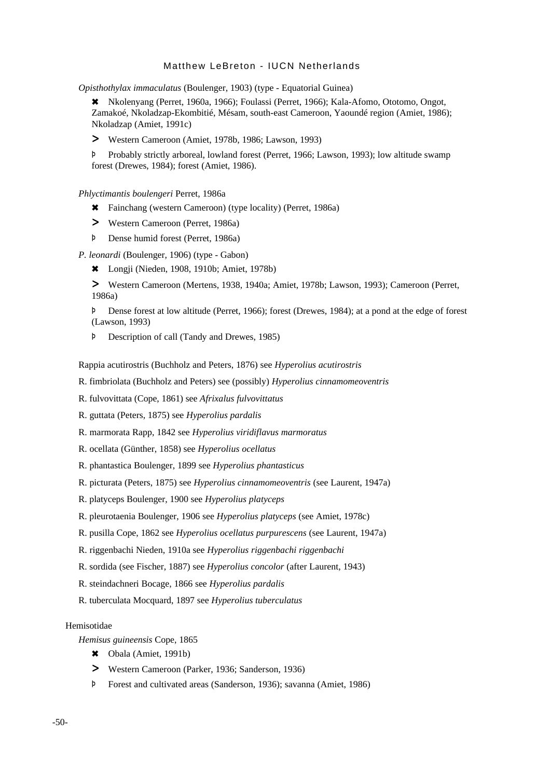*Opisthothylax immaculatus* (Boulenger, 1903) (type - Equatorial Guinea)

6 Nkolenyang (Perret, 1960a, 1966); Foulassi (Perret, 1966); Kala-Afomo, Ototomo, Ongot, Zamakoé, Nkoladzap-Ekombitié, Mésam, south-east Cameroon, Yaoundé region (Amiet, 1986); Nkoladzap (Amiet, 1991c)

> Western Cameroon (Amiet, 1978b, 1986; Lawson, 1993)

Þ Probably strictly arboreal, lowland forest (Perret, 1966; Lawson, 1993); low altitude swamp forest (Drewes, 1984); forest (Amiet, 1986).

*Phlyctimantis boulengeri* Perret, 1986a

- 6 Fainchang (western Cameroon) (type locality) (Perret, 1986a)
- > Western Cameroon (Perret, 1986a)
- Þ Dense humid forest (Perret, 1986a)

*P. leonardi* (Boulenger, 1906) (type - Gabon)

6 Longji (Nieden, 1908, 1910b; Amiet, 1978b)

> Western Cameroon (Mertens, 1938, 1940a; Amiet, 1978b; Lawson, 1993); Cameroon (Perret, 1986a)

Þ Dense forest at low altitude (Perret, 1966); forest (Drewes, 1984); at a pond at the edge of forest (Lawson, 1993)

Þ Description of call (Tandy and Drewes, 1985)

Rappia acutirostris (Buchholz and Peters, 1876) see *Hyperolius acutirostris*

R. fimbriolata (Buchholz and Peters) see (possibly) *Hyperolius cinnamomeoventris*

- R. fulvovittata (Cope, 1861) see *Afrixalus fulvovittatus*
- R. guttata (Peters, 1875) see *Hyperolius pardalis*
- R. marmorata Rapp, 1842 see *Hyperolius viridiflavus marmoratus*
- R. ocellata (Günther, 1858) see *Hyperolius ocellatus*
- R. phantastica Boulenger, 1899 see *Hyperolius phantasticus*
- R. picturata (Peters, 1875) see *Hyperolius cinnamomeoventris* (see Laurent, 1947a)
- R. platyceps Boulenger, 1900 see *Hyperolius platyceps*
- R. pleurotaenia Boulenger, 1906 see *Hyperolius platyceps* (see Amiet, 1978c)
- R. pusilla Cope, 1862 see *Hyperolius ocellatus purpurescens* (see Laurent, 1947a)
- R. riggenbachi Nieden, 1910a see *Hyperolius riggenbachi riggenbachi*
- R. sordida (see Fischer, 1887) see *Hyperolius concolor* (after Laurent, 1943)
- R. steindachneri Bocage, 1866 see *Hyperolius pardalis*
- R. tuberculata Mocquard, 1897 see *Hyperolius tuberculatus*

### Hemisotidae

*Hemisus guineensis* Cope, 1865

- \* Obala (Amiet, 1991b)
- > Western Cameroon (Parker, 1936; Sanderson, 1936)
- Þ Forest and cultivated areas (Sanderson, 1936); savanna (Amiet, 1986)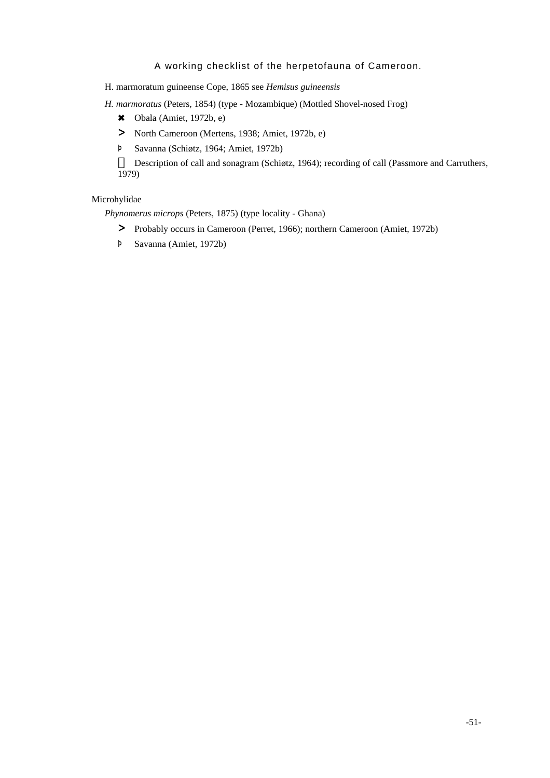H. marmoratum guineense Cope, 1865 see *Hemisus guineensis*

*H. marmoratus* (Peters, 1854) (type - Mozambique) (Mottled Shovel-nosed Frog)

- $\text{6}$  Obala (Amiet, 1972b, e)
- > North Cameroon (Mertens, 1938; Amiet, 1972b, e)
- Þ Savanna (Schiøtz, 1964; Amiet, 1972b)

Description of call and sonagram (Schiøtz, 1964); recording of call (Passmore and Carruthers, 1979)

# Microhylidae

*Phynomerus microps* (Peters, 1875) (type locality - Ghana)

- > Probably occurs in Cameroon (Perret, 1966); northern Cameroon (Amiet, 1972b)
- Þ Savanna (Amiet, 1972b)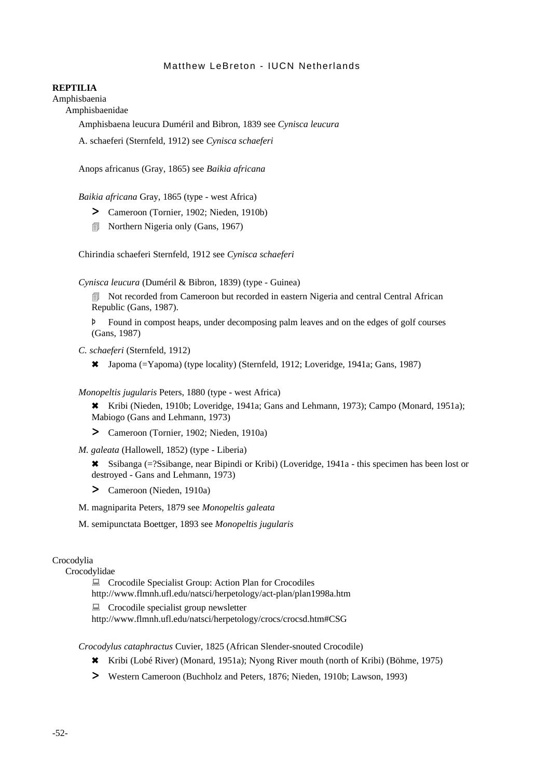### **REPTILIA**

Amphisbaenia

Amphisbaenidae

Amphisbaena leucura Duméril and Bibron, 1839 see *Cynisca leucura*

A. schaeferi (Sternfeld, 1912) see *Cynisca schaeferi*

Anops africanus (Gray, 1865) see *Baikia africana*

*Baikia africana* Gray, 1865 (type - west Africa)

- > Cameroon (Tornier, 1902; Nieden, 1910b)
- **In Northern Nigeria only (Gans, 1967)**

Chirindia schaeferi Sternfeld, 1912 see *Cynisca schaeferi*

*Cynisca leucura* (Duméril & Bibron, 1839) (type - Guinea)

• Not recorded from Cameroon but recorded in eastern Nigeria and central Central African Republic (Gans, 1987).

Þ Found in compost heaps, under decomposing palm leaves and on the edges of golf courses (Gans, 1987)

*C. schaeferi* (Sternfeld, 1912)

6 Japoma (=Yapoma) (type locality) (Sternfeld, 1912; Loveridge, 1941a; Gans, 1987)

*Monopeltis jugularis* Peters, 1880 (type - west Africa)

\* Kribi (Nieden, 1910b; Loveridge, 1941a; Gans and Lehmann, 1973); Campo (Monard, 1951a); Mabiogo (Gans and Lehmann, 1973)

> Cameroon (Tornier, 1902; Nieden, 1910a)

*M. galeata* (Hallowell, 1852) (type - Liberia)

\* Ssibanga (=?Ssibange, near Bipindi or Kribi) (Loveridge, 1941a - this specimen has been lost or destroyed - Gans and Lehmann, 1973)

> Cameroon (Nieden, 1910a)

M. magniparita Peters, 1879 see *Monopeltis galeata*

M. semipunctata Boettger, 1893 see *Monopeltis jugularis*

## Crocodylia

Crocodylidae

■ Crocodile Specialist Group: Action Plan for Crocodiles http://www.flmnh.ufl.edu/natsci/herpetology/act-plan/plan1998a.htm

■ Crocodile specialist group newsletter

http://www.flmnh.ufl.edu/natsci/herpetology/crocs/crocsd.htm#CSG

*Crocodylus cataphractus* Cuvier, 1825 (African Slender-snouted Crocodile)

- 6 Kribi (Lobé River) (Monard, 1951a); Nyong River mouth (north of Kribi) (Böhme, 1975)
- > Western Cameroon (Buchholz and Peters, 1876; Nieden, 1910b; Lawson, 1993)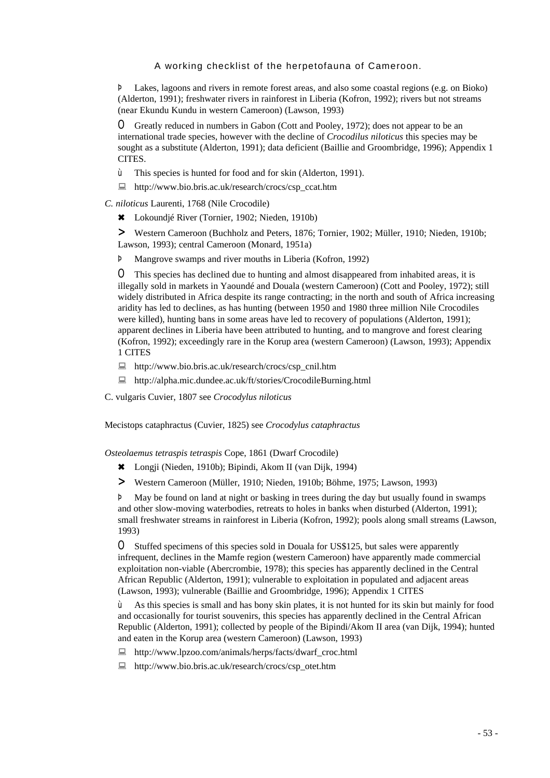Þ Lakes, lagoons and rivers in remote forest areas, and also some coastal regions (e.g. on Bioko) (Alderton, 1991); freshwater rivers in rainforest in Liberia (Kofron, 1992); rivers but not streams (near Ekundu Kundu in western Cameroon) (Lawson, 1993)

O Greatly reduced in numbers in Gabon (Cott and Pooley, 1972); does not appear to be an international trade species, however with the decline of *Crocodilus niloticus* this species may be sought as a substitute (Alderton, 1991); data deficient (Baillie and Groombridge, 1996); Appendix 1 CITES.

- ù This species is hunted for food and for skin (Alderton, 1991).
- : http://www.bio.bris.ac.uk/research/crocs/csp\_ccat.htm
- *C. niloticus* Laurenti, 1768 (Nile Crocodile)
	- 6 Lokoundjé River (Tornier, 1902; Nieden, 1910b)

> Western Cameroon (Buchholz and Peters, 1876; Tornier, 1902; Müller, 1910; Nieden, 1910b; Lawson, 1993); central Cameroon (Monard, 1951a)

Þ Mangrove swamps and river mouths in Liberia (Kofron, 1992)

O This species has declined due to hunting and almost disappeared from inhabited areas, it is illegally sold in markets in Yaoundé and Douala (western Cameroon) (Cott and Pooley, 1972); still widely distributed in Africa despite its range contracting; in the north and south of Africa increasing aridity has led to declines, as has hunting (between 1950 and 1980 three million Nile Crocodiles were killed), hunting bans in some areas have led to recovery of populations (Alderton, 1991); apparent declines in Liberia have been attributed to hunting, and to mangrove and forest clearing (Kofron, 1992); exceedingly rare in the Korup area (western Cameroon) (Lawson, 1993); Appendix 1 CITES

- : http://www.bio.bris.ac.uk/research/crocs/csp\_cnil.htm
- : http://alpha.mic.dundee.ac.uk/ft/stories/CrocodileBurning.html
- C. vulgaris Cuvier, 1807 see *Crocodylus niloticus*

Mecistops cataphractus (Cuvier, 1825) see *Crocodylus cataphractus*

*Osteolaemus tetraspis tetraspis* Cope, 1861 (Dwarf Crocodile)

- 6 Longji (Nieden, 1910b); Bipindi, Akom II (van Dijk, 1994)
- > Western Cameroon (Müller, 1910; Nieden, 1910b; Böhme, 1975; Lawson, 1993)

Þ May be found on land at night or basking in trees during the day but usually found in swamps and other slow-moving waterbodies, retreats to holes in banks when disturbed (Alderton, 1991); small freshwater streams in rainforest in Liberia (Kofron, 1992); pools along small streams (Lawson, 1993)

O Stuffed specimens of this species sold in Douala for US\$125, but sales were apparently infrequent, declines in the Mamfe region (western Cameroon) have apparently made commercial exploitation non-viable (Abercrombie, 1978); this species has apparently declined in the Central African Republic (Alderton, 1991); vulnerable to exploitation in populated and adjacent areas (Lawson, 1993); vulnerable (Baillie and Groombridge, 1996); Appendix 1 CITES

ù As this species is small and has bony skin plates, it is not hunted for its skin but mainly for food and occasionally for tourist souvenirs, this species has apparently declined in the Central African Republic (Alderton, 1991); collected by people of the Bipindi/Akom II area (van Dijk, 1994); hunted and eaten in the Korup area (western Cameroon) (Lawson, 1993)

- : http://www.lpzoo.com/animals/herps/facts/dwarf\_croc.html
- : http://www.bio.bris.ac.uk/research/crocs/csp\_otet.htm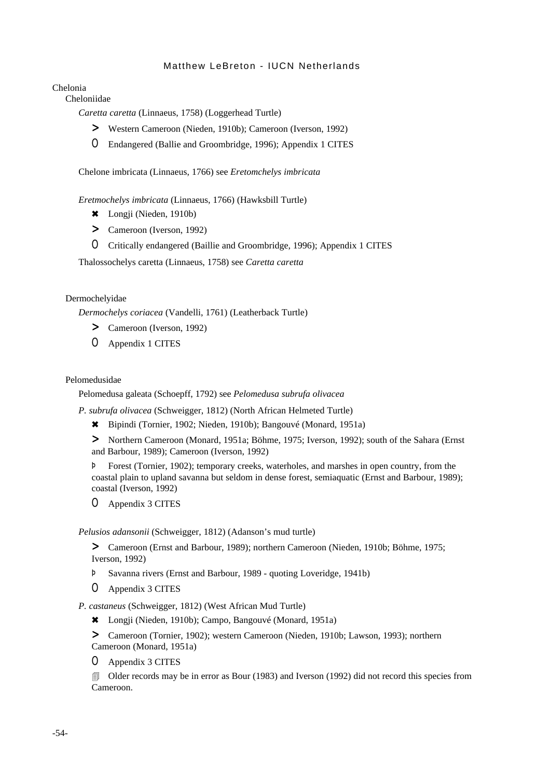Chelonia

Cheloniidae

*Caretta caretta* (Linnaeus, 1758) (Loggerhead Turtle)

- > Western Cameroon (Nieden, 1910b); Cameroon (Iverson, 1992)
- O Endangered (Ballie and Groombridge, 1996); Appendix 1 CITES

Chelone imbricata (Linnaeus, 1766) see *Eretomchelys imbricata*

*Eretmochelys imbricata* (Linnaeus, 1766) (Hawksbill Turtle)

- \* Longji (Nieden, 1910b)
- > Cameroon (Iverson, 1992)
- O Critically endangered (Baillie and Groombridge, 1996); Appendix 1 CITES

Thalossochelys caretta (Linnaeus, 1758) see *Caretta caretta*

### Dermochelyidae

*Dermochelys coriacea* (Vandelli, 1761) (Leatherback Turtle)

- > Cameroon (Iverson, 1992)
- O Appendix 1 CITES

## Pelomedusidae

Pelomedusa galeata (Schoepff, 1792) see *Pelomedusa subrufa olivacea*

*P. subrufa olivacea* (Schweigger, 1812) (North African Helmeted Turtle)

6 Bipindi (Tornier, 1902; Nieden, 1910b); Bangouvé (Monard, 1951a)

> Northern Cameroon (Monard, 1951a; Böhme, 1975; Iverson, 1992); south of the Sahara (Ernst and Barbour, 1989); Cameroon (Iverson, 1992)

Þ Forest (Tornier, 1902); temporary creeks, waterholes, and marshes in open country, from the coastal plain to upland savanna but seldom in dense forest, semiaquatic (Ernst and Barbour, 1989); coastal (Iverson, 1992)

O Appendix 3 CITES

*Pelusios adansonii* (Schweigger, 1812) (Adanson's mud turtle)

> Cameroon (Ernst and Barbour, 1989); northern Cameroon (Nieden, 1910b; Böhme, 1975; Iverson, 1992)

- Þ Savanna rivers (Ernst and Barbour, 1989 quoting Loveridge, 1941b)
- O Appendix 3 CITES

*P. castaneus* (Schweigger, 1812) (West African Mud Turtle)

6 Longji (Nieden, 1910b); Campo, Bangouvé (Monard, 1951a)

> Cameroon (Tornier, 1902); western Cameroon (Nieden, 1910b; Lawson, 1993); northern Cameroon (Monard, 1951a)

O Appendix 3 CITES

4 Older records may be in error as Bour (1983) and Iverson (1992) did not record this species from Cameroon.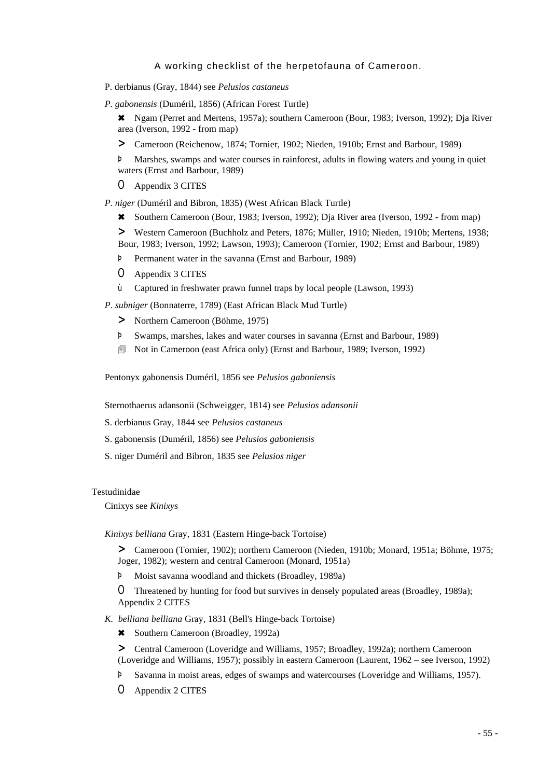- P. derbianus (Gray, 1844) see *Pelusios castaneus*
- *P. gabonensis* (Duméril, 1856) (African Forest Turtle)

6 Ngam (Perret and Mertens, 1957a); southern Cameroon (Bour, 1983; Iverson, 1992); Dja River area (Iverson, 1992 - from map)

> Cameroon (Reichenow, 1874; Tornier, 1902; Nieden, 1910b; Ernst and Barbour, 1989)

Þ Marshes, swamps and water courses in rainforest, adults in flowing waters and young in quiet waters (Ernst and Barbour, 1989)

O Appendix 3 CITES

*P. niger* (Duméril and Bibron, 1835) (West African Black Turtle)

6 Southern Cameroon (Bour, 1983; Iverson, 1992); Dja River area (Iverson, 1992 - from map)

> Western Cameroon (Buchholz and Peters, 1876; Müller, 1910; Nieden, 1910b; Mertens, 1938; Bour, 1983; Iverson, 1992; Lawson, 1993); Cameroon (Tornier, 1902; Ernst and Barbour, 1989)

- Þ Permanent water in the savanna (Ernst and Barbour, 1989)
- O Appendix 3 CITES
- ù Captured in freshwater prawn funnel traps by local people (Lawson, 1993)

*P. subniger* (Bonnaterre, 1789) (East African Black Mud Turtle)

- > Northern Cameroon (Böhme, 1975)
- Þ Swamps, marshes, lakes and water courses in savanna (Ernst and Barbour, 1989)
- 4 Not in Cameroon (east Africa only) (Ernst and Barbour, 1989; Iverson, 1992)

Pentonyx gabonensis Duméril, 1856 see *Pelusios gaboniensis*

Sternothaerus adansonii (Schweigger, 1814) see *Pelusios adansonii*

- S. derbianus Gray, 1844 see *Pelusios castaneus*
- S. gabonensis (Duméril, 1856) see *Pelusios gaboniensis*
- S. niger Duméril and Bibron, 1835 see *Pelusios niger*

### Testudinidae

Cinixys see *Kinixys*

*Kinixys belliana* Gray, 1831 (Eastern Hinge-back Tortoise)

> Cameroon (Tornier, 1902); northern Cameroon (Nieden, 1910b; Monard, 1951a; Böhme, 1975; Joger, 1982); western and central Cameroon (Monard, 1951a)

Þ Moist savanna woodland and thickets (Broadley, 1989a)

O Threatened by hunting for food but survives in densely populated areas (Broadley, 1989a); Appendix 2 CITES

- *K. belliana belliana* Gray, 1831 (Bell's Hinge-back Tortoise)
	- \* Southern Cameroon (Broadley, 1992a)

> Central Cameroon (Loveridge and Williams, 1957; Broadley, 1992a); northern Cameroon (Loveridge and Williams, 1957); possibly in eastern Cameroon (Laurent, 1962 – see Iverson, 1992)

- Þ Savanna in moist areas, edges of swamps and watercourses (Loveridge and Williams, 1957).
- O Appendix 2 CITES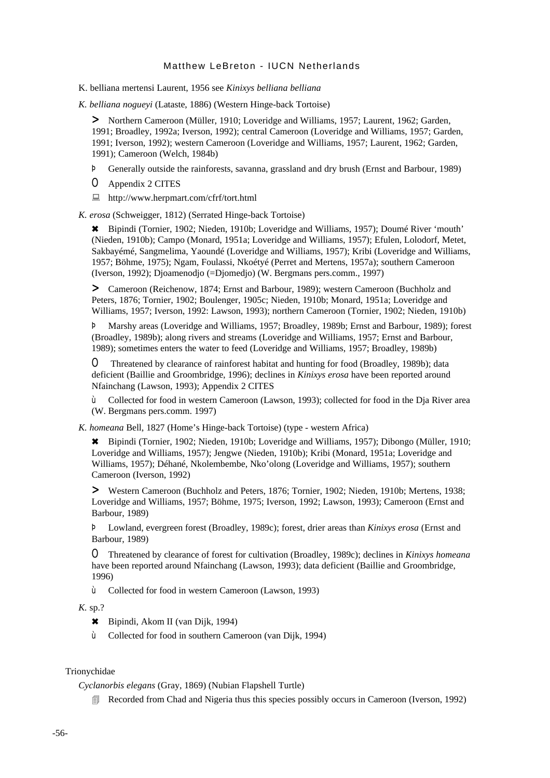K. belliana mertensi Laurent, 1956 see *Kinixys belliana belliana*

*K. belliana nogueyi* (Lataste, 1886) (Western Hinge-back Tortoise)

> Northern Cameroon (Müller, 1910; Loveridge and Williams, 1957; Laurent, 1962; Garden, 1991; Broadley, 1992a; Iverson, 1992); central Cameroon (Loveridge and Williams, 1957; Garden, 1991; Iverson, 1992); western Cameroon (Loveridge and Williams, 1957; Laurent, 1962; Garden, 1991); Cameroon (Welch, 1984b)

Þ Generally outside the rainforests, savanna, grassland and dry brush (Ernst and Barbour, 1989)

O Appendix 2 CITES

: http://www.herpmart.com/cfrf/tort.html

*K. erosa* (Schweigger, 1812) (Serrated Hinge-back Tortoise)

6 Bipindi (Tornier, 1902; Nieden, 1910b; Loveridge and Williams, 1957); Doumé River 'mouth' (Nieden, 1910b); Campo (Monard, 1951a; Loveridge and Williams, 1957); Efulen, Lolodorf, Metet, Sakbayémé, Sangmelima, Yaoundé (Loveridge and Williams, 1957); Kribi (Loveridge and Williams, 1957; Böhme, 1975); Ngam, Foulassi, Nkoétyé (Perret and Mertens, 1957a); southern Cameroon (Iverson, 1992); Djoamenodjo (=Djomedjo) (W. Bergmans pers.comm., 1997)

> Cameroon (Reichenow, 1874; Ernst and Barbour, 1989); western Cameroon (Buchholz and Peters, 1876; Tornier, 1902; Boulenger, 1905c; Nieden, 1910b; Monard, 1951a; Loveridge and Williams, 1957; Iverson, 1992: Lawson, 1993); northern Cameroon (Tornier, 1902; Nieden, 1910b)

Þ Marshy areas (Loveridge and Williams, 1957; Broadley, 1989b; Ernst and Barbour, 1989); forest (Broadley, 1989b); along rivers and streams (Loveridge and Williams, 1957; Ernst and Barbour, 1989); sometimes enters the water to feed (Loveridge and Williams, 1957; Broadley, 1989b)

O Threatened by clearance of rainforest habitat and hunting for food (Broadley, 1989b); data deficient (Baillie and Groombridge, 1996); declines in *Kinixys erosa* have been reported around Nfainchang (Lawson, 1993); Appendix 2 CITES

ù Collected for food in western Cameroon (Lawson, 1993); collected for food in the Dja River area (W. Bergmans pers.comm. 1997)

*K. homeana* Bell, 1827 (Home's Hinge-back Tortoise) (type - western Africa)

6 Bipindi (Tornier, 1902; Nieden, 1910b; Loveridge and Williams, 1957); Dibongo (Müller, 1910; Loveridge and Williams, 1957); Jengwe (Nieden, 1910b); Kribi (Monard, 1951a; Loveridge and Williams, 1957); Déhané, Nkolembembe, Nko'olong (Loveridge and Williams, 1957); southern Cameroon (Iverson, 1992)

> Western Cameroon (Buchholz and Peters, 1876; Tornier, 1902; Nieden, 1910b; Mertens, 1938; Loveridge and Williams, 1957; Böhme, 1975; Iverson, 1992; Lawson, 1993); Cameroon (Ernst and Barbour, 1989)

Þ Lowland, evergreen forest (Broadley, 1989c); forest, drier areas than *Kinixys erosa* (Ernst and Barbour, 1989)

O Threatened by clearance of forest for cultivation (Broadley, 1989c); declines in *Kinixys homeana* have been reported around Nfainchang (Lawson, 1993); data deficient (Baillie and Groombridge, 1996)

ù Collected for food in western Cameroon (Lawson, 1993)

*K.* sp.?

6 Bipindi, Akom II (van Dijk, 1994)

ù Collected for food in southern Cameroon (van Dijk, 1994)

# Trionychidae

*Cyclanorbis elegans* (Gray, 1869) (Nubian Flapshell Turtle)

**EXECORDED** Recorded from Chad and Nigeria thus this species possibly occurs in Cameroon (Iverson, 1992)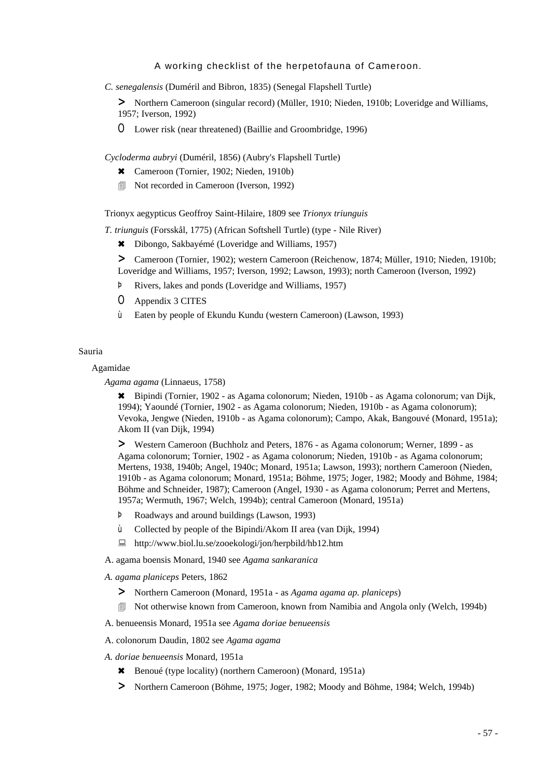*C. senegalensis* (Duméril and Bibron, 1835) (Senegal Flapshell Turtle)

> Northern Cameroon (singular record) (Müller, 1910; Nieden, 1910b; Loveridge and Williams, 1957; Iverson, 1992)

O Lower risk (near threatened) (Baillie and Groombridge, 1996)

*Cycloderma aubryi* (Duméril, 1856) (Aubry's Flapshell Turtle)

- \* Cameroon (Tornier, 1902; Nieden, 1910b)
- **■** Not recorded in Cameroon (Iverson, 1992)

Trionyx aegypticus Geoffroy Saint-Hilaire, 1809 see *Trionyx triunguis*

*T. triunguis* (Forsskål, 1775) (African Softshell Turtle) (type - Nile River)

\* Dibongo, Sakbayémé (Loveridge and Williams, 1957)

> Cameroon (Tornier, 1902); western Cameroon (Reichenow, 1874; Müller, 1910; Nieden, 1910b; Loveridge and Williams, 1957; Iverson, 1992; Lawson, 1993); north Cameroon (Iverson, 1992)

- Þ Rivers, lakes and ponds (Loveridge and Williams, 1957)
- O Appendix 3 CITES
- ù Eaten by people of Ekundu Kundu (western Cameroon) (Lawson, 1993)

#### Sauria

#### Agamidae

*Agama agama* (Linnaeus, 1758)

6 Bipindi (Tornier, 1902 - as Agama colonorum; Nieden, 1910b - as Agama colonorum; van Dijk, 1994); Yaoundé (Tornier, 1902 - as Agama colonorum; Nieden, 1910b - as Agama colonorum); Vevoka, Jengwe (Nieden, 1910b - as Agama colonorum); Campo, Akak, Bangouvé (Monard, 1951a); Akom II (van Dijk, 1994)

> Western Cameroon (Buchholz and Peters, 1876 - as Agama colonorum; Werner, 1899 - as Agama colonorum; Tornier, 1902 - as Agama colonorum; Nieden, 1910b - as Agama colonorum; Mertens, 1938, 1940b; Angel, 1940c; Monard, 1951a; Lawson, 1993); northern Cameroon (Nieden, 1910b - as Agama colonorum; Monard, 1951a; Böhme, 1975; Joger, 1982; Moody and Böhme, 1984; Böhme and Schneider, 1987); Cameroon (Angel, 1930 - as Agama colonorum; Perret and Mertens, 1957a; Wermuth, 1967; Welch, 1994b); central Cameroon (Monard, 1951a)

- Þ Roadways and around buildings (Lawson, 1993)
- ù Collected by people of the Bipindi/Akom II area (van Dijk, 1994)
- : http://www.biol.lu.se/zooekologi/jon/herpbild/hb12.htm
- A. agama boensis Monard, 1940 see *Agama sankaranica*
- *A. agama planiceps* Peters, 1862
	- > Northern Cameroon (Monard, 1951a as *Agama agama ap. planiceps*)
	- 4 Not otherwise known from Cameroon, known from Namibia and Angola only (Welch, 1994b)
- A. benueensis Monard, 1951a see *Agama doriae benueensis*
- A. colonorum Daudin, 1802 see *Agama agama*
- *A. doriae benueensis* Monard, 1951a
	- 6 Benoué (type locality) (northern Cameroon) (Monard, 1951a)
	- > Northern Cameroon (Böhme, 1975; Joger, 1982; Moody and Böhme, 1984; Welch, 1994b)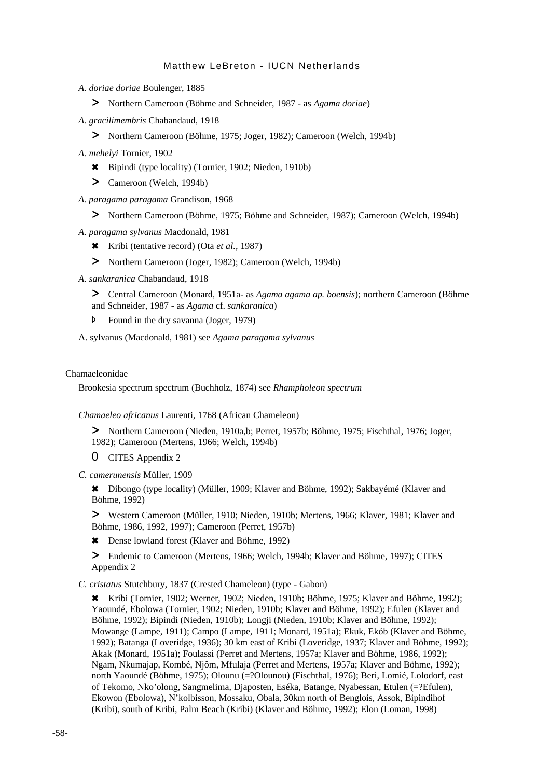- *A. doriae doriae* Boulenger, 1885
	- > Northern Cameroon (Böhme and Schneider, 1987 as *Agama doriae*)
- *A. gracilimembris* Chabandaud, 1918
	- > Northern Cameroon (Böhme, 1975; Joger, 1982); Cameroon (Welch, 1994b)
- *A. mehelyi* Tornier, 1902
	- 6 Bipindi (type locality) (Tornier, 1902; Nieden, 1910b)
	- > Cameroon (Welch, 1994b)
- *A. paragama paragama* Grandison, 1968
	- > Northern Cameroon (Böhme, 1975; Böhme and Schneider, 1987); Cameroon (Welch, 1994b)
- *A. paragama sylvanus* Macdonald, 1981
	- 6 Kribi (tentative record) (Ota *et al.,* 1987)
	- > Northern Cameroon (Joger, 1982); Cameroon (Welch, 1994b)
- *A. sankaranica* Chabandaud, 1918

> Central Cameroon (Monard, 1951a- as *Agama agama ap. boensis*); northern Cameroon (Böhme and Schneider, 1987 - as *Agama* cf. *sankaranica*)

Þ Found in the dry savanna (Joger, 1979)

A. sylvanus (Macdonald, 1981) see *Agama paragama sylvanus*

#### Chamaeleonidae

Brookesia spectrum spectrum (Buchholz, 1874) see *Rhampholeon spectrum*

#### *Chamaeleo africanus* Laurenti, 1768 (African Chameleon)

> Northern Cameroon (Nieden, 1910a,b; Perret, 1957b; Böhme, 1975; Fischthal, 1976; Joger, 1982); Cameroon (Mertens, 1966; Welch, 1994b)

O CITES Appendix 2

*C. camerunensis* Müller, 1909

6 Dibongo (type locality) (Müller, 1909; Klaver and Böhme, 1992); Sakbayémé (Klaver and Böhme, 1992)

> Western Cameroon (Müller, 1910; Nieden, 1910b; Mertens, 1966; Klaver, 1981; Klaver and Böhme, 1986, 1992, 1997); Cameroon (Perret, 1957b)

\* Dense lowland forest (Klaver and Böhme, 1992)

> Endemic to Cameroon (Mertens, 1966; Welch, 1994b; Klaver and Böhme, 1997); CITES Appendix 2

*C. cristatus* Stutchbury, 1837 (Crested Chameleon) (type - Gabon)

6 Kribi (Tornier, 1902; Werner, 1902; Nieden, 1910b; Böhme, 1975; Klaver and Böhme, 1992); Yaoundé, Ebolowa (Tornier, 1902; Nieden, 1910b; Klaver and Böhme, 1992); Efulen (Klaver and Böhme, 1992); Bipindi (Nieden, 1910b); Longji (Nieden, 1910b; Klaver and Böhme, 1992); Mowange (Lampe, 1911); Campo (Lampe, 1911; Monard, 1951a); Ekuk, Ekób (Klaver and Böhme, 1992); Batanga (Loveridge, 1936); 30 km east of Kribi (Loveridge, 1937; Klaver and Böhme, 1992); Akak (Monard, 1951a); Foulassi (Perret and Mertens, 1957a; Klaver and Böhme, 1986, 1992); Ngam, Nkumajap, Kombé, Njôm, Mfulaja (Perret and Mertens, 1957a; Klaver and Böhme, 1992); north Yaoundé (Böhme, 1975); Olounu (=?Olounou) (Fischthal, 1976); Beri, Lomié, Lolodorf, east of Tekomo, Nko'olong, Sangmelima, Djaposten, Eséka, Batange, Nyabessan, Etulen (=?Efulen), Ekowon (Ebolowa), N'kolbisson, Mossaku, Obala, 30km north of Benglois, Assok, Bipindihof (Kribi), south of Kribi, Palm Beach (Kribi) (Klaver and Böhme, 1992); Elon (Loman, 1998)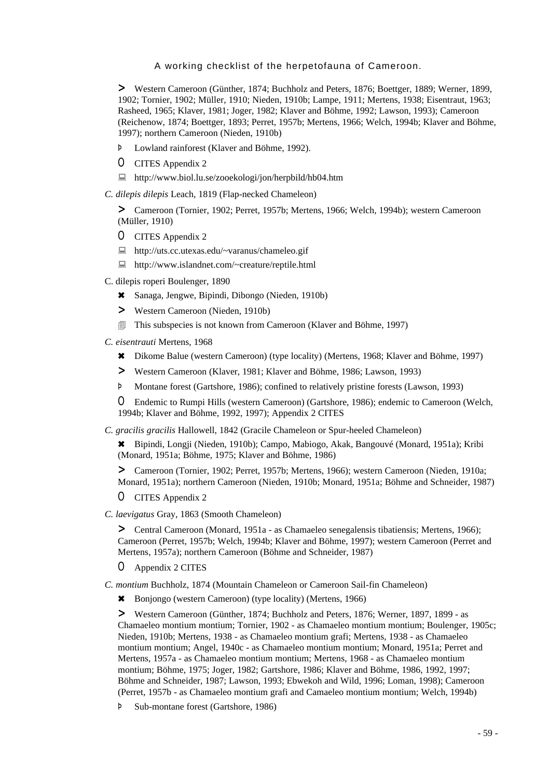> Western Cameroon (Günther, 1874; Buchholz and Peters, 1876; Boettger, 1889; Werner, 1899, 1902; Tornier, 1902; Müller, 1910; Nieden, 1910b; Lampe, 1911; Mertens, 1938; Eisentraut, 1963; Rasheed, 1965; Klaver, 1981; Joger, 1982; Klaver and Böhme, 1992; Lawson, 1993); Cameroon (Reichenow, 1874; Boettger, 1893; Perret, 1957b; Mertens, 1966; Welch, 1994b; Klaver and Böhme, 1997); northern Cameroon (Nieden, 1910b)

- Þ Lowland rainforest (Klaver and Böhme, 1992).
- O CITES Appendix 2
- : http://www.biol.lu.se/zooekologi/jon/herpbild/hb04.htm

*C. dilepis dilepis* Leach, 1819 (Flap-necked Chameleon)

> Cameroon (Tornier, 1902; Perret, 1957b; Mertens, 1966; Welch, 1994b); western Cameroon (Müller, 1910)

- O CITES Appendix 2
- : http://uts.cc.utexas.edu/~varanus/chameleo.gif
- : http://www.islandnet.com/~creature/reptile.html
- C. dilepis roperi Boulenger, 1890
	- 6 Sanaga, Jengwe, Bipindi, Dibongo (Nieden, 1910b)
	- > Western Cameroon (Nieden, 1910b)
	- **If This subspecies is not known from Cameroon (Klaver and Böhme, 1997)**
- *C. eisentrauti* Mertens, 1968
	- 6 Dikome Balue (western Cameroon) (type locality) (Mertens, 1968; Klaver and Böhme, 1997)
	- > Western Cameroon (Klaver, 1981; Klaver and Böhme, 1986; Lawson, 1993)
	- Þ Montane forest (Gartshore, 1986); confined to relatively pristine forests (Lawson, 1993)

O Endemic to Rumpi Hills (western Cameroon) (Gartshore, 1986); endemic to Cameroon (Welch, 1994b; Klaver and Böhme, 1992, 1997); Appendix 2 CITES

*C. gracilis gracilis* Hallowell, 1842 (Gracile Chameleon or Spur-heeled Chameleon)

6 Bipindi, Longji (Nieden, 1910b); Campo, Mabiogo, Akak, Bangouvé (Monard, 1951a); Kribi (Monard, 1951a; Böhme, 1975; Klaver and Böhme, 1986)

> Cameroon (Tornier, 1902; Perret, 1957b; Mertens, 1966); western Cameroon (Nieden, 1910a; Monard, 1951a); northern Cameroon (Nieden, 1910b; Monard, 1951a; Böhme and Schneider, 1987)

- O CITES Appendix 2
- *C. laevigatus* Gray, 1863 (Smooth Chameleon)

> Central Cameroon (Monard, 1951a - as Chamaeleo senegalensis tibatiensis; Mertens, 1966); Cameroon (Perret, 1957b; Welch, 1994b; Klaver and Böhme, 1997); western Cameroon (Perret and Mertens, 1957a); northern Cameroon (Böhme and Schneider, 1987)

O Appendix 2 CITES

*C. montium* Buchholz, 1874 (Mountain Chameleon or Cameroon Sail-fin Chameleon)

6 Bonjongo (western Cameroon) (type locality) (Mertens, 1966)

> Western Cameroon (Günther, 1874; Buchholz and Peters, 1876; Werner, 1897, 1899 - as Chamaeleo montium montium; Tornier, 1902 - as Chamaeleo montium montium; Boulenger, 1905c; Nieden, 1910b; Mertens, 1938 - as Chamaeleo montium grafi; Mertens, 1938 - as Chamaeleo montium montium; Angel, 1940c - as Chamaeleo montium montium; Monard, 1951a; Perret and Mertens, 1957a - as Chamaeleo montium montium; Mertens, 1968 - as Chamaeleo montium montium; Böhme, 1975; Joger, 1982; Gartshore, 1986; Klaver and Böhme, 1986, 1992, 1997; Böhme and Schneider, 1987; Lawson, 1993; Ebwekoh and Wild, 1996; Loman, 1998); Cameroon (Perret, 1957b - as Chamaeleo montium grafi and Camaeleo montium montium; Welch, 1994b)

Þ Sub-montane forest (Gartshore, 1986)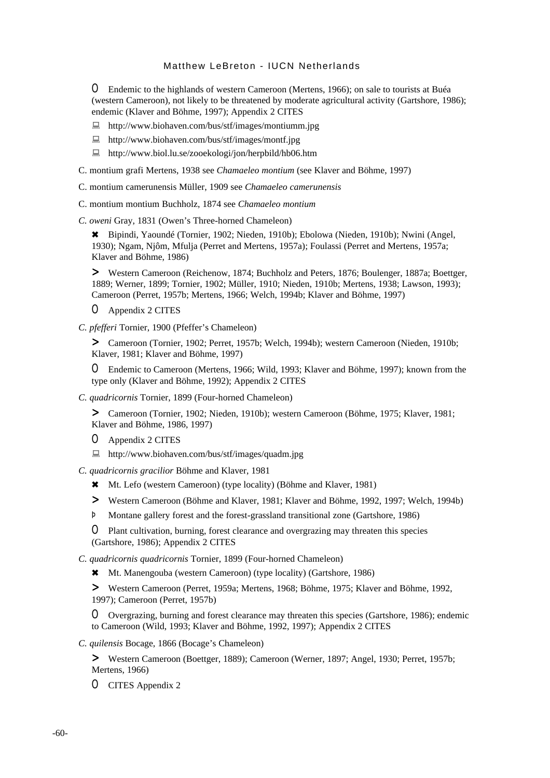O Endemic to the highlands of western Cameroon (Mertens, 1966); on sale to tourists at Buéa (western Cameroon), not likely to be threatened by moderate agricultural activity (Gartshore, 1986); endemic (Klaver and Böhme, 1997); Appendix 2 CITES

- : http://www.biohaven.com/bus/stf/images/montiumm.jpg
- : http://www.biohaven.com/bus/stf/images/montf.jpg
- : http://www.biol.lu.se/zooekologi/jon/herpbild/hb06.htm
- C. montium grafi Mertens, 1938 see *Chamaeleo montium* (see Klaver and Böhme, 1997)
- C. montium camerunensis Müller, 1909 see *Chamaeleo camerunensis*
- C. montium montium Buchholz, 1874 see *Chamaeleo montium*

*C. oweni* Gray, 1831 (Owen's Three-horned Chameleon)

6 Bipindi, Yaoundé (Tornier, 1902; Nieden, 1910b); Ebolowa (Nieden, 1910b); Nwini (Angel, 1930); Ngam, Njôm, Mfulja (Perret and Mertens, 1957a); Foulassi (Perret and Mertens, 1957a; Klaver and Böhme, 1986)

> Western Cameroon (Reichenow, 1874; Buchholz and Peters, 1876; Boulenger, 1887a; Boettger, 1889; Werner, 1899; Tornier, 1902; Müller, 1910; Nieden, 1910b; Mertens, 1938; Lawson, 1993); Cameroon (Perret, 1957b; Mertens, 1966; Welch, 1994b; Klaver and Böhme, 1997)

O Appendix 2 CITES

*C. pfefferi* Tornier, 1900 (Pfeffer's Chameleon)

> Cameroon (Tornier, 1902; Perret, 1957b; Welch, 1994b); western Cameroon (Nieden, 1910b; Klaver, 1981; Klaver and Böhme, 1997)

O Endemic to Cameroon (Mertens, 1966; Wild, 1993; Klaver and Böhme, 1997); known from the type only (Klaver and Böhme, 1992); Appendix 2 CITES

*C. quadricornis* Tornier, 1899 (Four-horned Chameleon)

> Cameroon (Tornier, 1902; Nieden, 1910b); western Cameroon (Böhme, 1975; Klaver, 1981; Klaver and Böhme, 1986, 1997)

- O Appendix 2 CITES
- : http://www.biohaven.com/bus/stf/images/quadm.jpg

*C. quadricornis gracilior* Böhme and Klaver, 1981

- 6 Mt. Lefo (western Cameroon) (type locality) (Böhme and Klaver, 1981)
- > Western Cameroon (Böhme and Klaver, 1981; Klaver and Böhme, 1992, 1997; Welch, 1994b)
- Þ Montane gallery forest and the forest-grassland transitional zone (Gartshore, 1986)

O Plant cultivation, burning, forest clearance and overgrazing may threaten this species (Gartshore, 1986); Appendix 2 CITES

*C. quadricornis quadricornis* Tornier, 1899 (Four-horned Chameleon)

6 Mt. Manengouba (western Cameroon) (type locality) (Gartshore, 1986)

> Western Cameroon (Perret, 1959a; Mertens, 1968; Böhme, 1975; Klaver and Böhme, 1992, 1997); Cameroon (Perret, 1957b)

O Overgrazing, burning and forest clearance may threaten this species (Gartshore, 1986); endemic to Cameroon (Wild, 1993; Klaver and Böhme, 1992, 1997); Appendix 2 CITES

*C. quilensis* Bocage, 1866 (Bocage's Chameleon)

> Western Cameroon (Boettger, 1889); Cameroon (Werner, 1897; Angel, 1930; Perret, 1957b; Mertens, 1966)

O CITES Appendix 2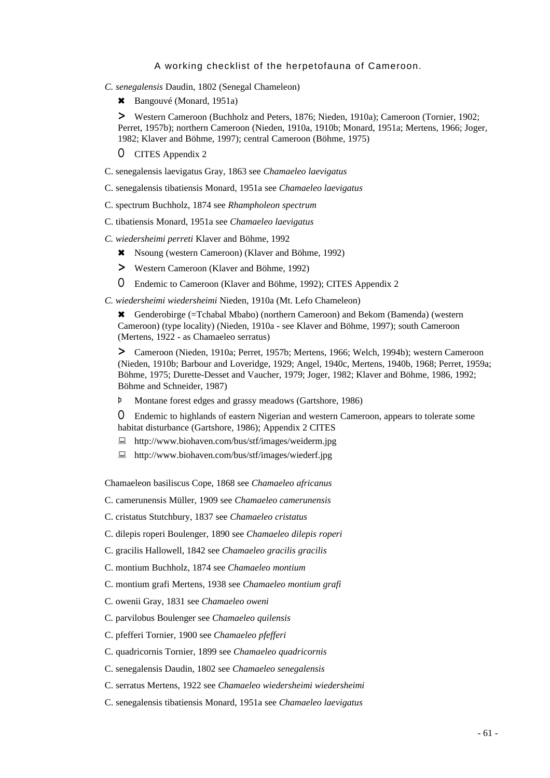- *C. senegalensis* Daudin, 1802 (Senegal Chameleon)
	- \* Bangouvé (Monard, 1951a)

> Western Cameroon (Buchholz and Peters, 1876; Nieden, 1910a); Cameroon (Tornier, 1902; Perret, 1957b); northern Cameroon (Nieden, 1910a, 1910b; Monard, 1951a; Mertens, 1966; Joger, 1982; Klaver and Böhme, 1997); central Cameroon (Böhme, 1975)

- O CITES Appendix 2
- C. senegalensis laevigatus Gray, 1863 see *Chamaeleo laevigatus*
- C. senegalensis tibatiensis Monard, 1951a see *Chamaeleo laevigatus*
- C. spectrum Buchholz, 1874 see *Rhampholeon spectrum*
- C. tibatiensis Monard, 1951a see *Chamaeleo laevigatus*
- *C. wiedersheimi perreti* Klaver and Böhme, 1992
	- 6 Nsoung (western Cameroon) (Klaver and Böhme, 1992)
	- > Western Cameroon (Klaver and Böhme, 1992)
	- O Endemic to Cameroon (Klaver and Böhme, 1992); CITES Appendix 2
- *C. wiedersheimi wiedersheimi* Nieden, 1910a (Mt. Lefo Chameleon)

6 Genderobirge (=Tchabal Mbabo) (northern Cameroon) and Bekom (Bamenda) (western Cameroon) (type locality) (Nieden, 1910a - see Klaver and Böhme, 1997); south Cameroon (Mertens, 1922 - as Chamaeleo serratus)

> Cameroon (Nieden, 1910a; Perret, 1957b; Mertens, 1966; Welch, 1994b); western Cameroon (Nieden, 1910b; Barbour and Loveridge, 1929; Angel, 1940c, Mertens, 1940b, 1968; Perret, 1959a; Böhme, 1975; Durette-Desset and Vaucher, 1979; Joger, 1982; Klaver and Böhme, 1986, 1992; Böhme and Schneider, 1987)

Þ Montane forest edges and grassy meadows (Gartshore, 1986)

O Endemic to highlands of eastern Nigerian and western Cameroon, appears to tolerate some habitat disturbance (Gartshore, 1986); Appendix 2 CITES

- : http://www.biohaven.com/bus/stf/images/weiderm.jpg
- : http://www.biohaven.com/bus/stf/images/wiederf.jpg

Chamaeleon basiliscus Cope, 1868 see *Chamaeleo africanus*

C. camerunensis Müller, 1909 see *Chamaeleo camerunensis*

- C. cristatus Stutchbury, 1837 see *Chamaeleo cristatus*
- C. dilepis roperi Boulenger, 1890 see *Chamaeleo dilepis roperi*
- C. gracilis Hallowell, 1842 see *Chamaeleo gracilis gracilis*
- C. montium Buchholz, 1874 see *Chamaeleo montium*
- C. montium grafi Mertens, 1938 see *Chamaeleo montium grafi*
- C. owenii Gray, 1831 see *Chamaeleo oweni*
- C. parvilobus Boulenger see *Chamaeleo quilensis*
- C. pfefferi Tornier, 1900 see *Chamaeleo pfefferi*
- C. quadricornis Tornier, 1899 see *Chamaeleo quadricornis*
- C. senegalensis Daudin, 1802 see *Chamaeleo senegalensis*
- C. serratus Mertens, 1922 see *Chamaeleo wiedersheimi wiedersheimi*
- C. senegalensis tibatiensis Monard, 1951a see *Chamaeleo laevigatus*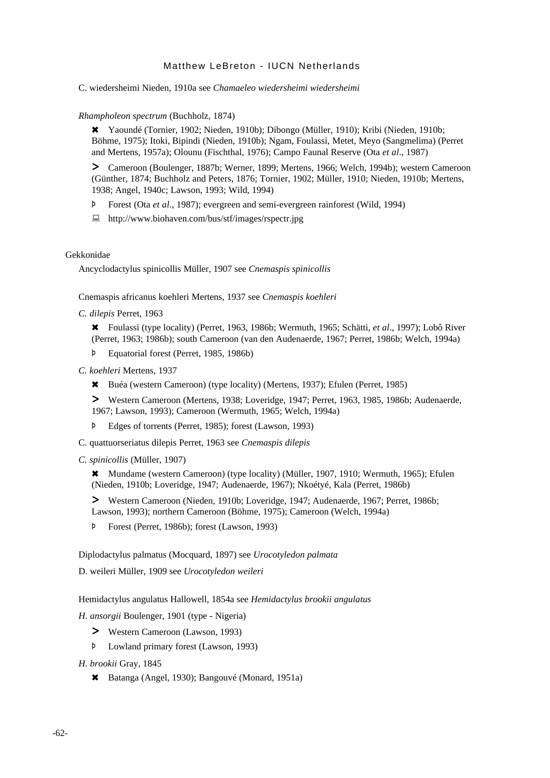C. wiedersheimi Nieden, 1910a see *Chamaeleo wiedersheimi wiedersheimi*

*Rhampholeon spectrum* (Buchholz, 1874)

6 Yaoundé (Tornier, 1902; Nieden, 1910b); Dibongo (Müller, 1910); Kribi (Nieden, 1910b; Böhme, 1975); Itoki, Bipindi (Nieden, 1910b); Ngam, Foulassi, Metet, Meyo (Sangmelima) (Perret and Mertens, 1957a); Olounu (Fischthal, 1976); Campo Faunal Reserve (Ota *et al*., 1987)

> Cameroon (Boulenger, 1887b; Werner, 1899; Mertens, 1966; Welch, 1994b); western Cameroon (Günther, 1874; Buchholz and Peters, 1876; Tornier, 1902; Müller, 1910; Nieden, 1910b; Mertens, 1938; Angel, 1940c; Lawson, 1993; Wild, 1994)

- Þ Forest (Ota *et al*., 1987); evergreen and semi-evergreen rainforest (Wild, 1994)
- : http://www.biohaven.com/bus/stf/images/rspectr.jpg

### Gekkonidae

Ancyclodactylus spinicollis Müller, 1907 see *Cnemaspis spinicollis*

Cnemaspis africanus koehleri Mertens, 1937 see *Cnemaspis koehleri*

*C. dilepis* Perret, 1963

6 Foulassi (type locality) (Perret, 1963, 1986b; Wermuth, 1965; Schätti, *et al*., 1997); Lobô River (Perret, 1963; 1986b); south Cameroon (van den Audenaerde, 1967; Perret, 1986b; Welch, 1994a)

Þ Equatorial forest (Perret, 1985, 1986b)

*C. koehleri* Mertens, 1937

6 Buéa (western Cameroon) (type locality) (Mertens, 1937); Efulen (Perret, 1985)

> Western Cameroon (Mertens, 1938; Loveridge, 1947; Perret, 1963, 1985, 1986b; Audenaerde, 1967; Lawson, 1993); Cameroon (Wermuth, 1965; Welch, 1994a)

- Þ Edges of torrents (Perret, 1985); forest (Lawson, 1993)
- C. quattuorseriatus dilepis Perret, 1963 see *Cnemaspis dilepis*
- *C. spinicollis* (Müller, 1907)

6 Mundame (western Cameroon) (type locality) (Müller, 1907, 1910; Wermuth, 1965); Efulen (Nieden, 1910b; Loveridge, 1947; Audenaerde, 1967); Nkoétyé, Kala (Perret, 1986b)

> Western Cameroon (Nieden, 1910b; Loveridge, 1947; Audenaerde, 1967; Perret, 1986b; Lawson, 1993); northern Cameroon (Böhme, 1975); Cameroon (Welch, 1994a)

Þ Forest (Perret, 1986b); forest (Lawson, 1993)

Diplodactylus palmatus (Mocquard, 1897) see *Urocotyledon palmata*

D. weileri Müller, 1909 see *Urocotyledon weileri*

Hemidactylus angulatus Hallowell, 1854a see *Hemidactylus brookii angulatus*

*H. ansorgii* Boulenger, 1901 (type - Nigeria)

- > Western Cameroon (Lawson, 1993)
- Þ Lowland primary forest (Lawson, 1993)

*H. brookii* Gray, 1845

6 Batanga (Angel, 1930); Bangouvé (Monard, 1951a)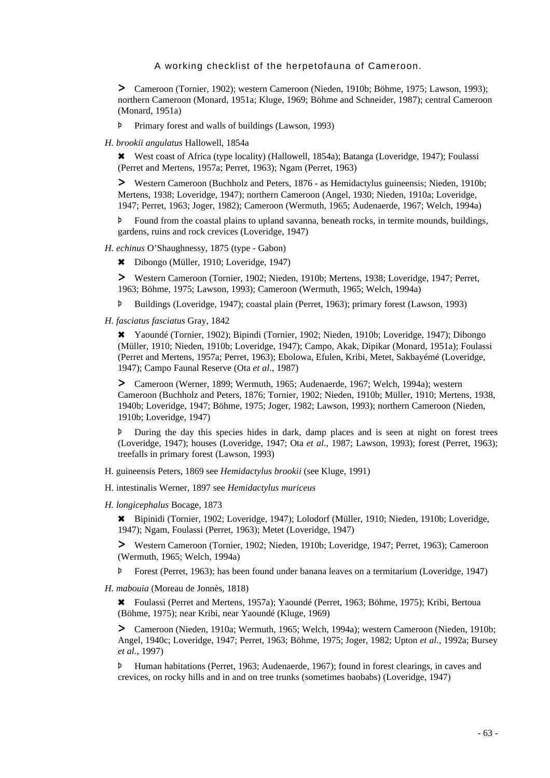> Cameroon (Tornier, 1902); western Cameroon (Nieden, 1910b; Böhme, 1975; Lawson, 1993); northern Cameroon (Monard, 1951a; Kluge, 1969; Böhme and Schneider, 1987); central Cameroon (Monard, 1951a)

Þ Primary forest and walls of buildings (Lawson, 1993)

*H. brookii angulatus* Hallowell, 1854a

6 West coast of Africa (type locality) (Hallowell, 1854a); Batanga (Loveridge, 1947); Foulassi (Perret and Mertens, 1957a; Perret, 1963); Ngam (Perret, 1963)

> Western Cameroon (Buchholz and Peters, 1876 - as Hemidactylus guineensis; Nieden, 1910b; Mertens, 1938; Loveridge, 1947); northern Cameroon (Angel, 1930; Nieden, 1910a; Loveridge, 1947; Perret, 1963; Joger, 1982); Cameroon (Wermuth, 1965; Audenaerde, 1967; Welch, 1994a)

Þ Found from the coastal plains to upland savanna, beneath rocks, in termite mounds, buildings, gardens, ruins and rock crevices (Loveridge, 1947)

*H. echinus* O'Shaughnessy, 1875 (type - Gabon)

6 Dibongo (Müller, 1910; Loveridge, 1947)

> Western Cameroon (Tornier, 1902; Nieden, 1910b; Mertens, 1938; Loveridge, 1947; Perret, 1963; Böhme, 1975; Lawson, 1993); Cameroon (Wermuth, 1965; Welch, 1994a)

Þ Buildings (Loveridge, 1947); coastal plain (Perret, 1963); primary forest (Lawson, 1993)

*H. fasciatus fasciatus* Gray, 1842

6 Yaoundé (Tornier, 1902); Bipindi (Tornier, 1902; Nieden, 1910b; Loveridge, 1947); Dibongo (Müller, 1910; Nieden, 1910b; Loveridge, 1947); Campo, Akak, Dipikar (Monard, 1951a); Foulassi (Perret and Mertens, 1957a; Perret, 1963); Ebolowa, Efulen, Kribi, Metet, Sakbayémé (Loveridge, 1947); Campo Faunal Reserve (Ota *et al*., 1987)

> Cameroon (Werner, 1899; Wermuth, 1965; Audenaerde, 1967; Welch, 1994a); western Cameroon (Buchholz and Peters, 1876; Tornier, 1902; Nieden, 1910b; Müller, 1910; Mertens, 1938, 1940b; Loveridge, 1947; Böhme, 1975; Joger, 1982; Lawson, 1993); northern Cameroon (Nieden, 1910b; Loveridge, 1947)

Þ During the day this species hides in dark, damp places and is seen at night on forest trees (Loveridge, 1947); houses (Loveridge, 1947; Ota *et al*., 1987; Lawson, 1993); forest (Perret, 1963); treefalls in primary forest (Lawson, 1993)

H. guineensis Peters, 1869 see *Hemidactylus brookii* (see Kluge, 1991)

H. intestinalis Werner, 1897 see *Hemidactylus muriceus*

*H. longicephalus* Bocage, 1873

6 Bipinidi (Tornier, 1902; Loveridge, 1947); Lolodorf (Müller, 1910; Nieden, 1910b; Loveridge, 1947); Ngam, Foulassi (Perret, 1963); Metet (Loveridge, 1947)

> Western Cameroon (Tornier, 1902; Nieden, 1910b; Loveridge, 1947; Perret, 1963); Cameroon (Wermuth, 1965; Welch, 1994a)

Þ Forest (Perret, 1963); has been found under banana leaves on a termitarium (Loveridge, 1947)

*H. mabouia* (Moreau de Jonnès, 1818)

6 Foulassi (Perret and Mertens, 1957a); Yaoundé (Perret, 1963; Böhme, 1975); Kribi, Bertoua (Böhme, 1975); near Kribi, near Yaoundé (Kluge, 1969)

> Cameroon (Nieden, 1910a; Wermuth, 1965; Welch, 1994a); western Cameroon (Nieden, 1910b; Angel, 1940c; Loveridge, 1947; Perret, 1963; Böhme, 1975; Joger, 1982; Upton *et al.*, 1992a; Bursey *et al*., 1997)

Þ Human habitations (Perret, 1963; Audenaerde, 1967); found in forest clearings, in caves and crevices, on rocky hills and in and on tree trunks (sometimes baobabs) (Loveridge, 1947)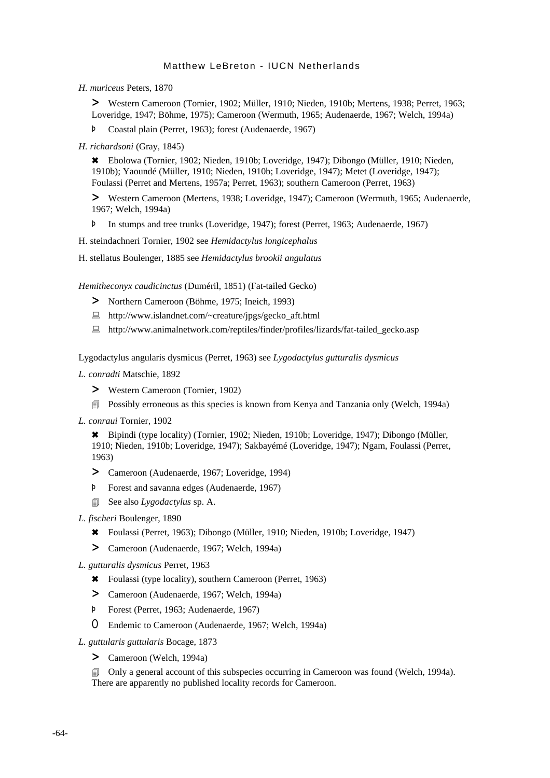*H. muriceus* Peters, 1870

> Western Cameroon (Tornier, 1902; Müller, 1910; Nieden, 1910b; Mertens, 1938; Perret, 1963; Loveridge, 1947; Böhme, 1975); Cameroon (Wermuth, 1965; Audenaerde, 1967; Welch, 1994a)

Þ Coastal plain (Perret, 1963); forest (Audenaerde, 1967)

*H. richardsoni* (Gray, 1845)

6 Ebolowa (Tornier, 1902; Nieden, 1910b; Loveridge, 1947); Dibongo (Müller, 1910; Nieden, 1910b); Yaoundé (Müller, 1910; Nieden, 1910b; Loveridge, 1947); Metet (Loveridge, 1947); Foulassi (Perret and Mertens, 1957a; Perret, 1963); southern Cameroon (Perret, 1963)

> Western Cameroon (Mertens, 1938; Loveridge, 1947); Cameroon (Wermuth, 1965; Audenaerde, 1967; Welch, 1994a)

- Þ In stumps and tree trunks (Loveridge, 1947); forest (Perret, 1963; Audenaerde, 1967)
- H. steindachneri Tornier, 1902 see *Hemidactylus longicephalus*
- H. stellatus Boulenger, 1885 see *Hemidactylus brookii angulatus*

*Hemitheconyx caudicinctus* (Duméril, 1851) (Fat-tailed Gecko)

- > Northern Cameroon (Böhme, 1975; Ineich, 1993)
- : http://www.islandnet.com/~creature/jpgs/gecko\_aft.html
- : http://www.animalnetwork.com/reptiles/finder/profiles/lizards/fat-tailed\_gecko.asp

Lygodactylus angularis dysmicus (Perret, 1963) see *Lygodactylus gutturalis dysmicus*

*L. conradti* Matschie, 1892

- > Western Cameroon (Tornier, 1902)
- **E** Possibly erroneous as this species is known from Kenya and Tanzania only (Welch, 1994a)
- *L. conraui* Tornier, 1902

6 Bipindi (type locality) (Tornier, 1902; Nieden, 1910b; Loveridge, 1947); Dibongo (Müller, 1910; Nieden, 1910b; Loveridge, 1947); Sakbayémé (Loveridge, 1947); Ngam, Foulassi (Perret, 1963)

- > Cameroon (Audenaerde, 1967; Loveridge, 1994)
- Þ Forest and savanna edges (Audenaerde, 1967)
- 4 See also *Lygodactylus* sp. A.
- *L. fischeri* Boulenger, 1890
	- 6 Foulassi (Perret, 1963); Dibongo (Müller, 1910; Nieden, 1910b; Loveridge, 1947)
	- > Cameroon (Audenaerde, 1967; Welch, 1994a)
- *L. gutturalis dysmicus* Perret, 1963
	- 6 Foulassi (type locality), southern Cameroon (Perret, 1963)
	- > Cameroon (Audenaerde, 1967; Welch, 1994a)
	- Þ Forest (Perret, 1963; Audenaerde, 1967)
	- O Endemic to Cameroon (Audenaerde, 1967; Welch, 1994a)
- *L. guttularis guttularis* Bocage, 1873
	- > Cameroon (Welch, 1994a)

4 Only a general account of this subspecies occurring in Cameroon was found (Welch, 1994a). There are apparently no published locality records for Cameroon.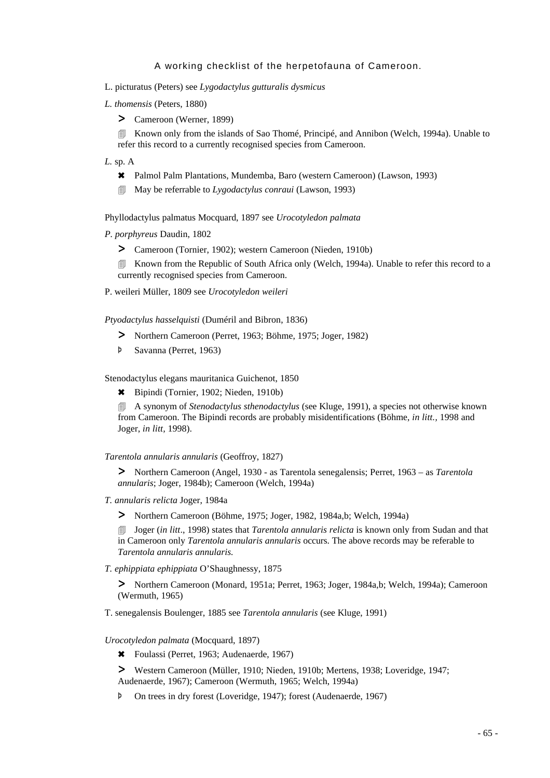- L. picturatus (Peters) see *Lygodactylus gutturalis dysmicus*
- *L. thomensis* (Peters, 1880)
	- > Cameroon (Werner, 1899)

4 Known only from the islands of Sao Thomé, Principé, and Annibon (Welch, 1994a). Unable to refer this record to a currently recognised species from Cameroon.

- *L.* sp. A
	- 6 Palmol Palm Plantations, Mundemba, Baro (western Cameroon) (Lawson, 1993)
	- 4 May be referrable to *Lygodactylus conraui* (Lawson, 1993)

Phyllodactylus palmatus Mocquard, 1897 see *Urocotyledon palmata*

*P. porphyreus* Daudin, 1802

- > Cameroon (Tornier, 1902); western Cameroon (Nieden, 1910b)
- **EXECUTE:** Known from the Republic of South Africa only (Welch, 1994a). Unable to refer this record to a currently recognised species from Cameroon.
- P. weileri Müller, 1809 see *Urocotyledon weileri*

*Ptyodactylus hasselquisti* (Duméril and Bibron, 1836)

- > Northern Cameroon (Perret, 1963; Böhme, 1975; Joger, 1982)
- Þ Savanna (Perret, 1963)

Stenodactylus elegans mauritanica Guichenot, 1850

6 Bipindi (Tornier, 1902; Nieden, 1910b)

4 A synonym of *Stenodactylus sthenodactylus* (see Kluge, 1991), a species not otherwise known from Cameroon. The Bipindi records are probably misidentifications (Böhme, *in litt.,* 1998 and Joger, *in litt,* 1998).

*Tarentola annularis annularis* (Geoffroy, 1827)

> Northern Cameroon (Angel, 1930 - as Tarentola senegalensis; Perret, 1963 – as *Tarentola annularis*; Joger, 1984b); Cameroon (Welch, 1994a)

- *T. annularis relicta* Joger, 1984a
	- > Northern Cameroon (Böhme, 1975; Joger, 1982, 1984a,b; Welch, 1994a)

4 Joger (*in litt*., 1998) states that *Tarentola annularis relicta* is known only from Sudan and that in Cameroon only *Tarentola annularis annularis* occurs. The above records may be referable to *Tarentola annularis annularis.*

*T. ephippiata ephippiata* O'Shaughnessy, 1875

> Northern Cameroon (Monard, 1951a; Perret, 1963; Joger, 1984a,b; Welch, 1994a); Cameroon (Wermuth, 1965)

T. senegalensis Boulenger, 1885 see *Tarentola annularis* (see Kluge, 1991)

#### *Urocotyledon palmata* (Mocquard, 1897)

- 6 Foulassi (Perret, 1963; Audenaerde, 1967)
- > Western Cameroon (Müller, 1910; Nieden, 1910b; Mertens, 1938; Loveridge, 1947; Audenaerde, 1967); Cameroon (Wermuth, 1965; Welch, 1994a)
- Þ On trees in dry forest (Loveridge, 1947); forest (Audenaerde, 1967)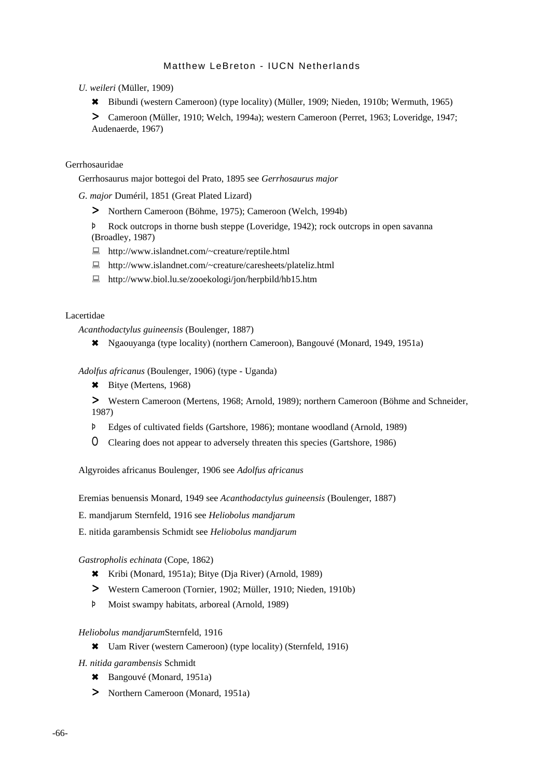*U. weileri* (Müller, 1909)

6 Bibundi (western Cameroon) (type locality) (Müller, 1909; Nieden, 1910b; Wermuth, 1965)

> Cameroon (Müller, 1910; Welch, 1994a); western Cameroon (Perret, 1963; Loveridge, 1947; Audenaerde, 1967)

### Gerrhosauridae

Gerrhosaurus major bottegoi del Prato, 1895 see *Gerrhosaurus major*

*G. major* Duméril, 1851 (Great Plated Lizard)

> Northern Cameroon (Böhme, 1975); Cameroon (Welch, 1994b)

Þ Rock outcrops in thorne bush steppe (Loveridge, 1942); rock outcrops in open savanna (Broadley, 1987)

- : http://www.islandnet.com/~creature/reptile.html
- : http://www.islandnet.com/~creature/caresheets/plateliz.html
- : http://www.biol.lu.se/zooekologi/jon/herpbild/hb15.htm

#### Lacertidae

*Acanthodactylus guineensis* (Boulenger, 1887)

6 Ngaouyanga (type locality) (northern Cameroon), Bangouvé (Monard, 1949, 1951a)

*Adolfus africanus* (Boulenger, 1906) (type - Uganda)

- \* Bitye (Mertens, 1968)
- > Western Cameroon (Mertens, 1968; Arnold, 1989); northern Cameroon (Böhme and Schneider, 1987)
- Þ Edges of cultivated fields (Gartshore, 1986); montane woodland (Arnold, 1989)
- O Clearing does not appear to adversely threaten this species (Gartshore, 1986)

Algyroides africanus Boulenger, 1906 see *Adolfus africanus*

Eremias benuensis Monard, 1949 see *Acanthodactylus guineensis* (Boulenger, 1887)

E. mandjarum Sternfeld, 1916 see *Heliobolus mandjarum*

E. nitida garambensis Schmidt see *Heliobolus mandjarum*

*Gastropholis echinata* (Cope, 1862)

- 6 Kribi (Monard, 1951a); Bitye (Dja River) (Arnold, 1989)
- > Western Cameroon (Tornier, 1902; Müller, 1910; Nieden, 1910b)
- Þ Moist swampy habitats, arboreal (Arnold, 1989)

#### *Heliobolus mandjarum*Sternfeld, 1916

- \* Uam River (western Cameroon) (type locality) (Sternfeld, 1916)
- *H. nitida garambensis* Schmidt
	- \* Bangouvé (Monard, 1951a)
	- > Northern Cameroon (Monard, 1951a)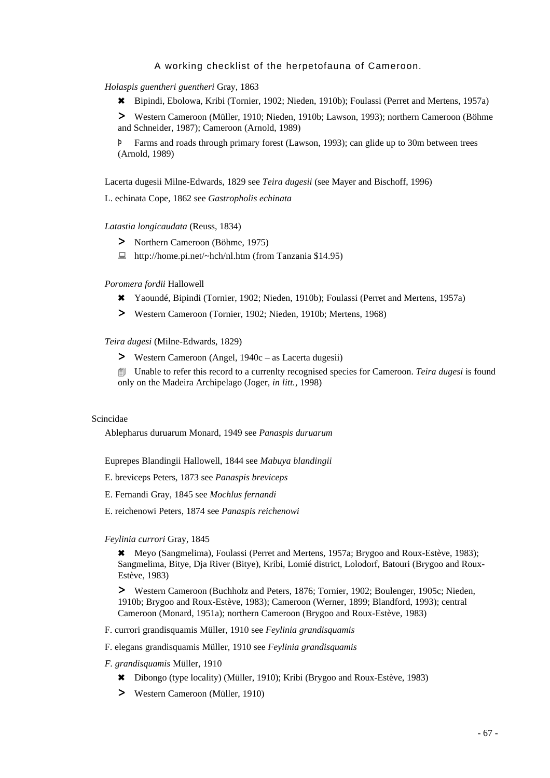*Holaspis guentheri guentheri* Gray, 1863

6 Bipindi, Ebolowa, Kribi (Tornier, 1902; Nieden, 1910b); Foulassi (Perret and Mertens, 1957a)

> Western Cameroon (Müller, 1910; Nieden, 1910b; Lawson, 1993); northern Cameroon (Böhme and Schneider, 1987); Cameroon (Arnold, 1989)

Þ Farms and roads through primary forest (Lawson, 1993); can glide up to 30m between trees (Arnold, 1989)

Lacerta dugesii Milne-Edwards, 1829 see *Teira dugesii* (see Mayer and Bischoff, 1996)

L. echinata Cope, 1862 see *Gastropholis echinata*

*Latastia longicaudata* (Reuss, 1834)

- > Northern Cameroon (Böhme, 1975)
- : http://home.pi.net/~hch/nl.htm (from Tanzania \$14.95)

#### *Poromera fordii* Hallowell

- 6 Yaoundé, Bipindi (Tornier, 1902; Nieden, 1910b); Foulassi (Perret and Mertens, 1957a)
- > Western Cameroon (Tornier, 1902; Nieden, 1910b; Mertens, 1968)

*Teira dugesi* (Milne-Edwards, 1829)

> Western Cameroon (Angel, 1940c – as Lacerta dugesii)

4 Unable to refer this record to a currenlty recognised species for Cameroon. *Teira dugesi* is found only on the Madeira Archipelago (Joger, *in litt.*, 1998)

#### Scincidae

Ablepharus duruarum Monard, 1949 see *Panaspis duruarum*

Euprepes Blandingii Hallowell, 1844 see *Mabuya blandingii*

E. breviceps Peters, 1873 see *Panaspis breviceps*

- E. Fernandi Gray, 1845 see *Mochlus fernandi*
- E. reichenowi Peters, 1874 see *Panaspis reichenowi*

#### *Feylinia currori* Gray, 1845

\* Meyo (Sangmelima), Foulassi (Perret and Mertens, 1957a; Brygoo and Roux-Estève, 1983); Sangmelima, Bitye, Dja River (Bitye), Kribi, Lomié district, Lolodorf, Batouri (Brygoo and Roux-Estève, 1983)

> Western Cameroon (Buchholz and Peters, 1876; Tornier, 1902; Boulenger, 1905c; Nieden, 1910b; Brygoo and Roux-Estève, 1983); Cameroon (Werner, 1899; Blandford, 1993); central Cameroon (Monard, 1951a); northern Cameroon (Brygoo and Roux-Estève, 1983)

- F. currori grandisquamis Müller, 1910 see *Feylinia grandisquamis*
- F. elegans grandisquamis Müller, 1910 see *Feylinia grandisquamis*

### *F. grandisquamis* Müller, 1910

- 6 Dibongo (type locality) (Müller, 1910); Kribi (Brygoo and Roux-Estève, 1983)
- > Western Cameroon (Müller, 1910)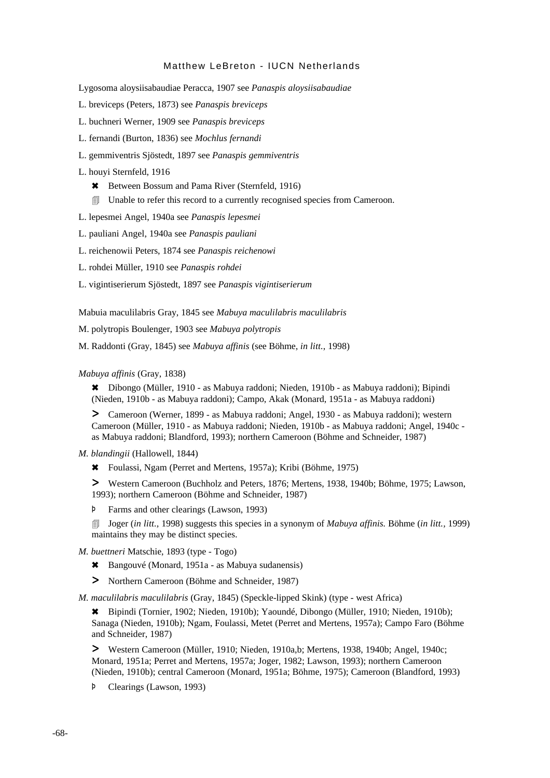Lygosoma aloysiisabaudiae Peracca, 1907 see *Panaspis aloysiisabaudiae*

- L. breviceps (Peters, 1873) see *Panaspis breviceps*
- L. buchneri Werner, 1909 see *Panaspis breviceps*
- L. fernandi (Burton, 1836) see *Mochlus fernandi*
- L. gemmiventris Sjöstedt, 1897 see *Panaspis gemmiventris*

#### L. houyi Sternfeld, 1916

- \* Between Bossum and Pama River (Sternfeld, 1916)
- 4 Unable to refer this record to a currently recognised species from Cameroon.
- L. lepesmei Angel, 1940a see *Panaspis lepesmei*
- L. pauliani Angel, 1940a see *Panaspis pauliani*
- L. reichenowii Peters, 1874 see *Panaspis reichenowi*
- L. rohdei Müller, 1910 see *Panaspis rohdei*
- L. vigintiserierum Sjöstedt, 1897 see *Panaspis vigintiserierum*

Mabuia maculilabris Gray, 1845 see *Mabuya maculilabris maculilabris*

M. polytropis Boulenger, 1903 see *Mabuya polytropis*

M. Raddonti (Gray, 1845) see *Mabuya affinis* (see Böhme, *in litt.*, 1998)

#### *Mabuya affinis* (Gray, 1838)

6 Dibongo (Müller, 1910 - as Mabuya raddoni; Nieden, 1910b - as Mabuya raddoni); Bipindi (Nieden, 1910b - as Mabuya raddoni); Campo, Akak (Monard, 1951a - as Mabuya raddoni)

> Cameroon (Werner, 1899 - as Mabuya raddoni; Angel, 1930 - as Mabuya raddoni); western Cameroon (Müller, 1910 - as Mabuya raddoni; Nieden, 1910b - as Mabuya raddoni; Angel, 1940c as Mabuya raddoni; Blandford, 1993); northern Cameroon (Böhme and Schneider, 1987)

- *M. blandingii* (Hallowell, 1844)
	- 6 Foulassi, Ngam (Perret and Mertens, 1957a); Kribi (Böhme, 1975)

> Western Cameroon (Buchholz and Peters, 1876; Mertens, 1938, 1940b; Böhme, 1975; Lawson, 1993); northern Cameroon (Böhme and Schneider, 1987)

Þ Farms and other clearings (Lawson, 1993)

4 Joger (*in litt.,* 1998) suggests this species in a synonym of *Mabuya affinis.* Böhme (*in litt.,* 1999) maintains they may be distinct species.

- *M. buettneri* Matschie, 1893 (type Togo)
	- \* Bangouvé (Monard, 1951a as Mabuya sudanensis)
	- > Northern Cameroon (Böhme and Schneider, 1987)

*M. maculilabris maculilabris* (Gray, 1845) (Speckle-lipped Skink) (type - west Africa)

6 Bipindi (Tornier, 1902; Nieden, 1910b); Yaoundé, Dibongo (Müller, 1910; Nieden, 1910b); Sanaga (Nieden, 1910b); Ngam, Foulassi, Metet (Perret and Mertens, 1957a); Campo Faro (Böhme and Schneider, 1987)

> Western Cameroon (Müller, 1910; Nieden, 1910a,b; Mertens, 1938, 1940b; Angel, 1940c; Monard, 1951a; Perret and Mertens, 1957a; Joger, 1982; Lawson, 1993); northern Cameroon (Nieden, 1910b); central Cameroon (Monard, 1951a; Böhme, 1975); Cameroon (Blandford, 1993)

Þ Clearings (Lawson, 1993)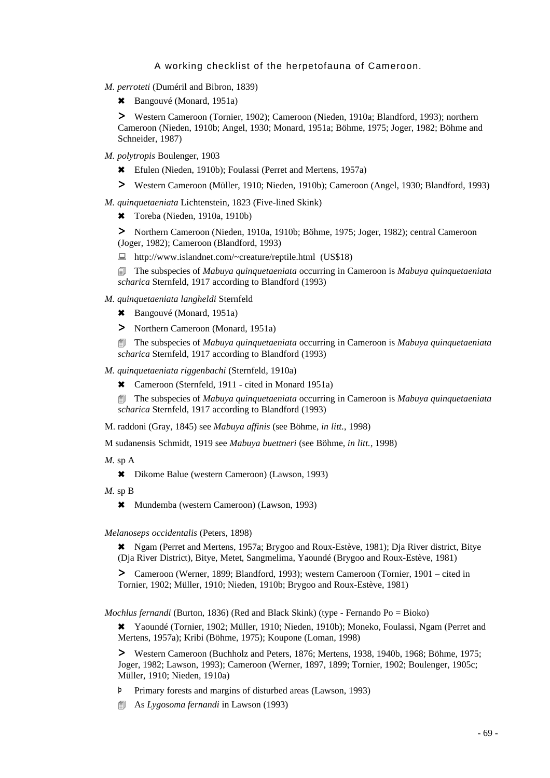- *M. perroteti* (Duméril and Bibron, 1839)
	- \* Bangouvé (Monard, 1951a)

> Western Cameroon (Tornier, 1902); Cameroon (Nieden, 1910a; Blandford, 1993); northern Cameroon (Nieden, 1910b; Angel, 1930; Monard, 1951a; Böhme, 1975; Joger, 1982; Böhme and Schneider, 1987)

- *M. polytropis* Boulenger, 1903
	- 6 Efulen (Nieden, 1910b); Foulassi (Perret and Mertens, 1957a)
	- > Western Cameroon (Müller, 1910; Nieden, 1910b); Cameroon (Angel, 1930; Blandford, 1993)

*M. quinquetaeniata* Lichtenstein, 1823 (Five-lined Skink)

\* Toreba (Nieden, 1910a, 1910b)

> Northern Cameroon (Nieden, 1910a, 1910b; Böhme, 1975; Joger, 1982); central Cameroon (Joger, 1982); Cameroon (Blandford, 1993)

: http://www.islandnet.com/~creature/reptile.html (US\$18)

4 The subspecies of *Mabuya quinquetaeniata* occurring in Cameroon is *Mabuya quinquetaeniata scharica* Sternfeld, 1917 according to Blandford (1993)

- *M. quinquetaeniata langheldi* Sternfeld
	- \* Bangouvé (Monard, 1951a)
	- > Northern Cameroon (Monard, 1951a)

4 The subspecies of *Mabuya quinquetaeniata* occurring in Cameroon is *Mabuya quinquetaeniata scharica* Sternfeld, 1917 according to Blandford (1993)

*M. quinquetaeniata riggenbachi* (Sternfeld, 1910a)

\* Cameroon (Sternfeld, 1911 - cited in Monard 1951a)

4 The subspecies of *Mabuya quinquetaeniata* occurring in Cameroon is *Mabuya quinquetaeniata scharica* Sternfeld, 1917 according to Blandford (1993)

M. raddoni (Gray, 1845) see *Mabuya affinis* (see Böhme, *in litt.*, 1998)

M sudanensis Schmidt, 1919 see *Mabuya buettneri* (see Böhme, *in litt.*, 1998)

*M.* sp A

6 Dikome Balue (western Cameroon) (Lawson, 1993)

- *M.* sp B
	- 6 Mundemba (western Cameroon) (Lawson, 1993)

#### *Melanoseps occidentalis* (Peters, 1898)

6 Ngam (Perret and Mertens, 1957a; Brygoo and Roux-Estève, 1981); Dja River district, Bitye (Dja River District), Bitye, Metet, Sangmelima, Yaoundé (Brygoo and Roux-Estève, 1981)

> Cameroon (Werner, 1899; Blandford, 1993); western Cameroon (Tornier, 1901 – cited in Tornier, 1902; Müller, 1910; Nieden, 1910b; Brygoo and Roux-Estève, 1981)

*Mochlus fernandi* (Burton, 1836) (Red and Black Skink) (type - Fernando Po = Bioko)

6 Yaoundé (Tornier, 1902; Müller, 1910; Nieden, 1910b); Moneko, Foulassi, Ngam (Perret and Mertens, 1957a); Kribi (Böhme, 1975); Koupone (Loman, 1998)

> Western Cameroon (Buchholz and Peters, 1876; Mertens, 1938, 1940b, 1968; Böhme, 1975; Joger, 1982; Lawson, 1993); Cameroon (Werner, 1897, 1899; Tornier, 1902; Boulenger, 1905c; Müller, 1910; Nieden, 1910a)

Þ Primary forests and margins of disturbed areas (Lawson, 1993)

4 As *Lygosoma fernandi* in Lawson (1993)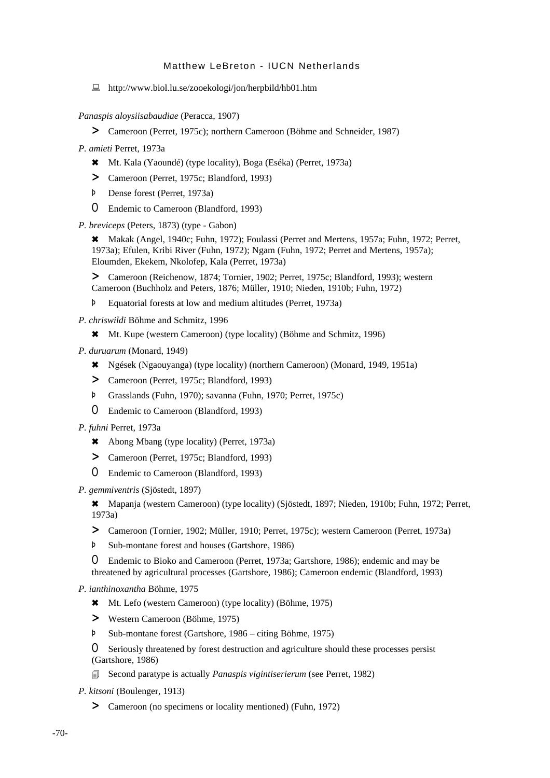: http://www.biol.lu.se/zooekologi/jon/herpbild/hb01.htm

*Panaspis aloysiisabaudiae* (Peracca, 1907)

> Cameroon (Perret, 1975c); northern Cameroon (Böhme and Schneider, 1987)

*P. amieti* Perret, 1973a

- 6 Mt. Kala (Yaoundé) (type locality), Boga (Eséka) (Perret, 1973a)
- > Cameroon (Perret, 1975c; Blandford, 1993)
- Þ Dense forest (Perret, 1973a)
- O Endemic to Cameroon (Blandford, 1993)

*P. breviceps* (Peters, 1873) (type - Gabon)

\* Makak (Angel, 1940c; Fuhn, 1972); Foulassi (Perret and Mertens, 1957a; Fuhn, 1972; Perret, 1973a); Efulen, Kribi River (Fuhn, 1972); Ngam (Fuhn, 1972; Perret and Mertens, 1957a); Eloumden, Ekekem, Nkolofep, Kala (Perret, 1973a)

> Cameroon (Reichenow, 1874; Tornier, 1902; Perret, 1975c; Blandford, 1993); western Cameroon (Buchholz and Peters, 1876; Müller, 1910; Nieden, 1910b; Fuhn, 1972)

- Þ Equatorial forests at low and medium altitudes (Perret, 1973a)
- *P. chriswildi* Böhme and Schmitz, 1996
	- 6 Mt. Kupe (western Cameroon) (type locality) (Böhme and Schmitz, 1996)
- *P. duruarum* (Monard, 1949)
	- 6 Ngések (Ngaouyanga) (type locality) (northern Cameroon) (Monard, 1949, 1951a)
	- > Cameroon (Perret, 1975c; Blandford, 1993)
	- Þ Grasslands (Fuhn, 1970); savanna (Fuhn, 1970; Perret, 1975c)
	- O Endemic to Cameroon (Blandford, 1993)
- *P. fuhni* Perret, 1973a
	- 6 Abong Mbang (type locality) (Perret, 1973a)
	- > Cameroon (Perret, 1975c; Blandford, 1993)
	- O Endemic to Cameroon (Blandford, 1993)

*P. gemmiventris* (Sjöstedt, 1897)

6 Mapanja (western Cameroon) (type locality) (Sjöstedt, 1897; Nieden, 1910b; Fuhn, 1972; Perret, 1973a)

- > Cameroon (Tornier, 1902; Müller, 1910; Perret, 1975c); western Cameroon (Perret, 1973a)
- Þ Sub-montane forest and houses (Gartshore, 1986)

O Endemic to Bioko and Cameroon (Perret, 1973a; Gartshore, 1986); endemic and may be threatened by agricultural processes (Gartshore, 1986); Cameroon endemic (Blandford, 1993)

*P. ianthinoxantha* Böhme, 1975

- 6 Mt. Lefo (western Cameroon) (type locality) (Böhme, 1975)
- > Western Cameroon (Böhme, 1975)
- Þ Sub-montane forest (Gartshore, 1986 citing Böhme, 1975)

O Seriously threatened by forest destruction and agriculture should these processes persist (Gartshore, 1986)

4 Second paratype is actually *Panaspis vigintiserierum* (see Perret, 1982)

*P. kitsoni* (Boulenger, 1913)

> Cameroon (no specimens or locality mentioned) (Fuhn, 1972)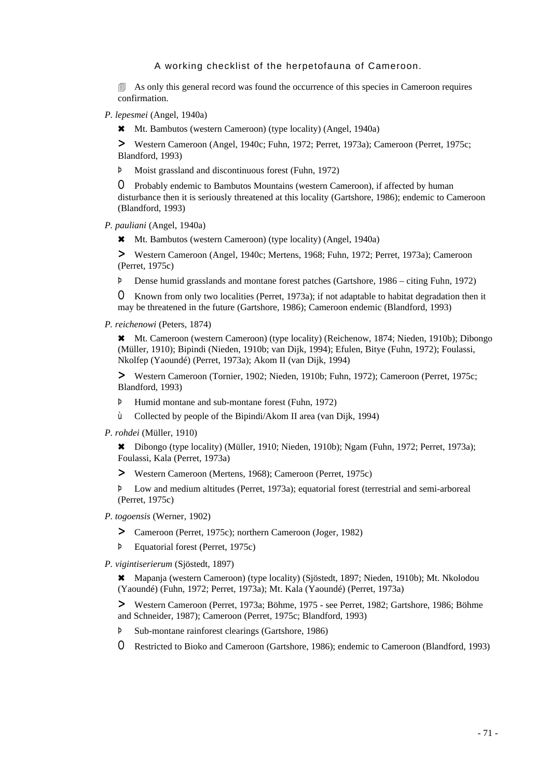**4** As only this general record was found the occurrence of this species in Cameroon requires confirmation.

*P. lepesmei* (Angel, 1940a)

6 Mt. Bambutos (western Cameroon) (type locality) (Angel, 1940a)

> Western Cameroon (Angel, 1940c; Fuhn, 1972; Perret, 1973a); Cameroon (Perret, 1975c; Blandford, 1993)

Þ Moist grassland and discontinuous forest (Fuhn, 1972)

O Probably endemic to Bambutos Mountains (western Cameroon), if affected by human disturbance then it is seriously threatened at this locality (Gartshore, 1986); endemic to Cameroon (Blandford, 1993)

- *P. pauliani* (Angel, 1940a)
	- 6 Mt. Bambutos (western Cameroon) (type locality) (Angel, 1940a)

> Western Cameroon (Angel, 1940c; Mertens, 1968; Fuhn, 1972; Perret, 1973a); Cameroon (Perret, 1975c)

Þ Dense humid grasslands and montane forest patches (Gartshore, 1986 – citing Fuhn, 1972)

O Known from only two localities (Perret, 1973a); if not adaptable to habitat degradation then it may be threatened in the future (Gartshore, 1986); Cameroon endemic (Blandford, 1993)

*P. reichenowi* (Peters, 1874)

6 Mt. Cameroon (western Cameroon) (type locality) (Reichenow, 1874; Nieden, 1910b); Dibongo (Müller, 1910); Bipindi (Nieden, 1910b; van Dijk, 1994); Efulen, Bitye (Fuhn, 1972); Foulassi, Nkolfep (Yaoundé) (Perret, 1973a); Akom II (van Dijk, 1994)

> Western Cameroon (Tornier, 1902; Nieden, 1910b; Fuhn, 1972); Cameroon (Perret, 1975c; Blandford, 1993)

- Þ Humid montane and sub-montane forest (Fuhn, 1972)
- ù Collected by people of the Bipindi/Akom II area (van Dijk, 1994)
- *P. rohdei* (Müller, 1910)

6 Dibongo (type locality) (Müller, 1910; Nieden, 1910b); Ngam (Fuhn, 1972; Perret, 1973a); Foulassi, Kala (Perret, 1973a)

> Western Cameroon (Mertens, 1968); Cameroon (Perret, 1975c)

Þ Low and medium altitudes (Perret, 1973a); equatorial forest (terrestrial and semi-arboreal (Perret, 1975c)

- *P. togoensis* (Werner, 1902)
	- > Cameroon (Perret, 1975c); northern Cameroon (Joger, 1982)
	- Þ Equatorial forest (Perret, 1975c)
- *P. vigintiserierum* (Sjöstedt, 1897)

6 Mapanja (western Cameroon) (type locality) (Sjöstedt, 1897; Nieden, 1910b); Mt. Nkolodou (Yaoundé) (Fuhn, 1972; Perret, 1973a); Mt. Kala (Yaoundé) (Perret, 1973a)

> Western Cameroon (Perret, 1973a; Böhme, 1975 - see Perret, 1982; Gartshore, 1986; Böhme and Schneider, 1987); Cameroon (Perret, 1975c; Blandford, 1993)

- Þ Sub-montane rainforest clearings (Gartshore, 1986)
- O Restricted to Bioko and Cameroon (Gartshore, 1986); endemic to Cameroon (Blandford, 1993)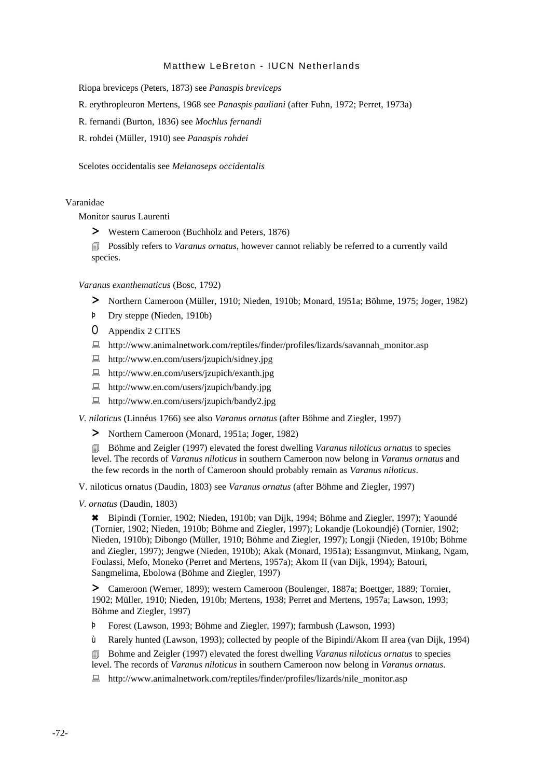Riopa breviceps (Peters, 1873) see *Panaspis breviceps*

R. erythropleuron Mertens, 1968 see *Panaspis pauliani* (after Fuhn, 1972; Perret, 1973a)

R. fernandi (Burton, 1836) see *Mochlus fernandi*

R. rohdei (Müller, 1910) see *Panaspis rohdei*

Scelotes occidentalis see *Melanoseps occidentalis*

## Varanidae

Monitor saurus Laurenti

> Western Cameroon (Buchholz and Peters, 1876)

**EXECUTE:** Possibly refers to *Varanus ornatus*, however cannot reliably be referred to a currently vaild species.

#### *Varanus exanthematicus* (Bosc, 1792)

- > Northern Cameroon (Müller, 1910; Nieden, 1910b; Monard, 1951a; Böhme, 1975; Joger, 1982)
- Þ Dry steppe (Nieden, 1910b)
- O Appendix 2 CITES
- : http://www.animalnetwork.com/reptiles/finder/profiles/lizards/savannah\_monitor.asp
- : http://www.en.com/users/jzupich/sidney.jpg
- : http://www.en.com/users/jzupich/exanth.jpg
- : http://www.en.com/users/jzupich/bandy.jpg
- : http://www.en.com/users/jzupich/bandy2.jpg

*V. niloticus* (Linnéus 1766) see also *Varanus ornatus* (after Böhme and Ziegler, 1997)

> Northern Cameroon (Monard, 1951a; Joger, 1982)

4 Böhme and Zeigler (1997) elevated the forest dwelling *Varanus niloticus ornatus* to species level. The records of *Varanus niloticus* in southern Cameroon now belong in *Varanus ornatus* and the few records in the north of Cameroon should probably remain as *Varanus niloticus*.

V. niloticus ornatus (Daudin, 1803) see *Varanus ornatus* (after Böhme and Ziegler, 1997)

*V. ornatus* (Daudin, 1803)

6 Bipindi (Tornier, 1902; Nieden, 1910b; van Dijk, 1994; Böhme and Ziegler, 1997); Yaoundé (Tornier, 1902; Nieden, 1910b; Böhme and Ziegler, 1997); Lokandje (Lokoundjé) (Tornier, 1902; Nieden, 1910b); Dibongo (Müller, 1910; Böhme and Ziegler, 1997); Longji (Nieden, 1910b; Böhme and Ziegler, 1997); Jengwe (Nieden, 1910b); Akak (Monard, 1951a); Essangmvut, Minkang, Ngam, Foulassi, Mefo, Moneko (Perret and Mertens, 1957a); Akom II (van Dijk, 1994); Batouri, Sangmelima, Ebolowa (Böhme and Ziegler, 1997)

> Cameroon (Werner, 1899); western Cameroon (Boulenger, 1887a; Boettger, 1889; Tornier, 1902; Müller, 1910; Nieden, 1910b; Mertens, 1938; Perret and Mertens, 1957a; Lawson, 1993; Böhme and Ziegler, 1997)

Þ Forest (Lawson, 1993; Böhme and Ziegler, 1997); farmbush (Lawson, 1993)

ù Rarely hunted (Lawson, 1993); collected by people of the Bipindi/Akom II area (van Dijk, 1994)

4 Bohme and Zeigler (1997) elevated the forest dwelling *Varanus niloticus ornatus* to species level. The records of *Varanus niloticus* in southern Cameroon now belong in *Varanus ornatus*.

 $\Box$  http://www.animalnetwork.com/reptiles/finder/profiles/lizards/nile\_monitor.asp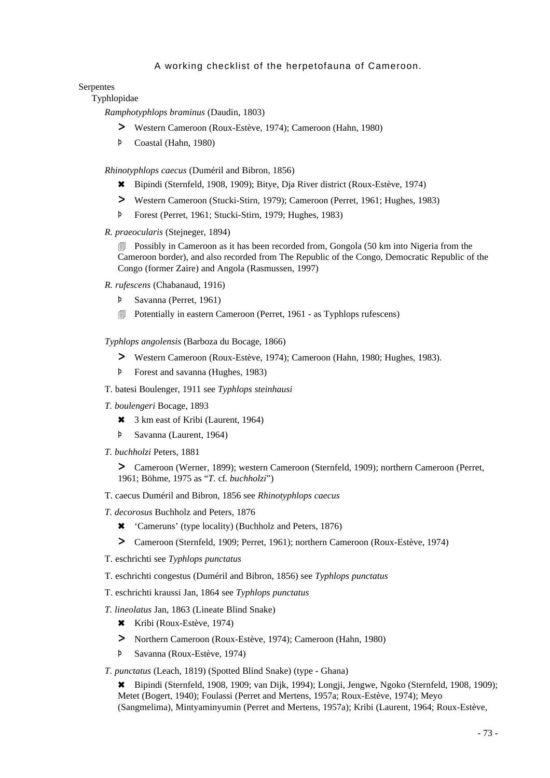### Serpentes

## Typhlopidae

*Ramphotyphlops braminus* (Daudin, 1803)

- > Western Cameroon (Roux-Estève, 1974); Cameroon (Hahn, 1980)
- Þ Coastal (Hahn, 1980)

*Rhinotyphlops caecus* (Duméril and Bibron, 1856)

- 6 Bipindi (Sternfeld, 1908, 1909); Bitye, Dja River district (Roux-Estève, 1974)
- > Western Cameroon (Stucki-Stirn, 1979); Cameroon (Perret, 1961; Hughes, 1983)
- Þ Forest (Perret, 1961; Stucki-Stirn, 1979; Hughes, 1983)
- *R. praeocularis* (Stejneger, 1894)

**Example 3** Possibly in Cameroon as it has been recorded from, Gongola (50 km into Nigeria from the Cameroon border), and also recorded from The Republic of the Congo, Democratic Republic of the Congo (former Zaire) and Angola (Rasmussen, 1997)

- *R. rufescens* (Chabanaud, 1916)
	- Þ Savanna (Perret, 1961)
	- **I** Potentially in eastern Cameroon (Perret, 1961 as Typhlops rufescens)

*Typhlops angolensis* (Barboza du Bocage, 1866)

- > Western Cameroon (Roux-Estève, 1974); Cameroon (Hahn, 1980; Hughes, 1983).
- Þ Forest and savanna (Hughes, 1983)
- T. batesi Boulenger, 1911 see *Typhlops steinhausi*
- *T. boulengeri* Bocage, 1893
	- \* 3 km east of Kribi (Laurent, 1964)
	- Þ Savanna (Laurent, 1964)
- *T. buchholzi* Peters, 1881

> Cameroon (Werner, 1899); western Cameroon (Sternfeld, 1909); northern Cameroon (Perret, 1961; Böhme, 1975 as "*T.* cf*. buchholzi*")

- T. caecus Duméril and Bibron, 1856 see *Rhinotyphlops caecus*
- *T. decorosus* Buchholz and Peters, 1876
	- 6 'Cameruns' (type locality) (Buchholz and Peters, 1876)
	- > Cameroon (Sternfeld, 1909; Perret, 1961); northern Cameroon (Roux-Estève, 1974)
- T. eschrichti see *Typhlops punctatus*
- T. eschrichti congestus (Duméril and Bibron, 1856) see *Typhlops punctatus*
- T. eschrichti kraussi Jan, 1864 see *Typhlops punctatus*
- *T. lineolatus* Jan, 1863 (Lineate Blind Snake)
	- 6 Kribi (Roux-Estève, 1974)
	- > Northern Cameroon (Roux-Estève, 1974); Cameroon (Hahn, 1980)
	- Þ Savanna (Roux-Estève, 1974)

*T. punctatus* (Leach, 1819) (Spotted Blind Snake) (type - Ghana)

6 Bipindi (Sternfeld, 1908, 1909; van Dijk, 1994); Longji, Jengwe, Ngoko (Sternfeld, 1908, 1909); Metet (Bogert, 1940); Foulassi (Perret and Mertens, 1957a; Roux-Estève, 1974); Meyo (Sangmelima), Mintyaminyumin (Perret and Mertens, 1957a); Kribi (Laurent, 1964; Roux-Estève,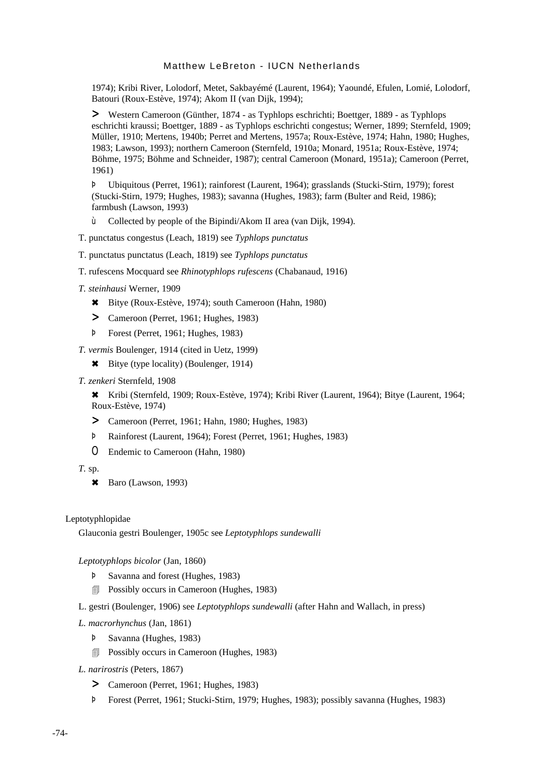1974); Kribi River, Lolodorf, Metet, Sakbayémé (Laurent, 1964); Yaoundé, Efulen, Lomié, Lolodorf, Batouri (Roux-Estève, 1974); Akom II (van Dijk, 1994);

> Western Cameroon (Günther, 1874 - as Typhlops eschrichti; Boettger, 1889 - as Typhlops eschrichti kraussi; Boettger, 1889 - as Typhlops eschrichti congestus; Werner, 1899; Sternfeld, 1909; Müller, 1910; Mertens, 1940b; Perret and Mertens, 1957a; Roux-Estève, 1974; Hahn, 1980; Hughes, 1983; Lawson, 1993); northern Cameroon (Sternfeld, 1910a; Monard, 1951a; Roux-Estève, 1974; Böhme, 1975; Böhme and Schneider, 1987); central Cameroon (Monard, 1951a); Cameroon (Perret, 1961)

Þ Ubiquitous (Perret, 1961); rainforest (Laurent, 1964); grasslands (Stucki-Stirn, 1979); forest (Stucki-Stirn, 1979; Hughes, 1983); savanna (Hughes, 1983); farm (Bulter and Reid, 1986); farmbush (Lawson, 1993)

- ù Collected by people of the Bipindi/Akom II area (van Dijk, 1994).
- T. punctatus congestus (Leach, 1819) see *Typhlops punctatus*
- T. punctatus punctatus (Leach, 1819) see *Typhlops punctatus*
- T. rufescens Mocquard see *Rhinotyphlops rufescens* (Chabanaud, 1916)
- *T. steinhausi* Werner, 1909
	- 6 Bitye (Roux-Estève, 1974); south Cameroon (Hahn, 1980)
	- > Cameroon (Perret, 1961; Hughes, 1983)
	- Þ Forest (Perret, 1961; Hughes, 1983)
- *T. vermis* Boulenger, 1914 (cited in Uetz, 1999)
	- 6 Bitye (type locality) (Boulenger, 1914)
- *T. zenkeri* Sternfeld, 1908

6 Kribi (Sternfeld, 1909; Roux-Estève, 1974); Kribi River (Laurent, 1964); Bitye (Laurent, 1964; Roux-Estève, 1974)

- > Cameroon (Perret, 1961; Hahn, 1980; Hughes, 1983)
- Þ Rainforest (Laurent, 1964); Forest (Perret, 1961; Hughes, 1983)
- O Endemic to Cameroon (Hahn, 1980)
- *T.* sp.
	- $\star$  Baro (Lawson, 1993)

#### Leptotyphlopidae

Glauconia gestri Boulenger, 1905c see *Leptotyphlops sundewalli*

## *Leptotyphlops bicolor* (Jan, 1860)

- Þ Savanna and forest (Hughes, 1983)
- **Possibly occurs in Cameroon (Hughes, 1983)**
- L. gestri (Boulenger, 1906) see *Leptotyphlops sundewalli* (after Hahn and Wallach, in press)
- *L. macrorhynchus* (Jan, 1861)
	- Þ Savanna (Hughes, 1983)
	- **Possibly occurs in Cameroon (Hughes, 1983)**
- *L. narirostris* (Peters, 1867)
	- > Cameroon (Perret, 1961; Hughes, 1983)
	- Þ Forest (Perret, 1961; Stucki-Stirn, 1979; Hughes, 1983); possibly savanna (Hughes, 1983)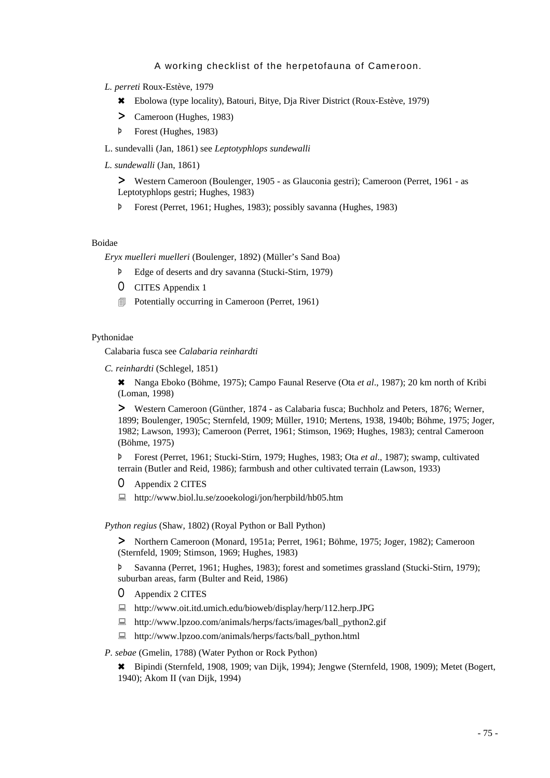### *L. perreti* Roux-Estève, 1979

- 6 Ebolowa (type locality), Batouri, Bitye, Dja River District (Roux-Estève, 1979)
- > Cameroon (Hughes, 1983)
- Þ Forest (Hughes, 1983)

L. sundevalli (Jan, 1861) see *Leptotyphlops sundewalli*

*L. sundewalli* (Jan, 1861)

> Western Cameroon (Boulenger, 1905 - as Glauconia gestri); Cameroon (Perret, 1961 - as Leptotyphlops gestri; Hughes, 1983)

Þ Forest (Perret, 1961; Hughes, 1983); possibly savanna (Hughes, 1983)

## Boidae

*Eryx muelleri muelleri* (Boulenger, 1892) (Müller's Sand Boa)

- Þ Edge of deserts and dry savanna (Stucki-Stirn, 1979)
- O CITES Appendix 1
- $\Box$  Potentially occurring in Cameroon (Perret, 1961)

### Pythonidae

Calabaria fusca see *Calabaria reinhardti*

*C. reinhardti* (Schlegel, 1851)

6 Nanga Eboko (Böhme, 1975); Campo Faunal Reserve (Ota *et al*., 1987); 20 km north of Kribi (Loman, 1998)

> Western Cameroon (Günther, 1874 - as Calabaria fusca; Buchholz and Peters, 1876; Werner, 1899; Boulenger, 1905c; Sternfeld, 1909; Müller, 1910; Mertens, 1938, 1940b; Böhme, 1975; Joger, 1982; Lawson, 1993); Cameroon (Perret, 1961; Stimson, 1969; Hughes, 1983); central Cameroon (Böhme, 1975)

Þ Forest (Perret, 1961; Stucki-Stirn, 1979; Hughes, 1983; Ota *et al*., 1987); swamp, cultivated terrain (Butler and Reid, 1986); farmbush and other cultivated terrain (Lawson, 1933)

- O Appendix 2 CITES
- : http://www.biol.lu.se/zooekologi/jon/herpbild/hb05.htm

#### *Python regius* (Shaw, 1802) (Royal Python or Ball Python)

> Northern Cameroon (Monard, 1951a; Perret, 1961; Böhme, 1975; Joger, 1982); Cameroon (Sternfeld, 1909; Stimson, 1969; Hughes, 1983)

Þ Savanna (Perret, 1961; Hughes, 1983); forest and sometimes grassland (Stucki-Stirn, 1979); suburban areas, farm (Bulter and Reid, 1986)

- O Appendix 2 CITES
- : http://www.oit.itd.umich.edu/bioweb/display/herp/112.herp.JPG
- : http://www.lpzoo.com/animals/herps/facts/images/ball\_python2.gif
- : http://www.lpzoo.com/animals/herps/facts/ball\_python.html

### *P. sebae* (Gmelin, 1788) (Water Python or Rock Python)

6 Bipindi (Sternfeld, 1908, 1909; van Dijk, 1994); Jengwe (Sternfeld, 1908, 1909); Metet (Bogert, 1940); Akom II (van Dijk, 1994)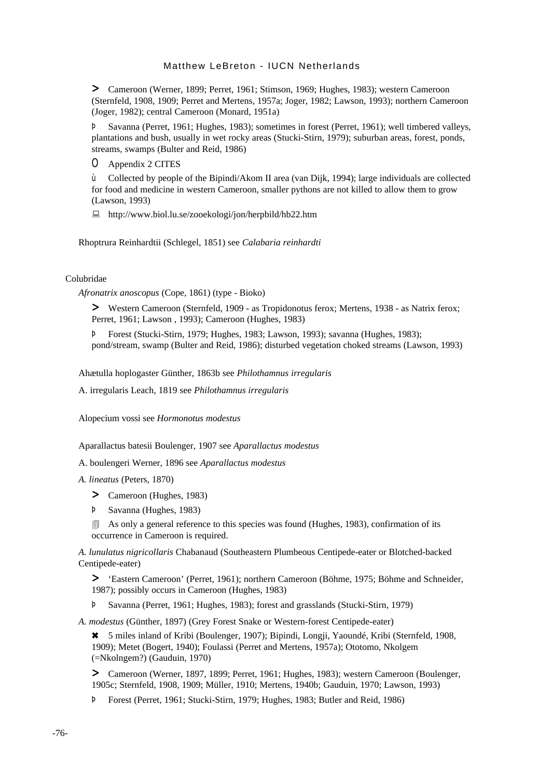> Cameroon (Werner, 1899; Perret, 1961; Stimson, 1969; Hughes, 1983); western Cameroon (Sternfeld, 1908, 1909; Perret and Mertens, 1957a; Joger, 1982; Lawson, 1993); northern Cameroon (Joger, 1982); central Cameroon (Monard, 1951a)

Þ Savanna (Perret, 1961; Hughes, 1983); sometimes in forest (Perret, 1961); well timbered valleys, plantations and bush, usually in wet rocky areas (Stucki-Stirn, 1979); suburban areas, forest, ponds, streams, swamps (Bulter and Reid, 1986)

O Appendix 2 CITES

ù Collected by people of the Bipindi/Akom II area (van Dijk, 1994); large individuals are collected for food and medicine in western Cameroon, smaller pythons are not killed to allow them to grow (Lawson, 1993)

: http://www.biol.lu.se/zooekologi/jon/herpbild/hb22.htm

Rhoptrura Reinhardtii (Schlegel, 1851) see *Calabaria reinhardti*

## Colubridae

*Afronatrix anoscopus* (Cope, 1861) (type - Bioko)

> Western Cameroon (Sternfeld, 1909 - as Tropidonotus ferox; Mertens, 1938 - as Natrix ferox; Perret, 1961; Lawson , 1993); Cameroon (Hughes, 1983)

Þ Forest (Stucki-Stirn, 1979; Hughes, 1983; Lawson, 1993); savanna (Hughes, 1983); pond/stream, swamp (Bulter and Reid, 1986); disturbed vegetation choked streams (Lawson, 1993)

Ahætulla hoplogaster Günther, 1863b see *Philothamnus irregularis*

A. irregularis Leach, 1819 see *Philothamnus irregularis*

Alopecium vossi see *Hormonotus modestus*

Aparallactus batesii Boulenger, 1907 see *Aparallactus modestus*

A. boulengeri Werner, 1896 see *Aparallactus modestus*

*A. lineatus* (Peters, 1870)

> Cameroon (Hughes, 1983)

Þ Savanna (Hughes, 1983)

4 As only a general reference to this species was found (Hughes, 1983), confirmation of its occurrence in Cameroon is required.

*A. lunulatus nigricollaris* Chabanaud (Southeastern Plumbeous Centipede-eater or Blotched-backed Centipede-eater)

> 'Eastern Cameroon' (Perret, 1961); northern Cameroon (Böhme, 1975; Böhme and Schneider, 1987); possibly occurs in Cameroon (Hughes, 1983)

Þ Savanna (Perret, 1961; Hughes, 1983); forest and grasslands (Stucki-Stirn, 1979)

*A. modestus* (Günther, 1897) (Grey Forest Snake or Western-forest Centipede-eater)

6 5 miles inland of Kribi (Boulenger, 1907); Bipindi, Longji, Yaoundé, Kribi (Sternfeld, 1908, 1909); Metet (Bogert, 1940); Foulassi (Perret and Mertens, 1957a); Ototomo, Nkolgem (=Nkolngem?) (Gauduin, 1970)

> Cameroon (Werner, 1897, 1899; Perret, 1961; Hughes, 1983); western Cameroon (Boulenger, 1905c; Sternfeld, 1908, 1909; Müller, 1910; Mertens, 1940b; Gauduin, 1970; Lawson, 1993)

Þ Forest (Perret, 1961; Stucki-Stirn, 1979; Hughes, 1983; Butler and Reid, 1986)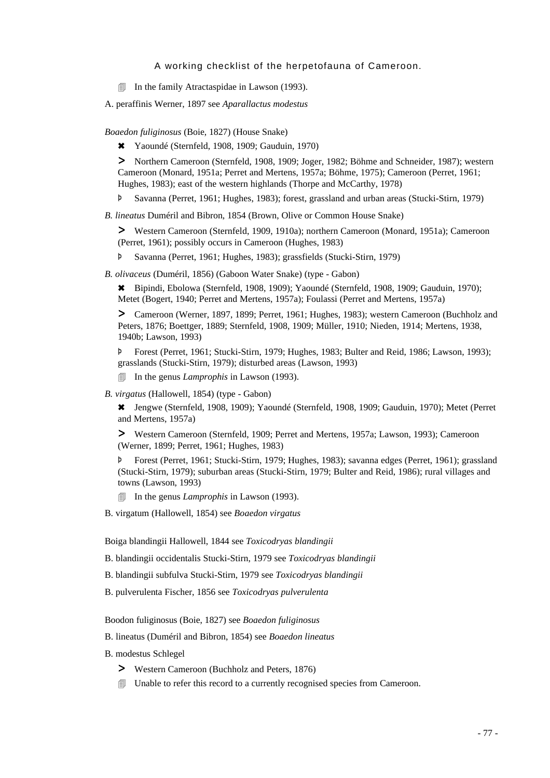In the family Atractaspidae in Lawson (1993).

A. peraffinis Werner, 1897 see *Aparallactus modestus*

*Boaedon fuliginosus* (Boie, 1827) (House Snake)

6 Yaoundé (Sternfeld, 1908, 1909; Gauduin, 1970)

> Northern Cameroon (Sternfeld, 1908, 1909; Joger, 1982; Böhme and Schneider, 1987); western Cameroon (Monard, 1951a; Perret and Mertens, 1957a; Böhme, 1975); Cameroon (Perret, 1961; Hughes, 1983); east of the western highlands (Thorpe and McCarthy, 1978)

Þ Savanna (Perret, 1961; Hughes, 1983); forest, grassland and urban areas (Stucki-Stirn, 1979)

*B. lineatus* Duméril and Bibron, 1854 (Brown, Olive or Common House Snake)

> Western Cameroon (Sternfeld, 1909, 1910a); northern Cameroon (Monard, 1951a); Cameroon (Perret, 1961); possibly occurs in Cameroon (Hughes, 1983)

Þ Savanna (Perret, 1961; Hughes, 1983); grassfields (Stucki-Stirn, 1979)

*B. olivaceus* (Duméril, 1856) (Gaboon Water Snake) (type - Gabon)

6 Bipindi, Ebolowa (Sternfeld, 1908, 1909); Yaoundé (Sternfeld, 1908, 1909; Gauduin, 1970); Metet (Bogert, 1940; Perret and Mertens, 1957a); Foulassi (Perret and Mertens, 1957a)

> Cameroon (Werner, 1897, 1899; Perret, 1961; Hughes, 1983); western Cameroon (Buchholz and Peters, 1876; Boettger, 1889; Sternfeld, 1908, 1909; Müller, 1910; Nieden, 1914; Mertens, 1938, 1940b; Lawson, 1993)

Þ Forest (Perret, 1961; Stucki-Stirn, 1979; Hughes, 1983; Bulter and Reid, 1986; Lawson, 1993); grasslands (Stucki-Stirn, 1979); disturbed areas (Lawson, 1993)

4 In the genus *Lamprophis* in Lawson (1993).

*B. virgatus* (Hallowell, 1854) (type - Gabon)

6 Jengwe (Sternfeld, 1908, 1909); Yaoundé (Sternfeld, 1908, 1909; Gauduin, 1970); Metet (Perret and Mertens, 1957a)

> Western Cameroon (Sternfeld, 1909; Perret and Mertens, 1957a; Lawson, 1993); Cameroon (Werner, 1899; Perret, 1961; Hughes, 1983)

Þ Forest (Perret, 1961; Stucki-Stirn, 1979; Hughes, 1983); savanna edges (Perret, 1961); grassland (Stucki-Stirn, 1979); suburban areas (Stucki-Stirn, 1979; Bulter and Reid, 1986); rural villages and towns (Lawson, 1993)

4 In the genus *Lamprophis* in Lawson (1993).

B. virgatum (Hallowell, 1854) see *Boaedon virgatus*

Boiga blandingii Hallowell, 1844 see *Toxicodryas blandingii*

B. blandingii occidentalis Stucki-Stirn, 1979 see *Toxicodryas blandingii*

- B. blandingii subfulva Stucki-Stirn, 1979 see *Toxicodryas blandingii*
- B. pulverulenta Fischer, 1856 see *Toxicodryas pulverulenta*

Boodon fuliginosus (Boie, 1827) see *Boaedon fuliginosus*

#### B. lineatus (Duméril and Bibron, 1854) see *Boaedon lineatus*

B. modestus Schlegel

- > Western Cameroon (Buchholz and Peters, 1876)
- $\Box$  Unable to refer this record to a currently recognised species from Cameroon.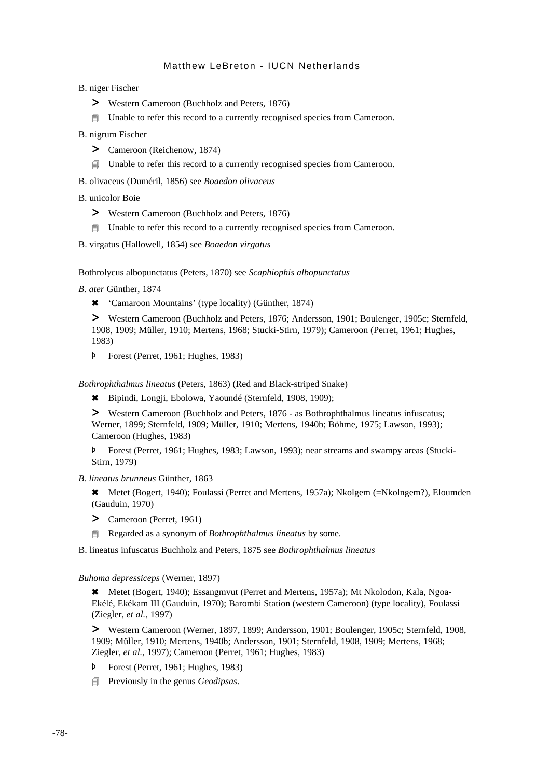B. niger Fischer

- > Western Cameroon (Buchholz and Peters, 1876)
- 4 Unable to refer this record to a currently recognised species from Cameroon.
- B. nigrum Fischer
	- > Cameroon (Reichenow, 1874)
	- **I** Unable to refer this record to a currently recognised species from Cameroon.
- B. olivaceus (Duméril, 1856) see *Boaedon olivaceus*
- B. unicolor Boie
	- > Western Cameroon (Buchholz and Peters, 1876)
	- 4 Unable to refer this record to a currently recognised species from Cameroon.
- B. virgatus (Hallowell, 1854) see *Boaedon virgatus*

Bothrolycus albopunctatus (Peters, 1870) see *Scaphiophis albopunctatus*

*B. ater* Günther, 1874

6 'Camaroon Mountains' (type locality) (Günther, 1874)

> Western Cameroon (Buchholz and Peters, 1876; Andersson, 1901; Boulenger, 1905c; Sternfeld, 1908, 1909; Müller, 1910; Mertens, 1968; Stucki-Stirn, 1979); Cameroon (Perret, 1961; Hughes, 1983)

Þ Forest (Perret, 1961; Hughes, 1983)

*Bothrophthalmus lineatus* (Peters, 1863) (Red and Black-striped Snake)

6 Bipindi, Longji, Ebolowa, Yaoundé (Sternfeld, 1908, 1909);

> Western Cameroon (Buchholz and Peters, 1876 - as Bothrophthalmus lineatus infuscatus; Werner, 1899; Sternfeld, 1909; Müller, 1910; Mertens, 1940b; Böhme, 1975; Lawson, 1993); Cameroon (Hughes, 1983)

Þ Forest (Perret, 1961; Hughes, 1983; Lawson, 1993); near streams and swampy areas (Stucki-Stirn, 1979)

*B. lineatus brunneus* Günther, 1863

\* Metet (Bogert, 1940); Foulassi (Perret and Mertens, 1957a); Nkolgem (=Nkolngem?), Eloumden (Gauduin, 1970)

- > Cameroon (Perret, 1961)
- 4 Regarded as a synonym of *Bothrophthalmus lineatus* by some.

B. lineatus infuscatus Buchholz and Peters, 1875 see *Bothrophthalmus lineatus*

#### *Buhoma depressiceps* (Werner, 1897)

\* Metet (Bogert, 1940); Essangmvut (Perret and Mertens, 1957a); Mt Nkolodon, Kala, Ngoa-Ekélé, Ekékam III (Gauduin, 1970); Barombi Station (western Cameroon) (type locality), Foulassi (Ziegler, *et al.,* 1997)

> Western Cameroon (Werner, 1897, 1899; Andersson, 1901; Boulenger, 1905c; Sternfeld, 1908, 1909; Müller, 1910; Mertens, 1940b; Andersson, 1901; Sternfeld, 1908, 1909; Mertens, 1968; Ziegler, *et al.*, 1997); Cameroon (Perret, 1961; Hughes, 1983)

- Þ Forest (Perret, 1961; Hughes, 1983)
- 4 Previously in the genus *Geodipsas*.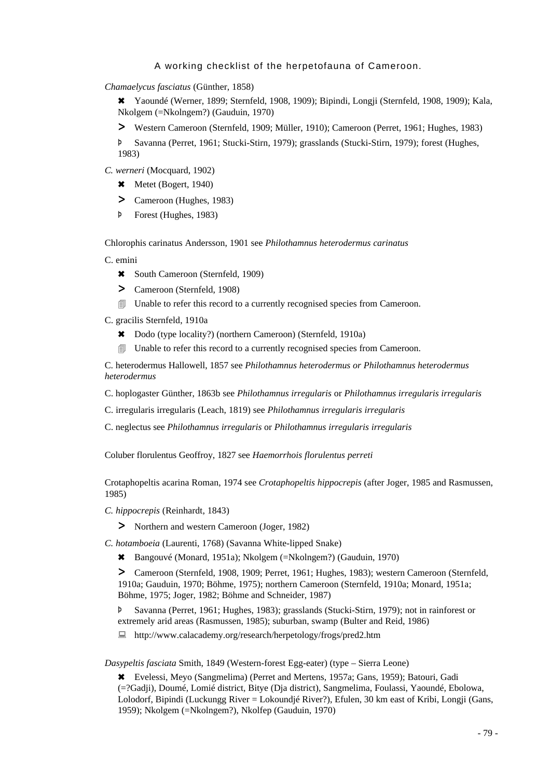*Chamaelycus fasciatus* (Günther, 1858)

6 Yaoundé (Werner, 1899; Sternfeld, 1908, 1909); Bipindi, Longji (Sternfeld, 1908, 1909); Kala, Nkolgem (=Nkolngem?) (Gauduin, 1970)

> Western Cameroon (Sternfeld, 1909; Müller, 1910); Cameroon (Perret, 1961; Hughes, 1983)

Þ Savanna (Perret, 1961; Stucki-Stirn, 1979); grasslands (Stucki-Stirn, 1979); forest (Hughes, 1983)

*C. werneri* (Mocquard, 1902)

- $\star$  Metet (Bogert, 1940)
- > Cameroon (Hughes, 1983)
- Þ Forest (Hughes, 1983)

Chlorophis carinatus Andersson, 1901 see *Philothamnus heterodermus carinatus*

- C. emini
	- \* South Cameroon (Sternfeld, 1909)
	- > Cameroon (Sternfeld, 1908)
	- **I** Unable to refer this record to a currently recognised species from Cameroon.

C. gracilis Sternfeld, 1910a

- \* Dodo (type locality?) (northern Cameroon) (Sternfeld, 1910a)
- 4 Unable to refer this record to a currently recognised species from Cameroon.

C. heterodermus Hallowell, 1857 see *Philothamnus heterodermus or Philothamnus heterodermus heterodermus*

C. hoplogaster Günther, 1863b see *Philothamnus irregularis* or *Philothamnus irregularis irregularis*

C. irregularis irregularis (Leach, 1819) see *Philothamnus irregularis irregularis*

C. neglectus see *Philothamnus irregularis* or *Philothamnus irregularis irregularis*

Coluber florulentus Geoffroy, 1827 see *Haemorrhois florulentus perreti*

Crotaphopeltis acarina Roman, 1974 see *Crotaphopeltis hippocrepis* (after Joger, 1985 and Rasmussen, 1985)

- *C. hippocrepis* (Reinhardt, 1843)
	- > Northern and western Cameroon (Joger, 1982)

*C. hotamboeia* (Laurenti, 1768) (Savanna White-lipped Snake)

6 Bangouvé (Monard, 1951a); Nkolgem (=Nkolngem?) (Gauduin, 1970)

> Cameroon (Sternfeld, 1908, 1909; Perret, 1961; Hughes, 1983); western Cameroon (Sternfeld, 1910a; Gauduin, 1970; Böhme, 1975); northern Cameroon (Sternfeld, 1910a; Monard, 1951a; Böhme, 1975; Joger, 1982; Böhme and Schneider, 1987)

Þ Savanna (Perret, 1961; Hughes, 1983); grasslands (Stucki-Stirn, 1979); not in rainforest or extremely arid areas (Rasmussen, 1985); suburban, swamp (Bulter and Reid, 1986)

: http://www.calacademy.org/research/herpetology/frogs/pred2.htm

*Dasypeltis fasciata* Smith, 1849 (Western-forest Egg-eater) (type – Sierra Leone)

6 Evelessi, Meyo (Sangmelima) (Perret and Mertens, 1957a; Gans, 1959); Batouri, Gadi (=?Gadji), Doumé, Lomié district, Bitye (Dja district), Sangmelima, Foulassi, Yaoundé, Ebolowa, Lolodorf, Bipindi (Luckungg River = Lokoundjé River?), Efulen, 30 km east of Kribi, Longji (Gans, 1959); Nkolgem (=Nkolngem?), Nkolfep (Gauduin, 1970)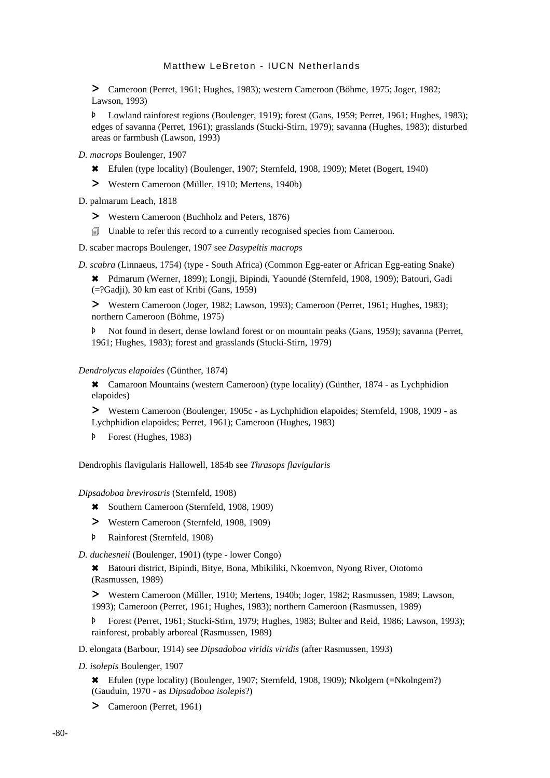> Cameroon (Perret, 1961; Hughes, 1983); western Cameroon (Böhme, 1975; Joger, 1982; Lawson, 1993)

Þ Lowland rainforest regions (Boulenger, 1919); forest (Gans, 1959; Perret, 1961; Hughes, 1983); edges of savanna (Perret, 1961); grasslands (Stucki-Stirn, 1979); savanna (Hughes, 1983); disturbed areas or farmbush (Lawson, 1993)

- *D. macrops* Boulenger, 1907
	- 6 Efulen (type locality) (Boulenger, 1907; Sternfeld, 1908, 1909); Metet (Bogert, 1940)
	- > Western Cameroon (Müller, 1910; Mertens, 1940b)

### D. palmarum Leach, 1818

- > Western Cameroon (Buchholz and Peters, 1876)
- 4 Unable to refer this record to a currently recognised species from Cameroon.
- D. scaber macrops Boulenger, 1907 see *Dasypeltis macrops*

*D. scabra* (Linnaeus, 1754) (type - South Africa) (Common Egg-eater or African Egg-eating Snake)

6 Pdmarum (Werner, 1899); Longji, Bipindi, Yaoundé (Sternfeld, 1908, 1909); Batouri, Gadi (=?Gadji), 30 km east of Kribi (Gans, 1959)

> Western Cameroon (Joger, 1982; Lawson, 1993); Cameroon (Perret, 1961; Hughes, 1983); northern Cameroon (Böhme, 1975)

Þ Not found in desert, dense lowland forest or on mountain peaks (Gans, 1959); savanna (Perret, 1961; Hughes, 1983); forest and grasslands (Stucki-Stirn, 1979)

#### *Dendrolycus elapoides* (Günther, 1874)

6 Camaroon Mountains (western Cameroon) (type locality) (Günther, 1874 - as Lychphidion elapoides)

> Western Cameroon (Boulenger, 1905c - as Lychphidion elapoides; Sternfeld, 1908, 1909 - as Lychphidion elapoides; Perret, 1961); Cameroon (Hughes, 1983)

Þ Forest (Hughes, 1983)

Dendrophis flavigularis Hallowell, 1854b see *Thrasops flavigularis*

#### *Dipsadoboa brevirostris* (Sternfeld, 1908)

- 6 Southern Cameroon (Sternfeld, 1908, 1909)
- > Western Cameroon (Sternfeld, 1908, 1909)
- Þ Rainforest (Sternfeld, 1908)

*D. duchesneii* (Boulenger, 1901) (type - lower Congo)

6 Batouri district, Bipindi, Bitye, Bona, Mbikiliki, Nkoemvon, Nyong River, Ototomo (Rasmussen, 1989)

> Western Cameroon (Müller, 1910; Mertens, 1940b; Joger, 1982; Rasmussen, 1989; Lawson, 1993); Cameroon (Perret, 1961; Hughes, 1983); northern Cameroon (Rasmussen, 1989)

Þ Forest (Perret, 1961; Stucki-Stirn, 1979; Hughes, 1983; Bulter and Reid, 1986; Lawson, 1993); rainforest, probably arboreal (Rasmussen, 1989)

- D. elongata (Barbour, 1914) see *Dipsadoboa viridis viridis* (after Rasmussen, 1993)
- *D. isolepis* Boulenger, 1907

6 Efulen (type locality) (Boulenger, 1907; Sternfeld, 1908, 1909); Nkolgem (=Nkolngem?) (Gauduin, 1970 - as *Dipsadoboa isolepis*?)

> Cameroon (Perret, 1961)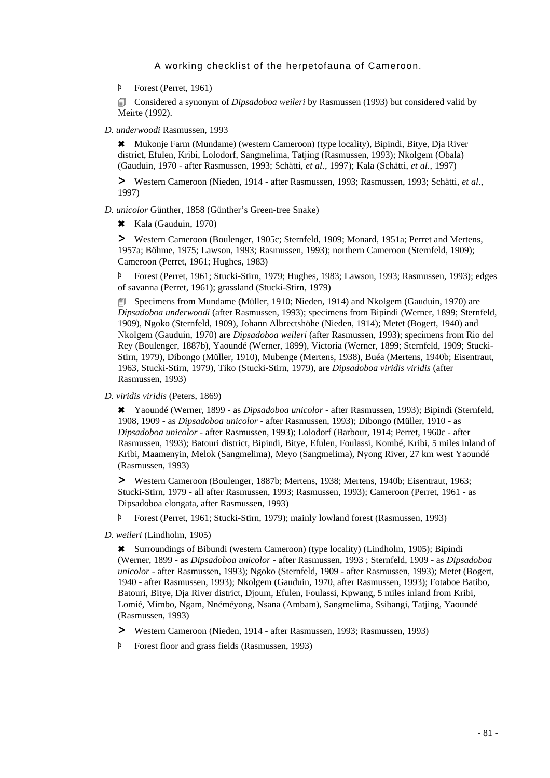Þ Forest (Perret, 1961)

**EXECONSIDERED A** synonym of *Dipsadoboa weileri* by Rasmussen (1993) but considered valid by Meirte (1992).

*D. underwoodi* Rasmussen, 1993

6 Mukonje Farm (Mundame) (western Cameroon) (type locality), Bipindi, Bitye, Dja River district, Efulen, Kribi, Lolodorf, Sangmelima, Tatjing (Rasmussen, 1993); Nkolgem (Obala) (Gauduin, 1970 - after Rasmussen, 1993; Schätti, *et al.,* 1997); Kala (Schätti, *et al.,* 1997)

> Western Cameroon (Nieden, 1914 - after Rasmussen, 1993; Rasmussen, 1993; Schätti, *et al.*, 1997)

*D. unicolor* Günther, 1858 (Günther's Green-tree Snake)

 $\star$  Kala (Gauduin, 1970)

> Western Cameroon (Boulenger, 1905c; Sternfeld, 1909; Monard, 1951a; Perret and Mertens, 1957a; Böhme, 1975; Lawson, 1993; Rasmussen, 1993); northern Cameroon (Sternfeld, 1909); Cameroon (Perret, 1961; Hughes, 1983)

Þ Forest (Perret, 1961; Stucki-Stirn, 1979; Hughes, 1983; Lawson, 1993; Rasmussen, 1993); edges of savanna (Perret, 1961); grassland (Stucki-Stirn, 1979)

**5** Specimens from Mundame (Müller, 1910; Nieden, 1914) and Nkolgem (Gauduin, 1970) are *Dipsadoboa underwoodi* (after Rasmussen, 1993); specimens from Bipindi (Werner, 1899; Sternfeld, 1909), Ngoko (Sternfeld, 1909), Johann Albrectshöhe (Nieden, 1914); Metet (Bogert, 1940) and Nkolgem (Gauduin, 1970) are *Dipsadoboa weileri* (after Rasmussen, 1993); specimens from Rio del Rey (Boulenger, 1887b), Yaoundé (Werner, 1899), Victoria (Werner, 1899; Sternfeld, 1909; Stucki-Stirn, 1979), Dibongo (Müller, 1910), Mubenge (Mertens, 1938), Buéa (Mertens, 1940b; Eisentraut, 1963, Stucki-Stirn, 1979), Tiko (Stucki-Stirn, 1979), are *Dipsadoboa viridis viridis* (after Rasmussen, 1993)

*D. viridis viridis* (Peters, 1869)

6 Yaoundé (Werner, 1899 - as *Dipsadoboa unicolor* - after Rasmussen, 1993); Bipindi (Sternfeld, 1908, 1909 - as *Dipsadoboa unicolor* - after Rasmussen, 1993); Dibongo (Müller, 1910 - as *Dipsadoboa unicolor* - after Rasmussen, 1993); Lolodorf (Barbour, 1914; Perret, 1960c - after Rasmussen, 1993); Batouri district, Bipindi, Bitye, Efulen, Foulassi, Kombé, Kribi, 5 miles inland of Kribi, Maamenyin, Melok (Sangmelima), Meyo (Sangmelima), Nyong River, 27 km west Yaoundé (Rasmussen, 1993)

> Western Cameroon (Boulenger, 1887b; Mertens, 1938; Mertens, 1940b; Eisentraut, 1963; Stucki-Stirn, 1979 - all after Rasmussen, 1993; Rasmussen, 1993); Cameroon (Perret, 1961 - as Dipsadoboa elongata, after Rasmussen, 1993)

Þ Forest (Perret, 1961; Stucki-Stirn, 1979); mainly lowland forest (Rasmussen, 1993)

*D. weileri* (Lindholm, 1905)

6 Surroundings of Bibundi (western Cameroon) (type locality) (Lindholm, 1905); Bipindi (Werner, 1899 - as *Dipsadoboa unicolor* - after Rasmussen, 1993 ; Sternfeld, 1909 - as *Dipsadoboa unicolor* - after Rasmussen, 1993); Ngoko (Sternfeld, 1909 - after Rasmussen, 1993); Metet (Bogert, 1940 - after Rasmussen, 1993); Nkolgem (Gauduin, 1970, after Rasmussen, 1993); Fotaboe Batibo, Batouri, Bitye, Dja River district, Djoum, Efulen, Foulassi, Kpwang, 5 miles inland from Kribi, Lomié, Mimbo, Ngam, Nnéméyong, Nsana (Ambam), Sangmelima, Ssibangi, Tatjing, Yaoundé (Rasmussen, 1993)

> Western Cameroon (Nieden, 1914 - after Rasmussen, 1993; Rasmussen, 1993)

Þ Forest floor and grass fields (Rasmussen, 1993)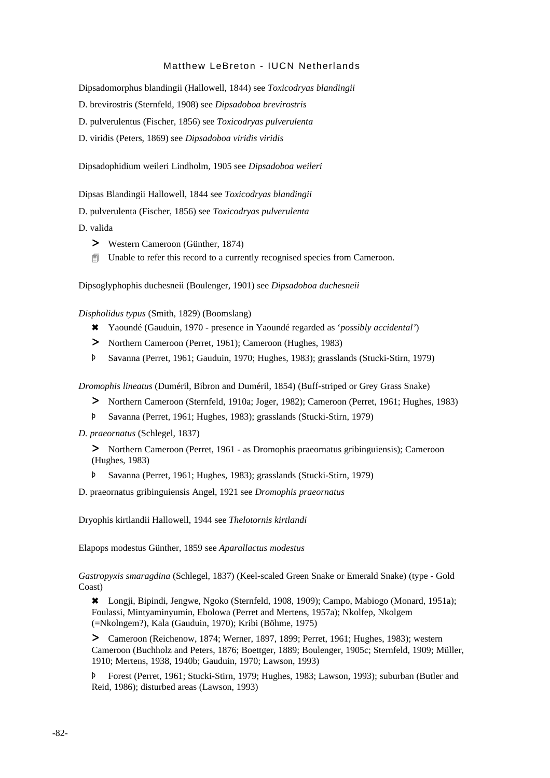Dipsadomorphus blandingii (Hallowell, 1844) see *Toxicodryas blandingii*

D. brevirostris (Sternfeld, 1908) see *Dipsadoboa brevirostris*

D. pulverulentus (Fischer, 1856) see *Toxicodryas pulverulenta*

D. viridis (Peters, 1869) see *Dipsadoboa viridis viridis*

Dipsadophidium weileri Lindholm, 1905 see *Dipsadoboa weileri*

Dipsas Blandingii Hallowell, 1844 see *Toxicodryas blandingii*

D. pulverulenta (Fischer, 1856) see *Toxicodryas pulverulenta*

D. valida

- > Western Cameroon (Günther, 1874)
- **I** Unable to refer this record to a currently recognised species from Cameroon.

Dipsoglyphophis duchesneii (Boulenger, 1901) see *Dipsadoboa duchesneii*

*Dispholidus typus* (Smith, 1829) (Boomslang)

- 6 Yaoundé (Gauduin, 1970 presence in Yaoundé regarded as '*possibly accidental'*)
- > Northern Cameroon (Perret, 1961); Cameroon (Hughes, 1983)
- Þ Savanna (Perret, 1961; Gauduin, 1970; Hughes, 1983); grasslands (Stucki-Stirn, 1979)

*Dromophis lineatus* (Duméril, Bibron and Duméril, 1854) (Buff-striped or Grey Grass Snake)

- > Northern Cameroon (Sternfeld, 1910a; Joger, 1982); Cameroon (Perret, 1961; Hughes, 1983)
- Þ Savanna (Perret, 1961; Hughes, 1983); grasslands (Stucki-Stirn, 1979)

*D. praeornatus* (Schlegel, 1837)

> Northern Cameroon (Perret, 1961 - as Dromophis praeornatus gribinguiensis); Cameroon (Hughes, 1983)

Þ Savanna (Perret, 1961; Hughes, 1983); grasslands (Stucki-Stirn, 1979)

D. praeornatus gribinguiensis Angel, 1921 see *Dromophis praeornatus*

Dryophis kirtlandii Hallowell, 1944 see *Thelotornis kirtlandi*

Elapops modestus Günther, 1859 see *Aparallactus modestus*

*Gastropyxis smaragdina* (Schlegel, 1837) (Keel-scaled Green Snake or Emerald Snake) (type - Gold Coast)

6 Longji, Bipindi, Jengwe, Ngoko (Sternfeld, 1908, 1909); Campo, Mabiogo (Monard, 1951a); Foulassi, Mintyaminyumin, Ebolowa (Perret and Mertens, 1957a); Nkolfep, Nkolgem (=Nkolngem?), Kala (Gauduin, 1970); Kribi (Böhme, 1975)

> Cameroon (Reichenow, 1874; Werner, 1897, 1899; Perret, 1961; Hughes, 1983); western Cameroon (Buchholz and Peters, 1876; Boettger, 1889; Boulenger, 1905c; Sternfeld, 1909; Müller, 1910; Mertens, 1938, 1940b; Gauduin, 1970; Lawson, 1993)

Þ Forest (Perret, 1961; Stucki-Stirn, 1979; Hughes, 1983; Lawson, 1993); suburban (Butler and Reid, 1986); disturbed areas (Lawson, 1993)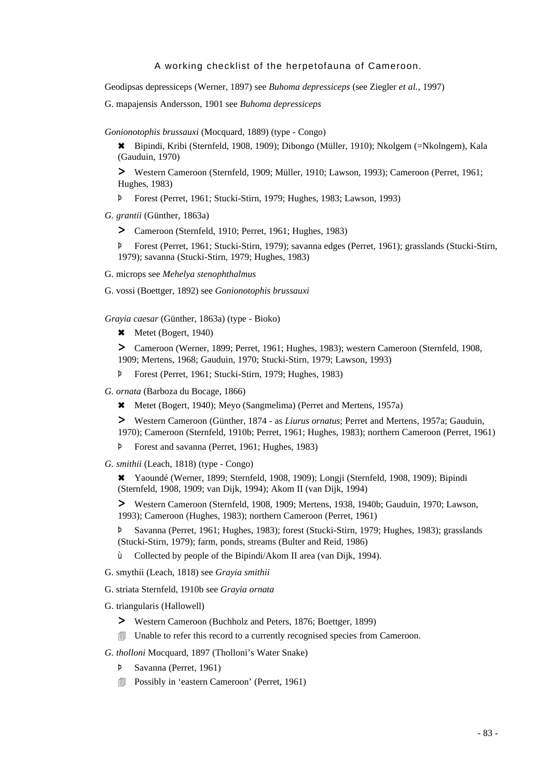Geodipsas depressiceps (Werner, 1897) see *Buhoma depressiceps* (see Ziegler *et al.,* 1997)

G. mapajensis Andersson, 1901 see *Buhoma depressiceps*

*Gonionotophis brussauxi* (Mocquard, 1889) (type - Congo)

6 Bipindi, Kribi (Sternfeld, 1908, 1909); Dibongo (Müller, 1910); Nkolgem (=Nkolngem), Kala (Gauduin, 1970)

> Western Cameroon (Sternfeld, 1909; Müller, 1910; Lawson, 1993); Cameroon (Perret, 1961; Hughes, 1983)

Þ Forest (Perret, 1961; Stucki-Stirn, 1979; Hughes, 1983; Lawson, 1993)

*G. grantii* (Günther, 1863a)

> Cameroon (Sternfeld, 1910; Perret, 1961; Hughes, 1983)

Þ Forest (Perret, 1961; Stucki-Stirn, 1979); savanna edges (Perret, 1961); grasslands (Stucki-Stirn, 1979); savanna (Stucki-Stirn, 1979; Hughes, 1983)

G. microps see *Mehelya stenophthalmus*

G. vossi (Boettger, 1892) see *Gonionotophis brussauxi*

*Grayia caesar* (Günther, 1863a) (type - Bioko)

\* Metet (Bogert, 1940)

> Cameroon (Werner, 1899; Perret, 1961; Hughes, 1983); western Cameroon (Sternfeld, 1908, 1909; Mertens, 1968; Gauduin, 1970; Stucki-Stirn, 1979; Lawson, 1993)

- Þ Forest (Perret, 1961; Stucki-Stirn, 1979; Hughes, 1983)
- *G. ornata* (Barboza du Bocage, 1866)
	- \* Metet (Bogert, 1940); Meyo (Sangmelima) (Perret and Mertens, 1957a)

> Western Cameroon (Günther, 1874 - as *Liurus ornatus*; Perret and Mertens, 1957a; Gauduin, 1970); Cameroon (Sternfeld, 1910b; Perret, 1961; Hughes, 1983); northern Cameroon (Perret, 1961)

- Þ Forest and savanna (Perret, 1961; Hughes, 1983)
- *G. smithii* (Leach, 1818) (type Congo)

6 Yaoundé (Werner, 1899; Sternfeld, 1908, 1909); Longji (Sternfeld, 1908, 1909); Bipindi (Sternfeld, 1908, 1909; van Dijk, 1994); Akom II (van Dijk, 1994)

> Western Cameroon (Sternfeld, 1908, 1909; Mertens, 1938, 1940b; Gauduin, 1970; Lawson, 1993); Cameroon (Hughes, 1983); northern Cameroon (Perret, 1961)

Þ Savanna (Perret, 1961; Hughes, 1983); forest (Stucki-Stirn, 1979; Hughes, 1983); grasslands (Stucki-Stirn, 1979); farm, ponds, streams (Bulter and Reid, 1986)

- ù Collected by people of the Bipindi/Akom II area (van Dijk, 1994).
- G. smythii (Leach, 1818) see *Grayia smithii*
- G. striata Sternfeld, 1910b see *Grayia ornata*
- G. triangularis (Hallowell)
	- > Western Cameroon (Buchholz and Peters, 1876; Boettger, 1899)
	- 4 Unable to refer this record to a currently recognised species from Cameroon.

*G. tholloni* Mocquard, 1897 (Tholloni's Water Snake)

- Þ Savanna (Perret, 1961)
- **I** Possibly in 'eastern Cameroon' (Perret, 1961)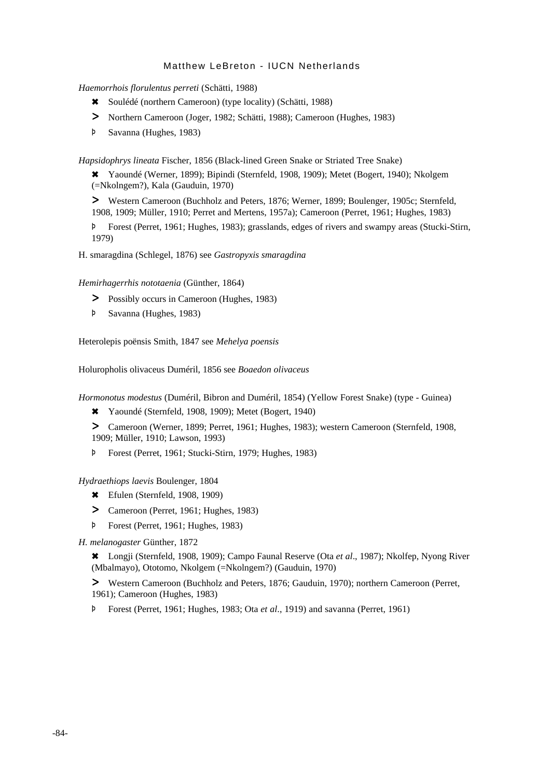*Haemorrhois florulentus perreti* (Schätti, 1988)

- 6 Soulédé (northern Cameroon) (type locality) (Schätti, 1988)
- > Northern Cameroon (Joger, 1982; Schätti, 1988); Cameroon (Hughes, 1983)
- Þ Savanna (Hughes, 1983)

*Hapsidophrys lineata* Fischer, 1856 (Black-lined Green Snake or Striated Tree Snake)

6 Yaoundé (Werner, 1899); Bipindi (Sternfeld, 1908, 1909); Metet (Bogert, 1940); Nkolgem (=Nkolngem?), Kala (Gauduin, 1970)

> Western Cameroon (Buchholz and Peters, 1876; Werner, 1899; Boulenger, 1905c; Sternfeld, 1908, 1909; Müller, 1910; Perret and Mertens, 1957a); Cameroon (Perret, 1961; Hughes, 1983)

Þ Forest (Perret, 1961; Hughes, 1983); grasslands, edges of rivers and swampy areas (Stucki-Stirn, 1979)

H. smaragdina (Schlegel, 1876) see *Gastropyxis smaragdina*

*Hemirhagerrhis nototaenia* (Günther, 1864)

- > Possibly occurs in Cameroon (Hughes, 1983)
- Þ Savanna (Hughes, 1983)

Heterolepis poënsis Smith, 1847 see *Mehelya poensis*

Holuropholis olivaceus Duméril, 1856 see *Boaedon olivaceus*

*Hormonotus modestus* (Duméril, Bibron and Duméril, 1854) (Yellow Forest Snake) (type - Guinea)

6 Yaoundé (Sternfeld, 1908, 1909); Metet (Bogert, 1940)

> Cameroon (Werner, 1899; Perret, 1961; Hughes, 1983); western Cameroon (Sternfeld, 1908, 1909; Müller, 1910; Lawson, 1993)

Þ Forest (Perret, 1961; Stucki-Stirn, 1979; Hughes, 1983)

*Hydraethiops laevis* Boulenger, 1804

- $\text{\textbullet}$  Efulen (Sternfeld, 1908, 1909)
- > Cameroon (Perret, 1961; Hughes, 1983)
- Þ Forest (Perret, 1961; Hughes, 1983)

*H. melanogaster* Günther, 1872

6 Longji (Sternfeld, 1908, 1909); Campo Faunal Reserve (Ota *et al*., 1987); Nkolfep, Nyong River (Mbalmayo), Ototomo, Nkolgem (=Nkolngem?) (Gauduin, 1970)

> Western Cameroon (Buchholz and Peters, 1876; Gauduin, 1970); northern Cameroon (Perret, 1961); Cameroon (Hughes, 1983)

Þ Forest (Perret, 1961; Hughes, 1983; Ota *et al*., 1919) and savanna (Perret, 1961)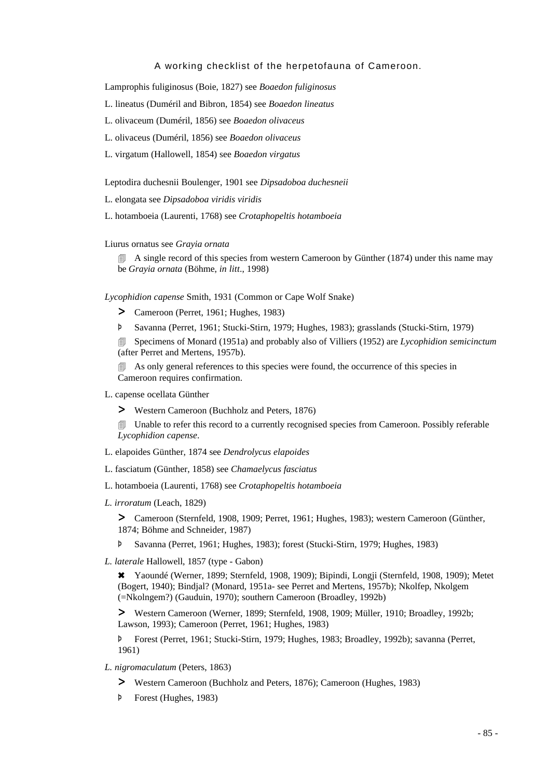Lamprophis fuliginosus (Boie, 1827) see *Boaedon fuliginosus*

- L. lineatus (Duméril and Bibron, 1854) see *Boaedon lineatus*
- L. olivaceum (Duméril, 1856) see *Boaedon olivaceus*
- L. olivaceus (Duméril, 1856) see *Boaedon olivaceus*
- L. virgatum (Hallowell, 1854) see *Boaedon virgatus*

Leptodira duchesnii Boulenger, 1901 see *Dipsadoboa duchesneii*

L. elongata see *Dipsadoboa viridis viridis*

L. hotamboeia (Laurenti, 1768) see *Crotaphopeltis hotamboeia*

Liurus ornatus see *Grayia ornata*

 $\Box$  A single record of this species from western Cameroon by Günther (1874) under this name may be *Grayia ornata* (Böhme, *in litt*., 1998)

*Lycophidion capense* Smith, 1931 (Common or Cape Wolf Snake)

- > Cameroon (Perret, 1961; Hughes, 1983)
- Þ Savanna (Perret, 1961; Stucki-Stirn, 1979; Hughes, 1983); grasslands (Stucki-Stirn, 1979)

4 Specimens of Monard (1951a) and probably also of Villiers (1952) are *Lycophidion semicinctum* (after Perret and Mertens, 1957b).

**4** As only general references to this species were found, the occurrence of this species in Cameroon requires confirmation.

L. capense ocellata Günther

> Western Cameroon (Buchholz and Peters, 1876)

**If Unable to refer this record to a currently recognised species from Cameroon. Possibly referable** *Lycophidion capense*.

- L. elapoides Günther, 1874 see *Dendrolycus elapoides*
- L. fasciatum (Günther, 1858) see *Chamaelycus fasciatus*
- L. hotamboeia (Laurenti, 1768) see *Crotaphopeltis hotamboeia*
- *L. irroratum* (Leach, 1829)

> Cameroon (Sternfeld, 1908, 1909; Perret, 1961; Hughes, 1983); western Cameroon (Günther, 1874; Böhme and Schneider, 1987)

- Þ Savanna (Perret, 1961; Hughes, 1983); forest (Stucki-Stirn, 1979; Hughes, 1983)
- *L. laterale* Hallowell, 1857 (type Gabon)

6 Yaoundé (Werner, 1899; Sternfeld, 1908, 1909); Bipindi, Longji (Sternfeld, 1908, 1909); Metet (Bogert, 1940); Bindjal? (Monard, 1951a- see Perret and Mertens, 1957b); Nkolfep, Nkolgem (=Nkolngem?) (Gauduin, 1970); southern Cameroon (Broadley, 1992b)

> Western Cameroon (Werner, 1899; Sternfeld, 1908, 1909; Müller, 1910; Broadley, 1992b; Lawson, 1993); Cameroon (Perret, 1961; Hughes, 1983)

Þ Forest (Perret, 1961; Stucki-Stirn, 1979; Hughes, 1983; Broadley, 1992b); savanna (Perret, 1961)

- *L. nigromaculatum* (Peters, 1863)
	- > Western Cameroon (Buchholz and Peters, 1876); Cameroon (Hughes, 1983)
	- Þ Forest (Hughes, 1983)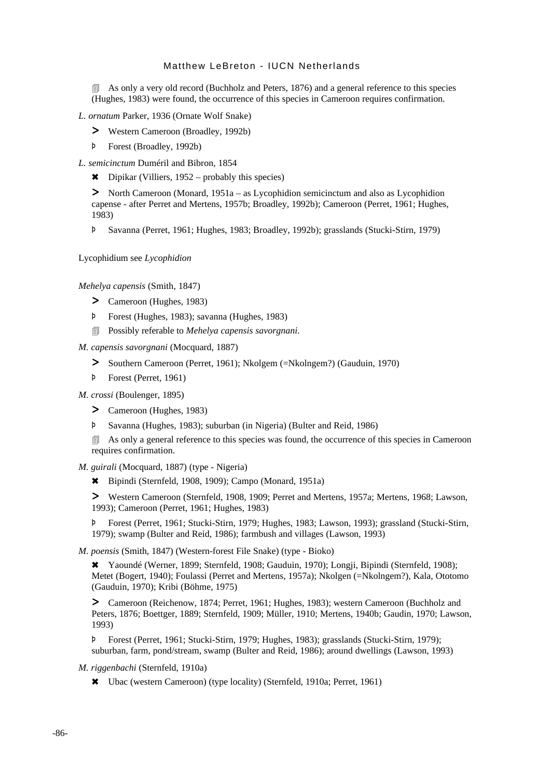**As only a very old record (Buchholz and Peters, 1876) and a general reference to this species** (Hughes, 1983) were found, the occurrence of this species in Cameroon requires confirmation.

*L. ornatum* Parker, 1936 (Ornate Wolf Snake)

- > Western Cameroon (Broadley, 1992b)
- Þ Forest (Broadley, 1992b)

*L. semicinctum* Duméril and Bibron, 1854

 $\star$  Dipikar (Villiers, 1952 – probably this species)

> North Cameroon (Monard, 1951a – as Lycophidion semicinctum and also as Lycophidion capense - after Perret and Mertens, 1957b; Broadley, 1992b); Cameroon (Perret, 1961; Hughes, 1983)

Þ Savanna (Perret, 1961; Hughes, 1983; Broadley, 1992b); grasslands (Stucki-Stirn, 1979)

Lycophidium see *Lycophidion*

*Mehelya capensis* (Smith, 1847)

- > Cameroon (Hughes, 1983)
- Þ Forest (Hughes, 1983); savanna (Hughes, 1983)
- 4 Possibly referable to *Mehelya capensis savorgnani.*

*M. capensis savorgnani* (Mocquard, 1887)

- > Southern Cameroon (Perret, 1961); Nkolgem (=Nkolngem?) (Gauduin, 1970)
- Þ Forest (Perret, 1961)

*M. crossi* (Boulenger, 1895)

- > Cameroon (Hughes, 1983)
- Þ Savanna (Hughes, 1983); suburban (in Nigeria) (Bulter and Reid, 1986)

**EXECUTE:** As only a general reference to this species was found, the occurrence of this species in Cameroon requires confirmation.

*M. guirali* (Mocquard, 1887) (type - Nigeria)

6 Bipindi (Sternfeld, 1908, 1909); Campo (Monard, 1951a)

> Western Cameroon (Sternfeld, 1908, 1909; Perret and Mertens, 1957a; Mertens, 1968; Lawson, 1993); Cameroon (Perret, 1961; Hughes, 1983)

Þ Forest (Perret, 1961; Stucki-Stirn, 1979; Hughes, 1983; Lawson, 1993); grassland (Stucki-Stirn, 1979); swamp (Bulter and Reid, 1986); farmbush and villages (Lawson, 1993)

*M. poensis* (Smith, 1847) (Western-forest File Snake) (type - Bioko)

6 Yaoundé (Werner, 1899; Sternfeld, 1908; Gauduin, 1970); Longji, Bipindi (Sternfeld, 1908); Metet (Bogert, 1940); Foulassi (Perret and Mertens, 1957a); Nkolgen (=Nkolngem?), Kala, Ototomo (Gauduin, 1970); Kribi (Böhme, 1975)

> Cameroon (Reichenow, 1874; Perret, 1961; Hughes, 1983); western Cameroon (Buchholz and Peters, 1876; Boettger, 1889; Sternfeld, 1909; Müller, 1910; Mertens, 1940b; Gaudin, 1970; Lawson, 1993)

Þ Forest (Perret, 1961; Stucki-Stirn, 1979; Hughes, 1983); grasslands (Stucki-Stirn, 1979); suburban, farm, pond/stream, swamp (Bulter and Reid, 1986); around dwellings (Lawson, 1993)

*M. riggenbachi* (Sternfeld, 1910a)

6 Ubac (western Cameroon) (type locality) (Sternfeld, 1910a; Perret, 1961)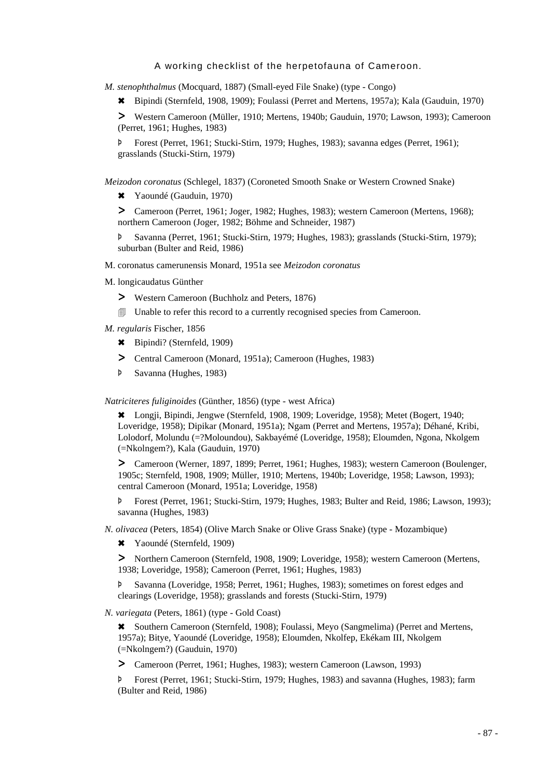*M. stenophthalmus* (Mocquard, 1887) (Small-eyed File Snake) (type - Congo)

6 Bipindi (Sternfeld, 1908, 1909); Foulassi (Perret and Mertens, 1957a); Kala (Gauduin, 1970)

> Western Cameroon (Müller, 1910; Mertens, 1940b; Gauduin, 1970; Lawson, 1993); Cameroon (Perret, 1961; Hughes, 1983)

Þ Forest (Perret, 1961; Stucki-Stirn, 1979; Hughes, 1983); savanna edges (Perret, 1961); grasslands (Stucki-Stirn, 1979)

*Meizodon coronatus* (Schlegel, 1837) (Coroneted Smooth Snake or Western Crowned Snake)

6 Yaoundé (Gauduin, 1970)

> Cameroon (Perret, 1961; Joger, 1982; Hughes, 1983); western Cameroon (Mertens, 1968); northern Cameroon (Joger, 1982; Böhme and Schneider, 1987)

Þ Savanna (Perret, 1961; Stucki-Stirn, 1979; Hughes, 1983); grasslands (Stucki-Stirn, 1979); suburban (Bulter and Reid, 1986)

M. coronatus camerunensis Monard, 1951a see *Meizodon coronatus*

M. longicaudatus Günther

- > Western Cameroon (Buchholz and Peters, 1876)
- 4 Unable to refer this record to a currently recognised species from Cameroon.

*M. regularis* Fischer, 1856

- 6 Bipindi? (Sternfeld, 1909)
- > Central Cameroon (Monard, 1951a); Cameroon (Hughes, 1983)
- Þ Savanna (Hughes, 1983)

*Natriciteres fuliginoides* (Günther, 1856) (type - west Africa)

6 Longji, Bipindi, Jengwe (Sternfeld, 1908, 1909; Loveridge, 1958); Metet (Bogert, 1940; Loveridge, 1958); Dipikar (Monard, 1951a); Ngam (Perret and Mertens, 1957a); Déhané, Kribi, Lolodorf, Molundu (=?Moloundou), Sakbayémé (Loveridge, 1958); Eloumden, Ngona, Nkolgem (=Nkolngem?), Kala (Gauduin, 1970)

> Cameroon (Werner, 1897, 1899; Perret, 1961; Hughes, 1983); western Cameroon (Boulenger, 1905c; Sternfeld, 1908, 1909; Müller, 1910; Mertens, 1940b; Loveridge, 1958; Lawson, 1993); central Cameroon (Monard, 1951a; Loveridge, 1958)

Þ Forest (Perret, 1961; Stucki-Stirn, 1979; Hughes, 1983; Bulter and Reid, 1986; Lawson, 1993); savanna (Hughes, 1983)

*N. olivacea* (Peters, 1854) (Olive March Snake or Olive Grass Snake) (type - Mozambique)

6 Yaoundé (Sternfeld, 1909)

> Northern Cameroon (Sternfeld, 1908, 1909; Loveridge, 1958); western Cameroon (Mertens, 1938; Loveridge, 1958); Cameroon (Perret, 1961; Hughes, 1983)

Þ Savanna (Loveridge, 1958; Perret, 1961; Hughes, 1983); sometimes on forest edges and clearings (Loveridge, 1958); grasslands and forests (Stucki-Stirn, 1979)

*N. variegata* (Peters, 1861) (type - Gold Coast)

6 Southern Cameroon (Sternfeld, 1908); Foulassi, Meyo (Sangmelima) (Perret and Mertens, 1957a); Bitye, Yaoundé (Loveridge, 1958); Eloumden, Nkolfep, Ekékam III, Nkolgem (=Nkolngem?) (Gauduin, 1970)

> Cameroon (Perret, 1961; Hughes, 1983); western Cameroon (Lawson, 1993)

Þ Forest (Perret, 1961; Stucki-Stirn, 1979; Hughes, 1983) and savanna (Hughes, 1983); farm (Bulter and Reid, 1986)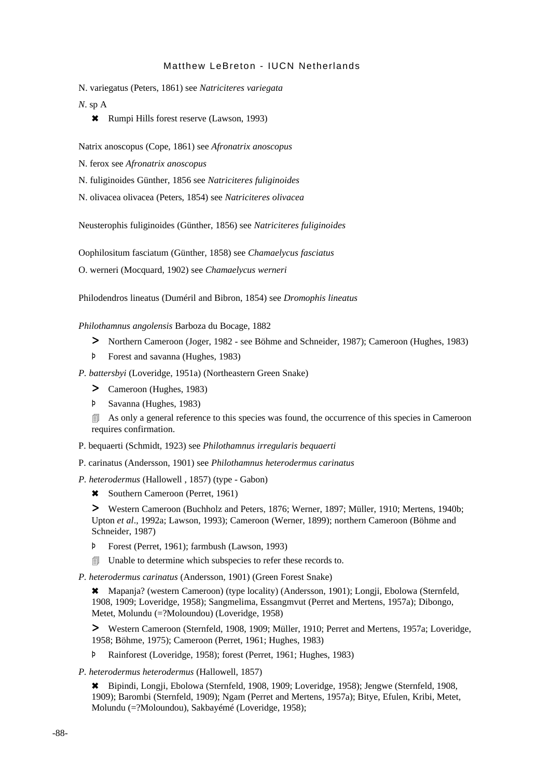N. variegatus (Peters, 1861) see *Natriciteres variegata*

*N*. sp A

\* Rumpi Hills forest reserve (Lawson, 1993)

Natrix anoscopus (Cope, 1861) see *Afronatrix anoscopus*

N. ferox see *Afronatrix anoscopus*

N. fuliginoides Günther, 1856 see *Natriciteres fuliginoides*

N. olivacea olivacea (Peters, 1854) see *Natriciteres olivacea*

Neusterophis fuliginoides (Günther, 1856) see *Natriciteres fuliginoides*

Oophilositum fasciatum (Günther, 1858) see *Chamaelycus fasciatus*

O. werneri (Mocquard, 1902) see *Chamaelycus werneri*

Philodendros lineatus (Duméril and Bibron, 1854) see *Dromophis lineatus*

*Philothamnus angolensis* Barboza du Bocage, 1882

- > Northern Cameroon (Joger, 1982 see Böhme and Schneider, 1987); Cameroon (Hughes, 1983)
- Þ Forest and savanna (Hughes, 1983)

*P. battersbyi* (Loveridge, 1951a) (Northeastern Green Snake)

- > Cameroon (Hughes, 1983)
- Þ Savanna (Hughes, 1983)

**EXECUTE:** As only a general reference to this species was found, the occurrence of this species in Cameroon requires confirmation.

P. bequaerti (Schmidt, 1923) see *Philothamnus irregularis bequaerti*

P. carinatus (Andersson, 1901) see *Philothamnus heterodermus carinatus*

- *P. heterodermus* (Hallowell , 1857) (type Gabon)
	- \* Southern Cameroon (Perret, 1961)

> Western Cameroon (Buchholz and Peters, 1876; Werner, 1897; Müller, 1910; Mertens, 1940b; Upton *et al*., 1992a; Lawson, 1993); Cameroon (Werner, 1899); northern Cameroon (Böhme and Schneider, 1987)

- Þ Forest (Perret, 1961); farmbush (Lawson, 1993)
- **I** Unable to determine which subspecies to refer these records to.

*P. heterodermus carinatus* (Andersson, 1901) (Green Forest Snake)

6 Mapanja? (western Cameroon) (type locality) (Andersson, 1901); Longji, Ebolowa (Sternfeld, 1908, 1909; Loveridge, 1958); Sangmelima, Essangmvut (Perret and Mertens, 1957a); Dibongo, Metet, Molundu (=?Moloundou) (Loveridge, 1958)

> Western Cameroon (Sternfeld, 1908, 1909; Müller, 1910; Perret and Mertens, 1957a; Loveridge, 1958; Böhme, 1975); Cameroon (Perret, 1961; Hughes, 1983)

Þ Rainforest (Loveridge, 1958); forest (Perret, 1961; Hughes, 1983)

*P. heterodermus heterodermus* (Hallowell, 1857)

6 Bipindi, Longji, Ebolowa (Sternfeld, 1908, 1909; Loveridge, 1958); Jengwe (Sternfeld, 1908, 1909); Barombi (Sternfeld, 1909); Ngam (Perret and Mertens, 1957a); Bitye, Efulen, Kribi, Metet, Molundu (=?Moloundou), Sakbayémé (Loveridge, 1958);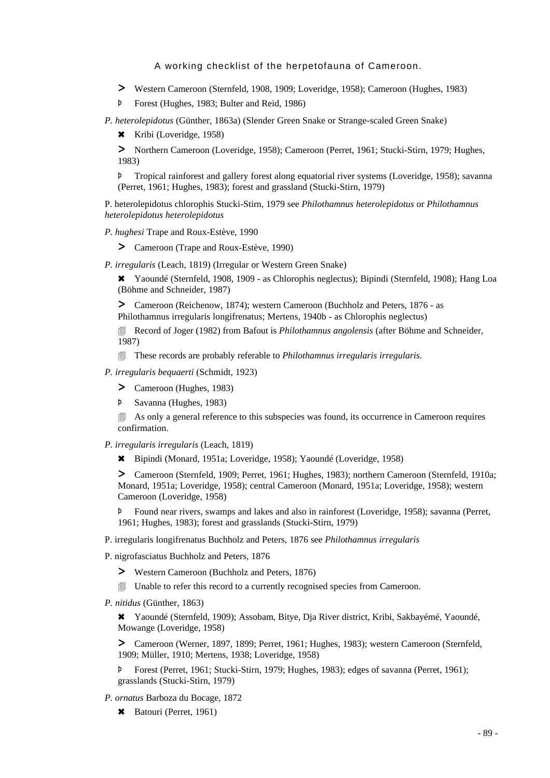- > Western Cameroon (Sternfeld, 1908, 1909; Loveridge, 1958); Cameroon (Hughes, 1983)
- Þ Forest (Hughes, 1983; Bulter and Reid, 1986)

*P. heterolepidotus* (Günther, 1863a) (Slender Green Snake or Strange-scaled Green Snake)

\* Kribi (Loveridge, 1958)

> Northern Cameroon (Loveridge, 1958); Cameroon (Perret, 1961; Stucki-Stirn, 1979; Hughes, 1983)

Þ Tropical rainforest and gallery forest along equatorial river systems (Loveridge, 1958); savanna (Perret, 1961; Hughes, 1983); forest and grassland (Stucki-Stirn, 1979)

P. heterolepidotus chlorophis Stucki-Stirn, 1979 see *Philothamnus heterolepidotus* or *Philothamnus heterolepidotus heterolepidotus*

- *P. hughesi* Trape and Roux-Estève, 1990
	- > Cameroon (Trape and Roux-Estève, 1990)

*P. irregularis* (Leach, 1819) (Irregular or Western Green Snake)

6 Yaoundé (Sternfeld, 1908, 1909 - as Chlorophis neglectus); Bipindi (Sternfeld, 1908); Hang Loa (Böhme and Schneider, 1987)

> Cameroon (Reichenow, 1874); western Cameroon (Buchholz and Peters, 1876 - as Philothamnus irregularis longifrenatus; Mertens, 1940b - as Chlorophis neglectus)

4 Record of Joger (1982) from Bafout is *Philothamnus angolensis* (after Böhme and Schneider, 1987)

- 4 These records are probably referable to *Philothamnus irregularis irregularis.*
- *P. irregularis bequaerti* (Schmidt, 1923)
	- > Cameroon (Hughes, 1983)
	- Þ Savanna (Hughes, 1983)

**4** As only a general reference to this subspecies was found, its occurrence in Cameroon requires confirmation.

- *P. irregularis irregularis* (Leach, 1819)
	- 6 Bipindi (Monard, 1951a; Loveridge, 1958); Yaoundé (Loveridge, 1958)

> Cameroon (Sternfeld, 1909; Perret, 1961; Hughes, 1983); northern Cameroon (Sternfeld, 1910a; Monard, 1951a; Loveridge, 1958); central Cameroon (Monard, 1951a; Loveridge, 1958); western Cameroon (Loveridge, 1958)

Þ Found near rivers, swamps and lakes and also in rainforest (Loveridge, 1958); savanna (Perret, 1961; Hughes, 1983); forest and grasslands (Stucki-Stirn, 1979)

P. irregularis longifrenatus Buchholz and Peters, 1876 see *Philothamnus irregularis*

P. nigrofasciatus Buchholz and Peters, 1876

- > Western Cameroon (Buchholz and Peters, 1876)
- $\Box$  Unable to refer this record to a currently recognised species from Cameroon.
- *P. nitidus* (Günther, 1863)

6 Yaoundé (Sternfeld, 1909); Assobam, Bitye, Dja River district, Kribi, Sakbayémé, Yaoundé, Mowange (Loveridge, 1958)

> Cameroon (Werner, 1897, 1899; Perret, 1961; Hughes, 1983); western Cameroon (Sternfeld, 1909; Müller, 1910; Mertens, 1938; Loveridge, 1958)

Þ Forest (Perret, 1961; Stucki-Stirn, 1979; Hughes, 1983); edges of savanna (Perret, 1961); grasslands (Stucki-Stirn, 1979)

- *P. ornatus* Barboza du Bocage, 1872
	- \* Batouri (Perret, 1961)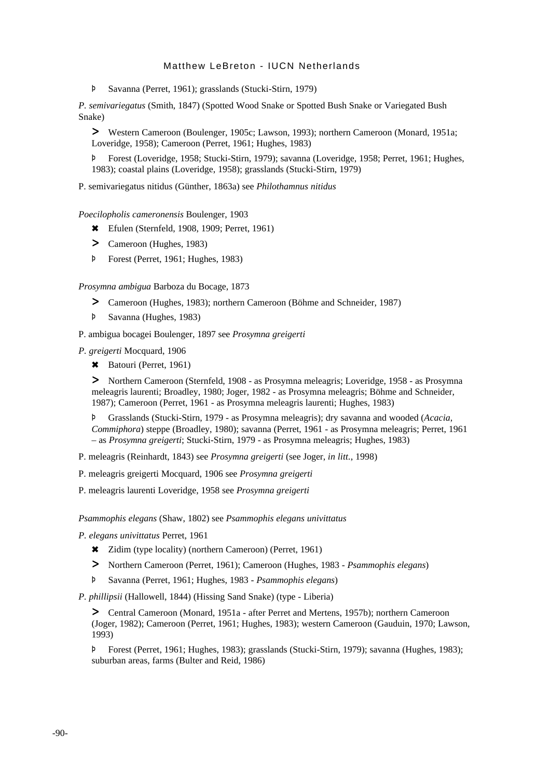Þ Savanna (Perret, 1961); grasslands (Stucki-Stirn, 1979)

*P. semivariegatus* (Smith, 1847) (Spotted Wood Snake or Spotted Bush Snake or Variegated Bush Snake)

> Western Cameroon (Boulenger, 1905c; Lawson, 1993); northern Cameroon (Monard, 1951a; Loveridge, 1958); Cameroon (Perret, 1961; Hughes, 1983)

Þ Forest (Loveridge, 1958; Stucki-Stirn, 1979); savanna (Loveridge, 1958; Perret, 1961; Hughes, 1983); coastal plains (Loveridge, 1958); grasslands (Stucki-Stirn, 1979)

P. semivariegatus nitidus (Günther, 1863a) see *Philothamnus nitidus*

*Poecilopholis cameronensis* Boulenger, 1903

- \* Efulen (Sternfeld, 1908, 1909; Perret, 1961)
- > Cameroon (Hughes, 1983)
- Þ Forest (Perret, 1961; Hughes, 1983)

*Prosymna ambigua* Barboza du Bocage, 1873

- > Cameroon (Hughes, 1983); northern Cameroon (Böhme and Schneider, 1987)
- Þ Savanna (Hughes, 1983)
- P. ambigua bocagei Boulenger, 1897 see *Prosymna greigerti*

*P. greigerti* Mocquard, 1906

\* Batouri (Perret, 1961)

> Northern Cameroon (Sternfeld, 1908 - as Prosymna meleagris; Loveridge, 1958 - as Prosymna meleagris laurenti; Broadley, 1980; Joger, 1982 - as Prosymna meleagris; Böhme and Schneider, 1987); Cameroon (Perret, 1961 - as Prosymna meleagris laurenti; Hughes, 1983)

Þ Grasslands (Stucki-Stirn, 1979 - as Prosymna meleagris); dry savanna and wooded (*Acacia*, *Commiphora*) steppe (Broadley, 1980); savanna (Perret, 1961 - as Prosymna meleagris; Perret, 1961 – as *Prosymna greigerti*; Stucki-Stirn, 1979 - as Prosymna meleagris; Hughes, 1983)

P. meleagris (Reinhardt, 1843) see *Prosymna greigerti* (see Joger, *in litt.*, 1998)

P. meleagris greigerti Mocquard, 1906 see *Prosymna greigerti*

P. meleagris laurenti Loveridge, 1958 see *Prosymna greigerti*

*Psammophis elegans* (Shaw, 1802) see *Psammophis elegans univittatus*

*P. elegans univittatus* Perret, 1961

- 6 Zidim (type locality) (northern Cameroon) (Perret, 1961)
- > Northern Cameroon (Perret, 1961); Cameroon (Hughes, 1983 *Psammophis elegans*)
- Þ Savanna (Perret, 1961; Hughes, 1983 *Psammophis elegans*)

*P. phillipsii* (Hallowell, 1844) (Hissing Sand Snake) (type - Liberia)

> Central Cameroon (Monard, 1951a - after Perret and Mertens, 1957b); northern Cameroon (Joger, 1982); Cameroon (Perret, 1961; Hughes, 1983); western Cameroon (Gauduin, 1970; Lawson, 1993)

Þ Forest (Perret, 1961; Hughes, 1983); grasslands (Stucki-Stirn, 1979); savanna (Hughes, 1983); suburban areas, farms (Bulter and Reid, 1986)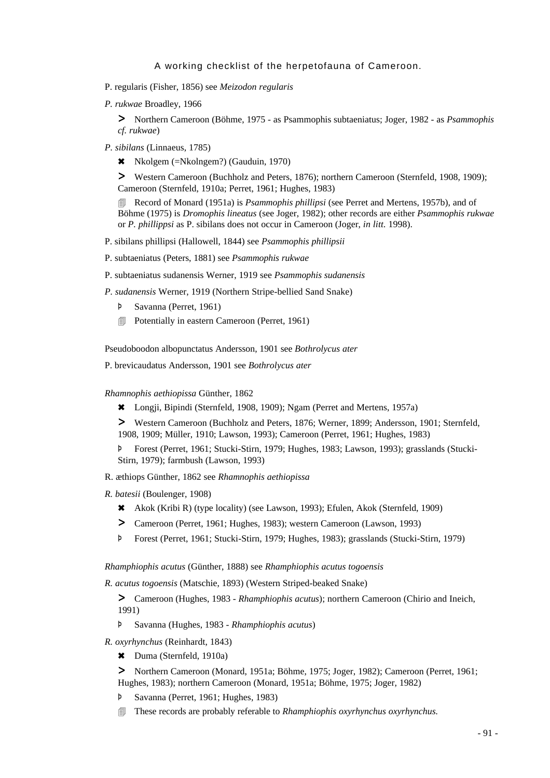- P. regularis (Fisher, 1856) see *Meizodon regularis*
- *P. rukwae* Broadley, 1966

> Northern Cameroon (Böhme, 1975 - as Psammophis subtaeniatus; Joger, 1982 - as *Psammophis cf. rukwae*)

- *P. sibilans* (Linnaeus, 1785)
	- \* Nkolgem (=Nkolngem?) (Gauduin, 1970)

> Western Cameroon (Buchholz and Peters, 1876); northern Cameroon (Sternfeld, 1908, 1909); Cameroon (Sternfeld, 1910a; Perret, 1961; Hughes, 1983)

**EXECORD EXECORD FIGUREY RECORD IS PSAMMOPHIS phillipsi** (see Perret and Mertens, 1957b), and of Böhme (1975) is *Dromophis lineatus* (see Joger, 1982); other records are either *Psammophis rukwae* or *P. phillippsi* as P. sibilans does not occur in Cameroon (Joger, *in litt.* 1998).

P. sibilans phillipsi (Hallowell, 1844) see *Psammophis phillipsii*

- P. subtaeniatus (Peters, 1881) see *Psammophis rukwae*
- P. subtaeniatus sudanensis Werner, 1919 see *Psammophis sudanensis*

*P. sudanensis* Werner, 1919 (Northern Stripe-bellied Sand Snake)

- Þ Savanna (Perret, 1961)
- **■** Potentially in eastern Cameroon (Perret, 1961)

Pseudoboodon albopunctatus Andersson, 1901 see *Bothrolycus ater*

P. brevicaudatus Andersson, 1901 see *Bothrolycus ater*

*Rhamnophis aethiopissa* Günther, 1862

6 Longji, Bipindi (Sternfeld, 1908, 1909); Ngam (Perret and Mertens, 1957a)

> Western Cameroon (Buchholz and Peters, 1876; Werner, 1899; Andersson, 1901; Sternfeld, 1908, 1909; Müller, 1910; Lawson, 1993); Cameroon (Perret, 1961; Hughes, 1983)

Þ Forest (Perret, 1961; Stucki-Stirn, 1979; Hughes, 1983; Lawson, 1993); grasslands (Stucki-Stirn, 1979); farmbush (Lawson, 1993)

- R. æthiops Günther, 1862 see *Rhamnophis aethiopissa*
- *R. batesii* (Boulenger, 1908)
	- 6 Akok (Kribi R) (type locality) (see Lawson, 1993); Efulen, Akok (Sternfeld, 1909)
	- > Cameroon (Perret, 1961; Hughes, 1983); western Cameroon (Lawson, 1993)
	- Þ Forest (Perret, 1961; Stucki-Stirn, 1979; Hughes, 1983); grasslands (Stucki-Stirn, 1979)

*Rhamphiophis acutus* (Günther, 1888) see *Rhamphiophis acutus togoensis*

*R. acutus togoensis* (Matschie, 1893) (Western Striped-beaked Snake)

> Cameroon (Hughes, 1983 - *Rhamphiophis acutus*); northern Cameroon (Chirio and Ineich, 1991)

- Þ Savanna (Hughes, 1983 - *Rhamphiophis acutus*)
- *R. oxyrhynchus* (Reinhardt, 1843)
	- \* Duma (Sternfeld, 1910a)

> Northern Cameroon (Monard, 1951a; Böhme, 1975; Joger, 1982); Cameroon (Perret, 1961; Hughes, 1983); northern Cameroon (Monard, 1951a; Böhme, 1975; Joger, 1982)

- Savanna (Perret, 1961; Hughes, 1983)
- 4 These records are probably referable to *Rhamphiophis oxyrhynchus oxyrhynchus.*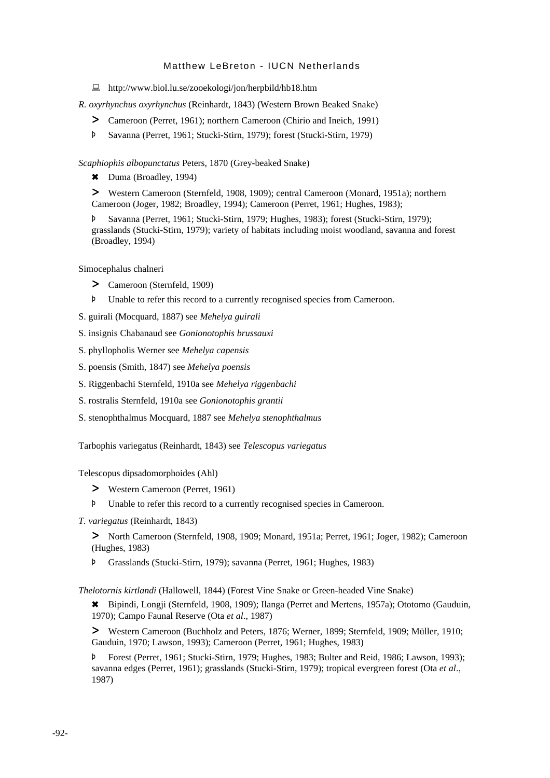: http://www.biol.lu.se/zooekologi/jon/herpbild/hb18.htm

*R. oxyrhynchus oxyrhynchus* (Reinhardt, 1843) (Western Brown Beaked Snake)

- > Cameroon (Perret, 1961); northern Cameroon (Chirio and Ineich, 1991)
- Þ Savanna (Perret, 1961; Stucki-Stirn, 1979); forest (Stucki-Stirn, 1979)

*Scaphiophis albopunctatus* Peters, 1870 (Grey-beaked Snake)

\* Duma (Broadley, 1994)

> Western Cameroon (Sternfeld, 1908, 1909); central Cameroon (Monard, 1951a); northern Cameroon (Joger, 1982; Broadley, 1994); Cameroon (Perret, 1961; Hughes, 1983);

Þ Savanna (Perret, 1961; Stucki-Stirn, 1979; Hughes, 1983); forest (Stucki-Stirn, 1979); grasslands (Stucki-Stirn, 1979); variety of habitats including moist woodland, savanna and forest (Broadley, 1994)

Simocephalus chalneri

- > Cameroon (Sternfeld, 1909)
- Þ Unable to refer this record to a currently recognised species from Cameroon.
- S. guirali (Mocquard, 1887) see *Mehelya guirali*
- S. insignis Chabanaud see *Gonionotophis brussauxi*
- S. phyllopholis Werner see *Mehelya capensis*
- S. poensis (Smith, 1847) see *Mehelya poensis*
- S. Riggenbachi Sternfeld, 1910a see *Mehelya riggenbachi*
- S. rostralis Sternfeld, 1910a see *Gonionotophis grantii*
- S. stenophthalmus Mocquard, 1887 see *Mehelya stenophthalmus*

Tarbophis variegatus (Reinhardt, 1843) see *Telescopus variegatus*

Telescopus dipsadomorphoides (Ahl)

- > Western Cameroon (Perret, 1961)
- Þ Unable to refer this record to a currently recognised species in Cameroon.
- *T. variegatus* (Reinhardt, 1843)

> North Cameroon (Sternfeld, 1908, 1909; Monard, 1951a; Perret, 1961; Joger, 1982); Cameroon (Hughes, 1983)

Þ Grasslands (Stucki-Stirn, 1979); savanna (Perret, 1961; Hughes, 1983)

*Thelotornis kirtlandi* (Hallowell, 1844) (Forest Vine Snake or Green-headed Vine Snake)

6 Bipindi, Longji (Sternfeld, 1908, 1909); Ilanga (Perret and Mertens, 1957a); Ototomo (Gauduin, 1970); Campo Faunal Reserve (Ota *et al*., 1987)

> Western Cameroon (Buchholz and Peters, 1876; Werner, 1899; Sternfeld, 1909; Müller, 1910; Gauduin, 1970; Lawson, 1993); Cameroon (Perret, 1961; Hughes, 1983)

Þ Forest (Perret, 1961; Stucki-Stirn, 1979; Hughes, 1983; Bulter and Reid, 1986; Lawson, 1993); savanna edges (Perret, 1961); grasslands (Stucki-Stirn, 1979); tropical evergreen forest (Ota *et al*., 1987)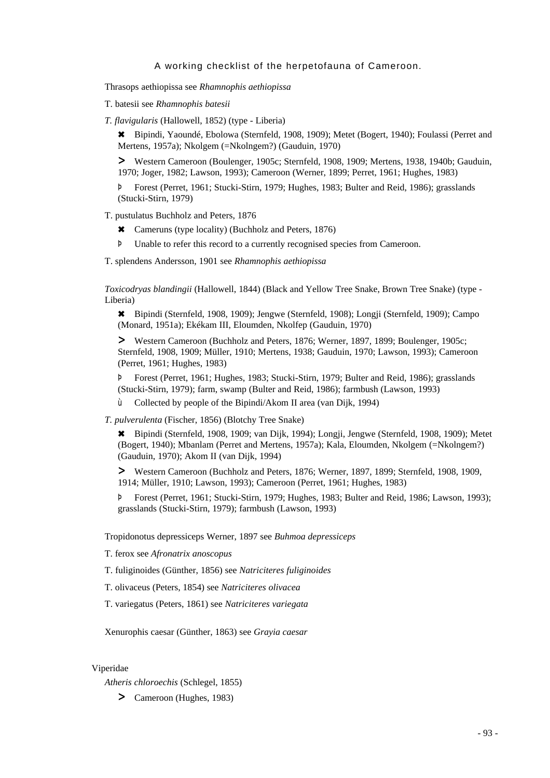Thrasops aethiopissa see *Rhamnophis aethiopissa*

T. batesii see *Rhamnophis batesii*

*T. flavigularis* (Hallowell, 1852) (type - Liberia)

6 Bipindi, Yaoundé, Ebolowa (Sternfeld, 1908, 1909); Metet (Bogert, 1940); Foulassi (Perret and Mertens, 1957a); Nkolgem (=Nkolngem?) (Gauduin, 1970)

> Western Cameroon (Boulenger, 1905c; Sternfeld, 1908, 1909; Mertens, 1938, 1940b; Gauduin, 1970; Joger, 1982; Lawson, 1993); Cameroon (Werner, 1899; Perret, 1961; Hughes, 1983)

Þ Forest (Perret, 1961; Stucki-Stirn, 1979; Hughes, 1983; Bulter and Reid, 1986); grasslands (Stucki-Stirn, 1979)

T. pustulatus Buchholz and Peters, 1876

- 6 Cameruns (type locality) (Buchholz and Peters, 1876)
- Þ Unable to refer this record to a currently recognised species from Cameroon.

T. splendens Andersson, 1901 see *Rhamnophis aethiopissa*

*Toxicodryas blandingii* (Hallowell, 1844) (Black and Yellow Tree Snake, Brown Tree Snake) (type - Liberia)

6 Bipindi (Sternfeld, 1908, 1909); Jengwe (Sternfeld, 1908); Longji (Sternfeld, 1909); Campo (Monard, 1951a); Ekékam III, Eloumden, Nkolfep (Gauduin, 1970)

> Western Cameroon (Buchholz and Peters, 1876; Werner, 1897, 1899; Boulenger, 1905c; Sternfeld, 1908, 1909; Müller, 1910; Mertens, 1938; Gauduin, 1970; Lawson, 1993); Cameroon (Perret, 1961; Hughes, 1983)

Þ Forest (Perret, 1961; Hughes, 1983; Stucki-Stirn, 1979; Bulter and Reid, 1986); grasslands (Stucki-Stirn, 1979); farm, swamp (Bulter and Reid, 1986); farmbush (Lawson, 1993)

ù Collected by people of the Bipindi/Akom II area (van Dijk, 1994)

*T. pulverulenta* (Fischer, 1856) (Blotchy Tree Snake)

6 Bipindi (Sternfeld, 1908, 1909; van Dijk, 1994); Longji, Jengwe (Sternfeld, 1908, 1909); Metet (Bogert, 1940); Mbanlam (Perret and Mertens, 1957a); Kala, Eloumden, Nkolgem (=Nkolngem?) (Gauduin, 1970); Akom II (van Dijk, 1994)

> Western Cameroon (Buchholz and Peters, 1876; Werner, 1897, 1899; Sternfeld, 1908, 1909, 1914; Müller, 1910; Lawson, 1993); Cameroon (Perret, 1961; Hughes, 1983)

Þ Forest (Perret, 1961; Stucki-Stirn, 1979; Hughes, 1983; Bulter and Reid, 1986; Lawson, 1993); grasslands (Stucki-Stirn, 1979); farmbush (Lawson, 1993)

Tropidonotus depressiceps Werner, 1897 see *Buhmoa depressiceps*

T. ferox see *Afronatrix anoscopus*

T. fuliginoides (Günther, 1856) see *Natriciteres fuliginoides*

T. olivaceus (Peters, 1854) see *Natriciteres olivacea*

T. variegatus (Peters, 1861) see *Natriciteres variegata*

Xenurophis caesar (Günther, 1863) see *Grayia caesar*

## Viperidae

*Atheris chloroechis* (Schlegel, 1855)

> Cameroon (Hughes, 1983)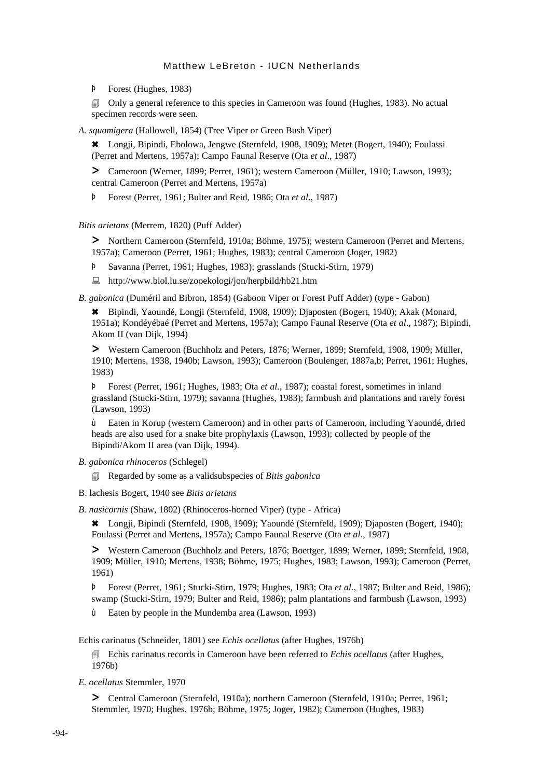Þ Forest (Hughes, 1983)

**In Carry 1983** Only a general reference to this species in Cameroon was found (Hughes, 1983). No actual specimen records were seen.

*A. squamigera* (Hallowell, 1854) (Tree Viper or Green Bush Viper)

6 Longji, Bipindi, Ebolowa, Jengwe (Sternfeld, 1908, 1909); Metet (Bogert, 1940); Foulassi (Perret and Mertens, 1957a); Campo Faunal Reserve (Ota *et al*., 1987)

> Cameroon (Werner, 1899; Perret, 1961); western Cameroon (Müller, 1910; Lawson, 1993); central Cameroon (Perret and Mertens, 1957a)

Þ Forest (Perret, 1961; Bulter and Reid, 1986; Ota *et al*., 1987)

*Bitis arietans* (Merrem, 1820) (Puff Adder)

> Northern Cameroon (Sternfeld, 1910a; Böhme, 1975); western Cameroon (Perret and Mertens, 1957a); Cameroon (Perret, 1961; Hughes, 1983); central Cameroon (Joger, 1982)

Þ Savanna (Perret, 1961; Hughes, 1983); grasslands (Stucki-Stirn, 1979)

: http://www.biol.lu.se/zooekologi/jon/herpbild/hb21.htm

*B. gabonica* (Duméril and Bibron, 1854) (Gaboon Viper or Forest Puff Adder) (type - Gabon)

6 Bipindi, Yaoundé, Longji (Sternfeld, 1908, 1909); Djaposten (Bogert, 1940); Akak (Monard, 1951a); Kondéyébaé (Perret and Mertens, 1957a); Campo Faunal Reserve (Ota *et al*., 1987); Bipindi, Akom II (van Dijk, 1994)

> Western Cameroon (Buchholz and Peters, 1876; Werner, 1899; Sternfeld, 1908, 1909; Müller, 1910; Mertens, 1938, 1940b; Lawson, 1993); Cameroon (Boulenger, 1887a,b; Perret, 1961; Hughes, 1983)

Þ Forest (Perret, 1961; Hughes, 1983; Ota *et al.*, 1987); coastal forest, sometimes in inland grassland (Stucki-Stirn, 1979); savanna (Hughes, 1983); farmbush and plantations and rarely forest (Lawson, 1993)

ù Eaten in Korup (western Cameroon) and in other parts of Cameroon, including Yaoundé, dried heads are also used for a snake bite prophylaxis (Lawson, 1993); collected by people of the Bipindi/Akom II area (van Dijk, 1994).

*B. gabonica rhinoceros* (Schlegel)

4 Regarded by some as a validsubspecies of *Bitis gabonica*

B. lachesis Bogert, 1940 see *Bitis arietans*

*B. nasicornis* (Shaw, 1802) (Rhinoceros-horned Viper) (type - Africa)

6 Longji, Bipindi (Sternfeld, 1908, 1909); Yaoundé (Sternfeld, 1909); Djaposten (Bogert, 1940); Foulassi (Perret and Mertens, 1957a); Campo Faunal Reserve (Ota *et al*., 1987)

> Western Cameroon (Buchholz and Peters, 1876; Boettger, 1899; Werner, 1899; Sternfeld, 1908, 1909; Müller, 1910; Mertens, 1938; Böhme, 1975; Hughes, 1983; Lawson, 1993); Cameroon (Perret, 1961)

Þ Forest (Perret, 1961; Stucki-Stirn, 1979; Hughes, 1983; Ota *et al*., 1987; Bulter and Reid, 1986); swamp (Stucki-Stirn, 1979; Bulter and Reid, 1986); palm plantations and farmbush (Lawson, 1993)

ù Eaten by people in the Mundemba area (Lawson, 1993)

Echis carinatus (Schneider, 1801) see *Echis ocellatus* (after Hughes, 1976b)

**Echis carinatus records in Cameroon have been referred to** *Echis ocellatus* **(after Hughes,** 1976b)

*E. ocellatus* Stemmler, 1970

> Central Cameroon (Sternfeld, 1910a); northern Cameroon (Sternfeld, 1910a; Perret, 1961; Stemmler, 1970; Hughes, 1976b; Böhme, 1975; Joger, 1982); Cameroon (Hughes, 1983)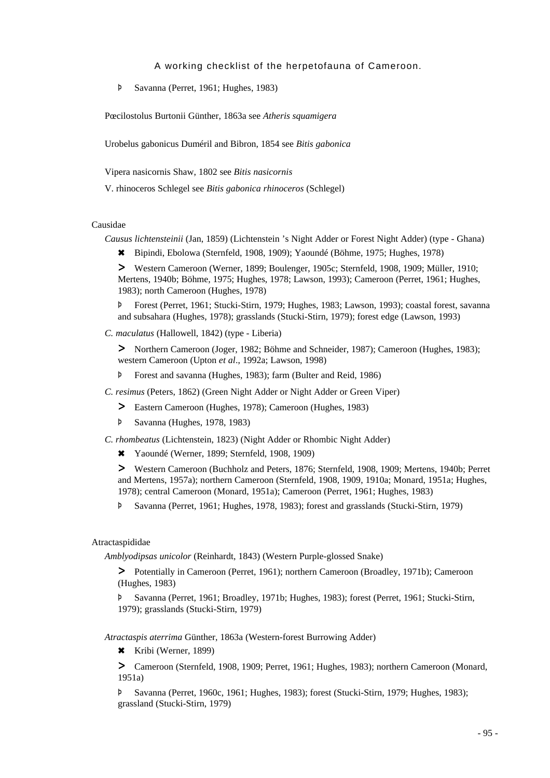Þ Savanna (Perret, 1961; Hughes, 1983)

Pœcilostolus Burtonii Günther, 1863a see *Atheris squamigera*

Urobelus gabonicus Duméril and Bibron, 1854 see *Bitis gabonica*

Vipera nasicornis Shaw, 1802 see *Bitis nasicornis*

V. rhinoceros Schlegel see *Bitis gabonica rhinoceros* (Schlegel)

#### Causidae

*Causus lichtensteinii* (Jan, 1859) (Lichtenstein 's Night Adder or Forest Night Adder) (type - Ghana)

6 Bipindi, Ebolowa (Sternfeld, 1908, 1909); Yaoundé (Böhme, 1975; Hughes, 1978)

> Western Cameroon (Werner, 1899; Boulenger, 1905c; Sternfeld, 1908, 1909; Müller, 1910; Mertens, 1940b; Böhme, 1975; Hughes, 1978; Lawson, 1993); Cameroon (Perret, 1961; Hughes, 1983); north Cameroon (Hughes, 1978)

Þ Forest (Perret, 1961; Stucki-Stirn, 1979; Hughes, 1983; Lawson, 1993); coastal forest, savanna and subsahara (Hughes, 1978); grasslands (Stucki-Stirn, 1979); forest edge (Lawson, 1993)

*C. maculatus* (Hallowell, 1842) (type - Liberia)

> Northern Cameroon (Joger, 1982; Böhme and Schneider, 1987); Cameroon (Hughes, 1983); western Cameroon (Upton *et al*., 1992a; Lawson, 1998)

- Þ Forest and savanna (Hughes, 1983); farm (Bulter and Reid, 1986)
- *C. resimus* (Peters, 1862) (Green Night Adder or Night Adder or Green Viper)
	- > Eastern Cameroon (Hughes, 1978); Cameroon (Hughes, 1983)
	- Þ Savanna (Hughes, 1978, 1983)
- *C. rhombeatus* (Lichtenstein, 1823) (Night Adder or Rhombic Night Adder)
	- 6 Yaoundé (Werner, 1899; Sternfeld, 1908, 1909)

> Western Cameroon (Buchholz and Peters, 1876; Sternfeld, 1908, 1909; Mertens, 1940b; Perret and Mertens, 1957a); northern Cameroon (Sternfeld, 1908, 1909, 1910a; Monard, 1951a; Hughes, 1978); central Cameroon (Monard, 1951a); Cameroon (Perret, 1961; Hughes, 1983)

Þ Savanna (Perret, 1961; Hughes, 1978, 1983); forest and grasslands (Stucki-Stirn, 1979)

#### Atractaspididae

*Amblyodipsas unicolor* (Reinhardt, 1843) (Western Purple-glossed Snake)

> Potentially in Cameroon (Perret, 1961); northern Cameroon (Broadley, 1971b); Cameroon (Hughes, 1983)

Þ Savanna (Perret, 1961; Broadley, 1971b; Hughes, 1983); forest (Perret, 1961; Stucki-Stirn, 1979); grasslands (Stucki-Stirn, 1979)

*Atractaspis aterrima* Günther, 1863a (Western-forest Burrowing Adder)

6 Kribi (Werner, 1899)

> Cameroon (Sternfeld, 1908, 1909; Perret, 1961; Hughes, 1983); northern Cameroon (Monard, 1951a)

Þ Savanna (Perret, 1960c, 1961; Hughes, 1983); forest (Stucki-Stirn, 1979; Hughes, 1983); grassland (Stucki-Stirn, 1979)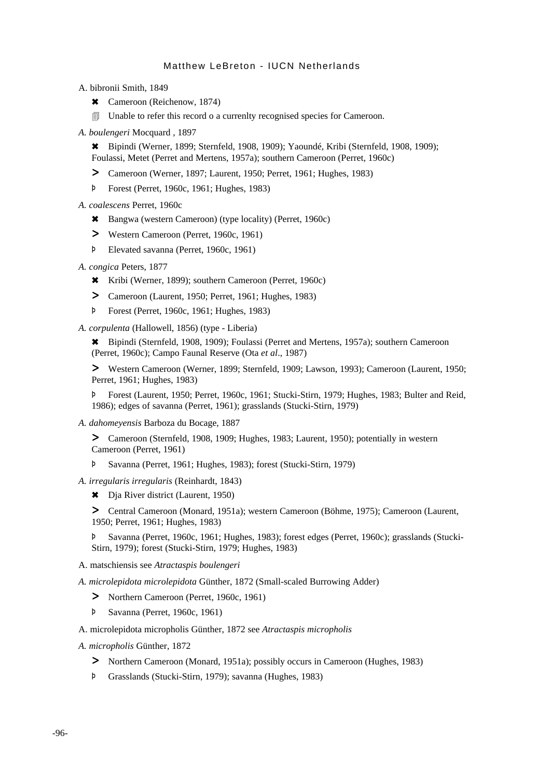A. bibronii Smith, 1849

- \* Cameroon (Reichenow, 1874)
- $\Box$  Unable to refer this record o a currenlty recognised species for Cameroon.
- *A. boulengeri* Mocquard , 1897

6 Bipindi (Werner, 1899; Sternfeld, 1908, 1909); Yaoundé, Kribi (Sternfeld, 1908, 1909); Foulassi, Metet (Perret and Mertens, 1957a); southern Cameroon (Perret, 1960c)

- > Cameroon (Werner, 1897; Laurent, 1950; Perret, 1961; Hughes, 1983)
- Þ Forest (Perret, 1960c, 1961; Hughes, 1983)

*A. coalescens* Perret, 1960c

- 6 Bangwa (western Cameroon) (type locality) (Perret, 1960c)
- > Western Cameroon (Perret, 1960c, 1961)
- Þ Elevated savanna (Perret, 1960c, 1961)
- *A. congica* Peters, 1877
	- 6 Kribi (Werner, 1899); southern Cameroon (Perret, 1960c)
	- > Cameroon (Laurent, 1950; Perret, 1961; Hughes, 1983)
	- Þ Forest (Perret, 1960c, 1961; Hughes, 1983)

*A. corpulenta* (Hallowell, 1856) (type - Liberia)

6 Bipindi (Sternfeld, 1908, 1909); Foulassi (Perret and Mertens, 1957a); southern Cameroon (Perret, 1960c); Campo Faunal Reserve (Ota *et al*., 1987)

> Western Cameroon (Werner, 1899; Sternfeld, 1909; Lawson, 1993); Cameroon (Laurent, 1950; Perret, 1961; Hughes, 1983)

Þ Forest (Laurent, 1950; Perret, 1960c, 1961; Stucki-Stirn, 1979; Hughes, 1983; Bulter and Reid, 1986); edges of savanna (Perret, 1961); grasslands (Stucki-Stirn, 1979)

*A. dahomeyensis* Barboza du Bocage, 1887

> Cameroon (Sternfeld, 1908, 1909; Hughes, 1983; Laurent, 1950); potentially in western Cameroon (Perret, 1961)

Þ Savanna (Perret, 1961; Hughes, 1983); forest (Stucki-Stirn, 1979)

*A. irregularis irregularis* (Reinhardt, 1843)

\* Dia River district (Laurent, 1950)

> Central Cameroon (Monard, 1951a); western Cameroon (Böhme, 1975); Cameroon (Laurent, 1950; Perret, 1961; Hughes, 1983)

Þ Savanna (Perret, 1960c, 1961; Hughes, 1983); forest edges (Perret, 1960c); grasslands (Stucki-Stirn, 1979); forest (Stucki-Stirn, 1979; Hughes, 1983)

A. matschiensis see *Atractaspis boulengeri*

*A. microlepidota microlepidota* Günther, 1872 (Small-scaled Burrowing Adder)

- > Northern Cameroon (Perret, 1960c, 1961)
- Þ Savanna (Perret, 1960c, 1961)

A. microlepidota micropholis Günther, 1872 see *Atractaspis micropholis*

- *A. micropholis* Günther, 1872
	- > Northern Cameroon (Monard, 1951a); possibly occurs in Cameroon (Hughes, 1983)
	- Þ Grasslands (Stucki-Stirn, 1979); savanna (Hughes, 1983)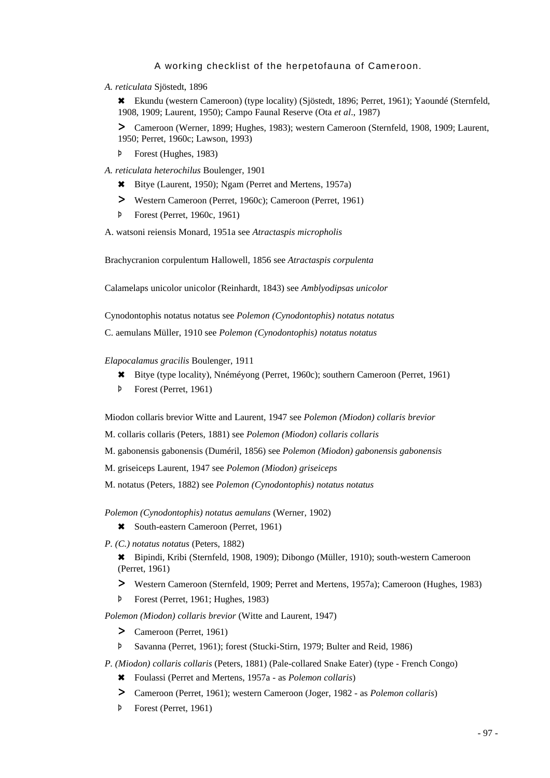*A. reticulata* Sjöstedt, 1896

6 Ekundu (western Cameroon) (type locality) (Sjöstedt, 1896; Perret, 1961); Yaoundé (Sternfeld, 1908, 1909; Laurent, 1950); Campo Faunal Reserve (Ota *et al*., 1987)

> Cameroon (Werner, 1899; Hughes, 1983); western Cameroon (Sternfeld, 1908, 1909; Laurent, 1950; Perret, 1960c; Lawson, 1993)

- Þ Forest (Hughes, 1983)
- *A. reticulata heterochilus* Boulenger, 1901
	- 6 Bitye (Laurent, 1950); Ngam (Perret and Mertens, 1957a)
	- > Western Cameroon (Perret, 1960c); Cameroon (Perret, 1961)
	- Þ Forest (Perret, 1960c, 1961)

A. watsoni reiensis Monard, 1951a see *Atractaspis micropholis*

Brachycranion corpulentum Hallowell, 1856 see *Atractaspis corpulenta*

Calamelaps unicolor unicolor (Reinhardt, 1843) see *Amblyodipsas unicolor*

Cynodontophis notatus notatus see *Polemon (Cynodontophis) notatus notatus*

C. aemulans Müller, 1910 see *Polemon (Cynodontophis) notatus notatus*

*Elapocalamus gracilis* Boulenger, 1911

- 6 Bitye (type locality), Nnéméyong (Perret, 1960c); southern Cameroon (Perret, 1961)
- Þ Forest (Perret, 1961)

Miodon collaris brevior Witte and Laurent, 1947 see *Polemon (Miodon) collaris brevior*

M. collaris collaris (Peters, 1881) see *Polemon (Miodon) collaris collaris*

M. gabonensis gabonensis (Duméril, 1856) see *Polemon (Miodon) gabonensis gabonensis*

M. griseiceps Laurent, 1947 see *Polemon (Miodon) griseiceps*

M. notatus (Peters, 1882) see *Polemon (Cynodontophis) notatus notatus*

*Polemon (Cynodontophis) notatus aemulans* (Werner, 1902)

\* South-eastern Cameroon (Perret, 1961)

*P. (C.) notatus notatus* (Peters, 1882)

6 Bipindi, Kribi (Sternfeld, 1908, 1909); Dibongo (Müller, 1910); south-western Cameroon (Perret, 1961)

- > Western Cameroon (Sternfeld, 1909; Perret and Mertens, 1957a); Cameroon (Hughes, 1983)
- Þ Forest (Perret, 1961; Hughes, 1983)

*Polemon (Miodon) collaris brevior* (Witte and Laurent, 1947)

- > Cameroon (Perret, 1961)
- Þ Savanna (Perret, 1961); forest (Stucki-Stirn, 1979; Bulter and Reid, 1986)

*P. (Miodon) collaris collaris* (Peters, 1881) (Pale-collared Snake Eater) (type - French Congo)

- 6 Foulassi (Perret and Mertens, 1957a as *Polemon collaris*)
- > Cameroon (Perret, 1961); western Cameroon (Joger, 1982 as *Polemon collaris*)
- Þ Forest (Perret, 1961)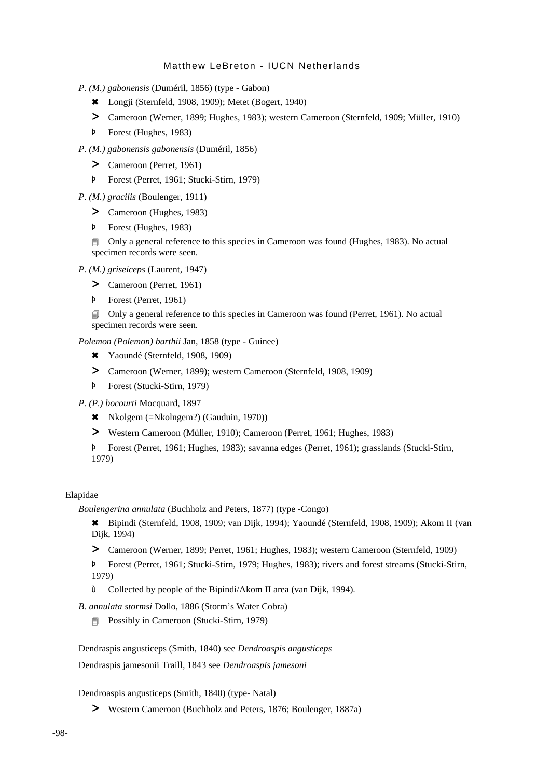- *P. (M.) gabonensis* (Duméril, 1856) (type Gabon)
	- 6 Longji (Sternfeld, 1908, 1909); Metet (Bogert, 1940)
	- > Cameroon (Werner, 1899; Hughes, 1983); western Cameroon (Sternfeld, 1909; Müller, 1910)
	- Þ Forest (Hughes, 1983)
- *P. (M.) gabonensis gabonensis* (Duméril, 1856)
	- > Cameroon (Perret, 1961)
	- Þ Forest (Perret, 1961; Stucki-Stirn, 1979)
- *P. (M.) gracilis* (Boulenger, 1911)
	- > Cameroon (Hughes, 1983)
	- Þ Forest (Hughes, 1983)

4 Only a general reference to this species in Cameroon was found (Hughes, 1983). No actual specimen records were seen.

*P. (M.) griseiceps* (Laurent, 1947)

- > Cameroon (Perret, 1961)
- Þ Forest (Perret, 1961)
- 4 Only a general reference to this species in Cameroon was found (Perret, 1961). No actual specimen records were seen.

*Polemon (Polemon) barthii* Jan, 1858 (type - Guinee)

- 6 Yaoundé (Sternfeld, 1908, 1909)
- > Cameroon (Werner, 1899); western Cameroon (Sternfeld, 1908, 1909)
- Þ Forest (Stucki-Stirn, 1979)
- *P. (P.) bocourti* Mocquard, 1897
	- \* Nkolgem (=Nkolngem?) (Gauduin, 1970))
	- > Western Cameroon (Müller, 1910); Cameroon (Perret, 1961; Hughes, 1983)
	- Þ Forest (Perret, 1961; Hughes, 1983); savanna edges (Perret, 1961); grasslands (Stucki-Stirn, 1979)

#### Elapidae

*Boulengerina annulata* (Buchholz and Peters, 1877) (type -Congo)

6 Bipindi (Sternfeld, 1908, 1909; van Dijk, 1994); Yaoundé (Sternfeld, 1908, 1909); Akom II (van Dijk, 1994)

> Cameroon (Werner, 1899; Perret, 1961; Hughes, 1983); western Cameroon (Sternfeld, 1909)

Þ Forest (Perret, 1961; Stucki-Stirn, 1979; Hughes, 1983); rivers and forest streams (Stucki-Stirn, 1979)

ù Collected by people of the Bipindi/Akom II area (van Dijk, 1994).

*B. annulata stormsi* Dollo, 1886 (Storm's Water Cobra)

**Possibly in Cameroon (Stucki-Stirn, 1979)** 

Dendraspis angusticeps (Smith, 1840) see *Dendroaspis angusticeps*

Dendraspis jamesonii Traill, 1843 see *Dendroaspis jamesoni*

Dendroaspis angusticeps (Smith, 1840) (type- Natal)

> Western Cameroon (Buchholz and Peters, 1876; Boulenger, 1887a)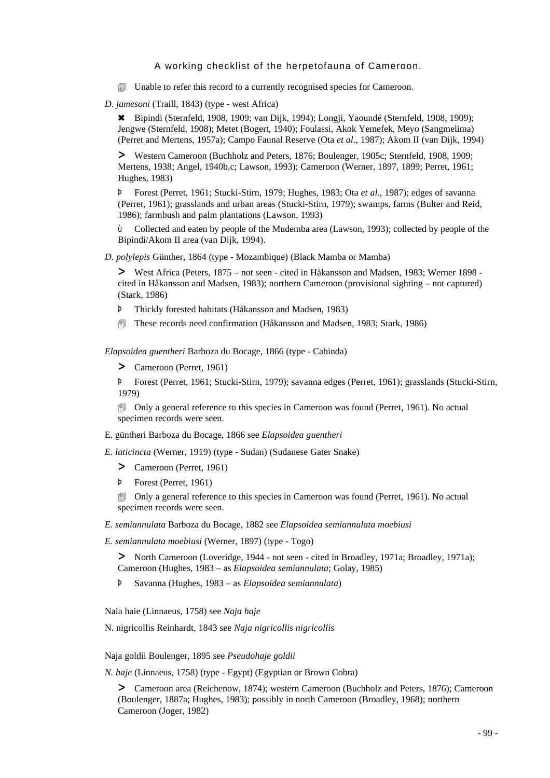4 Unable to refer this record to a currently recognised species for Cameroon.

*D. jamesoni* (Traill, 1843) (type - west Africa)

6 Bipindi (Sternfeld, 1908, 1909; van Dijk, 1994); Longji, Yaoundé (Sternfeld, 1908, 1909); Jengwe (Sternfeld, 1908); Metet (Bogert, 1940); Foulassi, Akok Yemefek, Meyo (Sangmelima) (Perret and Mertens, 1957a); Campo Faunal Reserve (Ota *et al*., 1987); Akom II (van Dijk, 1994)

> Western Cameroon (Buchholz and Peters, 1876; Boulenger, 1905c; Sternfeld, 1908, 1909; Mertens, 1938; Angel, 1940b,c; Lawson, 1993); Cameroon (Werner, 1897, 1899; Perret, 1961; Hughes, 1983)

Þ Forest (Perret, 1961; Stucki-Stirn, 1979; Hughes, 1983; Ota *et al*., 1987); edges of savanna (Perret, 1961); grasslands and urban areas (Stucki-Stirn, 1979); swamps, farms (Bulter and Reid, 1986); farmbush and palm plantations (Lawson, 1993)

ù Collected and eaten by people of the Mudemba area (Lawson, 1993); collected by people of the Bipindi/Akom II area (van Dijk, 1994).

*D. polylepis* Günther, 1864 (type - Mozambique) (Black Mamba or Mamba)

> West Africa (Peters, 1875 – not seen - cited in Håkansson and Madsen, 1983; Werner 1898 cited in Håkansson and Madsen, 1983); northern Cameroon (provisional sighting – not captured) (Stark, 1986)

- Þ Thickly forested habitats (Håkansson and Madsen, 1983)
- 4 These records need confirmation (Håkansson and Madsen, 1983; Stark, 1986)

*Elapsoidea guentheri* Barboza du Bocage, 1866 (type - Cabinda)

> Cameroon (Perret, 1961)

Þ Forest (Perret, 1961; Stucki-Stirn, 1979); savanna edges (Perret, 1961); grasslands (Stucki-Stirn, 1979)

4 Only a general reference to this species in Cameroon was found (Perret, 1961). No actual specimen records were seen.

E. güntheri Barboza du Bocage, 1866 see *Elapsoidea guentheri*

*E. laticincta* (Werner, 1919) (type - Sudan) (Sudanese Gater Snake)

- > Cameroon (Perret, 1961)
- Þ Forest (Perret, 1961)

4 Only a general reference to this species in Cameroon was found (Perret, 1961). No actual specimen records were seen.

*E. semiannulata* Barboza du Bocage, 1882 see *Elapsoidea semiannulata moebiusi*

*E. semiannulata moebiusi* (Werner, 1897) (type - Togo)

> North Cameroon (Loveridge, 1944 - not seen - cited in Broadley, 1971a; Broadley, 1971a); Cameroon (Hughes, 1983 – as *Elapsoidea semiannulata*; Golay, 1985)

Þ Savanna (Hughes, 1983 – as *Elapsoidea semiannulata*)

Naia haie (Linnaeus, 1758) see *Naja haje*

N. nigricollis Reinhardt, 1843 see *Naja nigricollis nigricollis*

Naja goldii Boulenger, 1895 see *Pseudohaje goldii*

*N. haje* (Linnaeus, 1758) (type - Egypt) (Egyptian or Brown Cobra)

> Cameroon area (Reichenow, 1874); western Cameroon (Buchholz and Peters, 1876); Cameroon (Boulenger, 1887a; Hughes, 1983); possibly in north Cameroon (Broadley, 1968); northern Cameroon (Joger, 1982)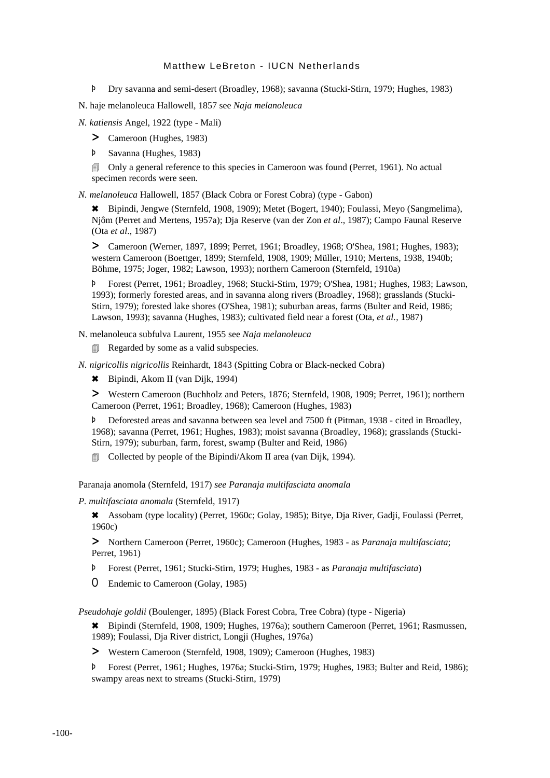Þ Dry savanna and semi-desert (Broadley, 1968); savanna (Stucki-Stirn, 1979; Hughes, 1983)

N. haje melanoleuca Hallowell, 1857 see *Naja melanoleuca*

*N. katiensis* Angel, 1922 (type - Mali)

> Cameroon (Hughes, 1983)

Þ Savanna (Hughes, 1983)

4 Only a general reference to this species in Cameroon was found (Perret, 1961). No actual specimen records were seen.

*N. melanoleuca* Hallowell, 1857 (Black Cobra or Forest Cobra) (type - Gabon)

6 Bipindi, Jengwe (Sternfeld, 1908, 1909); Metet (Bogert, 1940); Foulassi, Meyo (Sangmelima), Njôm (Perret and Mertens, 1957a); Dja Reserve (van der Zon *et al*., 1987); Campo Faunal Reserve (Ota *et al*., 1987)

> Cameroon (Werner, 1897, 1899; Perret, 1961; Broadley, 1968; O'Shea, 1981; Hughes, 1983); western Cameroon (Boettger, 1899; Sternfeld, 1908, 1909; Müller, 1910; Mertens, 1938, 1940b; Böhme, 1975; Joger, 1982; Lawson, 1993); northern Cameroon (Sternfeld, 1910a)

Þ Forest (Perret, 1961; Broadley, 1968; Stucki-Stirn, 1979; O'Shea, 1981; Hughes, 1983; Lawson, 1993); formerly forested areas, and in savanna along rivers (Broadley, 1968); grasslands (Stucki-Stirn, 1979); forested lake shores (O'Shea, 1981); suburban areas, farms (Bulter and Reid, 1986; Lawson, 1993); savanna (Hughes, 1983); cultivated field near a forest (Ota, *et al.,* 1987)

N. melanoleuca subfulva Laurent, 1955 see *Naja melanoleuca*

Regarded by some as a valid subspecies.

*N. nigricollis nigricollis* Reinhardt, 1843 (Spitting Cobra or Black-necked Cobra)

6 Bipindi, Akom II (van Dijk, 1994)

> Western Cameroon (Buchholz and Peters, 1876; Sternfeld, 1908, 1909; Perret, 1961); northern Cameroon (Perret, 1961; Broadley, 1968); Cameroon (Hughes, 1983)

Þ Deforested areas and savanna between sea level and 7500 ft (Pitman, 1938 - cited in Broadley, 1968); savanna (Perret, 1961; Hughes, 1983); moist savanna (Broadley, 1968); grasslands (Stucki-Stirn, 1979); suburban, farm, forest, swamp (Bulter and Reid, 1986)

**I** Collected by people of the Bipindi/Akom II area (van Dijk, 1994).

Paranaja anomola (Sternfeld, 1917) *see Paranaja multifasciata anomala*

*P. multifasciata anomala* (Sternfeld, 1917)

6 Assobam (type locality) (Perret, 1960c; Golay, 1985); Bitye, Dja River, Gadji, Foulassi (Perret, 1960c)

> Northern Cameroon (Perret, 1960c); Cameroon (Hughes, 1983 - as *Paranaja multifasciata*; Perret, 1961)

- Þ Forest (Perret, 1961; Stucki-Stirn, 1979; Hughes, 1983 as *Paranaja multifasciata*)
- O Endemic to Cameroon (Golay, 1985)

*Pseudohaje goldii* (Boulenger, 1895) (Black Forest Cobra, Tree Cobra) (type - Nigeria)

6 Bipindi (Sternfeld, 1908, 1909; Hughes, 1976a); southern Cameroon (Perret, 1961; Rasmussen, 1989); Foulassi, Dja River district, Longji (Hughes, 1976a)

> Western Cameroon (Sternfeld, 1908, 1909); Cameroon (Hughes, 1983)

Þ Forest (Perret, 1961; Hughes, 1976a; Stucki-Stirn, 1979; Hughes, 1983; Bulter and Reid, 1986); swampy areas next to streams (Stucki-Stirn, 1979)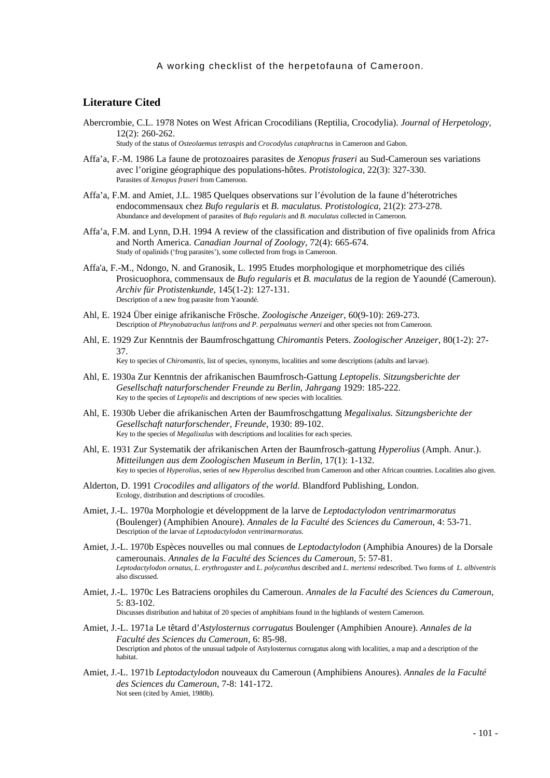# **Literature Cited**

Abercrombie, C.L. 1978 Notes on West African Crocodilians (Reptilia, Crocodylia). *Journal of Herpetology,* 12(2): 260-262.

Study of the status of *Osteolaemus tetraspis* and *Crocodylus cataphractus* in Cameroon and Gabon.

- Affa'a, F.-M. 1986 La faune de protozoaires parasites de *Xenopus fraseri* au Sud-Cameroun ses variations avec l'origine géographique des populations-hôtes. *Protistologica,* 22(3): 327-330. Parasites of *Xenopus fraseri* from Cameroon.
- Affa'a, F.M. and Amiet, J.L. 1985 Quelques observations sur l'évolution de la faune d'héterotriches endocommensaux chez *Bufo regularis* et *B. maculatus. Protistologica,* 21(2): 273-278. Abundance and development of parasites of *Bufo regularis* and *B. maculatus* collected in Cameroon*.*
- Affa'a, F.M. and Lynn, D.H. 1994 A review of the classification and distribution of five opalinids from Africa and North America. *Canadian Journal of Zoology,* 72(4): 665-674. Study of opalinids ('frog parasites'), some collected from frogs in Cameroon.
- Affa'a, F.-M., Ndongo, N. and Granosik, L. 1995 Etudes morphologique et morphometrique des ciliés Prosicuophora, commensaux de *Bufo regularis* et *B. maculatus* de la region de Yaoundé (Cameroun). *Archiv für Protistenkunde*, 145(1-2): 127-131. Description of a new frog parasite from Yaoundé.
- Ahl, E. 1924 Über einige afrikanische Frösche. *Zoologische Anzeiger*, 60(9-10): 269-273. Description of *Phrynobatrachus latifrons and P. perpalmatus werneri* and other species not from Cameroon.
- Ahl, E. 1929 Zur Kenntnis der Baumfroschgattung *Chiromantis* Peters. *Zoologischer Anzeiger*, 80(1-2): 27- 37.

Key to species of *Chiromantis*, list of species, synonyms, localities and some descriptions (adults and larvae).

- Ahl, E. 1930a Zur Kenntnis der afrikanischen Baumfrosch-Gattung *Leptopelis*. *Sitzungsberichte der Gesellschaft naturforschender Freunde zu Berlin, Jahrgang* 1929: 185-222. Key to the species of *Leptopelis* and descriptions of new species with localities.
- Ahl, E. 1930b Ueber die afrikanischen Arten der Baumfroschgattung *Megalixalus. Sitzungsberichte der Gesellschaft naturforschender, Freunde*, 1930: 89-102. Key to the species of *Megalixalus* with descriptions and localities for each species.
- Ahl, E. 1931 Zur Systematik der afrikanischen Arten der Baumfrosch-gattung *Hyperolius* (Amph. Anur.). *Mitteilungen aus dem Zoologischen Museum in Berlin,* 17(1): 1-132. Key to species of *Hyperolius*, series of new *Hyperolius* described from Cameroon and other African countries. Localities also given.
- Alderton, D. 1991 *Crocodiles and alligators of the world*. Blandford Publishing, London. Ecology, distribution and descriptions of crocodiles.
- Amiet, J.-L. 1970a Morphologie et développment de la larve de *Leptodactylodon ventrimarmoratus* (Boulenger) (Amphibien Anoure). *Annales de la Faculté des Sciences du Cameroun*, 4: 53-71. Description of the larvae of *Leptodactylodon ventrimarmoratus.*
- Amiet, J.-L. 1970b Espèces nouvelles ou mal connues de *Leptodactylodon* (Amphibia Anoures) de la Dorsale camerounais. *Annales de la Faculté des Sciences du Cameroun,* 5: 57-81. *Leptodactylodon ornatus*, *L. erythrogaster* and *L. polycanthus* described and *L. mertensi* redescribed. Two forms of *L. albiventris* also discussed.
- Amiet, J.-L. 1970c Les Batraciens orophiles du Cameroun. *Annales de la Faculté des Sciences du Cameroun*, 5: 83-102.

Discusses distribution and habitat of 20 species of amphibians found in the highlands of western Cameroon.

- Amiet, J.-L. 1971a Le têtard d'*Astylosternus corrugatus* Boulenger (Amphibien Anoure). *Annales de la Faculté des Sciences du Cameroun*, 6: 85-98. Description and photos of the unusual tadpole of Astylosternus corrugatus along with localities, a map and a description of the habitat.
- Amiet, J.-L. 1971b *Leptodactylodon* nouveaux du Cameroun (Amphibiens Anoures). *Annales de la Faculté des Sciences du Cameroun*, 7-8: 141-172. Not seen (cited by Amiet, 1980b).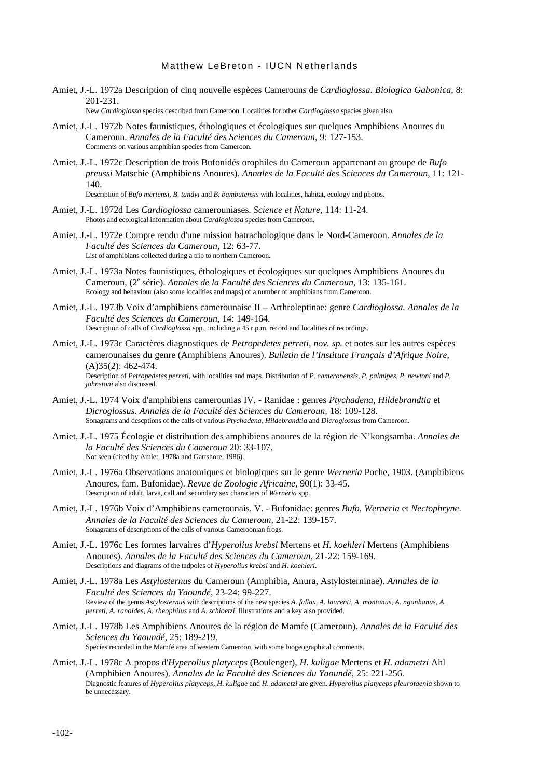Amiet, J.-L. 1972a Description of cinq nouvelle espèces Camerouns de *Cardioglossa*. *Biologica Gabonica,* 8: 201-231.

New *Cardioglossa* species described from Cameroon. Localities for other *Cardioglossa* species given also.

- Amiet, J.-L. 1972b Notes faunistiques, éthologiques et écologiques sur quelques Amphibiens Anoures du Cameroun. *Annales de la Faculté des Sciences du Cameroun*, 9: 127-153. Comments on various amphibian species from Cameroon.
- Amiet, J.-L. 1972c Description de trois Bufonidés orophiles du Cameroun appartenant au groupe de *Bufo preussi* Matschie (Amphibiens Anoures). *Annales de la Faculté des Sciences du Cameroun*, 11: 121- 140.

Description of *Bufo mertensi, B. tandyi* and *B. bambutensis* with localities, habitat, ecology and photos.

- Amiet, J.-L. 1972d Les *Cardioglossa* camerouniases. *Science et Nature,* 114: 11-24. Photos and ecological information about *Cardioglossa* species from Cameroon.
- Amiet, J.-L. 1972e Compte rendu d'une mission batrachologique dans le Nord-Cameroon. *Annales de la Faculté des Sciences du Cameroun,* 12: 63-77. List of amphibians collected during a trip to northern Cameroon.
- Amiet, J.-L. 1973a Notes faunistiques, éthologiques et écologiques sur quelques Amphibiens Anoures du Cameroun, (2<sup>e</sup> série). *Annales de la Faculté des Sciences du Cameroun*, 13: 135-161. Ecology and behaviour (also some localities and maps) of a number of amphibians from Cameroon.
- Amiet, J.-L. 1973b Voix d'amphibiens camerounaise II Arthroleptinae: genre *Cardioglossa. Annales de la Faculté des Sciences du Cameroun,* 14: 149-164. Description of calls of *Cardioglossa* spp., including a 45 r.p.m. record and localities of recordings.
- Amiet, J.-L. 1973c Caractères diagnostiques de *Petropedetes perreti, nov. sp.* et notes sur les autres espèces camerounaises du genre (Amphibiens Anoures). *Bulletin de l'Institute Français d'Afrique Noire,* (A)35(2): 462-474. Description of *Petropedetes perreti*, with localities and maps. Distribution of *P. cameronensis*, *P. palmipes*, *P. newtoni* and *P. johnstoni* also discussed.
- Amiet, J.-L. 1974 Voix d'amphibiens camerounias IV. Ranidae : genres *Ptychadena*, *Hildebrandtia* et *Dicroglossus*. *Annales de la Faculté des Sciences du Cameroun,* 18: 109-128. Sonagrams and descptions of the calls of various *Ptychadena*, *Hildebrandtia* and *Dicroglossus* from Cameroon.
- Amiet, J.-L. 1975 Écologie et distribution des amphibiens anoures de la région de N'kongsamba. *Annales de la Faculté des Sciences du Cameroun* 20: 33-107. Not seen (cited by Amiet, 1978a and Gartshore, 1986).
- Amiet, J.-L. 1976a Observations anatomiques et biologiques sur le genre *Werneria* Poche, 1903. (Amphibiens Anoures, fam. Bufonidae). *Revue de Zoologie Africaine,* 90(1): 33-45. Description of adult, larva, call and secondary sex characters of *Werneria* spp.
- Amiet, J.-L. 1976b Voix d'Amphibiens camerounais. V. Bufonidae: genres *Bufo, Werneria* et *Nectophryne*. *Annales de la Faculté des Sciences du Cameroun,* 21-22: 139-157. Sonagrams of descriptions of the calls of various Cameroonian frogs.
- Amiet, J.-L. 1976c Les formes larvaires d'*Hyperolius krebsi* Mertens et *H. koehleri* Mertens (Amphibiens Anoures). *Annales de la Faculté des Sciences du Cameroun,* 21-22: 159-169. Descriptions and diagrams of the tadpoles of *Hyperolius krebsi* and *H. koehleri*.
- Amiet, J.-L. 1978a Les *Astylosternus* du Cameroun (Amphibia, Anura, Astylosterninae). *Annales de la Faculté des Sciences du Yaoundé*, 23-24: 99-227. Review of the genus *Astylosternus* with descriptions of the new species *A. fallax, A. laurenti, A. montanus, A. nganhanus, A. perreti, A. ranoides, A. rheophilus* and *A. schioetzi*. Illustrations and a key also provided.
- Amiet, J.-L. 1978b Les Amphibiens Anoures de la région de Mamfe (Cameroun). *Annales de la Faculté des Sciences du Yaoundé,* 25: 189-219. Species recorded in the Mamfé area of western Cameroon, with some biogeographical comments.
- Amiet, J.-L. 1978c A propos d'*Hyperolius platyceps* (Boulenger), *H. kuligae* Mertens et *H. adametzi* Ahl (Amphibien Anoures). *Annales de la Faculté des Sciences du Yaoundé,* 25: 221-256. Diagnostic features of *Hyperolius platyceps, H. kuligae* and *H. adametzi* are given. *Hyperolius platyceps pleurotaenia* shown to be unnecessary.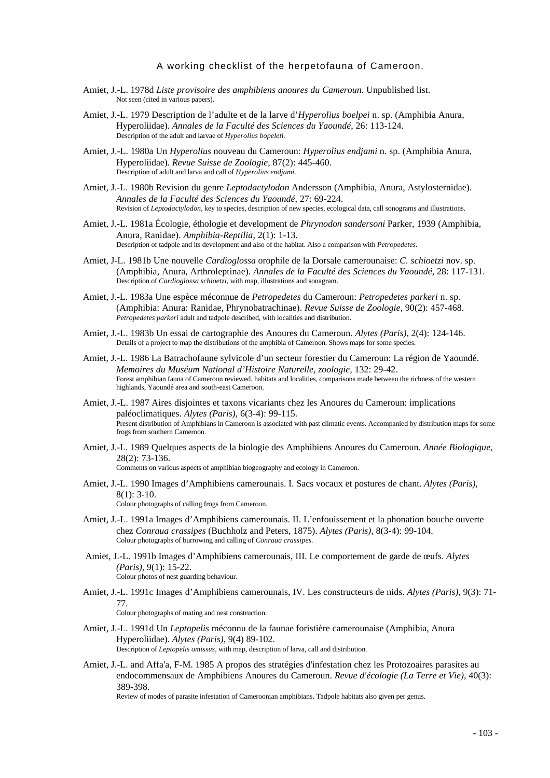- Amiet, J.-L. 1978d *Liste provisoire des amphibiens anoures du Cameroun*. Unpublished list. Not seen (cited in various papers).
- Amiet, J.-L. 1979 Description de l'adulte et de la larve d'*Hyperolius boelpei* n. sp. (Amphibia Anura, Hyperoliidae). *Annales de la Faculté des Sciences du Yaoundé*, 26: 113-124. Description of the adult and larvae of *Hyperolius bopeleti.*
- Amiet, J.-L. 1980a Un *Hyperolius* nouveau du Cameroun: *Hyperolius endjami* n. sp. (Amphibia Anura, Hyperoliidae). *Revue Suisse de Zoologie*, 87(2): 445-460. Description of adult and larva and call of *Hyperolius endjami*.
- Amiet, J.-L. 1980b Revision du genre *Leptodactylodon* Andersson (Amphibia, Anura, Astylosternidae). *Annales de la Faculté des Sciences du Yaoundé*, 27: 69-224. Revision of *Leptodactylodon*, key to species, description of new species, ecological data, call sonograms and illustrations.
- Amiet, J.-L. 1981a Écologie, éthologie et development de *Phrynodon sandersoni* Parker, 1939 (Amphibia, Anura, Ranidae). *Amphibia-Reptilia,* 2(1): 1-13. Description of tadpole and its development and also of the habitat. Also a comparison with *Petropedetes*.
- Amiet, J-L. 1981b Une nouvelle *Cardioglossa* orophile de la Dorsale camerounaise: *C. schioetzi* nov. sp. (Amphibia, Anura, Arthroleptinae). *Annales de la Faculté des Sciences du Yaoundé*, 28: 117-131. Description of *Cardioglossa schioetzi*, with map, illustrations and sonagram.
- Amiet, J.-L. 1983a Une espèce méconnue de *Petropedetes* du Cameroun: *Petropedetes parkeri* n. sp. (Amphibia: Anura: Ranidae, Phrynobatrachinae). *Revue Suisse de Zoologie*, 90(2): 457-468. *Petropedetes parkeri* adult and tadpole described, with localities and distribution.
- Amiet, J.-L. 1983b Un essai de cartographie des Anoures du Cameroun. *Alytes (Paris),* 2(4): 124-146. Details of a project to map the distributions of the amphibia of Cameroon. Shows maps for some species.
- Amiet, J.-L. 1986 La Batrachofaune sylvicole d'un secteur forestier du Cameroun: La région de Yaoundé. *Memoires du Muséum National d'Histoire Naturelle, zoologie,* 132: 29-42. Forest amphibian fauna of Cameroon reviewed, habitats and localities, comparisons made between the richness of the western highlands, Yaoundé area and south-east Cameroon.
- Amiet, J.-L. 1987 Aires disjointes et taxons vicariants chez les Anoures du Cameroun: implications paléoclimatiques. *Alytes (Paris),* 6(3-4): 99-115. Present distribution of Amphibians in Cameroon is associated with past climatic events. Accompanied by distribution maps for some frogs from southern Cameroon.
- Amiet, J.-L. 1989 Quelques aspects de la biologie des Amphibiens Anoures du Cameroun. *Année Biologique*, 28(2): 73-136.

Comments on various aspects of amphibian biogeography and ecology in Cameroon.

- Amiet, J.-L. 1990 Images d'Amphibiens camerounais. I. Sacs vocaux et postures de chant. *Alytes (Paris),* 8(1): 3-10. Colour photographs of calling frogs from Cameroon.
- Amiet, J.-L. 1991a Images d'Amphibiens camerounais. II. L'enfouissement et la phonation bouche ouverte
- chez *Conraua crassipes* (Buchholz and Peters, 1875). *Alytes (Paris)*, 8(3-4): 99-104. Colour photographs of burrowing and calling of *Conraua crassipes.*
- Amiet, J.-L. 1991b Images d'Amphibiens camerounais, III. Le comportement de garde de œufs. *Alytes (Paris),* 9(1): 15-22. Colour photos of nest guarding behaviour.
- Amiet, J.-L. 1991c Images d'Amphibiens camerounais, IV. Les constructeurs de nids. *Alytes (Paris),* 9(3): 71- 77. Colour photographs of mating and nest construction.

Amiet, J.-L. 1991d Un *Leptopelis* méconnu de la faunae foristière camerounaise (Amphibia, Anura Hyperoliidae). *Alytes (Paris),* 9(4) 89-102. Description of *Leptopelis omissus*, with map, description of larva, call and distribution.

Amiet, J.-L. and Affa'a, F-M. 1985 A propos des stratégies d'infestation chez les Protozoaires parasites au endocommensaux de Amphibiens Anoures du Cameroun. *Revue d'écologie (La Terre et Vie)*, 40(3): 389-398.

Review of modes of parasite infestation of Cameroonian amphibians. Tadpole habitats also given per genus.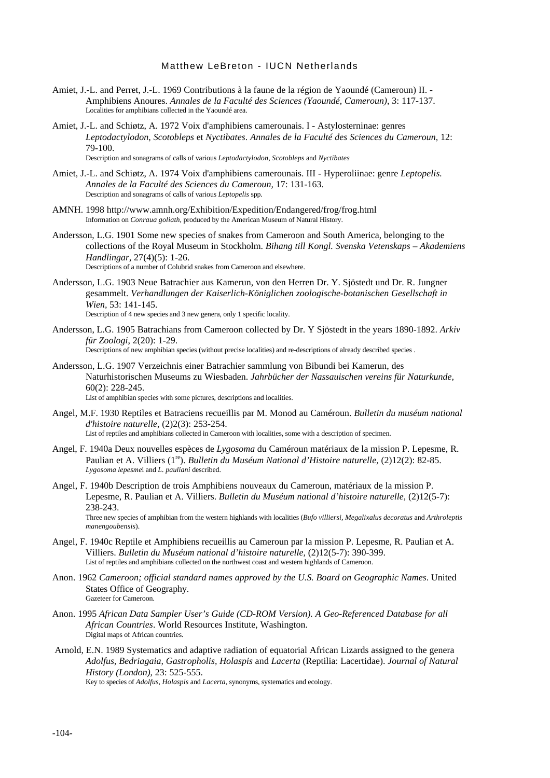- Amiet, J.-L. and Perret, J.-L. 1969 Contributions à la faune de la région de Yaoundé (Cameroun) II. Amphibiens Anoures. *Annales de la Faculté des Sciences (Yaoundé, Cameroun)*, 3: 117-137. Localities for amphibians collected in the Yaoundé area.
- Amiet, J.-L. and Schiøtz, A. 1972 Voix d'amphibiens camerounais. I Astylosterninae: genres *Leptodactylodon*, *Scotobleps* et *Nyctibates*. *Annales de la Faculté des Sciences du Cameroun,* 12: 79-100. Description and sonagrams of calls of various *Leptodactylodon*, *Scotobleps* and *Nyctibates*

Amiet, J.-L. and Schiøtz, A. 1974 Voix d'amphibiens camerounais. III - Hyperoliinae: genre *Leptopelis. Annales de la Faculté des Sciences du Cameroun,* 17: 131-163. Description and sonagrams of calls of various *Leptopelis* spp.

- AMNH. 1998 http://www.amnh.org/Exhibition/Expedition/Endangered/frog/frog.html Information on *Conraua goliath*, produced by the American Museum of Natural History.
- Andersson, L.G. 1901 Some new species of snakes from Cameroon and South America, belonging to the collections of the Royal Museum in Stockholm. *Bihang till Kongl. Svenska Vetenskaps – Akademiens Handlingar,* 27(4)(5): 1-26. Descriptions of a number of Colubrid snakes from Cameroon and elsewhere.
- Andersson, L.G. 1903 Neue Batrachier aus Kamerun, von den Herren Dr. Y. Sjöstedt und Dr. R. Jungner gesammelt. *Verhandlungen der Kaiserlich-Königlichen zoologische-botanischen Gesellschaft in Wien,* 53: 141-145. Description of 4 new species and 3 new genera, only 1 specific locality.
- Andersson, L.G. 1905 Batrachians from Cameroon collected by Dr. Y Sjöstedt in the years 1890-1892. *Arkiv für Zoologi*, 2(20): 1-29. Descriptions of new amphibian species (without precise localities) and re-descriptions of already described species .
- Andersson, L.G. 1907 Verzeichnis einer Batrachier sammlung von Bibundi bei Kamerun, des Naturhistorischen Museums zu Wiesbaden. *Jahrbücher der Nassauischen vereins für Naturkunde,* 60(2): 228-245. List of amphibian species with some pictures, descriptions and localities.
- Angel, M.F. 1930 Reptiles et Batraciens recueillis par M. Monod au Caméroun. *Bulletin du muséum national d'histoire naturelle*, (2)2(3): 253-254. List of reptiles and amphibians collected in Cameroon with localities, some with a description of specimen.
- Angel, F. 1940a Deux nouvelles espèces de *Lygosoma* du Caméroun matériaux de la mission P. Lepesme, R. Paulian et A. Villiers (1<sup>re</sup>). *Bulletin du Muséum National d'Histoire naturelle*, (2)12(2): 82-85. *Lygosoma lepesme*i and *L. pauliani* described.
- Angel, F. 1940b Description de trois Amphibiens nouveaux du Cameroun, matériaux de la mission P. Lepesme, R. Paulian et A. Villiers. *Bulletin du Muséum national d'histoire naturelle*, (2)12(5-7): 238-243.

Three new species of amphibian from the western highlands with localities (*Bufo villiersi, Megalixalus decoratus* and *Arthroleptis manengoubensis*).

- Angel, F. 1940c Reptile et Amphibiens recueillis au Cameroun par la mission P. Lepesme, R. Paulian et A. Villiers. *Bulletin du Muséum national d'histoire naturelle,* (2)12(5-7): 390-399. List of reptiles and amphibians collected on the northwest coast and western highlands of Cameroon.
- Anon. 1962 *Cameroon; official standard names approved by the U.S. Board on Geographic Names*. United States Office of Geography. Gazeteer for Cameroon.
- Anon. 1995 *African Data Sampler User's Guide (CD-ROM Version). A Geo-Referenced Database for all African Countries*. World Resources Institute, Washington. Digital maps of African countries.
- Arnold, E.N. 1989 Systematics and adaptive radiation of equatorial African Lizards assigned to the genera *Adolfus, Bedriagaia, Gastropholis, Holaspis* and *Lacerta* (Reptilia: Lacertidae). *Journal of Natural History (London),* 23: 525-555.

Key to species of *Adolfus, Holaspis* and *Lacerta*, synonyms, systematics and ecology.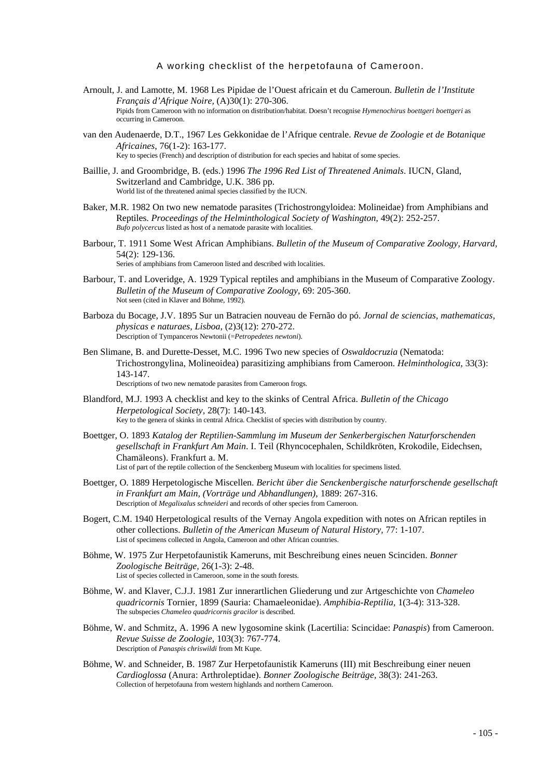- Arnoult, J. and Lamotte, M. 1968 Les Pipidae de l'Ouest africain et du Cameroun. *Bulletin de l'Institute Français d'Afrique Noire,* (A)30(1): 270-306. Pipids from Cameroon with no information on distribution/habitat. Doesn't recognise *Hymenochirus boettgeri boettgeri* as occurring in Cameroon.
- van den Audenaerde, D.T., 1967 Les Gekkonidae de l'Afrique centrale. *Revue de Zoologie et de Botanique Africaines*, 76(1-2): 163-177. Key to species (French) and description of distribution for each species and habitat of some species.
- Baillie, J. and Groombridge, B. (eds.) 1996 *The 1996 Red List of Threatened Animals*. IUCN, Gland, Switzerland and Cambridge, U.K. 386 pp.

World list of the threatened animal species classified by the IUCN.

- Baker, M.R. 1982 On two new nematode parasites (Trichostrongyloidea: Molineidae) from Amphibians and Reptiles. *Proceedings of the Helminthological Society of Washington*, 49(2): 252-257. *Bufo polycercus* listed as host of a nematode parasite with localities.
- Barbour, T. 1911 Some West African Amphibians. *Bulletin of the Museum of Comparative Zoology, Harvard,* 54(2): 129-136.

Series of amphibians from Cameroon listed and described with localities.

- Barbour, T. and Loveridge, A. 1929 Typical reptiles and amphibians in the Museum of Comparative Zoology. *Bulletin of the Museum of Comparative Zoology*, 69: 205-360. Not seen (cited in Klaver and Böhme, 1992).
- Barboza du Bocage, J.V. 1895 Sur un Batracien nouveau de Fernão do pó. *Jornal de sciencias, mathematicas, physicas e naturaes, Lisboa*, (2)3(12): 270-272. Description of Tympanceros Newtonii (=*Petropedetes newtoni*).
- Ben Slimane, B. and Durette-Desset, M.C. 1996 Two new species of *Oswaldocruzia* (Nematoda: Trichostrongylina, Molineoidea) parasitizing amphibians from Cameroon. *Helminthologica*, 33(3): 143-147. Descriptions of two new nematode parasites from Cameroon frogs.
- Blandford, M.J. 1993 A checklist and key to the skinks of Central Africa. *Bulletin of the Chicago Herpetological Society*, 28(7): 140-143. Key to the genera of skinks in central Africa. Checklist of species with distribution by country.
- Boettger, O. 1893 *Katalog der Reptilien-Sammlung im Museum der Senkerbergischen Naturforschenden gesellschaft in Frankfurt Am Main*. I. Teil (Rhyncocephalen, Schildkröten, Krokodile, Eidechsen, Chamäleons). Frankfurt a. M. List of part of the reptile collection of the Senckenberg Museum with localities for specimens listed.
- Boettger, O. 1889 Herpetologische Miscellen. *Bericht über die Senckenbergische naturforschende gesellschaft in Frankfurt am Main, (Vorträge und Abhandlungen)*, 1889: 267-316. Description of *Megalixalus schneideri* and records of other species from Cameroon.
- Bogert, C.M. 1940 Herpetological results of the Vernay Angola expedition with notes on African reptiles in other collections. *Bulletin of the American Museum of Natural History,* 77: 1-107. List of specimens collected in Angola, Cameroon and other African countries.
- Böhme, W. 1975 Zur Herpetofaunistik Kameruns, mit Beschreibung eines neuen Scinciden. *Bonner Zoologische Beiträge,* 26(1-3): 2-48. List of species collected in Cameroon, some in the south forests.
- Böhme, W. and Klaver, C.J.J. 1981 Zur innerartlichen Gliederung und zur Artgeschichte von *Chameleo quadricornis* Tornier, 1899 (Sauria: Chamaeleonidae). *Amphibia-Reptilia,* 1(3-4): 313-328. The subspecies *Chameleo quadricornis gracilor* is described.
- Böhme, W. and Schmitz, A. 1996 A new lygosomine skink (Lacertilia: Scincidae: *Panaspis*) from Cameroon. *Revue Suisse de Zoologie,* 103(3): 767-774. Description of *Panaspis chriswildi* from Mt Kupe.
- Böhme, W. and Schneider, B. 1987 Zur Herpetofaunistik Kameruns (III) mit Beschreibung einer neuen *Cardioglossa* (Anura: Arthroleptidae). *Bonner Zoologische Beiträge,* 38(3): 241-263. Collection of herpetofauna from western highlands and northern Cameroon.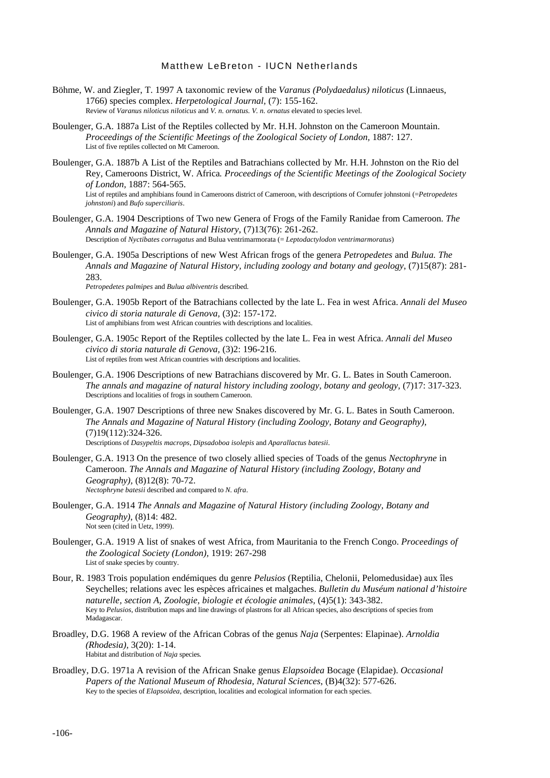- Böhme, W. and Ziegler, T. 1997 A taxonomic review of the *Varanus (Polydaedalus) niloticus* (Linnaeus, 1766) species complex. *Herpetological Journal,* (7): 155-162. Review of *Varanus niloticus niloticus* and *V. n. ornatus. V. n. ornatus* elevated to species level.
- Boulenger, G.A. 1887a List of the Reptiles collected by Mr. H.H. Johnston on the Cameroon Mountain. *Proceedings of the Scientific Meetings of the Zoological Society of London,* 1887: 127. List of five reptiles collected on Mt Cameroon.
- Boulenger, G.A. 1887b A List of the Reptiles and Batrachians collected by Mr. H.H. Johnston on the Rio del Rey, Cameroons District, W. Africa*. Proceedings of the Scientific Meetings of the Zoological Society of London,* 1887: 564-565. List of reptiles and amphibians found in Cameroons district of Cameroon, with descriptions of Cornufer johnstoni (=*Petropedetes johnstoni*) and *Bufo superciliaris*.
- Boulenger, G.A. 1904 Descriptions of Two new Genera of Frogs of the Family Ranidae from Cameroon. *The Annals and Magazine of Natural History*, (7)13(76): 261-262. Description of *Nyctibates corrugatus* and Bulua ventrimarmorata (= *Leptodactylodon ventrimarmoratus*)
- Boulenger, G.A. 1905a Descriptions of new West African frogs of the genera *Petropedetes* and *Bulua. The Annals and Magazine of Natural History, including zoology and botany and geology*, (7)15(87): 281- 283.

*Petropedetes palmipes* and *Bulua albiventris* described.

- Boulenger, G.A. 1905b Report of the Batrachians collected by the late L. Fea in west Africa. *Annali del Museo civico di storia naturale di Genova,* (3)2: 157-172. List of amphibians from west African countries with descriptions and localities.
- Boulenger, G.A. 1905c Report of the Reptiles collected by the late L. Fea in west Africa. *Annali del Museo civico di storia naturale di Genova,* (3)2: 196-216. List of reptiles from west African countries with descriptions and localities.
- Boulenger, G.A. 1906 Descriptions of new Batrachians discovered by Mr. G. L. Bates in South Cameroon. *The annals and magazine of natural history including zoology, botany and geology,* (7)17: 317-323. Descriptions and localities of frogs in southern Cameroon.
- Boulenger, G.A. 1907 Descriptions of three new Snakes discovered by Mr. G. L. Bates in South Cameroon. *The Annals and Magazine of Natural History (including Zoology, Botany and Geography)*, (7)19(112):324-326. Descriptions of *Dasypeltis macrops*, *Dipsadoboa isolepis* and *Aparallactus batesii*.
- Boulenger, G.A. 1913 On the presence of two closely allied species of Toads of the genus *Nectophryne* in Cameroon. *The Annals and Magazine of Natural History (including Zoology, Botany and Geography),* (8)12(8): 70-72. *Nectophryne batesii* described and compared to *N. afra*.
- Boulenger, G.A. 1914 *The Annals and Magazine of Natural History (including Zoology, Botany and Geography)*, (8)14: 482. Not seen (cited in Uetz, 1999).
- Boulenger, G.A. 1919 A list of snakes of west Africa, from Mauritania to the French Congo. *Proceedings of the Zoological Society (London),* 1919: 267-298 List of snake species by country.
- Bour, R. 1983 Trois population endémiques du genre *Pelusios* (Reptilia, Chelonii, Pelomedusidae) aux îles Seychelles; relations avec les espèces africaines et malgaches. *Bulletin du Muséum national d'histoire naturelle, section A, Zoologie, biologie et écologie animales,* (4)5(1): 343-382. Key to *Pelusios*, distribution maps and line drawings of plastrons for all African species, also descriptions of species from Madagascar.
- Broadley, D.G. 1968 A review of the African Cobras of the genus *Naja* (Serpentes: Elapinae). *Arnoldia (Rhodesia),* 3(20): 1-14. Habitat and distribution of *Naja* species*.*
- Broadley, D.G. 1971a A revision of the African Snake genus *Elapsoidea* Bocage (Elapidae). *Occasional Papers of the National Museum of Rhodesia, Natural Sciences*, (B)4(32): 577-626. Key to the species of *Elapsoidea,* description, localities and ecological information for each species.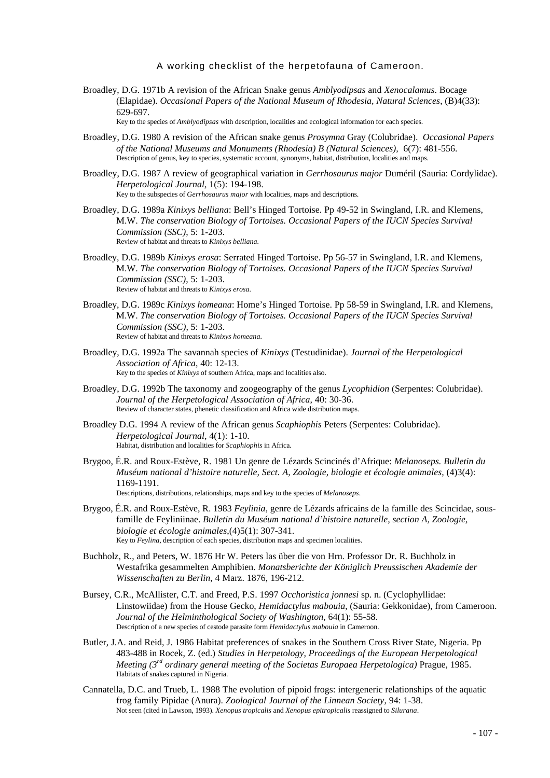Broadley, D.G. 1971b A revision of the African Snake genus *Amblyodipsas* and *Xenocalamus*. Bocage (Elapidae). *Occasional Papers of the National Museum of Rhodesia, Natural Sciences*, (B)4(33): 629-697.

Key to the species of *Amblyodipsas* with description, localities and ecological information for each species.

- Broadley, D.G. 1980 A revision of the African snake genus *Prosymna* Gray (Colubridae). *Occasional Papers of the National Museums and Monuments (Rhodesia) B (Natural Sciences),* 6(7): 481-556. Description of genus, key to species, systematic account, synonyms, habitat, distribution, localities and maps.
- Broadley, D.G. 1987 A review of geographical variation in *Gerrhosaurus major* Duméril (Sauria: Cordylidae). *Herpetological Journal*, 1(5): 194-198. Key to the subspecies of *Gerrhosaurus major* with localities, maps and descriptions.
- Broadley, D.G. 1989a *Kinixys belliana*: Bell's Hinged Tortoise. Pp 49-52 in Swingland, I.R. and Klemens, M.W. *The conservation Biology of Tortoises. Occasional Papers of the IUCN Species Survival Commission (SSC)*, 5: 1-203. Review of habitat and threats to *Kinixys belliana.*
- Broadley, D.G. 1989b *Kinixys erosa*: Serrated Hinged Tortoise. Pp 56-57 in Swingland, I.R. and Klemens, M.W. *The conservation Biology of Tortoises. Occasional Papers of the IUCN Species Survival Commission (SSC)*, 5: 1-203. Review of habitat and threats to *Kinixys erosa.*
- Broadley, D.G. 1989c *Kinixys homeana*: Home's Hinged Tortoise. Pp 58-59 in Swingland, I.R. and Klemens, M.W. *The conservation Biology of Tortoises. Occasional Papers of the IUCN Species Survival Commission (SSC),* 5: 1-203. Review of habitat and threats to *Kinixys homeana.*
- Broadley, D.G. 1992a The savannah species of *Kinixys* (Testudinidae). *Journal of the Herpetological Association of Africa*, 40: 12-13. Key to the species of *Kinixys* of southern Africa, maps and localities also.
- Broadley, D.G. 1992b The taxonomy and zoogeography of the genus *Lycophidion* (Serpentes: Colubridae). *Journal of the Herpetological Association of Africa*, 40: 30-36. Review of character states, phenetic classification and Africa wide distribution maps.
- Broadley D.G. 1994 A review of the African genus *Scaphiophis* Peters (Serpentes: Colubridae). *Herpetological Journal*, 4(1): 1-10. Habitat, distribution and localities for *Scaphiophis* in Africa.
- Brygoo, É.R. and Roux-Estève, R. 1981 Un genre de Lézards Scincinés d'Afrique: *Melanoseps. Bulletin du Muséum national d'histoire naturelle, Sect. A, Zoologie, biologie et écologie animales,* (4)3(4): 1169-1191. Descriptions, distributions, relationships, maps and key to the species of *Melanoseps*.
- Brygoo, É.R. and Roux-Estève, R. 1983 *Feylinia*, genre de Lézards africains de la famille des Scincidae, sousfamille de Feyliniinae. *Bulletin du Muséum national d'histoire naturelle, section A, Zoologie, biologie et écologie animales*,(4)5(1): 307-341. Key to *Feylina*, description of each species, distribution maps and specimen localities.
- Buchholz, R., and Peters, W. 1876 Hr W. Peters las über die von Hrn. Professor Dr. R. Buchholz in Westafrika gesammelten Amphibien. *Monatsberichte der Königlich Preussischen Akademie der Wissenschaften zu Berlin*, 4 Marz. 1876, 196-212.
- Bursey, C.R., McAllister, C.T. and Freed, P.S. 1997 *Occhoristica jonnesi* sp. n. (Cyclophyllidae: Linstowiidae) from the House Gecko, *Hemidactylus mabouia*, (Sauria: Gekkonidae), from Cameroon. *Journal of the Helminthological Society of Washington*, 64(1): 55-58. Description of a new species of cestode parasite form *Hemidactylus mabouia* in Cameroon.
- Butler, J.A. and Reid, J. 1986 Habitat preferences of snakes in the Southern Cross River State, Nigeria. Pp 483-488 in Rocek, Z. (ed.) *Studies in Herpetology, Proceedings of the European Herpetological Meeting (3rd ordinary general meeting of the Societas Europaea Herpetologica)* Prague, 1985. Habitats of snakes captured in Nigeria.
- Cannatella, D.C. and Trueb, L. 1988 The evolution of pipoid frogs: intergeneric relationships of the aquatic frog family Pipidae (Anura). *Zoological Journal of the Linnean Society*, 94: 1-38. Not seen (cited in Lawson, 1993). *Xenopus tropicalis* and *Xenopus epitropicalis* reassigned to *Silurana*.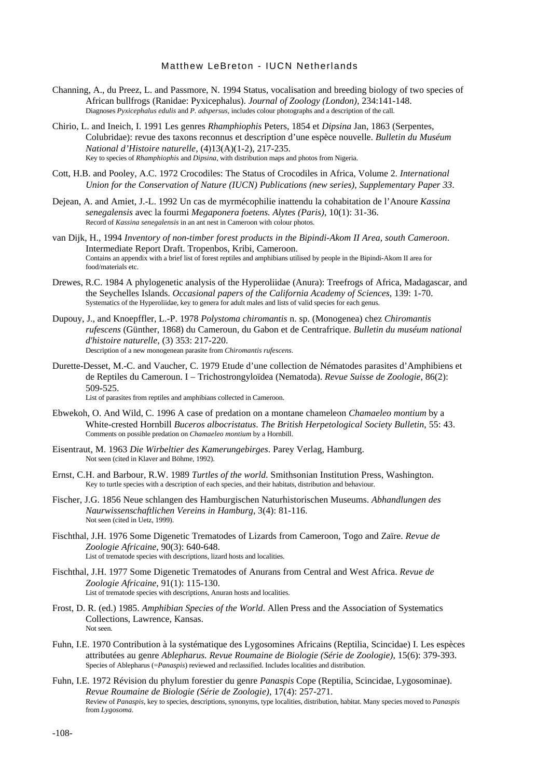- Channing, A., du Preez, L. and Passmore, N. 1994 Status, vocalisation and breeding biology of two species of African bullfrogs (Ranidae: Pyxicephalus). *Journal of Zoology (London),* 234:141-148. Diagnoses *Pyxicephalus edulis* and *P. adspersus,* includes colour photographs and a description of the call.
- Chirio, L. and Ineich, I. 1991 Les genres *Rhamphiophis* Peters, 1854 et *Dipsina* Jan, 1863 (Serpentes, Colubridae): revue des taxons reconnus et description d'une espèce nouvelle. *Bulletin du Muséum National d'Histoire naturelle,* (4)13(A)(1-2), 217-235. Key to species of *Rhamphiophis* and *Dipsina*, with distribution maps and photos from Nigeria.
- Cott, H.B. and Pooley, A.C. 1972 Crocodiles: The Status of Crocodiles in Africa, Volume 2. *International Union for the Conservation of Nature (IUCN) Publications (new series), Supplementary Paper 33*.
- Dejean, A. and Amiet, J.-L. 1992 Un cas de myrmécophilie inattendu la cohabitation de l'Anoure *Kassina senegalensis* avec la fourmi *Megaponera foetens. Alytes (Paris)*, 10(1): 31-36. Record of *Kassina senegalensis* in an ant nest in Cameroon with colour photos.
- van Dijk, H., 1994 *Inventory of non-timber forest products in the Bipindi-Akom II Area, south Cameroon*. Intermediate Report Draft. Tropenbos, Kribi, Cameroon. Contains an appendix with a brief list of forest reptiles and amphibians utilised by people in the Bipindi-Akom II area for food/materials etc.
- Drewes, R.C. 1984 A phylogenetic analysis of the Hyperoliidae (Anura): Treefrogs of Africa, Madagascar, and the Seychelles Islands. *Occasional papers of the California Academy of Sciences,* 139: 1-70. Systematics of the Hyperoliidae, key to genera for adult males and lists of valid species for each genus.
- Dupouy, J., and Knoepffler, L.-P. 1978 *Polystoma chiromantis* n. sp. (Monogenea) chez *Chiromantis rufescens* (Günther, 1868) du Cameroun, du Gabon et de Centrafrique. *Bulletin du muséum national d'histoire naturelle,* (3) 353: 217-220. Description of a new monogenean parasite from *Chiromantis rufescens.*
- Durette-Desset, M.-C. and Vaucher, C. 1979 Etude d'une collection de Nématodes parasites d'Amphibiens et de Reptiles du Cameroun. I – Trichostrongyloïdea (Nematoda). *Revue Suisse de Zoologie*, 86(2): 509-525.

List of parasites from reptiles and amphibians collected in Cameroon.

- Ebwekoh, O. And Wild, C. 1996 A case of predation on a montane chameleon *Chamaeleo montium* by a White-crested Hornbill *Buceros albocristatus*. *The British Herpetological Society Bulletin*, 55: 43. Comments on possible predation on *Chamaeleo montium* by a Hornbill.
- Eisentraut, M. 1963 *Die Wirbeltier des Kamerungebirges*. Parey Verlag, Hamburg. Not seen (cited in Klaver and Böhme, 1992).
- Ernst, C.H. and Barbour, R.W. 1989 *Turtles of the world*. Smithsonian Institution Press, Washington. Key to turtle species with a description of each species, and their habitats, distribution and behaviour.
- Fischer, J.G. 1856 Neue schlangen des Hamburgischen Naturhistorischen Museums. *Abhandlungen des Naurwissenschaftlichen Vereins in Hamburg,* 3(4): 81-116. Not seen (cited in Uetz, 1999).
- Fischthal, J.H. 1976 Some Digenetic Trematodes of Lizards from Cameroon, Togo and Zaïre. *Revue de Zoologie Africaine*, 90(3): 640-648. List of trematode species with descriptions, lizard hosts and localities.
- Fischthal, J.H. 1977 Some Digenetic Trematodes of Anurans from Central and West Africa. *Revue de Zoologie Africaine*, 91(1): 115-130. List of trematode species with descriptions, Anuran hosts and localities.
- Frost, D. R. (ed.) 1985. *Amphibian Species of the World*. Allen Press and the Association of Systematics Collections, Lawrence, Kansas. Not seen.
- Fuhn, I.E. 1970 Contribution à la systématique des Lygosomines Africains (Reptilia, Scincidae) I. Les espèces attributées au genre *Ablepharus. Revue Roumaine de Biologie (Série de Zoologie)*, 15(6): 379-393. Species of Ablepharus (=*Panaspis*) reviewed and reclassified. Includes localities and distribution.
- Fuhn, I.E. 1972 Révision du phylum forestier du genre *Panaspis* Cope (Reptilia, Scincidae, Lygosominae). *Revue Roumaine de Biologie (Série de Zoologie)*, 17(4): 257-271. Review of *Panaspis*, key to species, descriptions, synonyms, type localities, distribution, habitat. Many species moved to *Panaspis* from *Lygosoma*.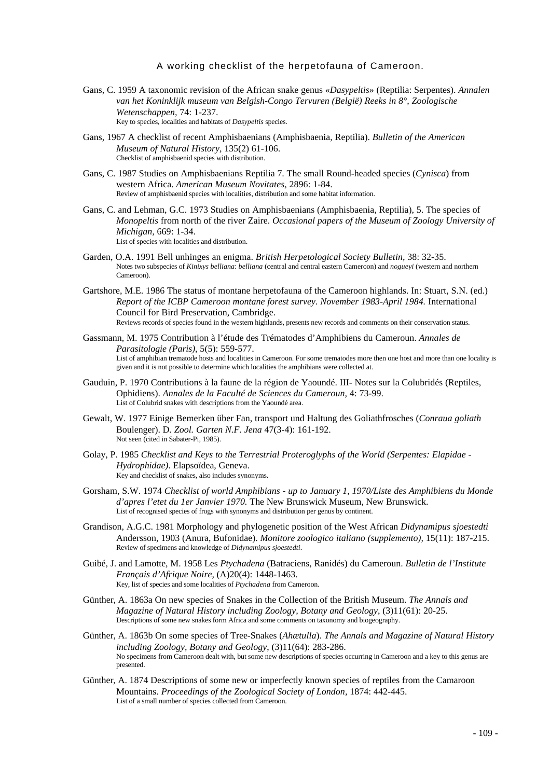- Gans, C. 1959 A taxonomic revision of the African snake genus «*Dasypeltis*» (Reptilia: Serpentes). *Annalen van het Koninklijk museum van Belgish-Congo Tervuren (België) Reeks in 8°, Zoologische Wetenschappen,* 74: 1-237. Key to species, localities and habitats of *Dasypeltis* species.
- Gans, 1967 A checklist of recent Amphisbaenians (Amphisbaenia, Reptilia). *Bulletin of the American Museum of Natural History,* 135(2) 61-106. Checklist of amphisbaenid species with distribution.
- Gans, C. 1987 Studies on Amphisbaenians Reptilia 7. The small Round-headed species (*Cynisca*) from western Africa. *American Museum Novitates,* 2896: 1-84. Review of amphisbaenid species with localities, distribution and some habitat information.
- Gans, C. and Lehman, G.C. 1973 Studies on Amphisbaenians (Amphisbaenia, Reptilia), 5. The species of *Monopeltis* from north of the river Zaire. *Occasional papers of the Museum of Zoology University of Michigan,* 669: 1-34. List of species with localities and distribution.
- Garden, O.A. 1991 Bell unhinges an enigma. *British Herpetological Society Bulletin,* 38: 32-35. Notes two subspecies of *Kinixys belliana*: *belliana* (central and central eastern Cameroon) and *nogueyi* (western and northern Cameroon).
- Gartshore, M.E. 1986 The status of montane herpetofauna of the Cameroon highlands. In: Stuart, S.N. (ed.) *Report of the ICBP Cameroon montane forest survey. November 1983-April 1984.* International Council for Bird Preservation, Cambridge. Reviews records of species found in the western highlands, presents new records and comments on their conservation status.
- Gassmann, M. 1975 Contribution à l'étude des Trématodes d'Amphibiens du Cameroun. *Annales de Parasitologie (Paris)*, 5(5): 559-577. List of amphibian trematode hosts and localities in Cameroon. For some trematodes more then one host and more than one locality is given and it is not possible to determine which localities the amphibians were collected at.
- Gauduin, P. 1970 Contributions à la faune de la région de Yaoundé. III- Notes sur la Colubridés (Reptiles, Ophidiens). *Annales de la Faculté de Sciences du Cameroun,* 4: 73-99. List of Colubrid snakes with descriptions from the Yaoundé area.
- Gewalt, W. 1977 Einige Bemerken über Fan, transport und Haltung des Goliathfrosches (*Conraua goliath* Boulenger). D*. Zool. Garten N.F. Jena* 47(3-4): 161-192. Not seen (cited in Sabater-Pi, 1985).
- Golay, P. 1985 *Checklist and Keys to the Terrestrial Proteroglyphs of the World (Serpentes: Elapidae - Hydrophidae)*. Elapsoïdea, Geneva. Key and checklist of snakes, also includes synonyms.
- Gorsham, S.W. 1974 *Checklist of world Amphibians up to January 1, 1970/Liste des Amphibiens du Monde d'apres l'etet du 1er Janvier 1970.* The New Brunswick Museum, New Brunswick. List of recognised species of frogs with synonyms and distribution per genus by continent.
- Grandison, A.G.C. 1981 Morphology and phylogenetic position of the West African *Didynamipus sjoestedti* Andersson, 1903 (Anura, Bufonidae). *Monitore zoologico italiano (supplemento),* 15(11): 187-215. Review of specimens and knowledge of *Didynamipus sjoestedti*.
- Guibé, J. and Lamotte, M. 1958 Les *Ptychadena* (Batraciens, Ranidés) du Cameroun. *Bulletin de l'Institute Français d'Afrique Noire,* (A)20(4): 1448-1463. Key, list of species and some localities of *Ptychadena* from Cameroon.
- Günther, A. 1863a On new species of Snakes in the Collection of the British Museum. *The Annals and Magazine of Natural History including Zoology, Botany and Geology*, (3)11(61): 20-25. Descriptions of some new snakes form Africa and some comments on taxonomy and biogeography.
- Günther, A. 1863b On some species of Tree-Snakes (*Ahætulla*). *The Annals and Magazine of Natural History including Zoology, Botany and Geology*, (3)11(64): 283-286. No specimens from Cameroon dealt with, but some new descriptions of species occurring in Cameroon and a key to this genus are presented.
- Günther, A. 1874 Descriptions of some new or imperfectly known species of reptiles from the Camaroon Mountains. *Proceedings of the Zoological Society of London,* 1874: 442-445. List of a small number of species collected from Cameroon.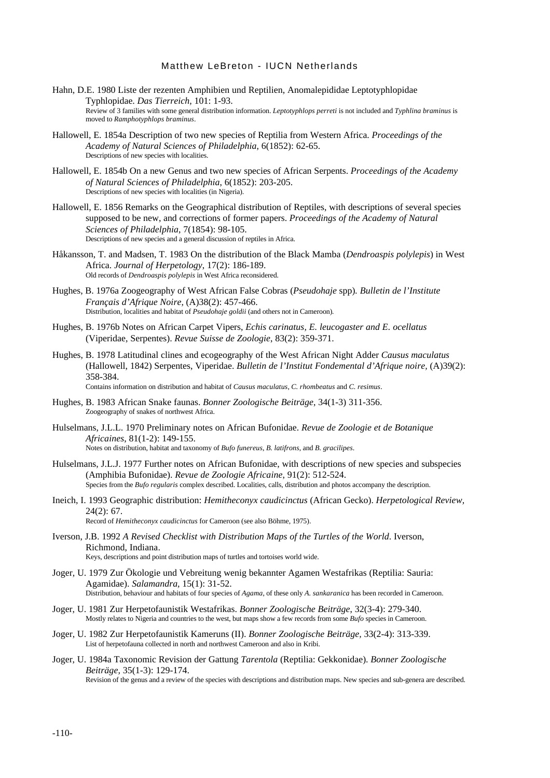- Hahn, D.E. 1980 Liste der rezenten Amphibien und Reptilien, Anomalepididae Leptotyphlopidae Typhlopidae. *Das Tierreich,* 101: 1-93. Review of 3 families with some general distribution information. *Leptotyphlops perreti* is not included and *Typhlina braminus* is moved to *Ramphotyphlops braminus*.
- Hallowell, E. 1854a Description of two new species of Reptilia from Western Africa. *Proceedings of the Academy of Natural Sciences of Philadelphia*, 6(1852): 62-65. Descriptions of new species with localities.
- Hallowell, E. 1854b On a new Genus and two new species of African Serpents. *Proceedings of the Academy of Natural Sciences of Philadelphia*, 6(1852): 203-205. Descriptions of new species with localities (in Nigeria).
- Hallowell, E. 1856 Remarks on the Geographical distribution of Reptiles, with descriptions of several species supposed to be new, and corrections of former papers. *Proceedings of the Academy of Natural Sciences of Philadelphia*, 7(1854): 98-105. Descriptions of new species and a general discussion of reptiles in Africa.
- Håkansson, T. and Madsen, T. 1983 On the distribution of the Black Mamba (*Dendroaspis polylepis*) in West Africa. *Journal of Herpetology*, 17(2): 186-189. Old records of *Dendroaspis polylepis* in West Africa reconsidered.
- Hughes, B. 1976a Zoogeography of West African False Cobras (*Pseudohaje* spp)*. Bulletin de l'Institute Français d'Afrique Noire,* (A)38(2): 457-466. Distribution, localities and habitat of *Pseudohaje goldii* (and others not in Cameroon)*.*
- Hughes, B. 1976b Notes on African Carpet Vipers, *Echis carinatus, E. leucogaster and E. ocellatus* (Viperidae, Serpentes). *Revue Suisse de Zoologie*, 83(2): 359-371.
- Hughes, B. 1978 Latitudinal clines and ecogeography of the West African Night Adder *Causus maculatus* (Hallowell, 1842) Serpentes, Viperidae. *Bulletin de l'Institut Fondemental d'Afrique noire,* (A)39(2): 358-384. Contains information on distribution and habitat of *Causus maculatus*, *C. rhombeatus* and *C. resimus*.

Hughes, B. 1983 African Snake faunas. *Bonner Zoologische Beiträge*, 34(1-3) 311-356.

- Zoogeography of snakes of northwest Africa.
- Hulselmans, J.L.L. 1970 Preliminary notes on African Bufonidae. *Revue de Zoologie et de Botanique Africaines*, 81(1-2): 149-155. Notes on distribution, habitat and taxonomy of *Bufo funereus*, *B. latifrons*, and *B. gracilipes*.
- Hulselmans, J.L.J. 1977 Further notes on African Bufonidae, with descriptions of new species and subspecies (Amphibia Bufonidae). *Revue de Zoologie Africaine*, 91(2): 512-524. Species from the *Bufo regularis* complex described. Localities, calls, distribution and photos accompany the description.
- Ineich, I. 1993 Geographic distribution: *Hemitheconyx caudicinctus* (African Gecko). *Herpetological Review,*  $24(2) \cdot 67$ Record of *Hemitheconyx caudicinctus* for Cameroon (see also Böhme, 1975).
- Iverson, J.B. 1992 *A Revised Checklist with Distribution Maps of the Turtles of the World*. Iverson, Richmond, Indiana. Keys, descriptions and point distribution maps of turtles and tortoises world wide.
- Joger, U. 1979 Zur Ökologie und Vebreitung wenig bekannter Agamen Westafrikas (Reptilia: Sauria: Agamidae). *Salamandra,* 15(1): 31-52. Distribution, behaviour and habitats of four species of *Agama*, of these only *A. sankaranica* has been recorded in Cameroon.
- Joger, U. 1981 Zur Herpetofaunistik Westafrikas. *Bonner Zoologische Beiträge*, 32(3-4): 279-340. Mostly relates to Nigeria and countries to the west, but maps show a few records from some *Bufo* species in Cameroon.
- Joger, U. 1982 Zur Herpetofaunistik Kameruns (II). *Bonner Zoologische Beiträge,* 33(2-4): 313-339. List of herpetofauna collected in north and northwest Cameroon and also in Kribi.
- Joger, U. 1984a Taxonomic Revision der Gattung *Tarentola* (Reptilia: Gekkonidae). *Bonner Zoologische Beiträge,* 35(1-3): 129-174. Revision of the genus and a review of the species with descriptions and distribution maps. New species and sub-genera are described.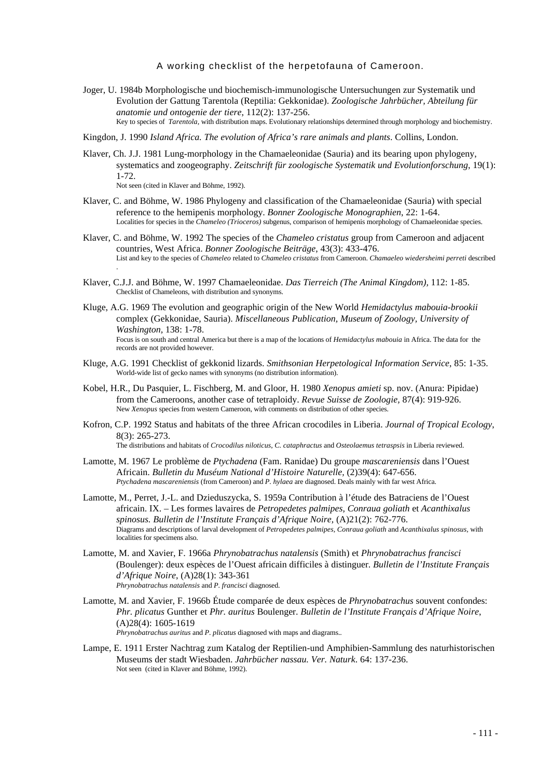- Joger, U. 1984b Morphologische und biochemisch-immunologische Untersuchungen zur Systematik und Evolution der Gattung Tarentola (Reptilia: Gekkonidae). *Zoologische Jahrbücher, Abteilung für anatomie und ontogenie der tiere*, 112(2): 137-256. Key to species of *Tarentola,* with distribution maps. Evolutionary relationships determined through morphology and biochemistry.
- Kingdon, J. 1990 *Island Africa. The evolution of Africa's rare animals and plants*. Collins, London.
- Klaver, Ch. J.J. 1981 Lung-morphology in the Chamaeleonidae (Sauria) and its bearing upon phylogeny, systematics and zoogeography. *Zeitschrift für zoologische Systematik und Evolutionforschung*, 19(1): 1-72.
	- Not seen (cited in Klaver and Böhme, 1992).
- Klaver, C. and Böhme, W. 1986 Phylogeny and classification of the Chamaeleonidae (Sauria) with special reference to the hemipenis morphology. *Bonner Zoologische Monographien*, 22: 1-64. Localities for species in the *Chameleo (Trioceros)* subgenus, comparison of hemipenis morphology of Chamaeleonidae species.
- Klaver, C. and Böhme, W. 1992 The species of the *Chameleo cristatus* group from Cameroon and adjacent countries, West Africa. *Bonner Zoologische Beiträge*, 43(3): 433-476. List and key to the species of *Chameleo* related to *Chameleo cristatus* from Cameroon. *Chamaeleo wiedersheimi perreti* described .
- Klaver, C.J.J. and Böhme, W. 1997 Chamaeleonidae. *Das Tierreich (The Animal Kingdom),* 112: 1-85. Checklist of Chameleons, with distribution and synonyms.
- Kluge, A.G. 1969 The evolution and geographic origin of the New World *Hemidactylus mabouia-brookii* complex (Gekkonidae, Sauria). *Miscellaneous Publication, Museum of Zoology, University of Washington,* 138: 1-78. Focus is on south and central America but there is a map of the locations of *Hemidactylus mabouia* in Africa. The data for the records are not provided however.
- Kluge, A.G. 1991 Checklist of gekkonid lizards. *Smithsonian Herpetological Information Service*, 85: 1-35. World-wide list of gecko names with synonyms (no distribution information).
- Kobel, H.R., Du Pasquier, L. Fischberg, M. and Gloor, H. 1980 *Xenopus amieti* sp. nov. (Anura: Pipidae) from the Cameroons, another case of tetraploidy. *Revue Suisse de Zoologie,* 87(4): 919-926. New *Xenopus* species from western Cameroon, with comments on distribution of other species.
- Kofron, C.P. 1992 Status and habitats of the three African crocodiles in Liberia. *Journal of Tropical Ecology*, 8(3): 265-273. The distributions and habitats of *Crocodilus niloticus*, *C. cataphractus* and *Osteolaemus tetraspsis* in Liberia reviewed.
- Lamotte, M. 1967 Le problème de *Ptychadena* (Fam. Ranidae) Du groupe *mascareniensis* dans l'Ouest Africain. *Bulletin du Muséum National d'Histoire Naturelle,* (2)39(4): 647-656. *Ptychadena mascareniensis* (from Cameroon) and *P. hylaea* are diagnosed. Deals mainly with far west Africa.
- Lamotte, M., Perret, J.-L. and Dzieduszycka, S. 1959a Contribution à l'étude des Batraciens de l'Ouest africain. IX. – Les formes lavaires de *Petropedetes palmipes, Conraua goliath* et *Acanthixalus spinosus. Bulletin de l'Institute Français d'Afrique Noire,* (A)21(2): 762-776. Diagrams and descriptions of larval development of *Petropedetes palmipes, Conraua goliath* and *Acanthixalus spinosus,* with localities for specimens also.
- Lamotte, M. and Xavier, F. 1966a *Phrynobatrachus natalensis* (Smith) et *Phrynobatrachus francisci* (Boulenger): deux espèces de l'Ouest africain difficiles à distinguer. *Bulletin de l'Institute Français d'Afrique Noire*, (A)28(1): 343-361 *Phrynobatrachus natalensis* and *P. francisci* diagnosed.
- Lamotte, M. and Xavier, F. 1966b Étude comparée de deux espèces de *Phrynobatrachus* souvent confondes: *Phr. plicatus* Gunther et *Phr. auritus* Boulenger. *Bulletin de l'Institute Français d'Afrique Noire*, (A)28(4): 1605-1619 *Phrynobatrachus auritus* and *P. plicatus* diagnosed with maps and diagrams..
- Lampe, E. 1911 Erster Nachtrag zum Katalog der Reptilien-und Amphibien-Sammlung des naturhistorischen Museums der stadt Wiesbaden. *Jahrbücher nassau. Ver. Naturk*. 64: 137-236. Not seen (cited in Klaver and Böhme, 1992).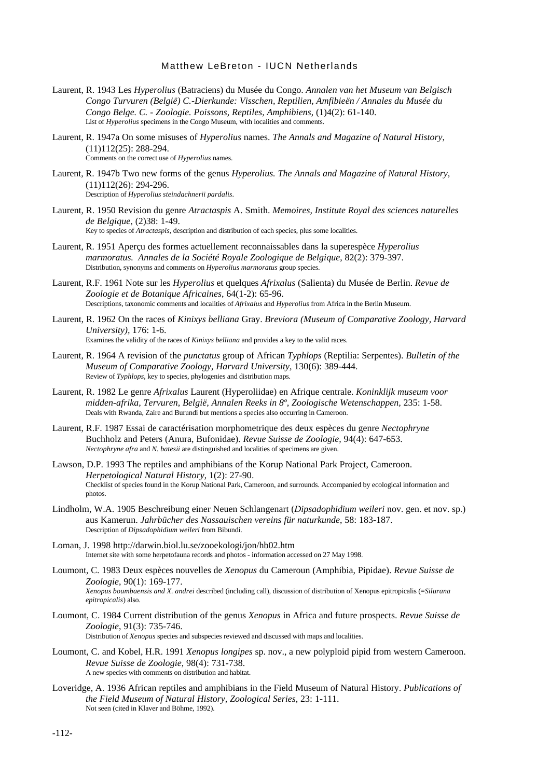- Laurent, R. 1943 Les *Hyperolius* (Batraciens) du Musée du Congo. *Annalen van het Museum van Belgisch Congo Turvuren (België) C.-Dierkunde: Visschen, Reptilien, Amfibieën / Annales du Musée du Congo Belge. C. - Zoologie. Poissons, Reptiles, Amphibiens*, (1)4(2): 61-140. List of *Hyperolius* specimens in the Congo Museum, with localities and comments.
- Laurent, R. 1947a On some misuses of *Hyperolius* names. *The Annals and Magazine of Natural History*, (11)112(25): 288-294. Comments on the correct use of *Hyperolius* names.
- Laurent, R. 1947b Two new forms of the genus *Hyperolius. The Annals and Magazine of Natural History,* (11)112(26): 294-296. Description of *Hyperolius steindachnerii pardalis*.
- Laurent, R. 1950 Revision du genre *Atractaspis* A. Smith. *Memoires, Institute Royal des sciences naturelles de Belgique,* (2)38: 1-49. Key to species of *Atractaspis,* description and distribution of each species, plus some localities.
- Laurent, R. 1951 Aperçu des formes actuellement reconnaissables dans la superespèce *Hyperolius marmoratus. Annales de la Société Royale Zoologique de Belgique*, 82(2): 379-397. Distribution, synonyms and comments on *Hyperolius marmoratus* group species.
- Laurent, R.F. 1961 Note sur les *Hyperolius* et quelques *Afrixalus* (Salienta) du Musée de Berlin. *Revue de Zoologie et de Botanique Africaines*, 64(1-2): 65-96. Descriptions, taxonomic comments and localities of *Afrixalus* and *Hyperolius* from Africa in the Berlin Museum.
- Laurent, R. 1962 On the races of *Kinixys belliana* Gray. *Breviora (Museum of Comparative Zoology, Harvard University),* 176: 1-6. Examines the validity of the races of *Kinixys belliana* and provides a key to the valid races.
- Laurent, R. 1964 A revision of the *punctatus* group of African *Typhlops* (Reptilia: Serpentes). *Bulletin of the Museum of Comparative Zoology, Harvard University,* 130(6): 389-444. Review of *Typhlops*, key to species, phylogenies and distribution maps.
- Laurent, R. 1982 Le genre *Afrixalus* Laurent (Hyperoliidae) en Afrique centrale. *Koninklijk museum voor midden-afrika, Tervuren, België, Annalen Reeks in 8º, Zoologische Wetenschappen,* 235: 1-58. Deals with Rwanda, Zaire and Burundi but mentions a species also occurring in Cameroon.
- Laurent, R.F. 1987 Essai de caractérisation morphometrique des deux espèces du genre *Nectophryne* Buchholz and Peters (Anura, Bufonidae). *Revue Suisse de Zoologie,* 94(4): 647-653. *Nectophryne afra* and *N. batesii* are distinguished and localities of specimens are given.
- Lawson, D.P. 1993 The reptiles and amphibians of the Korup National Park Project, Cameroon. *Herpetological Natural History*, 1(2): 27-90. Checklist of species found in the Korup National Park, Cameroon, and surrounds. Accompanied by ecological information and photos.
- Lindholm, W.A. 1905 Beschreibung einer Neuen Schlangenart (*Dipsadophidium weileri* nov. gen. et nov. sp.) aus Kamerun. *Jahrbücher des Nassauischen vereins für naturkunde*, 58: 183-187. Description of *Dipsadophidium weileri* from Bibundi.
- Loman, J. 1998 http://darwin.biol.lu.se/zooekologi/jon/hb02.htm Internet site with some herpetofauna records and photos - information accessed on 27 May 1998.
- Loumont, C. 1983 Deux espèces nouvelles de *Xenopus* du Cameroun (Amphibia, Pipidae). *Revue Suisse de Zoologie*, 90(1): 169-177. *Xenopus boumbaensis and X. andrei* described (including call), discussion of distribution of Xenopus epitropicalis (=*Silurana epitropicalis*) also.
- Loumont, C. 1984 Current distribution of the genus *Xenopus* in Africa and future prospects. *Revue Suisse de Zoologie*, 91(3): 735-746. Distribution of *Xenopus* species and subspecies reviewed and discussed with maps and localities.

Loumont, C. and Kobel, H.R. 1991 *Xenopus longipes* sp. nov., a new polyploid pipid from western Cameroon. *Revue Suisse de Zoologie,* 98(4): 731-738. A new species with comments on distribution and habitat.

Loveridge, A. 1936 African reptiles and amphibians in the Field Museum of Natural History. *Publications of the Field Museum of Natural History, Zoological Series*, 23: 1-111. Not seen (cited in Klaver and Böhme, 1992).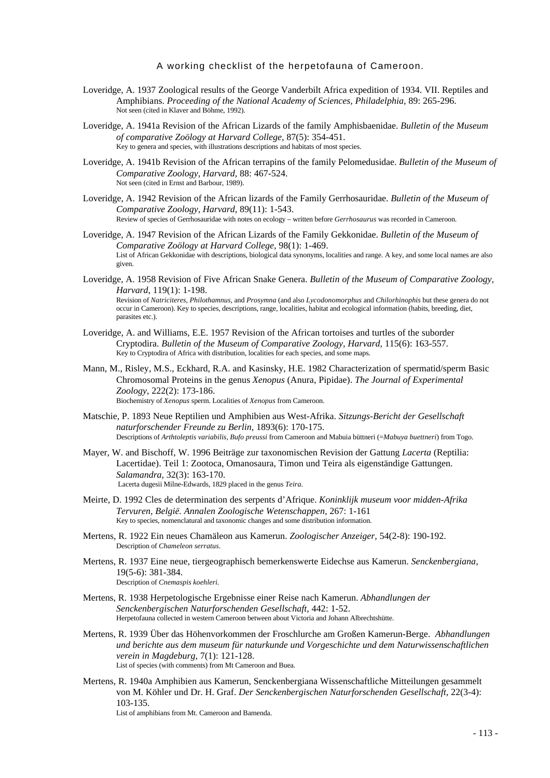- Loveridge, A. 1937 Zoological results of the George Vanderbilt Africa expedition of 1934. VII. Reptiles and Amphibians. *Proceeding of the National Academy of Sciences, Philadelphia*, 89: 265-296. Not seen (cited in Klaver and Böhme, 1992).
- Loveridge, A. 1941a Revision of the African Lizards of the family Amphisbaenidae. *Bulletin of the Museum of comparative Zoölogy at Harvard College,* 87(5): 354-451. Key to genera and species, with illustrations descriptions and habitats of most species.
- Loveridge, A. 1941b Revision of the African terrapins of the family Pelomedusidae. *Bulletin of the Museum of Comparative Zoology, Harvard,* 88: 467-524. Not seen (cited in Ernst and Barbour, 1989).
- Loveridge, A. 1942 Revision of the African lizards of the Family Gerrhosauridae. *Bulletin of the Museum of Comparative Zoology, Harvard,* 89(11): 1-543. Review of species of Gerrhosauridae with notes on ecology – written before *Gerrhosaurus* was recorded in Cameroon.
- Loveridge, A. 1947 Revision of the African Lizards of the Family Gekkonidae. *Bulletin of the Museum of Comparative Zoölogy at Harvard College,* 98(1): 1-469. List of African Gekkonidae with descriptions, biological data synonyms, localities and range. A key, and some local names are also given.
- Loveridge, A. 1958 Revision of Five African Snake Genera. *Bulletin of the Museum of Comparative Zoology, Harvard*, 119(1): 1-198.

Revision of *Natriciteres*, *Philothamnus*, and *Prosymna* (and also *Lycodonomorphus* and *Chilorhinophis* but these genera do not occur in Cameroon). Key to species, descriptions, range, localities, habitat and ecological information (habits, breeding, diet, parasites etc.).

- Loveridge, A. and Williams, E.E. 1957 Revision of the African tortoises and turtles of the suborder Cryptodira. *Bulletin of the Museum of Comparative Zoology, Harvard,* 115(6): 163-557. Key to Cryptodira of Africa with distribution, localities for each species, and some maps.
- Mann, M., Risley, M.S., Eckhard, R.A. and Kasinsky, H.E. 1982 Characterization of spermatid/sperm Basic Chromosomal Proteins in the genus *Xenopus* (Anura, Pipidae). *The Journal of Experimental Zoology*, 222(2): 173-186. Biochemistry of *Xenopus* sperm. Localities of *Xenopus* from Cameroon.
- Matschie, P. 1893 Neue Reptilien und Amphibien aus West-Afrika. *Sitzungs-Bericht der Gesellschaft naturforschender Freunde zu Berlin*, 1893(6): 170-175. Descriptions of *Arthtoleptis variabilis*, *Bufo preussi* from Cameroon and Mabuia büttneri (=*Mabuya buettneri*) from Togo.
- Mayer, W. and Bischoff, W. 1996 Beiträge zur taxonomischen Revision der Gattung *Lacerta* (Reptilia: Lacertidae). Teil 1: Zootoca, Omanosaura, Timon und Teira als eigenständige Gattungen. *Salamandra*, 32(3): 163-170. Lacerta dugesii Milne-Edwards, 1829 placed in the genus *Teira*.
- Meirte, D. 1992 Cles de determination des serpents d'Afrique. *Koninklijk museum voor midden-Afrika Tervuren, België. Annalen Zoologische Wetenschappen,* 267: 1-161 Key to species, nomenclatural and taxonomic changes and some distribution information.
- Mertens, R. 1922 Ein neues Chamäleon aus Kamerun. *Zoologischer Anzeiger,* 54(2-8): 190-192. Description of *Chameleon serratus*.
- Mertens, R. 1937 Eine neue, tiergeographisch bemerkenswerte Eidechse aus Kamerun. *Senckenbergiana,* 19(5-6): 381-384. Description of *Cnemaspis koehleri.*
- Mertens, R. 1938 Herpetologische Ergebnisse einer Reise nach Kamerun. *Abhandlungen der Senckenbergischen Naturforschenden Gesellschaft,* 442: 1-52. Herpetofauna collected in western Cameroon between about Victoria and Johann Albrechtshütte.
- Mertens, R. 1939 Über das Höhenvorkommen der Froschlurche am Großen Kamerun-Berge. *Abhandlungen und berichte aus dem museum für naturkunde und Vorgeschichte und dem Naturwissenschaftlichen verein in Magdeburg*, 7(1): 121-128. List of species (with comments) from Mt Cameroon and Buea.
- Mertens, R. 1940a Amphibien aus Kamerun, Senckenbergiana Wissenschaftliche Mitteilungen gesammelt von M. Köhler und Dr. H. Graf. *Der Senckenbergischen Naturforschenden Gesellschaft*, 22(3-4): 103-135. List of amphibians from Mt. Cameroon and Bamenda.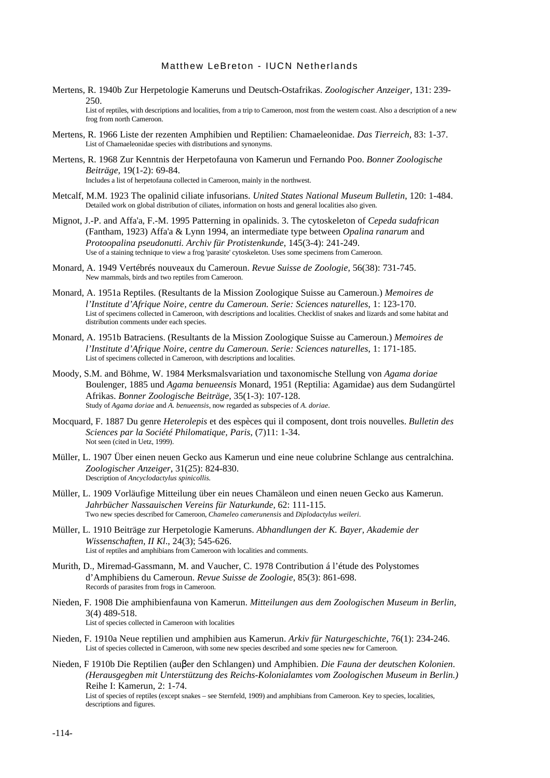Mertens, R. 1940b Zur Herpetologie Kameruns und Deutsch-Ostafrikas. *Zoologischer Anzeiger,* 131: 239- 250.

List of reptiles, with descriptions and localities, from a trip to Cameroon, most from the western coast. Also a description of a new frog from north Cameroon.

- Mertens, R. 1966 Liste der rezenten Amphibien und Reptilien: Chamaeleonidae. *Das Tierreich*, 83: 1-37. List of Chamaeleonidae species with distributions and synonyms.
- Mertens, R. 1968 Zur Kenntnis der Herpetofauna von Kamerun und Fernando Poo. *Bonner Zoologische Beiträge,* 19(1-2): 69-84. Includes a list of herpetofauna collected in Cameroon, mainly in the northwest.
- Metcalf, M.M. 1923 The opalinid ciliate infusorians. *United States National Museum Bulletin*, 120: 1-484. Detailed work on global distribution of ciliates, information on hosts and general localities also given.
- Mignot, J.-P. and Affa'a, F.-M. 1995 Patterning in opalinids. 3. The cytoskeleton of *Cepeda sudafrican* (Fantham, 1923) Affa'a & Lynn 1994, an intermediate type between *Opalina ranarum* and *Protoopalina pseudonutti. Archiv für Protistenkunde*, 145(3-4): 241-249. Use of a staining technique to view a frog 'parasite' cytoskeleton. Uses some specimens from Cameroon.
- Monard, A. 1949 Vertébrés nouveaux du Cameroun. *Revue Suisse de Zoologie,* 56(38): 731-745. New mammals, birds and two reptiles from Cameroon.
- Monard, A. 1951a Reptiles. (Resultants de la Mission Zoologique Suisse au Cameroun.) *Memoires de l'Institute d'Afrique Noire, centre du Cameroun. Serie: Sciences naturelles*, 1: 123-170. List of specimens collected in Cameroon, with descriptions and localities. Checklist of snakes and lizards and some habitat and distribution comments under each species.
- Monard, A. 1951b Batraciens. (Resultants de la Mission Zoologique Suisse au Cameroun.) *Memoires de l'Institute d'Afrique Noire, centre du Cameroun. Serie: Sciences naturelles*, 1: 171-185. List of specimens collected in Cameroon, with descriptions and localities.
- Moody, S.M. and Böhme, W. 1984 Merksmalsvariation und taxonomische Stellung von *Agama doriae* Boulenger, 1885 und *Agama benueensis* Monard, 1951 (Reptilia: Agamidae) aus dem Sudangürtel Afrikas. *Bonner Zoologische Beiträge,* 35(1-3): 107-128. Study of *Agama doriae* and *A. benueensis*, now regarded as subspecies of *A. doriae*.
- Mocquard, F. 1887 Du genre *Heterolepis* et des espèces qui il composent, dont trois nouvelles. *Bulletin des Sciences par la Société Philomatique, Paris*, (7)11: 1-34. Not seen (cited in Uetz, 1999).
- Müller, L. 1907 Über einen neuen Gecko aus Kamerun und eine neue colubrine Schlange aus centralchina. *Zoologischer Anzeiger*, 31(25): 824-830. Description of *Ancyclodactylus spinicollis.*
- Müller, L. 1909 Vorläufige Mitteilung über ein neues Chamäleon und einen neuen Gecko aus Kamerun. *Jahrbücher Nassauischen Vereins für Naturkunde,* 62: 111-115. Two new species described for Cameroon, *Chameleo camerunensis* and *Diplodactylus weileri*.
- Müller, L. 1910 Beiträge zur Herpetologie Kameruns. *Abhandlungen der K. Bayer, Akademie der Wissenschaften, II Kl*., 24(3); 545-626. List of reptiles and amphibians from Cameroon with localities and comments.
- Murith, D., Miremad-Gassmann, M. and Vaucher, C. 1978 Contribution á l'étude des Polystomes d'Amphibiens du Cameroun. *Revue Suisse de Zoologie*, 85(3): 861-698. Records of parasites from frogs in Cameroon.
- Nieden, F. 1908 Die amphibienfauna von Kamerun. *Mitteilungen aus dem Zoologischen Museum in Berlin,* 3(4) 489-518. List of species collected in Cameroon with localities
- Nieden, F. 1910a Neue reptilien und amphibien aus Kamerun. *Arkiv für Naturgeschichte,* 76(1): 234-246. List of species collected in Cameroon, with some new species described and some species new for Cameroon.

Nieden, F 1910b Die Reptilien (auβer den Schlangen) und Amphibien. *Die Fauna der deutschen Kolonien*. *(Herausgegben mit Unterstützung des Reichs-Kolonialamtes vom Zoologischen Museum in Berlin.)* Reihe I: Kamerun, 2: 1-74. List of species of reptiles (except snakes – see Sternfeld, 1909) and amphibians from Cameroon. Key to species, localities, descriptions and figures.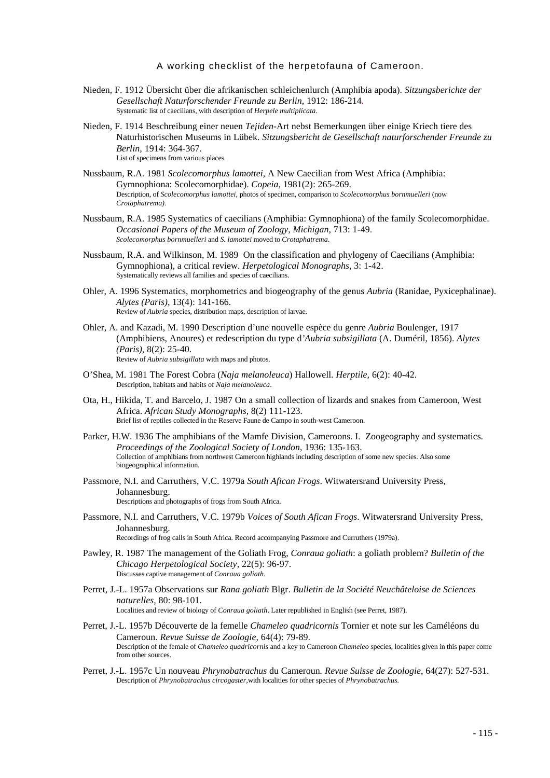- Nieden, F. 1912 Übersicht über die afrikanischen schleichenlurch (Amphibia apoda). *Sitzungsberichte der Gesellschaft Naturforschender Freunde zu Berlin*, 1912: 186-214*.* Systematic list of caecilians, with description of *Herpele multiplicata*.
- Nieden, F. 1914 Beschreibung einer neuen *Tejiden*-Art nebst Bemerkungen über einige Kriech tiere des Naturhistorischen Museums in Lübek. *Sitzungsbericht de Gesellschaft naturforschender Freunde zu Berlin,* 1914: 364-367. List of specimens from various places.
- Nussbaum, R.A. 1981 *Scolecomorphus lamottei,* A New Caecilian from West Africa (Amphibia: Gymnophiona: Scolecomorphidae). *Copeia,* 1981(2): 265-269. Description, of *Scolecomorphus lamottei,* photos of specimen, comparison to *Scolecomorphus bornmuelleri* (now *Crotaphatrema)*.
- Nussbaum, R.A. 1985 Systematics of caecilians (Amphibia: Gymnophiona) of the family Scolecomorphidae. *Occasional Papers of the Museum of Zoology, Michigan*, 713: 1-49. *Scolecomorphus bornmuelleri* and *S. lamottei* moved to *Crotaphatrema*.
- Nussbaum, R.A. and Wilkinson, M. 1989 On the classification and phylogeny of Caecilians (Amphibia: Gymnophiona), a critical review. *Herpetological Monographs,* 3: 1-42. Systematically reviews all families and species of caecilians.
- Ohler, A. 1996 Systematics, morphometrics and biogeography of the genus *Aubria* (Ranidae, Pyxicephalinae). *Alytes (Paris),* 13(4): 141-166. Review of *Aubria* species, distribution maps, description of larvae.
- Ohler, A. and Kazadi, M. 1990 Description d'une nouvelle espèce du genre *Aubria* Boulenger, 1917 (Amphibiens, Anoures) et redescription du type d*'Aubria subsigillata* (A. Duméril, 1856). *Alytes (Paris),* 8(2): 25-40. Review of *Aubria subsigillata* with maps and photos.
- O'Shea, M. 1981 The Forest Cobra (*Naja melanoleuca*) Hallowell. *Herptile,* 6(2): 40-42. Description, habitats and habits of *Naja melanoleuca*.
- Ota, H., Hikida, T. and Barcelo, J. 1987 On a small collection of lizards and snakes from Cameroon, West Africa. *African Study Monographs,* 8(2) 111-123. Brief list of reptiles collected in the Reserve Faune de Campo in south-west Cameroon.
- Parker, H.W. 1936 The amphibians of the Mamfe Division, Cameroons. I. Zoogeography and systematics. *Proceedings of the Zoological Society of London,* 1936: 135-163. Collection of amphibians from northwest Cameroon highlands including description of some new species. Also some biogeographical information.
- Passmore, N.I. and Carruthers, V.C. 1979a *South Afican Frogs*. Witwatersrand University Press, Johannesburg. Descriptions and photographs of frogs from South Africa.
- Passmore, N.I. and Carruthers, V.C. 1979b *Voices of South Afican Frogs*. Witwatersrand University Press, Johannesburg. Recordings of frog calls in South Africa. Record accompanying Passmore and Curruthers (1979a).
- Pawley, R. 1987 The management of the Goliath Frog, *Conraua goliath*: a goliath problem? *Bulletin of the Chicago Herpetological Society,* 22(5): 96-97. Discusses captive management of *Conraua goliath*.
- Perret, J.-L. 1957a Observations sur *Rana goliath* Blgr. *Bulletin de la Société Neuchâteloise de Sciences naturelles,* 80: 98-101. Localities and review of biology of *Conraua goliath*. Later republished in English (see Perret, 1987).
- Perret, J.-L. 1957b Découverte de la femelle *Chameleo quadricornis* Tornier et note sur les Caméléons du Cameroun. *Revue Suisse de Zoologie,* 64(4): 79-89. Description of the female of *Chameleo quadricornis* and a key to Cameroon *Chameleo* species, localities given in this paper come from other sources.
- Perret, J.-L. 1957c Un nouveau *Phrynobatrachus* du Cameroun*. Revue Suisse de Zoologie,* 64(27): 527-531. Description of *Phrynobatrachus circogaster,*with localities for other species of *Phrynobatrachus.*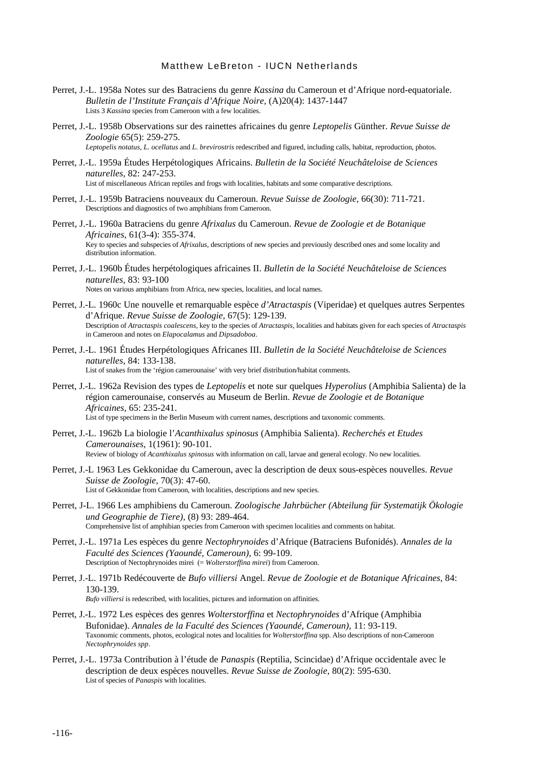- Perret, J.-L. 1958a Notes sur des Batraciens du genre *Kassina* du Cameroun et d'Afrique nord-equatoriale. *Bulletin de l'Institute Français d'Afrique Noire,* (A)20(4): 1437-1447 Lists 3 *Kassina* species from Cameroon with a few localities.
- Perret, J.-L. 1958b Observations sur des rainettes africaines du genre *Leptopelis* Günther. *Revue Suisse de Zoologie* 65(5): 259-275.

*Leptopelis notatus, L. ocellatus* and *L. brevirostris* redescribed and figured, including calls, habitat, reproduction, photos.

- Perret, J.-L. 1959a Études Herpétologiques Africains. *Bulletin de la Société Neuchâteloise de Sciences naturelles,* 82: 247-253. List of miscellaneous African reptiles and frogs with localities, habitats and some comparative descriptions.
- Perret, J.-L. 1959b Batraciens nouveaux du Cameroun. *Revue Suisse de Zoologie,* 66(30): 711-721. Descriptions and diagnostics of two amphibians from Cameroon.
- Perret, J.-L. 1960a Batraciens du genre *Afrixalus* du Cameroun. *Revue de Zoologie et de Botanique Africaines,* 61(3-4): 355-374. Key to species and subspecies of *Afrixalus,* descriptions of new species and previously described ones and some locality and distribution information.
- Perret, J.-L. 1960b Études herpétologiques africaines II. *Bulletin de la Société Neuchâteloise de Sciences naturelles,* 83: 93-100 Notes on various amphibians from Africa, new species, localities, and local names.
- Perret, J.-L. 1960c Une nouvelle et remarquable espèce *d'Atractaspis* (Viperidae) et quelques autres Serpentes d'Afrique. *Revue Suisse de Zoologie*, 67(5): 129-139. Description of *Atractaspis coalescens*, key to the species of *Atractaspis,* localities and habitats given for each species of *Atractaspis* in Cameroon and notes on *Elapocalamus* and *Dipsadoboa*.
- Perret, J.-L. 1961 Études Herpétologiques Africanes III. *Bulletin de la Société Neuchâteloise de Sciences naturelles*, 84: 133-138. List of snakes from the 'région camerounaise' with very brief distribution/habitat comments.
- Perret, J.-L. 1962a Revision des types de *Leptopelis* et note sur quelques *Hyperolius* (Amphibia Salienta) de la région camerounaise, conservés au Museum de Berlin. *Revue de Zoologie et de Botanique Africaines*, 65: 235-241. List of type specimens in the Berlin Museum with current names, descriptions and taxonomic comments.
- Perret, J.-L. 1962b La biologie l'*Acanthixalus spinosus* (Amphibia Salienta). *Recherchés et Etudes Camerounaises*, 1(1961): 90-101. Review of biology of *Acanthixalus spinosus* with information on call, larvae and general ecology. No new localities.
- Perret, J.-L 1963 Les Gekkonidae du Cameroun, avec la description de deux sous-espèces nouvelles. *Revue Suisse de Zoologie,* 70(3): 47-60. List of Gekkonidae from Cameroon, with localities, descriptions and new species.
- Perret, J-L. 1966 Les amphibiens du Cameroun. *Zoologische Jahrbücher (Abteilung für Systematijk Ökologie und Geographie de Tiere),* (8) 93: 289-464. Comprehensive list of amphibian species from Cameroon with specimen localities and comments on habitat.
- Perret, J.-L. 1971a Les espèces du genre *Nectophrynoides* d'Afrique (Batraciens Bufonidés). *Annales de la Faculté des Sciences (Yaoundé, Cameroun),* 6: 99-109. Description of Nectophrynoides mirei (= *Wolterstorffina mirei*) from Cameroon.
- Perret, J.-L. 1971b Redécouverte de *Bufo villiersi* Angel. *Revue de Zoologie et de Botanique Africaines*, 84: 130-139.

*Bufo villiersi* is redescribed, with localities, pictures and information on affinities.

- Perret, J.-L. 1972 Les espèces des genres *Wolterstorffina* et *Nectophrynoides* d'Afrique (Amphibia Bufonidae). *Annales de la Faculté des Sciences (Yaoundé, Cameroun)*, 11: 93-119. Taxonomic comments, photos, ecological notes and localities for *Wolterstorffina* spp. Also descriptions of non-Cameroon *Nectophrynoides spp*.
- Perret, J.-L. 1973a Contribution à l'étude de *Panaspis* (Reptilia, Scincidae) d'Afrique occidentale avec le description de deux espèces nouvelles. *Revue Suisse de Zoologie,* 80(2): 595-630. List of species of *Panaspis* with localities.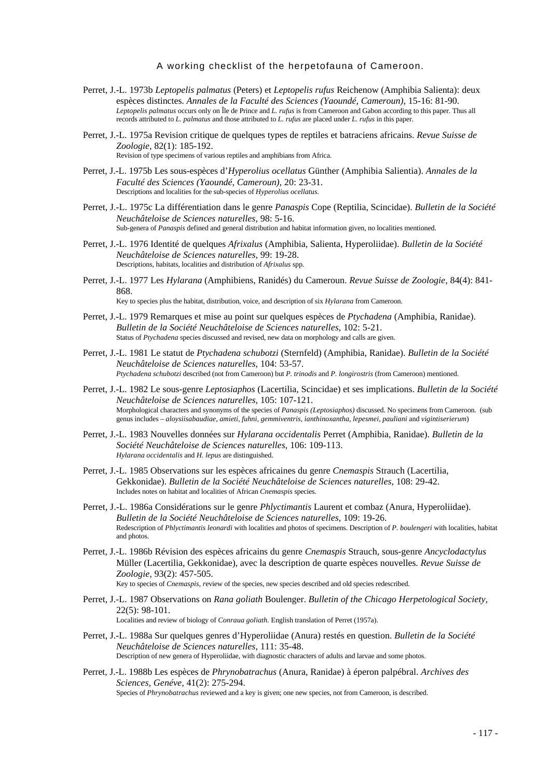- Perret, J.-L. 1973b *Leptopelis palmatus* (Peters) et *Leptopelis rufus* Reichenow (Amphibia Salienta): deux espèces distinctes. *Annales de la Faculté des Sciences (Yaoundé, Cameroun)*, 15-16: 81-90. *Leptopelis palmatus* occurs only on Île de Prince and *L. rufus* is from Cameroon and Gabon according to this paper. Thus all records attributed to *L. palmatus* and those attributed to *L. rufus* are placed under *L. rufus* in this paper.
- Perret, J.-L. 1975a Revision critique de quelques types de reptiles et batraciens africains. *Revue Suisse de Zoologie*, 82(1): 185-192. Revision of type specimens of various reptiles and amphibians from Africa.
- Perret, J.-L. 1975b Les sous-espèces d'*Hyperolius ocellatus* Günther (Amphibia Salientia). *Annales de la Faculté des Sciences (Yaoundé, Cameroun)*, 20: 23-31. Descriptions and localities for the sub-species of *Hyperolius ocellatus.*
- Perret, J.-L. 1975c La différentiation dans le genre *Panaspis* Cope (Reptilia, Scincidae). *Bulletin de la Société Neuchâteloise de Sciences naturelles*, 98: 5-16. Sub-genera of *Panaspis* defined and general distribution and habitat information given, no localities mentioned.
- Perret, J.-L. 1976 Identité de quelques *Afrixalus* (Amphibia, Salienta, Hyperoliidae). *Bulletin de la Société Neuchâteloise de Sciences naturelles,* 99: 19-28. Descriptions, habitats, localities and distribution of *Afrixalus* spp.
- Perret, J.-L. 1977 Les *Hylarana* (Amphibiens, Ranidés) du Cameroun. *Revue Suisse de Zoologie,* 84(4): 841- 868.

Key to species plus the habitat, distribution, voice, and description of six *Hylarana* from Cameroon.

- Perret, J.-L. 1979 Remarques et mise au point sur quelques espèces de *Ptychadena* (Amphibia, Ranidae). *Bulletin de la Société Neuchâteloise de Sciences naturelles*, 102: 5-21. Status of *Ptychadena* species discussed and revised, new data on morphology and calls are given.
- Perret, J.-L. 1981 Le statut de *Ptychadena schubotzi* (Sternfeld) (Amphibia, Ranidae). *Bulletin de la Société Neuchâteloise de Sciences naturelles,* 104: 53-57. *Ptychadena schubotzi* described (not from Cameroon) but *P. trinodis* and *P. longirostris* (from Cameroon) mentioned.
- Perret, J.-L. 1982 Le sous-genre *Leptosiaphos* (Lacertilia, Scincidae) et ses implications. *Bulletin de la Société Neuchâteloise de Sciences naturelles,* 105: 107-121. Morphological characters and synonyms of the species of *Panaspis (Leptosiaphos)* discussed. No specimens from Cameroon. (sub genus includes – *aloysiisabaudiae, amieti, fuhni, gemmiventris, ianthinoxantha, lepesmei, pauliani* and *vigintiserierum*)
- Perret, J.-L. 1983 Nouvelles données sur *Hylarana occidentalis* Perret (Amphibia, Ranidae). *Bulletin de la Société Neuchâteloise de Sciences naturelles*, 106: 109-113. *Hylarana occidentalis* and *H. lepus* are distinguished.
- Perret, J.-L. 1985 Observations sur les espèces africaines du genre *Cnemaspis* Strauch (Lacertilia, Gekkonidae). *Bulletin de la Société Neuchâteloise de Sciences naturelles*, 108: 29-42. Includes notes on habitat and localities of African *Cnemaspis* species.
- Perret, J.-L. 1986a Considérations sur le genre *Phlyctimantis* Laurent et combaz (Anura, Hyperoliidae). *Bulletin de la Société Neuchâteloise de Sciences naturelles*, 109: 19-26. Redescription of *Phlyctimantis leonardi* with localities and photos of specimens. Description of *P. boulengeri* with localities, habitat and photos.
- Perret, J.-L. 1986b Révision des espèces africains du genre *Cnemaspis* Strauch*,* sous*-*genre *Ancyclodactylus* Müller (Lacertilia, Gekkonidae), avec la description de quarte espèces nouvelles. *Revue Suisse de Zoologie,* 93(2): 457-505. Key to species of *Cnemaspis, r*eview of the species, new species described and old species redescribed.
- Perret, J.-L. 1987 Observations on *Rana goliath* Boulenger. *Bulletin of the Chicago Herpetological Society,* 22(5): 98-101.

Localities and review of biology of *Conraua goliath.* English translation of Perret (1957a).

- Perret, J.-L. 1988a Sur quelques genres d'Hyperoliidae (Anura) restés en question. *Bulletin de la Société Neuchâteloise de Sciences naturelles*, 111: 35-48. Description of new genera of Hyperoliidae, with diagnostic characters of adults and larvae and some photos.
- Perret, J.-L. 1988b Les espèces de *Phrynobatrachus* (Anura, Ranidae) à éperon palpébral. *Archives des Sciences, Genéve,* 41(2): 275-294. Species of *Phrynobatrachus* reviewed and a key is given; one new species, not from Cameroon, is described.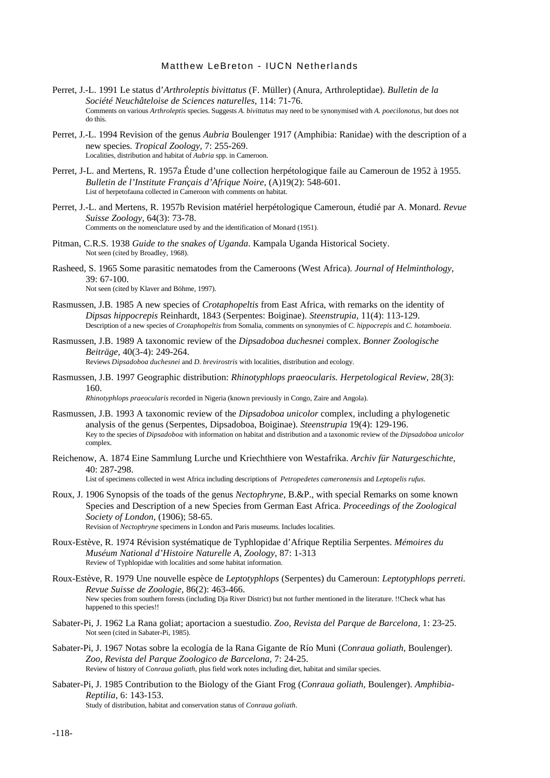- Perret, J.-L. 1991 Le status d'*Arthroleptis bivittatus* (F. Müller) (Anura, Arthroleptidae). *Bulletin de la Société Neuchâteloise de Sciences naturelles*, 114: 71-76. Comments on various *Arthroleptis* species. Suggests *A. bivittatus* may need to be synonymised with *A. poecilonotus,* but does not do this.
- Perret, J.-L. 1994 Revision of the genus *Aubria* Boulenger 1917 (Amphibia: Ranidae) with the description of a new species. *Tropical Zoology,* 7: 255-269. Localities, distribution and habitat of *Aubria* spp. in Cameroon.
- Perret, J-L. and Mertens, R. 1957a Étude d'une collection herpétologique faile au Cameroun de 1952 à 1955. *Bulletin de l'Institute Français d'Afrique Noire,* (A)19(2): 548-601. List of herpetofauna collected in Cameroon with comments on habitat.
- Perret, J.-L. and Mertens, R. 1957b Revision matériel herpétologique Cameroun, étudié par A. Monard. *Revue Suisse Zoology,* 64(3): 73-78.

Comments on the nomenclature used by and the identification of Monard (1951).

- Pitman, C.R.S. 1938 *Guide to the snakes of Uganda*. Kampala Uganda Historical Society. Not seen (cited by Broadley, 1968).
- Rasheed, S. 1965 Some parasitic nematodes from the Cameroons (West Africa). *Journal of Helminthology*, 39: 67-100.

Not seen (cited by Klaver and Böhme, 1997).

- Rasmussen, J.B. 1985 A new species of *Crotaphopeltis* from East Africa, with remarks on the identity of *Dipsas hippocrepis* Reinhardt, 1843 (Serpentes: Boiginae). *Steenstrupia,* 11(4): 113-129. Description of a new species of *Crotaphopeltis* from Somalia, comments on synonymies of *C. hippocrepis* and *C. hotamboeia*.
- Rasmussen, J.B. 1989 A taxonomic review of the *Dipsadoboa duchesnei* complex. *Bonner Zoologische Beiträge*, 40(3-4): 249-264. Reviews *Dipsadoboa duchesnei* and *D. brevirostris* with localities, distribution and ecology.

Rasmussen, J.B. 1997 Geographic distribution: *Rhinotyphlops praeocularis. Herpetological Review,* 28(3): 160.

*Rhinotyphlops praeocularis* recorded in Nigeria (known previously in Congo, Zaire and Angola).

- Rasmussen, J.B. 1993 A taxonomic review of the *Dipsadoboa unicolor* complex, including a phylogenetic analysis of the genus (Serpentes, Dipsadoboa, Boiginae). *Steenstrupia* 19(4): 129-196. Key to the species of *Dipsadoboa* with information on habitat and distribution and a taxonomic review of the *Dipsadoboa unicolor* complex.
- Reichenow, A. 1874 Eine Sammlung Lurche und Kriechthiere von Westafrika. *Archiv für Naturgeschichte*, 40: 287-298. List of specimens collected in west Africa including descriptions of *Petropedetes cameronensis* and *Leptopelis rufus*.

Roux, J. 1906 Synopsis of the toads of the genus *Nectophryne*, B.&P., with special Remarks on some known Species and Description of a new Species from German East Africa. *Proceedings of the Zoological Society of London*, (1906); 58-65. Revision of *Nectophryne* specimens in London and Paris museums. Includes localities.

- Roux-Estève, R. 1974 Révision systématique de Typhlopidae d'Afrique Reptilia Serpentes. *Mémoires du Muséum National d'Histoire Naturelle A, Zoology*, 87: 1-313 Review of Typhlopidae with localities and some habitat information.
- Roux-Estève, R. 1979 Une nouvelle espèce de *Leptotyphlops* (Serpentes) du Cameroun: *Leptotyphlops perreti. Revue Suisse de Zoologie,* 86(2): 463-466. New species from southern forests (including Dja River District) but not further mentioned in the literature. !!Check what has happened to this species!!
- Sabater-Pi, J. 1962 La Rana goliat; aportacion a suestudio. *Zoo, Revista del Parque de Barcelona,* 1: 23-25. Not seen (cited in Sabater-Pi, 1985).
- Sabater-Pi, J. 1967 Notas sobre la ecología de la Rana Gigante de Río Muni (*Conraua goliath*, Boulenger). *Zoo, Revista del Parque Zoologico de Barcelona,* 7: 24-25. Review of history of *Conraua goliath*, plus field work notes including diet, habitat and similar species.
- Sabater-Pi, J. 1985 Contribution to the Biology of the Giant Frog (*Conraua goliath*, Boulenger). *Amphibia-Reptilia*, 6: 143-153. Study of distribution, habitat and conservation status of *Conraua goliath*.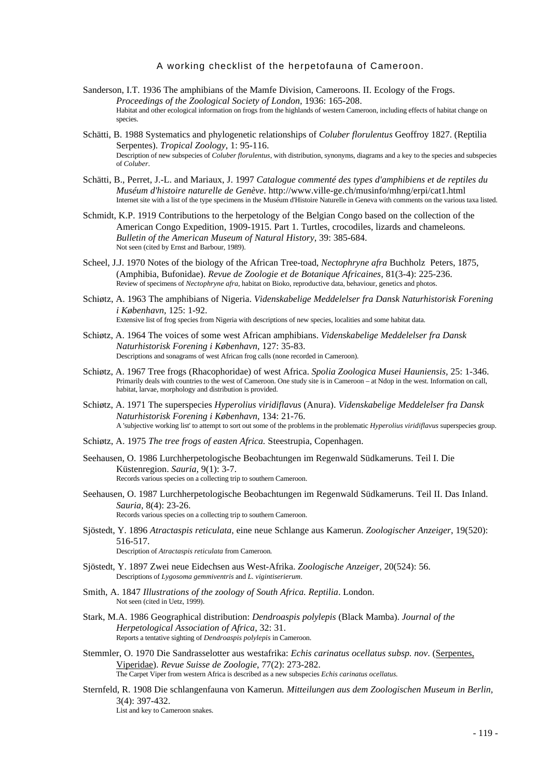- Sanderson, I.T. 1936 The amphibians of the Mamfe Division, Cameroons. II. Ecology of the Frogs. *Proceedings of the Zoological Society of London,* 1936: 165-208. Habitat and other ecological information on frogs from the highlands of western Cameroon, including effects of habitat change on species.
- Schätti, B. 1988 Systematics and phylogenetic relationships of *Coluber florulentus* Geoffroy 1827. (Reptilia Serpentes). *Tropical Zoology*, 1: 95-116. Description of new subspecies of *Coluber florulentus*, with distribution, synonyms, diagrams and a key to the species and subspecies of *Coluber*.
- Schätti, B., Perret, J.-L. and Mariaux, J. 1997 *Catalogue commenté des types d'amphibiens et de reptiles du Muséum d'histoire naturelle de Genève*. http://www.ville-ge.ch/musinfo/mhng/erpi/cat1.html Internet site with a list of the type specimens in the Muséum d'Histoire Naturelle in Geneva with comments on the various taxa listed.
- Schmidt, K.P. 1919 Contributions to the herpetology of the Belgian Congo based on the collection of the American Congo Expedition, 1909-1915. Part 1. Turtles, crocodiles, lizards and chameleons*. Bulletin of the American Museum of Natural History*, 39: 385-684. Not seen (cited by Ernst and Barbour, 1989).
- Scheel, J.J. 1970 Notes of the biology of the African Tree-toad, *Nectophryne afra* Buchholz Peters, 1875, (Amphibia, Bufonidae). *Revue de Zoologie et de Botanique Africaines,* 81(3-4): 225-236. Review of specimens of *Nectophryne afra*, habitat on Bioko, reproductive data, behaviour, genetics and photos.
- Schiøtz, A. 1963 The amphibians of Nigeria. *Videnskabelige Meddelelser fra Dansk Naturhistorisk Forening i København,* 125: 1-92. Extensive list of frog species from Nigeria with descriptions of new species, localities and some habitat data.
- Schiøtz, A. 1964 The voices of some west African amphibians. *Videnskabelige Meddelelser fra Dansk Naturhistorisk Forening i København,* 127: 35-83. Descriptions and sonagrams of west African frog calls (none recorded in Cameroon).
- Schiøtz, A. 1967 Tree frogs (Rhacophoridae) of west Africa. *Spolia Zoologica Musei Hauniensis,* 25: 1-346. Primarily deals with countries to the west of Cameroon. One study site is in Cameroon – at Ndop in the west. Information on call, habitat, larvae, morphology and distribution is provided.
- Schiøtz, A. 1971 The superspecies *Hyperolius viridiflavus* (Anura). *Videnskabelige Meddelelser fra Dansk Naturhistorisk Forening i København,* 134: 21-76. A 'subjective working list' to attempt to sort out some of the problems in the problematic *Hyperolius viridiflavus* superspecies group.
- Schiøtz, A. 1975 *The tree frogs of easten Africa.* Steestrupia, Copenhagen.
- Seehausen, O. 1986 Lurchherpetologische Beobachtungen im Regenwald Südkameruns. Teil I. Die Küstenregion. *Sauria,* 9(1): 3-7. Records various species on a collecting trip to southern Cameroon.
- Seehausen, O. 1987 Lurchherpetologische Beobachtungen im Regenwald Südkameruns. Teil II. Das Inland. *Sauria,* 8(4): 23-26. Records various species on a collecting trip to southern Cameroon.
- Sjöstedt, Y. 1896 *Atractaspis reticulata*, eine neue Schlange aus Kamerun. *Zoologischer Anzeiger*, 19(520): 516-517. Description of *Atractaspis reticulata* from Cameroon*.*
- Sjöstedt, Y. 1897 Zwei neue Eidechsen aus West-Afrika. *Zoologische Anzeiger,* 20(524): 56. Descriptions of *Lygosoma gemmiventris* and *L. vigintiserierum*.
- Smith, A. 1847 *Illustrations of the zoology of South Africa. Reptilia*. London. Not seen (cited in Uetz, 1999).
- Stark, M.A. 1986 Geographical distribution: *Dendroaspis polylepis* (Black Mamba). *Journal of the Herpetological Association of Africa*, 32: 31. Reports a tentative sighting of *Dendroaspis polylepis* in Cameroon.
- Stemmler, O. 1970 Die Sandrasselotter aus westafrika: *Echis carinatus ocellatus subsp. nov*. (Serpentes, Viperidae). *Revue Suisse de Zoologie*, 77(2): 273-282. The Carpet Viper from western Africa is described as a new subspecies *Echis carinatus ocellatus.*
- Sternfeld, R. 1908 Die schlangenfauna von Kamerun*. Mitteilungen aus dem Zoologischen Museum in Berlin,* 3(4): 397-432. List and key to Cameroon snakes.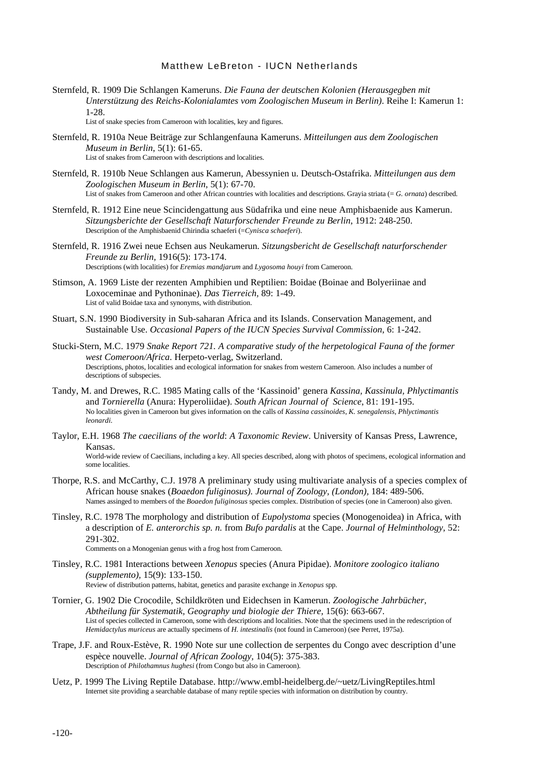Sternfeld, R. 1909 Die Schlangen Kameruns. *Die Fauna der deutschen Kolonien (Herausgegben mit Unterstützung des Reichs-Kolonialamtes vom Zoologischen Museum in Berlin)*. Reihe I: Kamerun 1: 1-28.

List of snake species from Cameroon with localities, key and figures.

- Sternfeld, R. 1910a Neue Beiträge zur Schlangenfauna Kameruns. *Mitteilungen aus dem Zoologischen Museum in Berlin*, 5(1): 61-65. List of snakes from Cameroon with descriptions and localities.
- Sternfeld, R. 1910b Neue Schlangen aus Kamerun, Abessynien u. Deutsch-Ostafrika. *Mitteilungen aus dem Zoologischen Museum in Berlin*, 5(1): 67-70. List of snakes from Cameroon and other African countries with localities and descriptions. Grayia striata (= *G. ornata*) described.
- Sternfeld, R. 1912 Eine neue Scincidengattung aus Südafrika und eine neue Amphisbaenide aus Kamerun. *Sitzungsberichte der Gesellschaft Naturforschender Freunde zu Berlin*, 1912: 248-250. Description of the Amphisbaenid Chirindia schaeferi (=*Cynisca schaeferi*).
- Sternfeld, R. 1916 Zwei neue Echsen aus Neukamerun. *Sitzungsbericht de Gesellschaft naturforschender Freunde zu Berlin,* 1916(5): 173-174. Descriptions (with localities) for *Eremias mandjarum* and *Lygosoma houyi* from Cameroon.
- Stimson, A. 1969 Liste der rezenten Amphibien und Reptilien: Boidae (Boinae and Bolyeriinae and Loxoceminae and Pythoninae). *Das Tierreich,* 89: 1-49. List of valid Boidae taxa and synonyms, with distribution.
- Stuart, S.N. 1990 Biodiversity in Sub-saharan Africa and its Islands. Conservation Management, and Sustainable Use. *Occasional Papers of the IUCN Species Survival Commission*, 6: 1-242.
- Stucki-Stern, M.C. 1979 *Snake Report 721. A comparative study of the herpetological Fauna of the former west Comeroon/Africa*. Herpeto-verlag, Switzerland. Descriptions, photos, localities and ecological information for snakes from western Cameroon. Also includes a number of descriptions of subspecies.
- Tandy, M. and Drewes, R.C. 1985 Mating calls of the 'Kassinoid' genera *Kassina, Kassinula, Phlyctimantis* and *Tornierella* (Anura: Hyperoliidae). *South African Journal of Science*, 81: 191-195. No localities given in Cameroon but gives information on the calls of *Kassina cassinoides*, *K. senegalensis*, *Phlyctimantis leonardi.*
- Taylor, E.H. 1968 *The caecilians of the world*: *A Taxonomic Review*. University of Kansas Press, Lawrence, Kansas. World-wide review of Caecilians, including a key. All species described, along with photos of specimens, ecological information and some localities.
- Thorpe, R.S. and McCarthy, C.J. 1978 A preliminary study using multivariate analysis of a species complex of African house snakes (*Boaedon fuliginosus). Journal of Zoology, (London),* 184: 489-506. Names assinged to members of the *Boaedon fuliginosus* species complex. Distribution of species (one in Cameroon) also given.
- Tinsley, R.C. 1978 The morphology and distribution of *Eupolystoma* species (Monogenoidea) in Africa, with a description of *E. anterorchis sp. n.* from *Bufo pardalis* at the Cape. *Journal of Helminthology,* 52: 291-302.

Comments on a Monogenian genus with a frog host from Cameroon.

- Tinsley, R.C. 1981 Interactions between *Xenopus* species (Anura Pipidae). *Monitore zoologico italiano (supplemento),* 15(9): 133-150. Review of distribution patterns, habitat, genetics and parasite exchange in *Xenopus* spp.
- Tornier, G. 1902 Die Crocodile, Schildkröten und Eidechsen in Kamerun. *Zoologische Jahrbücher, Abtheilung für Systematik, Geography und biologie der Thiere,* 15(6): 663-667. List of species collected in Cameroon, some with descriptions and localities. Note that the specimens used in the redescription of *Hemidactylus muriceus* are actually specimens of *H. intestinalis* (not found in Cameroon) (see Perret, 1975a).
- Trape, J.F. and Roux-Estève, R. 1990 Note sur une collection de serpentes du Congo avec description d'une espèce nouvelle. *Journal of African Zoology,* 104(5): 375-383. Description of *Philothamnus hughesi* (from Congo but also in Cameroon)*.*
- Uetz, P. 1999 The Living Reptile Database. http://www.embl-heidelberg.de/~uetz/LivingReptiles.html Internet site providing a searchable database of many reptile species with information on distribution by country.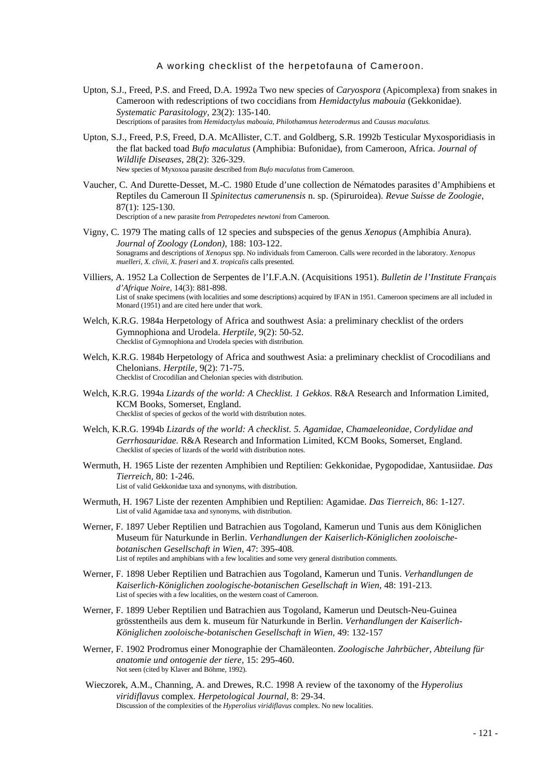- Upton, S.J., Freed, P.S. and Freed, D.A. 1992a Two new species of *Caryospora* (Apicomplexa) from snakes in Cameroon with redescriptions of two coccidians from *Hemidactylus mabouia* (Gekkonidae). *Systematic Parasitology,* 23(2): 135-140. Descriptions of parasites from *Hemidactylus mabouia*, *Philothamnus heterodermus* and *Causus maculatus.*
- Upton, S.J., Freed, P.S, Freed, D.A. McAllister, C.T. and Goldberg, S.R. 1992b Testicular Myxosporidiasis in the flat backed toad *Bufo maculatus* (Amphibia: Bufonidae), from Cameroon, Africa. *Journal of Wildlife Diseases,* 28(2): 326-329. New species of Myxoxoa parasite described from *Bufo maculatus* from Cameroon.
- Vaucher, C. And Durette-Desset, M.-C. 1980 Etude d'une collection de Nématodes parasites d'Amphibiens et Reptiles du Cameroun II *Spinitectus camerunensis* n. sp. (Spiruroidea). *Revue Suisse de Zoologie*, 87(1): 125-130. Description of a new parasite from *Petropedetes newtoni* from Cameroon*.*
- Vigny, C. 1979 The mating calls of 12 species and subspecies of the genus *Xenopus* (Amphibia Anura). *Journal of Zoology (London),* 188: 103-122. Sonagrams and descriptions of *Xenopus* spp. No individuals from Cameroon. Calls were recorded in the laboratory. *Xenopus muelleri, X. clivii, X. fraseri* and *X. tropicalis* calls presented.
- Villiers, A. 1952 La Collection de Serpentes de l'I.F.A.N. (Acquisitions 1951). *Bulletin de l'Institute Français d'Afrique Noire*, 14(3): 881-898. List of snake specimens (with localities and some descriptions) acquired by IFAN in 1951. Cameroon specimens are all included in Monard (1951) and are cited here under that work.
- Welch, K.R.G. 1984a Herpetology of Africa and southwest Asia: a preliminary checklist of the orders Gymnophiona and Urodela. *Herptile,* 9(2): 50-52. Checklist of Gymnophiona and Urodela species with distribution.
- Welch, K.R.G. 1984b Herpetology of Africa and southwest Asia: a preliminary checklist of Crocodilians and Chelonians. *Herptile,* 9(2): 71-75. Checklist of Crocodilian and Chelonian species with distribution.
- Welch, K.R.G. 1994a *Lizards of the world: A Checklist. 1 Gekkos*. R&A Research and Information Limited, KCM Books, Somerset, England. Checklist of species of geckos of the world with distribution notes.
- Welch, K.R.G. 1994b *Lizards of the world: A checklist. 5. Agamidae, Chamaeleonidae, Cordylidae and Gerrhosauridae*. R&A Research and Information Limited, KCM Books, Somerset, England. Checklist of species of lizards of the world with distribution notes.
- Wermuth, H. 1965 Liste der rezenten Amphibien und Reptilien: Gekkonidae, Pygopodidae, Xantusiidae. *Das Tierreich,* 80: 1-246. List of valid Gekkonidae taxa and synonyms, with distribution.
- Wermuth, H. 1967 Liste der rezenten Amphibien und Reptilien: Agamidae. *Das Tierreich,* 86: 1-127. List of valid Agamidae taxa and synonyms, with distribution.
- Werner, F. 1897 Ueber Reptilien und Batrachien aus Togoland, Kamerun und Tunis aus dem Königlichen Museum für Naturkunde in Berlin. *Verhandlungen der Kaiserlich-Königlichen zooloischebotanischen Gesellschaft in Wien,* 47: 395-408*.* List of reptiles and amphibians with a few localities and some very general distribution comments.
- Werner, F. 1898 Ueber Reptilien und Batrachien aus Togoland, Kamerun und Tunis. *Verhandlungen de Kaiserlich-Königlichen zoologische-botanischen Gesellschaft in Wien*, 48: 191-213. List of species with a few localities, on the western coast of Cameroon.
- Werner, F. 1899 Ueber Reptilien und Batrachien aus Togoland, Kamerun und Deutsch-Neu-Guinea grösstentheils aus dem k. museum für Naturkunde in Berlin. *Verhandlungen der Kaiserlich-Königlichen zooloische-botanischen Gesellschaft in Wien,* 49: 132-157
- Werner, F. 1902 Prodromus einer Monographie der Chamäleonten. *Zoologische Jahrbücher, Abteilung für anatomie und ontogenie der tiere,* 15: 295-460. Not seen (cited by Klaver and Böhme, 1992).
- Wieczorek, A.M., Channing, A. and Drewes, R.C. 1998 A review of the taxonomy of the *Hyperolius viridiflavus* complex. *Herpetological Journal,* 8: 29-34. Discussion of the complexities of the *Hyperolius viridiflavus* complex. No new localities.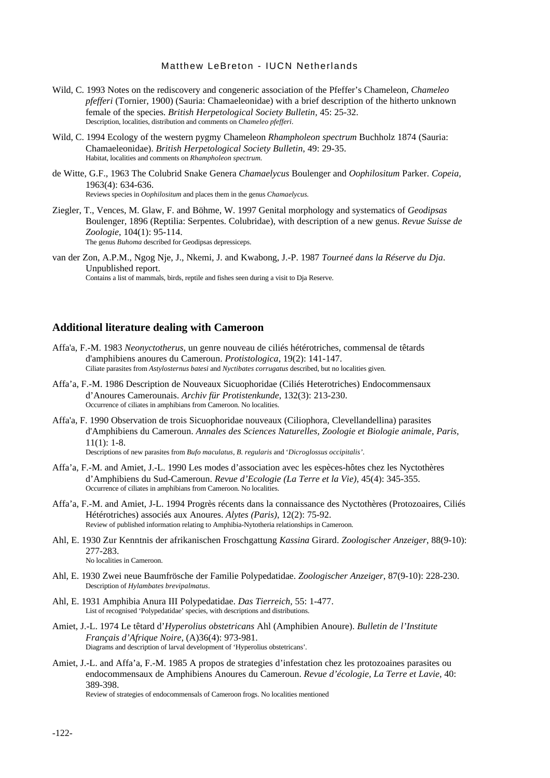- Wild, C. 1993 Notes on the rediscovery and congeneric association of the Pfeffer's Chameleon, *Chameleo pfefferi* (Tornier, 1900) (Sauria: Chamaeleonidae) with a brief description of the hitherto unknown female of the species. *British Herpetological Society Bulletin,* 45: 25-32. Description, localities, distribution and comments on *Chameleo pfefferi*.
- Wild, C. 1994 Ecology of the western pygmy Chameleon *Rhampholeon spectrum* Buchholz 1874 (Sauria: Chamaeleonidae). *British Herpetological Society Bulletin*, 49: 29-35. Habitat, localities and comments on *Rhampholeon spectrum.*
- de Witte, G.F., 1963 The Colubrid Snake Genera *Chamaelycus* Boulenger and *Oophilositum* Parker. *Copeia,* 1963(4): 634-636. Reviews species in *Oophilositum* and places them in the genus *Chamaelycus.*
- Ziegler, T., Vences, M. Glaw, F. and Böhme, W. 1997 Genital morphology and systematics of *Geodipsas* Boulenger, 1896 (Reptilia: Serpentes. Colubridae), with description of a new genus. *Revue Suisse de Zoologie*, 104(1): 95-114. The genus *Buhoma* described for Geodipsas depressiceps.
- van der Zon, A.P.M., Ngog Nje, J., Nkemi, J. and Kwabong, J.-P. 1987 *Tourneé dans la Réserve du Dja*. Unpublished report. Contains a list of mammals, birds, reptile and fishes seen during a visit to Dja Reserve.

## **Additional literature dealing with Cameroon**

- Affa'a, F.-M. 1983 *Neonyctotherus*, un genre nouveau de ciliés hétérotriches, commensal de têtards d'amphibiens anoures du Cameroun. *Protistologica,* 19(2): 141-147. Ciliate parasites from *Astylosternus batesi* and *Nyctibates corrugatus* described, but no localities given.
- Affa'a, F.-M. 1986 Description de Nouveaux Sicuophoridae (Ciliés Heterotriches) Endocommensaux d'Anoures Camerounais. *Archiv für Protistenkunde*, 132(3): 213-230. Occurrence of ciliates in amphibians from Cameroon. No localities.
- Affa'a, F. 1990 Observation de trois Sicuophoridae nouveaux (Ciliophora, Clevellandellina) parasites d'Amphibiens du Cameroun. *Annales des Sciences Naturelles, Zoologie et Biologie animale*, *Paris,*  $11(1): 1-8.$ Descriptions of new parasites from *Bufo maculatus, B. regularis* and '*Dicroglossus occipitalis'*.
	-
- Affa'a, F.-M. and Amiet, J.-L. 1990 Les modes d'association avec les espèces-hôtes chez les Nyctothères d'Amphibiens du Sud-Cameroun. *Revue d'Ecologie (La Terre et la Vie),* 45(4): 345-355. Occurrence of ciliates in amphibians from Cameroon. No localities.
- Affa'a, F.-M. and Amiet, J-L. 1994 Progrès récents dans la connaissance des Nyctothères (Protozoaires, Ciliés Hétérotriches) associés aux Anoures. *Alytes (Paris)*, 12(2): 75-92. Review of published information relating to Amphibia-Nytotheria relationships in Cameroon.
- Ahl, E. 1930 Zur Kenntnis der afrikanischen Froschgattung *Kassina* Girard. *Zoologischer Anzeiger*, 88(9-10): 277-283. No localities in Cameroon.
- Ahl, E. 1930 Zwei neue Baumfrösche der Familie Polypedatidae. *Zoologischer Anzeiger*, 87(9-10): 228-230. Description of *Hylambates brevipalmatus*.
- Ahl, E. 1931 Amphibia Anura III Polypedatidae. *Das Tierreich,* 55: 1-477. List of recognised 'Polypedatidae' species, with descriptions and distributions.
- Amiet, J.-L. 1974 Le têtard d'*Hyperolius obstetricans* Ahl (Amphibien Anoure). *Bulletin de l'Institute Français d'Afrique Noire,* (A)36(4): 973-981. Diagrams and description of larval development of 'Hyperolius obstetricans'*.*
- Amiet, J.-L. and Affa'a, F.-M. 1985 A propos de strategies d'infestation chez les protozoaines parasites ou endocommensaux de Amphibiens Anoures du Cameroun. *Revue d'écologie, La Terre et Lavie,* 40: 389-398.

Review of strategies of endocommensals of Cameroon frogs. No localities mentioned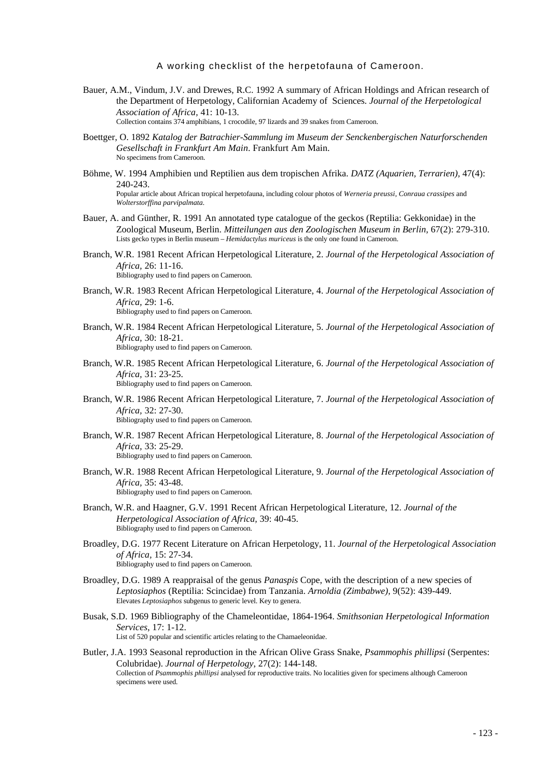- Bauer, A.M., Vindum, J.V. and Drewes, R.C. 1992 A summary of African Holdings and African research of the Department of Herpetology, Californian Academy of Sciences. *Journal of the Herpetological Association of Africa,* 41: 10-13. Collection contains 374 amphibians, 1 crocodile, 97 lizards and 39 snakes from Cameroon.
- Boettger, O. 1892 *Katalog der Batrachier-Sammlung im Museum der Senckenbergischen Naturforschenden Gesellschaft in Frankfurt Am Main*. Frankfurt Am Main. No specimens from Cameroon.
- Böhme, W. 1994 Amphibien und Reptilien aus dem tropischen Afrika. *DATZ (Aquarien, Terrarien),* 47(4): 240-243. Popular article about African tropical herpetofauna, including colour photos of *Werneria preussi, Conraua crassipes* and *Wolterstorffina parvipalmata.*
- Bauer, A. and Günther, R. 1991 An annotated type catalogue of the geckos (Reptilia: Gekkonidae) in the Zoological Museum, Berlin. *Mitteilungen aus den Zoologischen Museum in Berlin,* 67(2): 279-310. Lists gecko types in Berlin museum – *Hemidactylus muriceus* is the only one found in Cameroon.
- Branch, W.R. 1981 Recent African Herpetological Literature, 2. *Journal of the Herpetological Association of Africa,* 26: 11-16. Bibliography used to find papers on Cameroon.
- Branch, W.R. 1983 Recent African Herpetological Literature, 4. *Journal of the Herpetological Association of Africa,* 29: 1-6. Bibliography used to find papers on Cameroon.
- Branch, W.R. 1984 Recent African Herpetological Literature, 5. *Journal of the Herpetological Association of Africa,* 30: 18-21. Bibliography used to find papers on Cameroon.
- Branch, W.R. 1985 Recent African Herpetological Literature, 6. *Journal of the Herpetological Association of Africa,* 31: 23-25. Bibliography used to find papers on Cameroon.
- Branch, W.R. 1986 Recent African Herpetological Literature, 7. *Journal of the Herpetological Association of Africa,* 32: 27-30. Bibliography used to find papers on Cameroon.
- Branch, W.R. 1987 Recent African Herpetological Literature, 8. *Journal of the Herpetological Association of Africa,* 33: 25-29. Bibliography used to find papers on Cameroon.
- Branch, W.R. 1988 Recent African Herpetological Literature, 9. *Journal of the Herpetological Association of Africa,* 35: 43-48. Bibliography used to find papers on Cameroon.
- Branch, W.R. and Haagner, G.V. 1991 Recent African Herpetological Literature, 12. *Journal of the Herpetological Association of Africa,* 39: 40-45. Bibliography used to find papers on Cameroon.
- Broadley, D.G. 1977 Recent Literature on African Herpetology, 11. *Journal of the Herpetological Association of Africa,* 15: 27-34. Bibliography used to find papers on Cameroon.
- Broadley, D.G. 1989 A reappraisal of the genus *Panaspis* Cope, with the description of a new species of *Leptosiaphos* (Reptilia: Scincidae) from Tanzania. *Arnoldia (Zimbabwe),* 9(52): 439-449. Elevates *Leptosiaphos* subgenus to generic level. Key to genera.
- Busak, S.D. 1969 Bibliography of the Chameleontidae, 1864-1964. *Smithsonian Herpetological Information Services*, 17: 1-12. List of 520 popular and scientific articles relating to the Chamaeleonidae.
- Butler, J.A. 1993 Seasonal reproduction in the African Olive Grass Snake, *Psammophis phillipsi* (Serpentes: Colubridae). *Journal of Herpetology*, 27(2): 144-148. Collection of *Psammophis phillipsi* analysed for reproductive traits. No localities given for specimens although Cameroon specimens were used.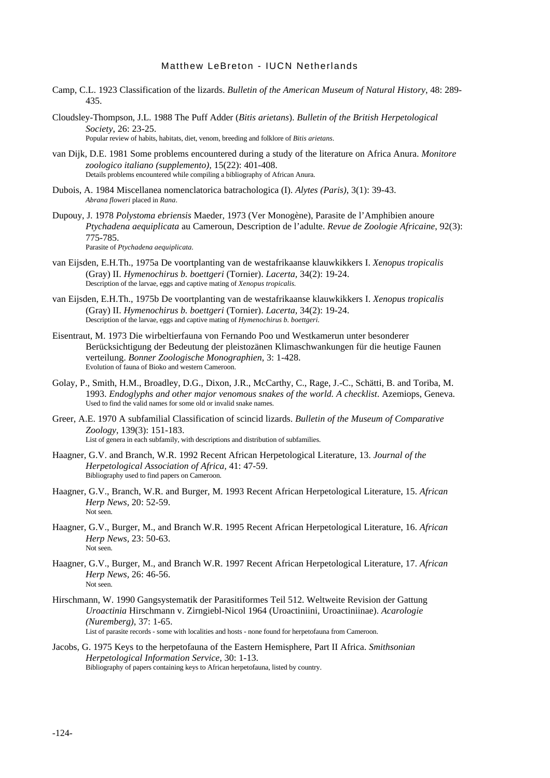- Camp, C.L. 1923 Classification of the lizards. *Bulletin of the American Museum of Natural History*, 48: 289- 435.
- Cloudsley-Thompson, J.L. 1988 The Puff Adder (*Bitis arietans*). *Bulletin of the British Herpetological Society*, 26: 23-25. Popular review of habits, habitats, diet, venom, breeding and folklore of *Bitis arietans*.
- van Dijk, D.E. 1981 Some problems encountered during a study of the literature on Africa Anura. *Monitore zoologico italiano (supplemento),* 15(22): 401-408. Details problems encountered while compiling a bibliography of African Anura.
- Dubois, A. 1984 Miscellanea nomenclatorica batrachologica (I). *Alytes (Paris)*, 3(1): 39-43. *Abrana floweri* placed in *Rana*.
- Dupouy, J. 1978 *Polystoma ebriensis* Maeder, 1973 (Ver Monogène), Parasite de l'Amphibien anoure *Ptychadena aequiplicata* au Cameroun, Description de l'adulte. *Revue de Zoologie Africaine*, 92(3): 775-785. Parasite of *Ptychadena aequiplicata.*

van Eijsden, E.H.Th., 1975a De voortplanting van de westafrikaanse klauwkikkers I. *Xenopus tropicalis* (Gray) II. *Hymenochirus b. boettgeri* (Tornier). *Lacerta,* 34(2): 19-24.

Description of the larvae, eggs and captive mating of *Xenopus tropicalis.*

- van Eijsden, E.H.Th., 1975b De voortplanting van de westafrikaanse klauwkikkers I. *Xenopus tropicalis* (Gray) II. *Hymenochirus b. boettgeri* (Tornier). *Lacerta,* 34(2): 19-24. Description of the larvae, eggs and captive mating of *Hymenochirus b. boettgeri.*
- Eisentraut, M. 1973 Die wirbeltierfauna von Fernando Poo und Westkamerun unter besonderer Berücksichtigung der Bedeutung der pleistozänen Klimaschwankungen für die heutige Faunen verteilung. *Bonner Zoologische Monographien*, 3: 1-428. Evolution of fauna of Bioko and western Cameroon.
- Golay, P., Smith, H.M., Broadley, D.G., Dixon, J.R., McCarthy, C., Rage, J.-C., Schätti, B. and Toriba, M. 1993. *Endoglyphs and other major venomous snakes of the world. A checklist*. Azemiops, Geneva. Used to find the valid names for some old or invalid snake names.
- Greer, A.E. 1970 A subfamilial Classification of scincid lizards. *Bulletin of the Museum of Comparative Zoology,* 139(3): 151-183. List of genera in each subfamily, with descriptions and distribution of subfamilies.
- Haagner, G.V. and Branch, W.R. 1992 Recent African Herpetological Literature, 13. *Journal of the Herpetological Association of Africa,* 41: 47-59. Bibliography used to find papers on Cameroon.
- Haagner, G.V., Branch, W.R. and Burger, M. 1993 Recent African Herpetological Literature, 15. *African Herp News,* 20: 52-59. Not seen.
- Haagner, G.V., Burger, M., and Branch W.R. 1995 Recent African Herpetological Literature, 16. *African Herp News,* 23: 50-63. Not seen.
- Haagner, G.V., Burger, M., and Branch W.R. 1997 Recent African Herpetological Literature, 17. *African Herp News,* 26: 46-56. Not seen.
- Hirschmann, W. 1990 Gangsystematik der Parasitiformes Teil 512. Weltweite Revision der Gattung *Uroactinia* Hirschmann v. Zirngiebl-Nicol 1964 (Uroactiniini, Uroactiniinae). *Acarologie (Nuremberg)*, 37: 1-65. List of parasite records - some with localities and hosts - none found for herpetofauna from Cameroon.
- Jacobs, G. 1975 Keys to the herpetofauna of the Eastern Hemisphere, Part II Africa. *Smithsonian Herpetological Information Service,* 30: 1-13. Bibliography of papers containing keys to African herpetofauna, listed by country.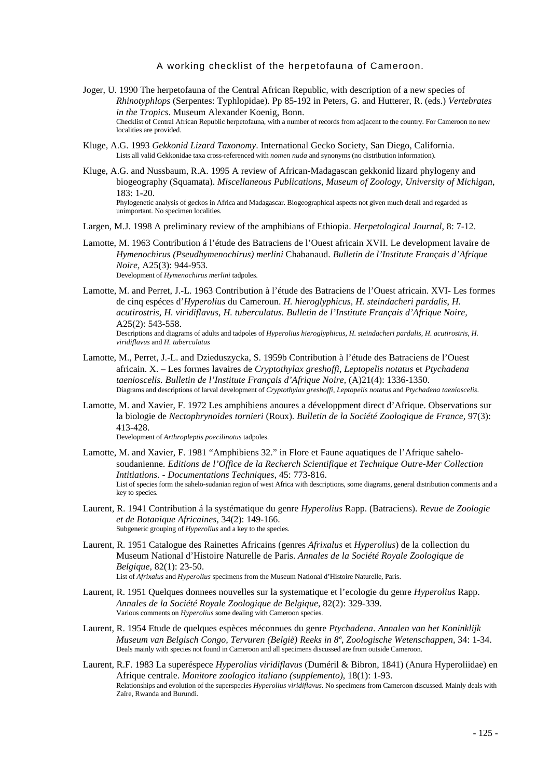- Joger, U. 1990 The herpetofauna of the Central African Republic, with description of a new species of *Rhinotyphlops* (Serpentes: Typhlopidae). Pp 85-192 in Peters, G. and Hutterer, R. (eds.) *Vertebrates in the Tropics*. Museum Alexander Koenig, Bonn. Checklist of Central African Republic herpetofauna, with a number of records from adjacent to the country. For Cameroon no new localities are provided.
- Kluge, A.G. 1993 *Gekkonid Lizard Taxonomy*. International Gecko Society, San Diego, California. Lists all valid Gekkonidae taxa cross-referenced with *nomen nuda* and synonyms (no distribution information).
- Kluge, A.G. and Nussbaum, R.A. 1995 A review of African-Madagascan gekkonid lizard phylogeny and biogeography (Squamata). *Miscellaneous Publications, Museum of Zoology, University of Michigan*,  $183 \cdot 1 - 20$ Phylogenetic analysis of geckos in Africa and Madagascar. Biogeographical aspects not given much detail and regarded as unimportant. No specimen localities.
- Largen, M.J. 1998 A preliminary review of the amphibians of Ethiopia. *Herpetological Journal*, 8: 7-12.
- Lamotte, M. 1963 Contribution á l'étude des Batraciens de l'Ouest africain XVII. Le development lavaire de *Hymenochirus (Pseudhymenochirus) merlini* Chabanaud. *Bulletin de l'Institute Français d'Afrique Noire,* A25(3): 944-953. Development of *Hymenochirus merlini* tadpoles.
- Lamotte, M. and Perret, J.-L. 1963 Contribution à l'étude des Batraciens de l'Ouest africain. XVI- Les formes de cinq espéces d'*Hyperolius* du Cameroun. *H. hieroglyphicus*, *H. steindacheri pardalis*, *H. acutirostris*, *H. viridiflavus*, *H. tuberculatus. Bulletin de l'Institute Français d'Afrique Noire,* A25(2): 543-558. Descriptions and diagrams of adults and tadpoles of *Hyperolius hieroglyphicus*, *H. steindacheri pardalis*, *H. acutirostris*, *H. viridiflavus* and *H. tuberculatus*
- Lamotte, M., Perret, J.-L. and Dzieduszycka, S. 1959b Contribution à l'étude des Batraciens de l'Ouest africain. X. – Les formes lavaires de *Cryptothylax greshoffi, Leptopelis notatus* et *Ptychadena taenioscelis. Bulletin de l'Institute Français d'Afrique Noire,* (A)21(4): 1336-1350. Diagrams and descriptions of larval development of *Cryptothylax greshoffi, Leptopelis notatus* and *Ptychadena taenioscelis*.
- Lamotte, M. and Xavier, F. 1972 Les amphibiens anoures a développment direct d'Afrique. Observations sur la biologie de *Nectophrynoides tornieri* (Roux). *Bulletin de la Société Zoologique de France,* 97(3): 413-428.

Development of *Arthropleptis poecilinotus* tadpoles.

- Lamotte, M. and Xavier, F. 1981 "Amphibiens 32." in Flore et Faune aquatiques de l'Afrique sahelosoudanienne*. Editions de l'Office de la Recherch Scientifique et Technique Outre-Mer Collection Intitiations. - Documentations Techniques,* 45: 773-816. List of species form the sahelo-sudanian region of west Africa with descriptions, some diagrams, general distribution comments and a key to species.
- Laurent, R. 1941 Contribution á la systématique du genre *Hyperolius* Rapp. (Batraciens). *Revue de Zoologie et de Botanique Africaines,* 34(2): 149-166. Subgeneric grouping of *Hyperolius* and a key to the species.
- Laurent, R. 1951 Catalogue des Rainettes Africains (genres *Afrixalus* et *Hyperolius*) de la collection du Museum National d'Histoire Naturelle de Paris. *Annales de la Société Royale Zoologique de Belgique*, 82(1): 23-50. List of *Afrixalus* and *Hyperolius* specimens from the Museum National d'Histoire Naturelle, Paris.
- Laurent, R. 1951 Quelques donnees nouvelles sur la systematique et l'ecologie du genre *Hyperolius* Rapp. *Annales de la Société Royale Zoologique de Belgique*, 82(2): 329-339. Various comments on *Hyperolius* some dealing with Cameroon species.
- Laurent, R. 1954 Etude de quelques espèces méconnues du genre *Ptychadena*. *Annalen van het Koninklijk Museum van Belgisch Congo, Tervuren (België) Reeks in 8º, Zoologische Wetenschappen,* 34: 1-34. Deals mainly with species not found in Cameroon and all specimens discussed are from outside Cameroon.
- Laurent, R.F. 1983 La superéspece *Hyperolius viridiflavus* (Duméril & Bibron, 1841) (Anura Hyperoliidae) en Afrique centrale. *Monitore zoologico italiano (supplemento)*, 18(1): 1-93. Relationships and evolution of the superspecies *Hyperolius viridiflavus.* No specimens from Cameroon discussed. Mainly deals with Zaïre, Rwanda and Burundi.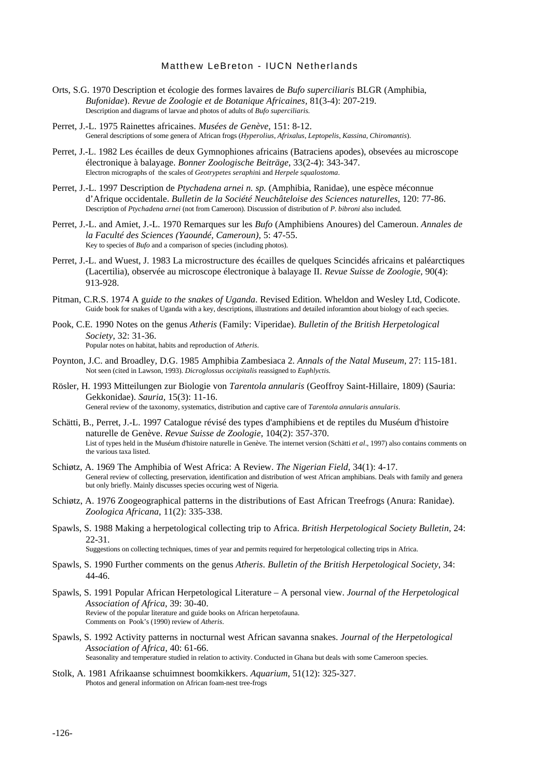- Orts, S.G. 1970 Description et écologie des formes lavaires de *Bufo superciliaris* BLGR (Amphibia, *Bufonidae*). *Revue de Zoologie et de Botanique Africaines,* 81(3-4): 207-219. Description and diagrams of larvae and photos of adults of *Bufo superciliaris.*
- Perret, J.-L. 1975 Rainettes africaines. *Musées de Genève*, 151: 8-12. General descriptions of some genera of African frogs (*Hyperolius*, *Afrixalus*, *Leptopelis*, *Kassina*, *Chiromantis*).
- Perret, J.-L. 1982 Les écailles de deux Gymnophiones africains (Batraciens apodes), obsevées au microscope électronique à balayage. *Bonner Zoologische Beiträge*, 33(2-4): 343-347. Electron micrographs of the scales of *Geotrypetes seraphi*ni and *Herpele squalostoma*.
- Perret, J.-L. 1997 Description de *Ptychadena arnei n. sp.* (Amphibia, Ranidae), une espèce méconnue d'Afrique occidentale. *Bulletin de la Société Neuchâteloise des Sciences naturelles*, 120: 77-86. Description of *Ptychadena arnei* (not from Cameroon). Discussion of distribution of *P. bibroni* also included.
- Perret, J.-L. and Amiet, J.-L. 1970 Remarques sur les *Bufo* (Amphibiens Anoures) del Cameroun. *Annales de la Faculté des Sciences (Yaoundé, Cameroun)*, 5: 47-55. Key to species of *Bufo* and a comparison of species (including photos).
- Perret, J.-L. and Wuest, J. 1983 La microstructure des écailles de quelques Scincidés africains et paléarctiques (Lacertilia), observée au microscope électronique à balayage II. *Revue Suisse de Zoologie,* 90(4): 913-928.
- Pitman, C.R.S. 1974 A g*uide to the snakes of Uganda*. Revised Edition. Wheldon and Wesley Ltd, Codicote. Guide book for snakes of Uganda with a key, descriptions, illustrations and detailed inforamtion about biology of each species.
- Pook, C.E. 1990 Notes on the genus *Atheris* (Family: Viperidae). *Bulletin of the British Herpetological Society*, 32: 31-36. Popular notes on habitat, habits and reproduction of *Atheris*.
- Poynton, J.C. and Broadley, D.G. 1985 Amphibia Zambesiaca 2. *Annals of the Natal Museum*, 27: 115-181. Not seen (cited in Lawson, 1993). *Dicroglossus occipitalis* reassigned to *Euphlyctis.*
- Rösler, H. 1993 Mitteilungen zur Biologie von *Tarentola annularis* (Geoffroy Saint-Hillaire, 1809) (Sauria: Gekkonidae). *Sauria,* 15(3): 11-16. General review of the taxonomy, systematics, distribution and captive care of *Tarentola annularis annularis*.
- Schätti, B., Perret, J.-L. 1997 Catalogue révisé des types d'amphibiens et de reptiles du Muséum d'histoire naturelle de Genève. *Revue Suisse de Zoologie*, 104(2): 357-370. List of types held in the Muséum d'histoire naturelle in Genève. The internet version (Schätti *et al*., 1997) also contains comments on the various taxa listed.
- Schiøtz, A. 1969 The Amphibia of West Africa: A Review. *The Nigerian Field*, 34(1): 4-17. General review of collecting, preservation, identification and distribution of west African amphibians. Deals with family and genera but only briefly. Mainly discusses species occuring west of Nigeria.
- Schiøtz, A. 1976 Zoogeographical patterns in the distributions of East African Treefrogs (Anura: Ranidae). *Zoologica Africana*, 11(2): 335-338.
- Spawls, S. 1988 Making a herpetological collecting trip to Africa. *British Herpetological Society Bulletin,* 24: 22-31.

Suggestions on collecting techniques, times of year and permits required for herpetological collecting trips in Africa.

- Spawls, S. 1990 Further comments on the genus *Atheris*. *Bulletin of the British Herpetological Society*, 34: 44-46.
- Spawls, S. 1991 Popular African Herpetological Literature A personal view. *Journal of the Herpetological Association of Africa*, 39: 30-40. Review of the popular literature and guide books on African herpetofauna. Comments on Pook's (1990) review of *Atheris*.
- Spawls, S. 1992 Activity patterns in nocturnal west African savanna snakes. *Journal of the Herpetological Association of Africa,* 40: 61-66. Seasonality and temperature studied in relation to activity. Conducted in Ghana but deals with some Cameroon species.
- Stolk, A. 1981 Afrikaanse schuimnest boomkikkers. *Aquarium*, 51(12): 325-327. Photos and general information on African foam-nest tree-frogs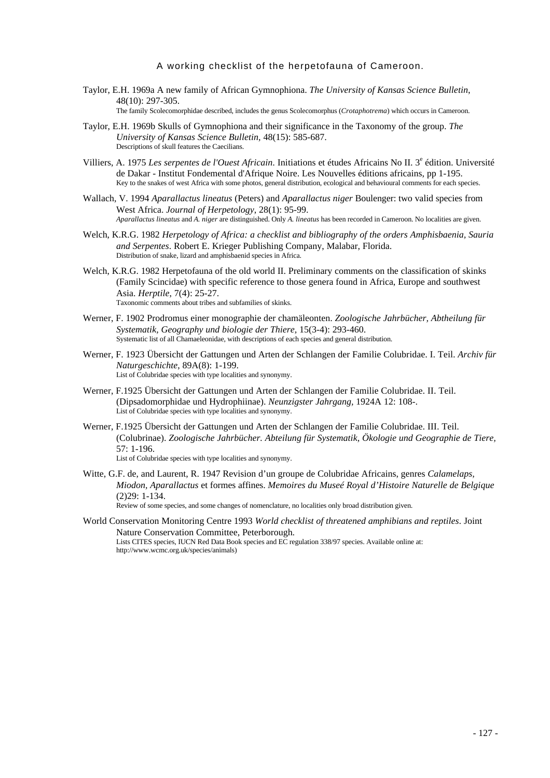- Taylor, E.H. 1969a A new family of African Gymnophiona. *The University of Kansas Science Bulletin*, 48(10): 297-305. The family Scolecomorphidae described, includes the genus Scolecomorphus (*Crotaphotrema*) which occurs in Cameroon.
- Taylor, E.H. 1969b Skulls of Gymnophiona and their significance in the Taxonomy of the group. *The University of Kansas Science Bulletin,* 48(15): 585-687. Descriptions of skull features the Caecilians.
- Villiers, A. 1975 Les serpentes de l'Ouest Africain. Initiations et études Africains No II. 3<sup>e</sup> édition. Université de Dakar - Institut Fondemental d'Afrique Noire. Les Nouvelles éditions africains, pp 1-195. Key to the snakes of west Africa with some photos, general distribution, ecological and behavioural comments for each species.
- Wallach, V. 1994 *Aparallactus lineatus* (Peters) and *Aparallactus niger* Boulenger: two valid species from West Africa. *Journal of Herpetology*, 28(1): 95-99. *Aparallactus lineatus* and *A. niger* are distinguished. Only *A. lineatus* has been recorded in Cameroon. No localities are given.
- Welch, K.R.G. 1982 *Herpetology of Africa: a checklist and bibliography of the orders Amphisbaenia, Sauria and Serpentes*. Robert E. Krieger Publishing Company, Malabar, Florida. Distribution of snake, lizard and amphisbaenid species in Africa.
- Welch, K.R.G. 1982 Herpetofauna of the old world II. Preliminary comments on the classification of skinks (Family Scincidae) with specific reference to those genera found in Africa, Europe and southwest Asia. *Herptile*, 7(4): 25-27. Taxonomic comments about tribes and subfamilies of skinks.
- Werner, F. 1902 Prodromus einer monographie der chamäleonten. *Zoologische Jahrbücher, Abtheilung für Systematik, Geography und biologie der Thiere,* 15(3-4): 293-460. Systematic list of all Chamaeleonidae, with descriptions of each species and general distribution.
- Werner, F. 1923 Übersicht der Gattungen und Arten der Schlangen der Familie Colubridae. I. Teil. *Archiv für Naturgeschichte*, 89A(8): 1-199. List of Colubridae species with type localities and synonymy.
- Werner, F.1925 Übersicht der Gattungen und Arten der Schlangen der Familie Colubridae. II. Teil. (Dipsadomorphidae und Hydrophiinae). *Neunzigster Jahrgang,* 1924A 12: 108-. List of Colubridae species with type localities and synonymy.
- Werner, F.1925 Übersicht der Gattungen und Arten der Schlangen der Familie Colubridae. III. Teil. (Colubrinae). *Zoologische Jahrbücher. Abteilung für Systematik, Ökologie und Geographie de Tiere,* 57: 1-196.

List of Colubridae species with type localities and synonymy.

Witte, G.F. de, and Laurent, R. 1947 Revision d'un groupe de Colubridae Africains, genres *Calamelaps, Miodon, Aparallactus* et formes affines. *Memoires du Museé Royal d'Histoire Naturelle de Belgique* (2)29: 1-134. Review of some species, and some changes of nomenclature, no localities only broad distribution given.

World Conservation Monitoring Centre 1993 *World checklist of threatened amphibians and reptiles*. Joint Nature Conservation Committee, Peterborough. Lists CITES species, IUCN Red Data Book species and EC regulation 338/97 species. Available online at: http://www.wcmc.org.uk/species/animals)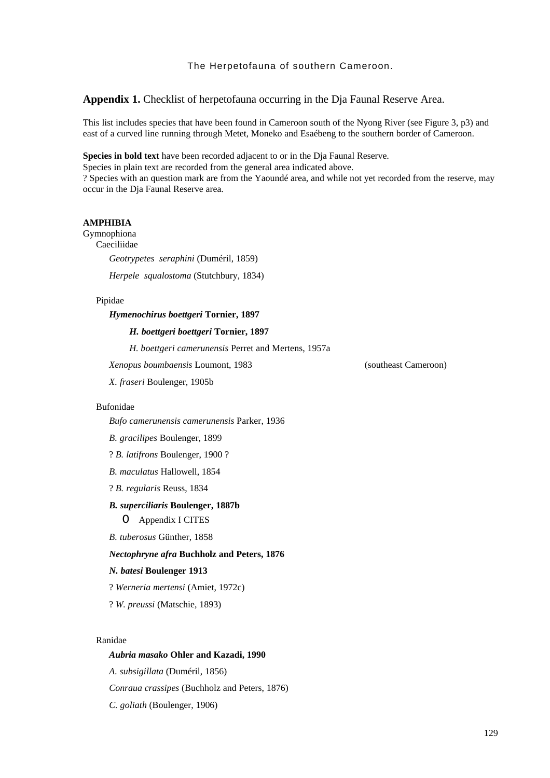**Appendix 1.** Checklist of herpetofauna occurring in the Dja Faunal Reserve Area.

This list includes species that have been found in Cameroon south of the Nyong River (see Figure 3, p3) and east of a curved line running through Metet, Moneko and Esaébeng to the southern border of Cameroon.

**Species in bold text** have been recorded adjacent to or in the Dja Faunal Reserve.

Species in plain text are recorded from the general area indicated above.

? Species with an question mark are from the Yaoundé area, and while not yet recorded from the reserve, may occur in the Dja Faunal Reserve area.

### **AMPHIBIA**

Gymnophiona

Caeciliidae

*Geotrypetes seraphini* (Duméril, 1859)

*Herpele squalostoma* (Stutchbury, 1834)

#### Pipidae

#### *Hymenochirus boettgeri* **Tornier, 1897**

#### *H. boettgeri boettgeri* **Tornier, 1897**

*H. boettgeri camerunensis* Perret and Mertens, 1957a

*Xenopus boumbaensis* Loumont, 1983 (southeast Cameroon)

*X. fraseri* Boulenger, 1905b

#### Bufonidae

*Bufo camerunensis camerunensis* Parker, 1936

*B. gracilipes* Boulenger, 1899

? *B. latifrons* Boulenger, 1900 ?

*B. maculatus* Hallowell, 1854

? *B. regularis* Reuss, 1834

#### *B. superciliaris* **Boulenger, 1887b**

O Appendix I CITES

*B. tuberosus* Günther, 1858

#### *Nectophryne afra* **Buchholz and Peters, 1876**

### *N. batesi* **Boulenger 1913**

? *Werneria mertensi* (Amiet, 1972c)

? *W. preussi* (Matschie, 1893)

#### Ranidae

#### *Aubria masako* **Ohler and Kazadi, 1990**

*A. subsigillata* (Duméril, 1856)

*Conraua crassipes* (Buchholz and Peters, 1876)

*C. goliath* (Boulenger, 1906)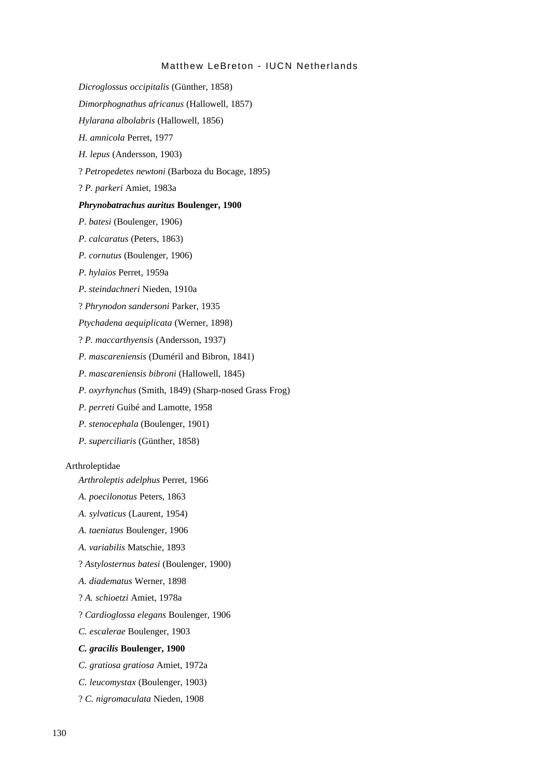- *Dicroglossus occipitalis* (Günther, 1858)
- *Dimorphognathus africanus* (Hallowell, 1857)
- *Hylarana albolabris* (Hallowell, 1856)
- *H. amnicola* Perret, 1977
- *H. lepus* (Andersson, 1903)
- ? *Petropedetes newtoni* (Barboza du Bocage, 1895)
- ? *P. parkeri* Amiet, 1983a

#### *Phrynobatrachus auritus* **Boulenger, 1900**

*P. batesi* (Boulenger, 1906)

- *P. calcaratus* (Peters, 1863)
- *P. cornutus* (Boulenger, 1906)
- *P. hylaios* Perret, 1959a
- *P. steindachneri* Nieden, 1910a
- ? *Phrynodon sandersoni* Parker, 1935
- *Ptychadena aequiplicata* (Werner, 1898)
- ? *P. maccarthyensis* (Andersson, 1937)
- *P. mascareniensis* (Duméril and Bibron, 1841)
- *P. mascareniensis bibroni* (Hallowell, 1845)
- *P. oxyrhynchus* (Smith, 1849) (Sharp-nosed Grass Frog)
- *P. perreti* Guibé and Lamotte, 1958
- *P. stenocephala* (Boulenger, 1901)
- *P. superciliaris* (Günther, 1858)

### Arthroleptidae

*Arthroleptis adelphus* Perret, 1966

- *A. poecilonotus* Peters, 1863
- *A. sylvaticus* (Laurent, 1954)
- *A. taeniatus* Boulenger, 1906
- *A. variabilis* Matschie, 1893
- ? *Astylosternus batesi* (Boulenger, 1900)
- *A. diadematus* Werner, 1898
- ? *A. schioetzi* Amiet, 1978a
- ? *Cardioglossa elegans* Boulenger, 1906
- *C. escalerae* Boulenger, 1903

## *C. gracilis* **Boulenger, 1900**

- *C. gratiosa gratiosa* Amiet, 1972a
- *C. leucomystax* (Boulenger, 1903)
- ? *C. nigromaculata* Nieden, 1908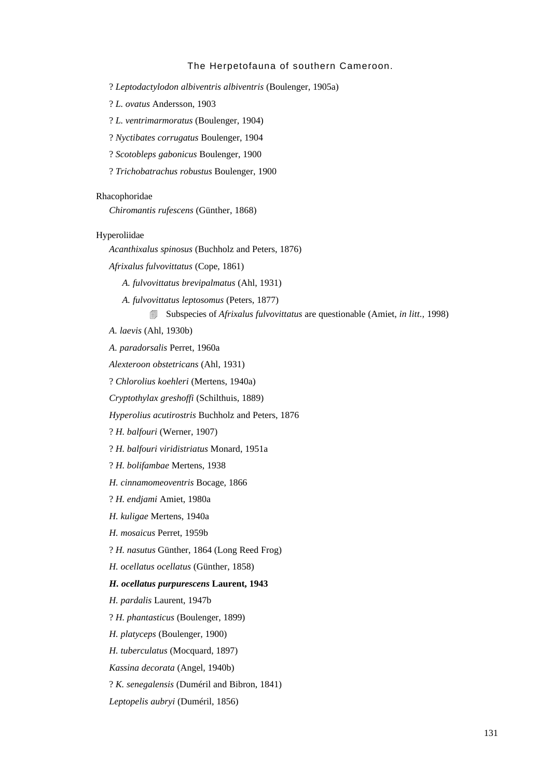? *Leptodactylodon albiventris albiventris* (Boulenger, 1905a)

? *L. ovatus* Andersson, 1903

? *L. ventrimarmoratus* (Boulenger, 1904)

? *Nyctibates corrugatus* Boulenger, 1904

? *Scotobleps gabonicus* Boulenger, 1900

? *Trichobatrachus robustus* Boulenger, 1900

#### Rhacophoridae

*Chiromantis rufescens* (Günther, 1868)

#### Hyperoliidae

*Acanthixalus spinosus* (Buchholz and Peters, 1876)

*Afrixalus fulvovittatus* (Cope, 1861)

*A. fulvovittatus brevipalmatus* (Ahl, 1931)

*A. fulvovittatus leptosomus* (Peters, 1877)

4 Subspecies of *Afrixalus fulvovittatus* are questionable (Amiet, *in litt.,* 1998)

*A. laevis* (Ahl, 1930b)

*A. paradorsalis* Perret, 1960a

*Alexteroon obstetricans* (Ahl, 1931)

? *Chlorolius koehleri* (Mertens, 1940a)

*Cryptothylax greshoffi* (Schilthuis, 1889)

*Hyperolius acutirostris* Buchholz and Peters, 1876

? *H. balfouri* (Werner, 1907)

? *H. balfouri viridistriatus* Monard, 1951a

? *H. bolifambae* Mertens, 1938

*H. cinnamomeoventris* Bocage, 1866

? *H. endjami* Amiet, 1980a

*H. kuligae* Mertens, 1940a

*H. mosaicus* Perret, 1959b

? *H. nasutus* Günther, 1864 (Long Reed Frog)

*H. ocellatus ocellatus* (Günther, 1858)

### *H. ocellatus purpurescens* **Laurent, 1943**

*H. pardalis* Laurent, 1947b

? *H. phantasticus* (Boulenger, 1899)

*H. platyceps* (Boulenger, 1900)

*H. tuberculatus* (Mocquard, 1897)

*Kassina decorata* (Angel, 1940b)

? *K. senegalensis* (Duméril and Bibron, 1841)

*Leptopelis aubryi* (Duméril, 1856)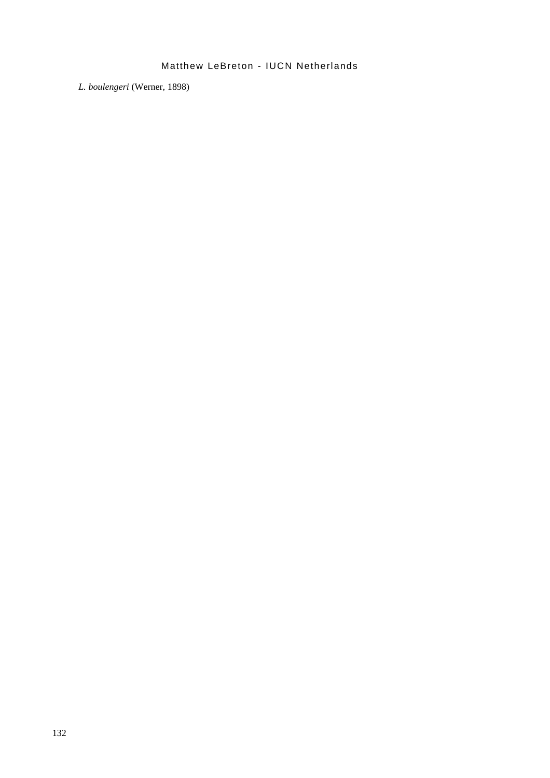*L. boulengeri* (Werner, 1898)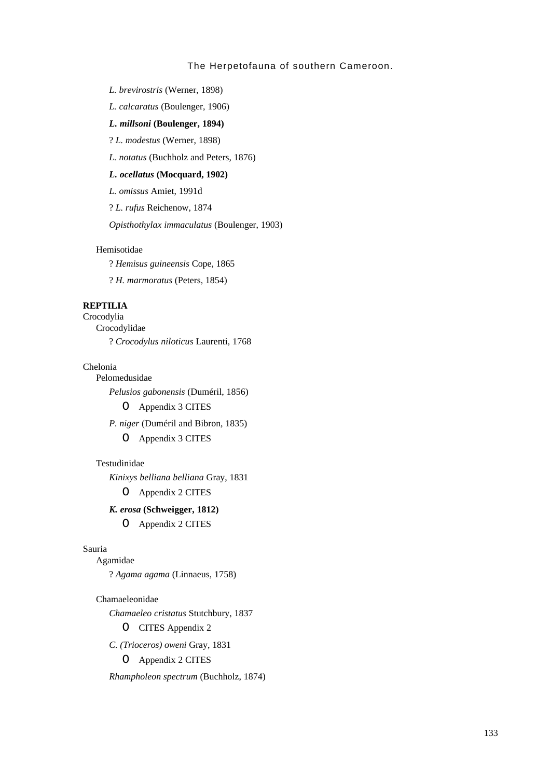*L. brevirostris* (Werner, 1898)

*L. calcaratus* (Boulenger, 1906)

#### *L. millsoni* **(Boulenger, 1894)**

? *L. modestus* (Werner, 1898)

*L. notatus* (Buchholz and Peters, 1876)

## *L. ocellatus* **(Mocquard, 1902)**

*L. omissus* Amiet, 1991d

? *L. rufus* Reichenow, 1874

*Opisthothylax immaculatus* (Boulenger, 1903)

### Hemisotidae

? *Hemisus guineensis* Cope, 1865

? *H. marmoratus* (Peters, 1854)

### **REPTILIA**

Crocodylia Crocodylidae ? *Crocodylus niloticus* Laurenti, 1768

### Chelonia

*Pelusios gabonensis* (Duméril, 1856)

O Appendix 3 CITES

*P. niger* (Duméril and Bibron, 1835)

O Appendix 3 CITES

### Testudinidae

Pelomedusidae

*Kinixys belliana belliana* Gray, 1831

O Appendix 2 CITES

## *K. erosa* **(Schweigger, 1812)**

O Appendix 2 CITES

#### Sauria

Agamidae

? *Agama agama* (Linnaeus, 1758)

#### Chamaeleonidae

*Chamaeleo cristatus* Stutchbury, 1837

O CITES Appendix 2

*C. (Trioceros) oweni* Gray, 1831

O Appendix 2 CITES

*Rhampholeon spectrum* (Buchholz, 1874)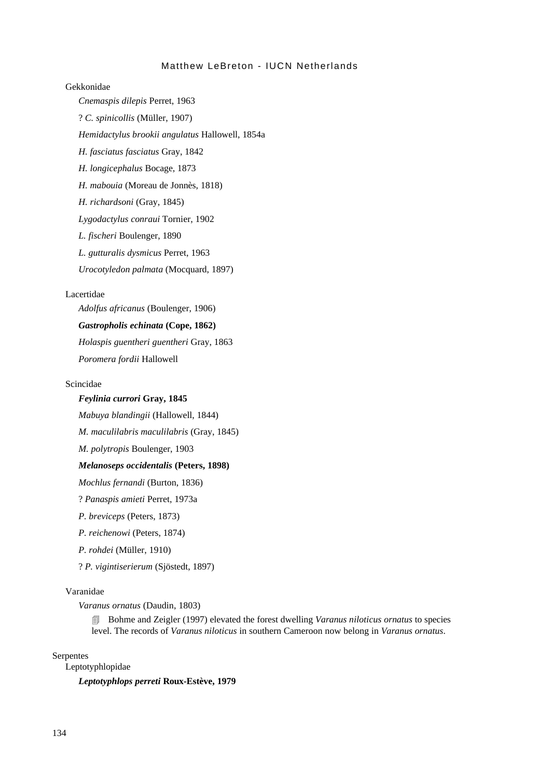## Gekkonidae

*Cnemaspis dilepis* Perret, 1963 ? *C. spinicollis* (Müller, 1907) *Hemidactylus brookii angulatus* Hallowell, 1854a *H. fasciatus fasciatus* Gray, 1842 *H. longicephalus* Bocage, 1873 *H. mabouia* (Moreau de Jonnès, 1818) *H. richardsoni* (Gray, 1845) *Lygodactylus conraui* Tornier, 1902 *L. fischeri* Boulenger, 1890 *L. gutturalis dysmicus* Perret, 1963 *Urocotyledon palmata* (Mocquard, 1897)

#### Lacertidae

*Adolfus africanus* (Boulenger, 1906)

## *Gastropholis echinata* **(Cope, 1862)**

*Holaspis guentheri guentheri* Gray, 1863

*Poromera fordii* Hallowell

### Scincidae

### *Feylinia currori* **Gray, 1845**

*Mabuya blandingii* (Hallowell, 1844)

*M. maculilabris maculilabris* (Gray, 1845)

*M. polytropis* Boulenger, 1903

#### *Melanoseps occidentalis* **(Peters, 1898)**

*Mochlus fernandi* (Burton, 1836)

? *Panaspis amieti* Perret, 1973a

*P. breviceps* (Peters, 1873)

*P. reichenowi* (Peters, 1874)

*P. rohdei* (Müller, 1910)

? *P. vigintiserierum* (Sjöstedt, 1897)

### Varanidae

*Varanus ornatus* (Daudin, 1803)

4 Bohme and Zeigler (1997) elevated the forest dwelling *Varanus niloticus ornatus* to species level. The records of *Varanus niloticus* in southern Cameroon now belong in *Varanus ornatus*.

#### Serpentes

Leptotyphlopidae

*Leptotyphlops perreti* **Roux-Estève, 1979**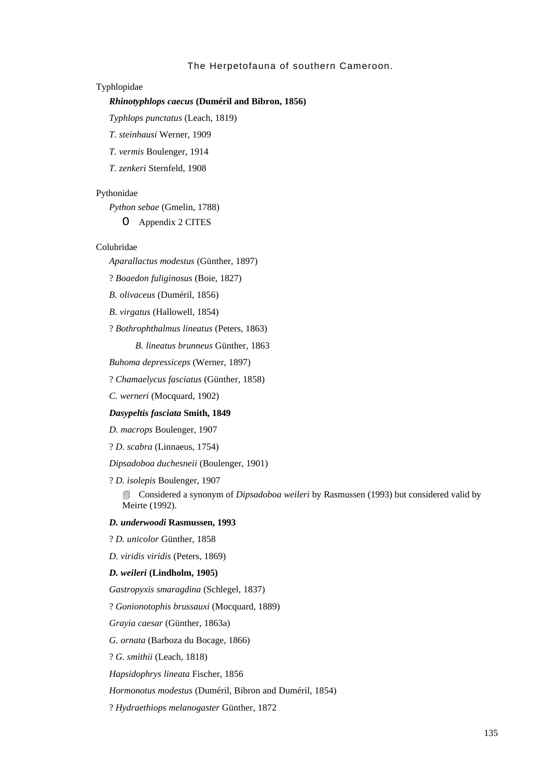#### Typhlopidae

### *Rhinotyphlops caecus* **(Duméril and Bibron, 1856)**

*Typhlops punctatus* (Leach, 1819)

*T. steinhausi* Werner, 1909

*T. vermis* Boulenger, 1914

*T. zenkeri* Sternfeld, 1908

#### Pythonidae

*Python sebae* (Gmelin, 1788)

O Appendix 2 CITES

### Colubridae

*Aparallactus modestus* (Günther, 1897)

? *Boaedon fuliginosus* (Boie, 1827)

*B. olivaceus* (Duméril, 1856)

*B. virgatus* (Hallowell, 1854)

? *Bothrophthalmus lineatus* (Peters, 1863)

*B. lineatus brunneus* Günther, 1863

*Buhoma depressiceps* (Werner, 1897)

? *Chamaelycus fasciatus* (Günther, 1858)

*C. werneri* (Mocquard, 1902)

#### *Dasypeltis fasciata* **Smith, 1849**

*D. macrops* Boulenger, 1907

? *D. scabra* (Linnaeus, 1754)

*Dipsadoboa duchesneii* (Boulenger, 1901)

? *D. isolepis* Boulenger, 1907

**EXECONSIDERED A** Synonym of *Dipsadoboa weileri* by Rasmussen (1993) but considered valid by Meirte (1992).

## *D. underwoodi* **Rasmussen, 1993**

? *D. unicolor* Günther, 1858

*D. viridis viridis* (Peters, 1869)

#### *D. weileri* **(Lindholm, 1905)**

*Gastropyxis smaragdina* (Schlegel, 1837)

? *Gonionotophis brussauxi* (Mocquard, 1889)

*Grayia caesar* (Günther, 1863a)

*G. ornata* (Barboza du Bocage, 1866)

? *G. smithii* (Leach, 1818)

*Hapsidophrys lineata* Fischer, 1856

#### *Hormonotus modestus* (Duméril, Bibron and Duméril, 1854)

? *Hydraethiops melanogaster* Günther, 1872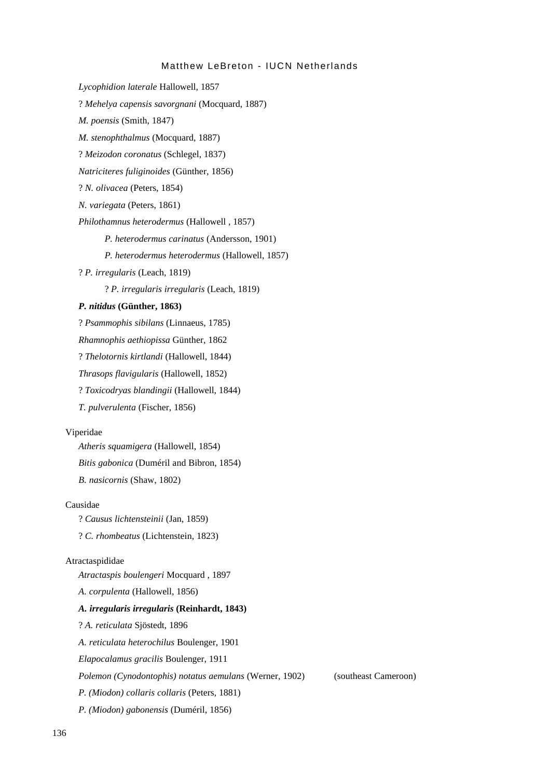*Lycophidion laterale* Hallowell, 1857 ? *Mehelya capensis savorgnani* (Mocquard, 1887) *M. poensis* (Smith, 1847) *M. stenophthalmus* (Mocquard, 1887) ? *Meizodon coronatus* (Schlegel, 1837) *Natriciteres fuliginoides* (Günther, 1856) ? *N. olivacea* (Peters, 1854) *N. variegata* (Peters, 1861) *Philothamnus heterodermus* (Hallowell , 1857) *P. heterodermus carinatus* (Andersson, 1901) *P. heterodermus heterodermus* (Hallowell, 1857) ? *P. irregularis* (Leach, 1819) ? *P. irregularis irregularis* (Leach, 1819) *P. nitidus* **(Günther, 1863)** ? *Psammophis sibilans* (Linnaeus, 1785) *Rhamnophis aethiopissa* Günther, 1862 ? *Thelotornis kirtlandi* (Hallowell, 1844) *Thrasops flavigularis* (Hallowell, 1852) ? *Toxicodryas blandingii* (Hallowell, 1844) *T. pulverulenta* (Fischer, 1856) Viperidae *Atheris squamigera* (Hallowell, 1854) *Bitis gabonica* (Duméril and Bibron, 1854) *B. nasicornis* (Shaw, 1802) Causidae ? *Causus lichtensteinii* (Jan, 1859) ? *C. rhombeatus* (Lichtenstein, 1823) Atractaspididae *Atractaspis boulengeri* Mocquard , 1897 *A. corpulenta* (Hallowell, 1856) *A. irregularis irregularis* **(Reinhardt, 1843)** ? *A. reticulata* Sjöstedt, 1896 *A. reticulata heterochilus* Boulenger, 1901 *Elapocalamus gracilis* Boulenger, 1911 *Polemon (Cynodontophis) notatus aemulans* (Werner, 1902) (southeast Cameroon) *P. (Miodon) collaris collaris* (Peters, 1881) *P. (Miodon) gabonensis* (Duméril, 1856)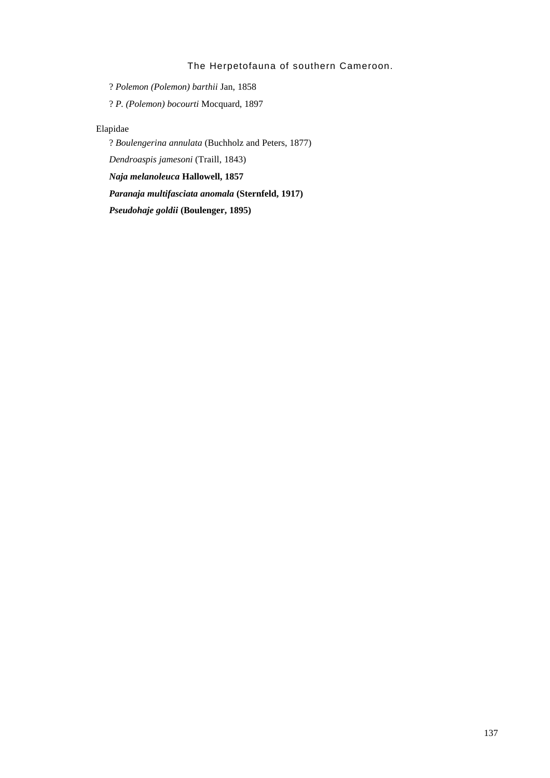? *Polemon (Polemon) barthii* Jan, 1858

? *P. (Polemon) bocourti* Mocquard, 1897

## Elapidae

? *Boulengerina annulata* (Buchholz and Peters, 1877)

*Dendroaspis jamesoni* (Traill, 1843)

*Naja melanoleuca* **Hallowell, 1857**

*Paranaja multifasciata anomala* **(Sternfeld, 1917)**

*Pseudohaje goldii* **(Boulenger, 1895)**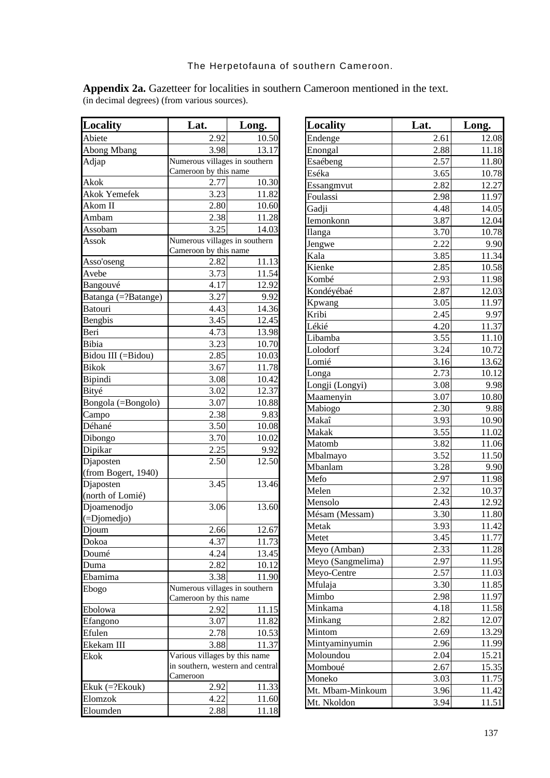| <b>Locality</b>     | Lat.                             | Long.              |
|---------------------|----------------------------------|--------------------|
| Abiete              | 2.92                             | 10.50              |
| Abong Mbang         | 3.98                             | 13.17              |
| Adjap               | Numerous villages in southern    |                    |
|                     | Cameroon by this name            |                    |
| Akok                | 2.77                             | 10.30              |
| <b>Akok Yemefek</b> | 3.23                             | 11.82              |
| Akom II             | 2.80                             | 10.60              |
| Ambam               | 2.38                             | 11.28              |
| Assobam             | 3.25                             | 14.03              |
| Assok               | Numerous villages in southern    |                    |
|                     | Cameroon by this name            |                    |
| Asso'oseng          | 2.82                             | 11.13              |
| Avebe               | 3.73                             | $11.\overline{54}$ |
| Bangouvé            | 4.17                             | 12.92              |
| Batanga (=?Batange) | 3.27                             | 9.92               |
| <b>Batouri</b>      | 4.43                             | 14.36              |
| Bengbis             | 3.45                             | 12.45              |
| Beri                | 4.73                             | 13.98              |
| Bibia               | 3.23                             | 10.70              |
| Bidou III (=Bidou)  | 2.85                             | 10.03              |
| <b>Bikok</b>        | 3.67                             | 11.78              |
| Bipindi             | 3.08                             | 10.42              |
| Bityé               | 3.02                             | 12.37              |
| Bongola (=Bongolo)  | 3.07                             | 10.88              |
| Campo               | 2.38                             | 9.83               |
| Déhané              | 3.50                             | 10.08              |
| Dibongo             | 3.70                             | 10.02              |
| Dipikar             | 2.25                             | 9.92               |
| Djaposten           | 2.50                             | 12.50              |
| (from Bogert, 1940) |                                  |                    |
| Djaposten           | 3.45                             | 13.46              |
| (north of Lomié)    |                                  |                    |
| Djoamenodjo         | 3.06                             | 13.60              |
| (=Djomedjo)         |                                  |                    |
| Djoum               | 2.66                             | 12.67              |
| Dokoa               | 4.37                             | 11.73              |
| Doumé               | 4.24                             | 13.45              |
| Duma                | 2.82                             | 10.12              |
| Ebamima             | 3.38                             | 11.90              |
| Ebogo               | Numerous villages in southern    |                    |
|                     | Cameroon by this name            |                    |
| Ebolowa             | 2.92                             | 11.15              |
| Efangono            | 3.07                             | 11.82              |
| Efulen              | 2.78                             | 10.53              |
| Ekekam III          | 3.88                             | 11.37              |
| Ekok                | Various villages by this name    |                    |
|                     | in southern, western and central |                    |
|                     | Cameroon                         |                    |
| $Ekuk (=?Ekouk)$    | 2.92                             | 11.33              |
| Elomzok             | 4.22                             | 11.60              |
| Eloumden            | 2.88                             | 11.18              |

| Locality          | Lat. | Long. |
|-------------------|------|-------|
| Endenge           | 2.61 | 12.08 |
| Enongal           | 2.88 | 11.18 |
| Esaébeng          | 2.57 | 11.80 |
| Eséka             | 3.65 | 10.78 |
| Essangmvut        | 2.82 | 12.27 |
| Foulassi          | 2.98 | 11.97 |
| Gadji             | 4.48 | 14.05 |
| Iemonkonn         | 3.87 | 12.04 |
| Ilanga            | 3.70 | 10.78 |
| Jengwe            | 2.22 | 9.90  |
| Kala              | 3.85 | 11.34 |
| Kienke            | 2.85 | 10.58 |
| Kombé             | 2.93 | 11.98 |
| Kondéyébaé        | 2.87 | 12.03 |
| Kpwang            | 3.05 | 11.97 |
| Kribi             | 2.45 | 9.97  |
| Lékié             | 4.20 | 11.37 |
| Libamba           | 3.55 | 11.10 |
| Lolodorf          | 3.24 | 10.72 |
| Lomié             | 3.16 | 13.62 |
| Longa             | 2.73 | 10.12 |
| Longji (Longyi)   | 3.08 | 9.98  |
| Maamenyin         | 3.07 | 10.80 |
| Mabiogo           | 2.30 | 9.88  |
| Makaî             | 3.93 | 10.90 |
| Makak             | 3.55 | 11.02 |
| Matomb            | 3.82 | 11.06 |
| Mbalmayo          | 3.52 | 11.50 |
| Mbanlam           | 3.28 | 9.90  |
| Mefo              | 2.97 | 11.98 |
| Melen             | 2.32 | 10.37 |
| Mensolo           | 2.43 | 12.92 |
| Mésam (Messam)    | 3.30 | 11.80 |
| Metak             | 3.93 | 11.42 |
| Metet             | 3.45 | 11.77 |
| Meyo (Amban)      | 2.33 | 11.28 |
| Meyo (Sangmelima) | 2.97 | 11.95 |
| Meyo-Centre       | 2.57 | 11.03 |
| Mfulaja           | 3.30 | 11.85 |
| Mimbo             | 2.98 | 11.97 |
| Minkama           | 4.18 | 11.58 |
| Minkang           | 2.82 | 12.07 |
| Mintom            | 2.69 | 13.29 |
| Mintyaminyumin    | 2.96 | 11.99 |
| Moloundou         | 2.04 | 15.21 |
| Momboué           | 2.67 | 15.35 |
| Moneko            | 3.03 | 11.75 |
| Mt. Mbam-Minkoum  | 3.96 | 11.42 |
| Mt. Nkoldon       | 3.94 | 11.51 |
|                   |      |       |

**Appendix 2a.** Gazetteer for localities in southern Cameroon mentioned in the text. (in decimal degrees) (from various sources).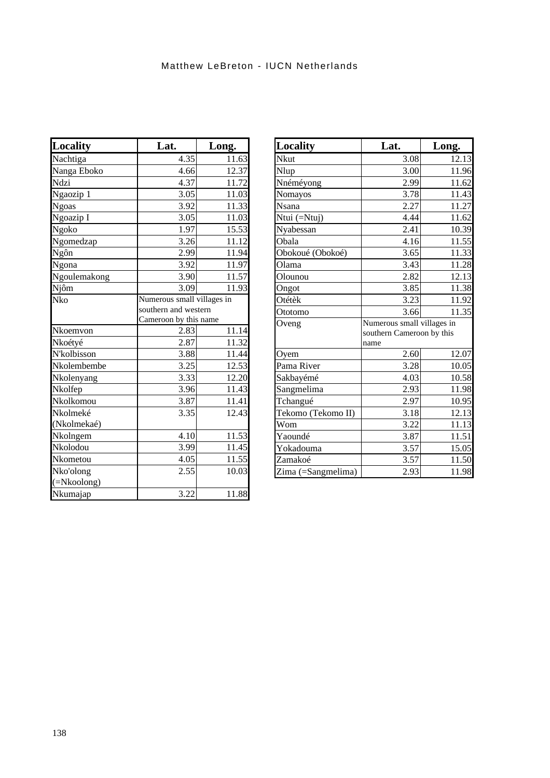| Locality     | Lat.                       | Long.              |
|--------------|----------------------------|--------------------|
| Nachtiga     | 4.35                       | 11.63              |
| Nanga Eboko  | 4.66                       | 12.37              |
| Ndzi         | 4.37                       | 11.72              |
| Ngaozip 1    | 3.05                       | 11.03              |
| <b>Ngoas</b> | 3.92                       | 11.33              |
| Ngoazip I    | 3.05                       | 11.03              |
| Ngoko        | 1.97                       | 15.53              |
| Ngomedzap    | 3.26                       | 11.12              |
| Ngôn         | 2.99                       | 11.94              |
| Ngona        | 3.92                       | 11.97              |
| Ngoulemakong | 3.90                       | 11.57              |
| Njôm         | 3.09                       | 11.93              |
| Nko          | Numerous small villages in |                    |
|              | southern and western       |                    |
|              | Cameroon by this name      |                    |
| Nkoemvon     | 2.83                       | 11.14              |
| Nkoétyé      | 2.87                       | 11.32              |
| N'kolbisson  | 3.88                       | 11.44              |
| Nkolembembe  | 3.25                       | 12.53              |
| Nkolenyang   | 3.33                       | 12.20              |
| Nkolfep      | 3.96                       | 11.43              |
| Nkolkomou    | 3.87                       | 11.41              |
| Nkolmeké     | 3.35                       | $12.\overline{43}$ |
| (Nkolmekaé)  |                            |                    |
| Nkolngem     | 4.10                       | 11.53              |
| Nkolodou     | 3.99                       | 11.45              |
| Nkometou     | 4.05                       | 11.55              |
| Nko'olong    | 2.55                       | 10.03              |
| (=Nkoolong)  |                            |                    |
| Nkumajap     | 3.22                       | 11.88              |

| <b>Locality</b>    | Lat.                                                            | Long. |
|--------------------|-----------------------------------------------------------------|-------|
| Nkut               | 3.08                                                            | 12.13 |
| Nlup               | 3.00                                                            | 11.96 |
| Nnéméyong          | 2.99                                                            | 11.62 |
| Nomayos            | 3.78                                                            | 11.43 |
| Nsana              | 2.27                                                            | 11.27 |
| Ntui (=Ntuj)       | 4.44                                                            | 11.62 |
| Nyabessan          | 2.41                                                            | 10.39 |
| Obala              | 4.16                                                            | 11.55 |
| Obokoué (Obokoé)   | 3.65                                                            | 11.33 |
| Olama              | 3.43                                                            | 11.28 |
| Olounou            | 2.82                                                            | 12.13 |
| Ongot              | 3.85                                                            | 11.38 |
| Otétèk             | 3.23                                                            | 11.92 |
| Ototomo            | 3.66                                                            | 11.35 |
| Oveng              | Numerous small villages in<br>southern Cameroon by this<br>name |       |
| Oyem               | 2.60                                                            | 12.07 |
| Pama River         | 3.28                                                            | 10.05 |
| Sakbayémé          | 4.03                                                            | 10.58 |
| Sangmelima         | 2.93                                                            | 11.98 |
| Tchangué           | 2.97                                                            | 10.95 |
| Tekomo (Tekomo II) | 3.18                                                            | 12.13 |
| Wom                | 3.22                                                            | 11.13 |
| Yaoundé            | 3.87                                                            | 11.51 |
| Yokadouma          | 3.57                                                            | 15.05 |
| Zamakoé            | 3.57                                                            | 11.50 |
| Zima (=Sangmelima) | 2.93                                                            | 11.98 |